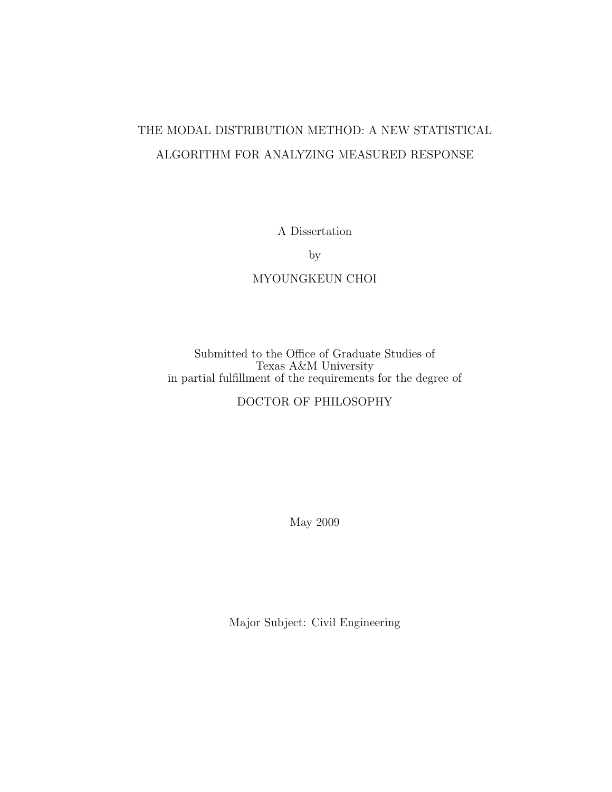# THE MODAL DISTRIBUTION METHOD: A NEW STATISTICAL ALGORITHM FOR ANALYZING MEASURED RESPONSE

A Dissertation

by

## MYOUNGKEUN CHOI

Submitted to the Office of Graduate Studies of Texas A&M University in partial fulfillment of the requirements for the degree of

## DOCTOR OF PHILOSOPHY

May 2009

Major Subject: Civil Engineering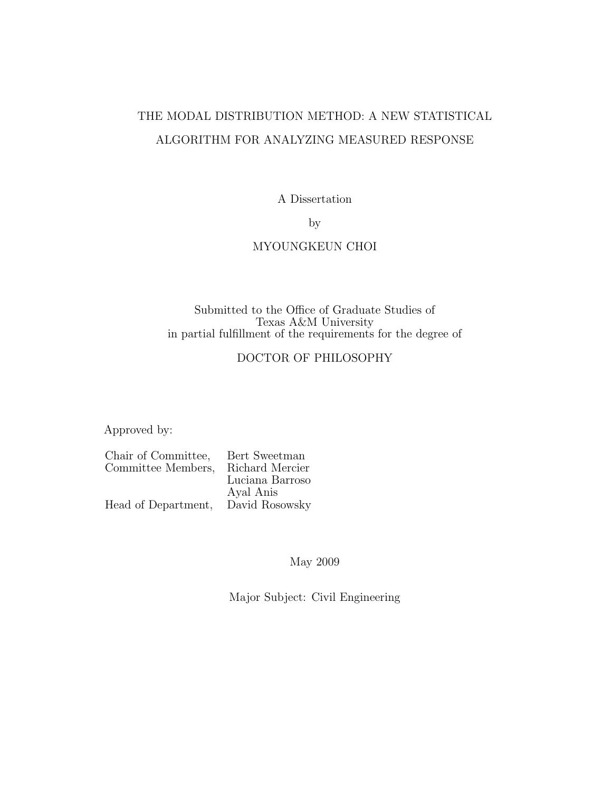# THE MODAL DISTRIBUTION METHOD: A NEW STATISTICAL ALGORITHM FOR ANALYZING MEASURED RESPONSE

A Dissertation

by

#### MYOUNGKEUN CHOI

#### Submitted to the Office of Graduate Studies of Texas A&M University in partial fulfillment of the requirements for the degree of

### DOCTOR OF PHILOSOPHY

Approved by:

| Bert Sweetman   |
|-----------------|
| Richard Mercier |
| Luciana Barroso |
| Ayal Anis       |
| David Rosowsky  |
|                 |

May 2009

Major Subject: Civil Engineering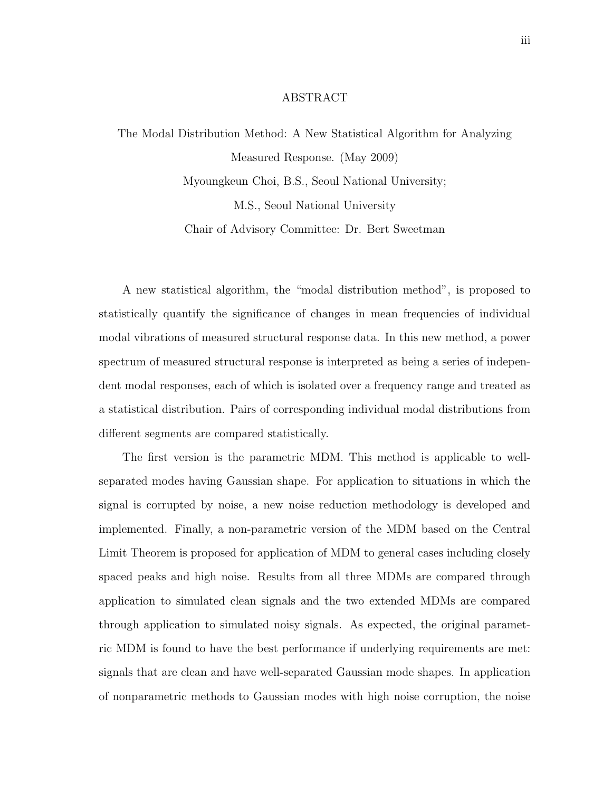#### ABSTRACT

The Modal Distribution Method: A New Statistical Algorithm for Analyzing Measured Response. (May 2009) Myoungkeun Choi, B.S., Seoul National University;

M.S., Seoul National University

Chair of Advisory Committee: Dr. Bert Sweetman

A new statistical algorithm, the "modal distribution method", is proposed to statistically quantify the significance of changes in mean frequencies of individual modal vibrations of measured structural response data. In this new method, a power spectrum of measured structural response is interpreted as being a series of independent modal responses, each of which is isolated over a frequency range and treated as a statistical distribution. Pairs of corresponding individual modal distributions from different segments are compared statistically.

The first version is the parametric MDM. This method is applicable to wellseparated modes having Gaussian shape. For application to situations in which the signal is corrupted by noise, a new noise reduction methodology is developed and implemented. Finally, a non-parametric version of the MDM based on the Central Limit Theorem is proposed for application of MDM to general cases including closely spaced peaks and high noise. Results from all three MDMs are compared through application to simulated clean signals and the two extended MDMs are compared through application to simulated noisy signals. As expected, the original parametric MDM is found to have the best performance if underlying requirements are met: signals that are clean and have well-separated Gaussian mode shapes. In application of nonparametric methods to Gaussian modes with high noise corruption, the noise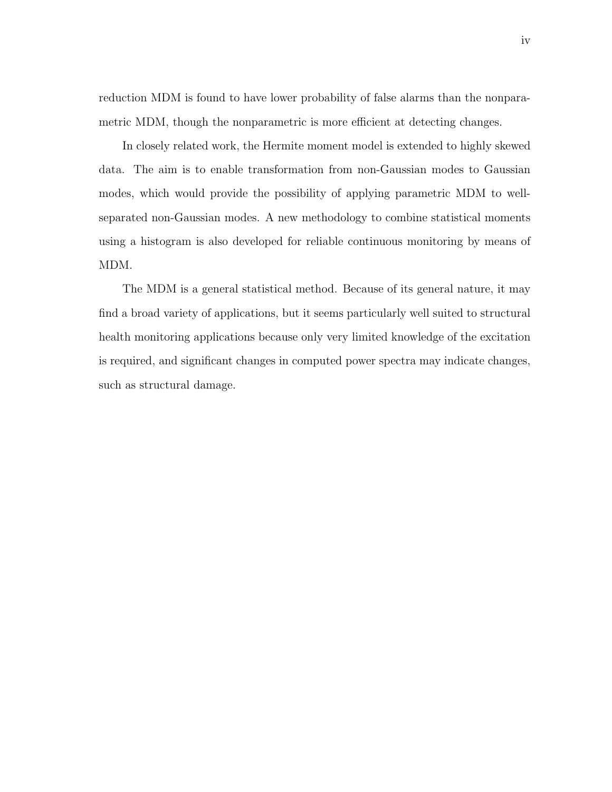reduction MDM is found to have lower probability of false alarms than the nonparametric MDM, though the nonparametric is more efficient at detecting changes.

In closely related work, the Hermite moment model is extended to highly skewed data. The aim is to enable transformation from non-Gaussian modes to Gaussian modes, which would provide the possibility of applying parametric MDM to wellseparated non-Gaussian modes. A new methodology to combine statistical moments using a histogram is also developed for reliable continuous monitoring by means of MDM.

The MDM is a general statistical method. Because of its general nature, it may find a broad variety of applications, but it seems particularly well suited to structural health monitoring applications because only very limited knowledge of the excitation is required, and significant changes in computed power spectra may indicate changes, such as structural damage.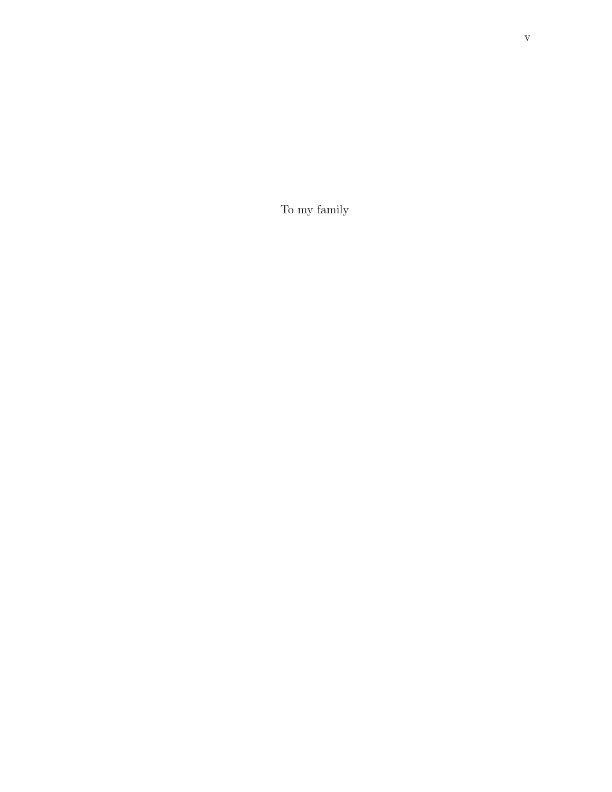To my family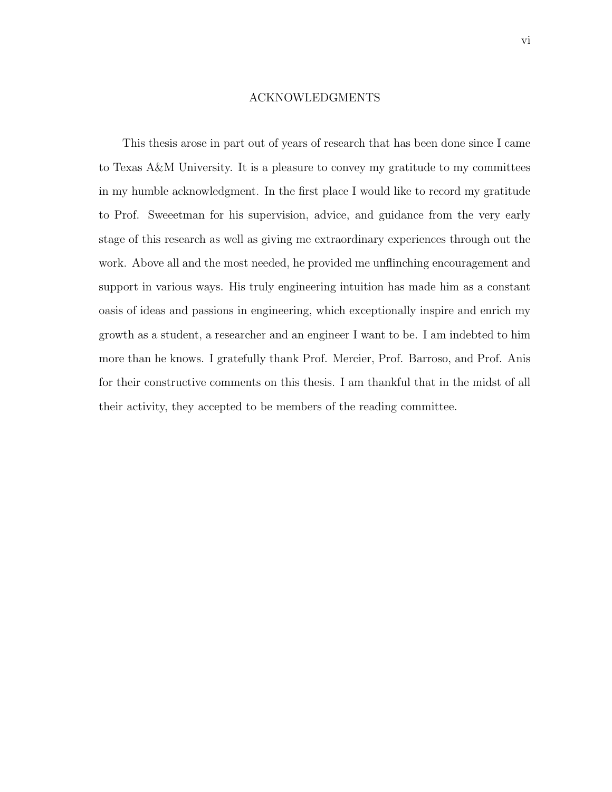#### ACKNOWLEDGMENTS

This thesis arose in part out of years of research that has been done since I came to Texas A&M University. It is a pleasure to convey my gratitude to my committees in my humble acknowledgment. In the first place I would like to record my gratitude to Prof. Sweeetman for his supervision, advice, and guidance from the very early stage of this research as well as giving me extraordinary experiences through out the work. Above all and the most needed, he provided me unflinching encouragement and support in various ways. His truly engineering intuition has made him as a constant oasis of ideas and passions in engineering, which exceptionally inspire and enrich my growth as a student, a researcher and an engineer I want to be. I am indebted to him more than he knows. I gratefully thank Prof. Mercier, Prof. Barroso, and Prof. Anis for their constructive comments on this thesis. I am thankful that in the midst of all their activity, they accepted to be members of the reading committee.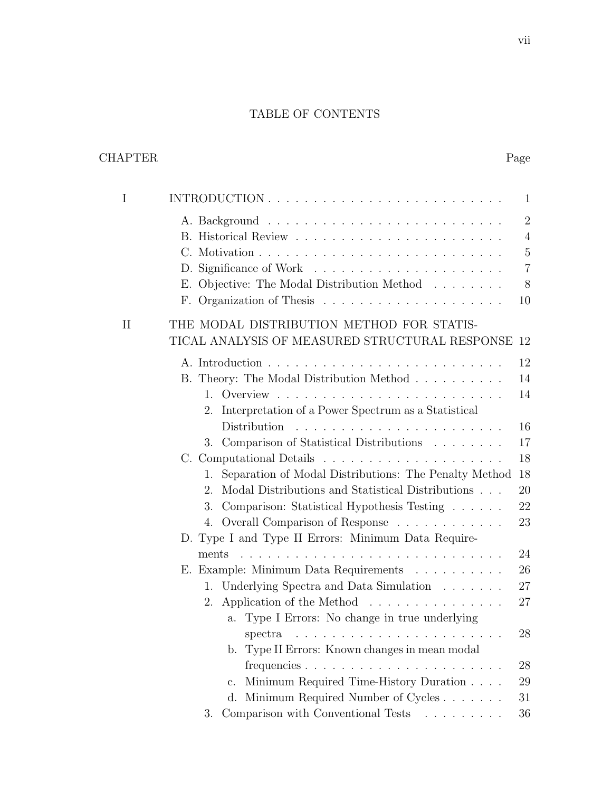# TABLE OF CONTENTS

# CHAPTER Page

| I           |                                                                           | $\mathbf{1}$   |
|-------------|---------------------------------------------------------------------------|----------------|
|             |                                                                           | $\overline{2}$ |
|             |                                                                           | $\overline{4}$ |
|             |                                                                           | $\overline{5}$ |
|             |                                                                           | $\overline{7}$ |
|             | E. Objective: The Modal Distribution Method                               | 8              |
|             | F. Organization of Thesis $\ldots \ldots \ldots \ldots \ldots \ldots$     | 10             |
| $_{\rm II}$ | THE MODAL DISTRIBUTION METHOD FOR STATIS-                                 |                |
|             | TICAL ANALYSIS OF MEASURED STRUCTURAL RESPONSE 12                         |                |
|             |                                                                           | 12             |
|             | B. Theory: The Modal Distribution Method                                  | 14             |
|             |                                                                           | 14             |
|             | 2. Interpretation of a Power Spectrum as a Statistical                    |                |
|             |                                                                           | 16             |
|             | 3. Comparison of Statistical Distributions                                | 17             |
|             |                                                                           | 18             |
|             | Separation of Modal Distributions: The Penalty Method<br>1.               | 18             |
|             | Modal Distributions and Statistical Distributions<br>2.                   | 20             |
|             | Comparison: Statistical Hypothesis Testing<br>3.                          | 22             |
|             | 4. Overall Comparison of Response                                         | 23             |
|             | D. Type I and Type II Errors: Minimum Data Require-                       |                |
|             | ments                                                                     | 24             |
|             | E. Example: Minimum Data Requirements                                     | 26             |
|             | 1. Underlying Spectra and Data Simulation                                 | 27             |
|             | 2. Application of the Method $\dots \dots \dots \dots \dots$              | 27             |
|             | Type I Errors: No change in true underlying<br>a.                         |                |
|             |                                                                           | 28             |
|             | b. Type II Errors: Known changes in mean modal                            |                |
|             |                                                                           | 28             |
|             | Minimum Required Time-History Duration<br>c.                              | 29             |
|             | Minimum Required Number of Cycles<br>d.                                   | 31             |
|             | Comparison with Conventional Tests $\hfill\ldots\ldots\ldots\ldots$<br>3. | 36             |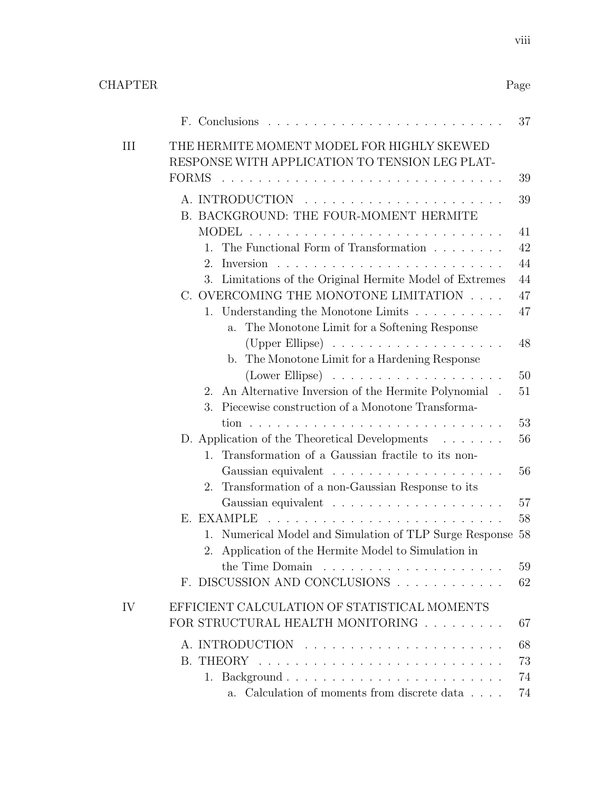|    |                                                                                                                          | 37 |
|----|--------------------------------------------------------------------------------------------------------------------------|----|
| Ш  | THE HERMITE MOMENT MODEL FOR HIGHLY SKEWED<br>RESPONSE WITH APPLICATION TO TENSION LEG PLAT-                             |    |
|    | <b>FORMS</b><br>and the company of the company                                                                           | 39 |
|    | B. BACKGROUND: THE FOUR-MOMENT HERMITE                                                                                   | 39 |
|    | <b>MODEL</b>                                                                                                             | 41 |
|    | The Functional Form of Transformation $\ldots \ldots \ldots$<br>1.                                                       | 42 |
|    | $2_{-}$                                                                                                                  | 44 |
|    | Limitations of the Original Hermite Model of Extremes<br>3.                                                              | 44 |
|    | C. OVERCOMING THE MONOTONE LIMITATION $\ldots$ .                                                                         | 47 |
|    | 1. Understanding the Monotone Limits $\ldots \ldots \ldots \ldots$<br>The Monotone Limit for a Softening Response<br>a.  | 47 |
|    | (Upper Ellipse) $\ldots \ldots \ldots \ldots \ldots$                                                                     | 48 |
|    | The Monotone Limit for a Hardening Response<br>$b_{\cdot}$                                                               |    |
|    | $(Lower Ellipse) \dots \dots \dots \dots \dots \dots \dots$                                                              | 50 |
|    | An Alternative Inversion of the Hermite Polynomial.<br>$2_{-}$                                                           | 51 |
|    | Piecewise construction of a Monotone Transforma-<br>3.                                                                   | 53 |
|    | D. Application of the Theoretical Developments                                                                           | 56 |
|    | Transformation of a Gaussian fractile to its non-<br>1.                                                                  |    |
|    |                                                                                                                          | 56 |
|    | Transformation of a non-Gaussian Response to its<br>2.                                                                   |    |
|    |                                                                                                                          | 57 |
|    | E. EXAMPLE                                                                                                               | 58 |
|    | Numerical Model and Simulation of TLP Surge Response 58<br>1.<br>Application of the Hermite Model to Simulation in<br>2. |    |
|    | the Time Domain                                                                                                          | 59 |
|    | F. DISCUSSION AND CONCLUSIONS                                                                                            | 62 |
| IV | EFFICIENT CALCULATION OF STATISTICAL MOMENTS                                                                             |    |
|    | FOR STRUCTURAL HEALTH MONITORING                                                                                         | 67 |
|    |                                                                                                                          | 68 |
|    |                                                                                                                          | 73 |
|    |                                                                                                                          | 74 |
|    | Calculation of moments from discrete data $\ldots$ .<br>а.                                                               | 74 |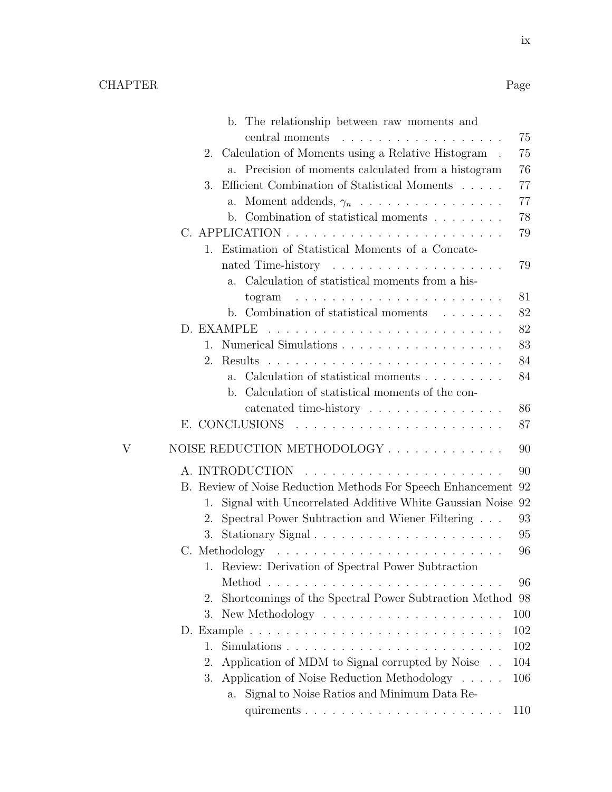|   | b. The relationship between raw moments and                                           |          |
|---|---------------------------------------------------------------------------------------|----------|
|   | central moments<br>.                                                                  | 75       |
|   | 2.<br>Calculation of Moments using a Relative Histogram.                              | 75       |
|   | a. Precision of moments calculated from a histogram                                   | 76       |
|   | Efficient Combination of Statistical Moments $\ldots \ldots$<br>3.                    | 77       |
|   | Moment addends, $\gamma_n$<br>$a_{-}$                                                 | 77       |
|   | b. Combination of statistical moments $\ldots \ldots$                                 | 78       |
|   |                                                                                       | 79       |
|   | Estimation of Statistical Moments of a Concate-<br>1.                                 |          |
|   |                                                                                       | 79       |
|   | Calculation of statistical moments from a his-<br>a.                                  |          |
|   | a de la caractería de la caractería de la caractería<br>togram                        | 81       |
|   | b. Combination of statistical moments                                                 | 82       |
|   |                                                                                       | 82       |
|   | 1.                                                                                    | 83       |
|   | 2.<br>Results                                                                         | 84       |
|   | Calculation of statistical moments<br>$a_{\cdot}$                                     | 84       |
|   | Calculation of statistical moments of the con-<br>b.                                  |          |
|   | catenated time-history                                                                | 86<br>87 |
|   |                                                                                       |          |
| V | NOISE REDUCTION METHODOLOGY                                                           | 90       |
|   | A. INTRODUCTION                                                                       | 90       |
|   | B. Review of Noise Reduction Methods For Speech Enhancement                           | 92       |
|   | Signal with Uncorrelated Additive White Gaussian Noise<br>1.                          | 92       |
|   | Spectral Power Subtraction and Wiener Filtering<br>2.                                 | 93       |
|   | Stationary Signal<br>3.                                                               | 95       |
|   | C. Methodology $\dots \dots \dots \dots \dots \dots \dots \dots \dots \dots$          | 96       |
|   | Review: Derivation of Spectral Power Subtraction<br>1.                                |          |
|   |                                                                                       | 96       |
|   | Shortcomings of the Spectral Power Subtraction Method<br>2.                           | 98       |
|   | 3.<br>New Methodology $\dots \dots \dots \dots \dots \dots \dots$                     | 100      |
|   |                                                                                       | 102      |
|   | $Simulations \dots \dots \dots \dots \dots \dots \dots \dots \dots \dots \dots$<br>1. | 102      |
|   | Application of MDM to Signal corrupted by Noise<br>2.                                 | 104      |
|   | Application of Noise Reduction Methodology<br>3.                                      | 106      |
|   | Signal to Noise Ratios and Minimum Data Re-<br>a.                                     |          |
|   | quirements                                                                            | 110      |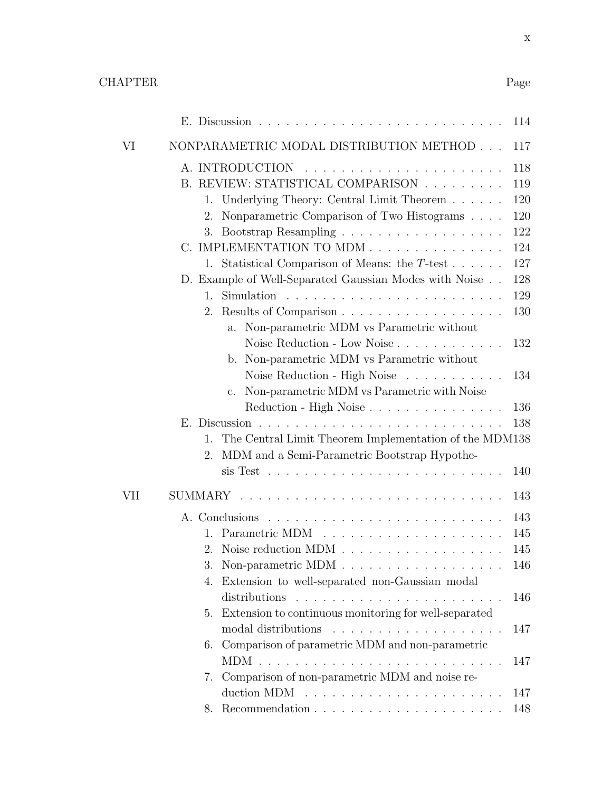x

|     |                 |                                                        | 114 |
|-----|-----------------|--------------------------------------------------------|-----|
| VI  |                 | NONPARAMETRIC MODAL DISTRIBUTION METHOD                | 117 |
|     | A. INTRODUCTION |                                                        | 118 |
|     |                 | B. REVIEW: STATISTICAL COMPARISON                      | 119 |
|     | 1.              | Underlying Theory: Central Limit Theorem               | 120 |
|     | 2.              | Nonparametric Comparison of Two Histograms             | 120 |
|     | 3.              |                                                        | 122 |
|     |                 | C. IMPLEMENTATION TO MDM                               | 124 |
|     | 1.              | Statistical Comparison of Means: the $T$ -test         | 127 |
|     |                 | D. Example of Well-Separated Gaussian Modes with Noise | 128 |
|     | 1.              |                                                        | 129 |
|     | 2.              | Results of Comparison                                  | 130 |
|     | a.              | Non-parametric MDM vs Parametric without               |     |
|     |                 | Noise Reduction - Low Noise                            | 132 |
|     | b.              | Non-parametric MDM vs Parametric without               |     |
|     |                 | Noise Reduction - High Noise                           | 134 |
|     | $\mathbf{c}$ .  | Non-parametric MDM vs Parametric with Noise            |     |
|     |                 | Reduction - High Noise                                 | 136 |
|     |                 |                                                        | 138 |
|     | 1.              | The Central Limit Theorem Implementation of the MDM138 |     |
|     | 2.              | MDM and a Semi-Parametric Bootstrap Hypothe-           |     |
|     |                 |                                                        | 140 |
| VII | SUMMARY         |                                                        | 143 |
|     | A. Conclusions  |                                                        | 143 |
|     | 1.              |                                                        | 145 |
|     | 2.              |                                                        | 145 |
|     | 3.              |                                                        | 146 |
|     | 4.              | Extension to well-separated non-Gaussian modal         |     |
|     |                 |                                                        | 146 |
|     | 5.              | Extension to continuous monitoring for well-separated  |     |
|     |                 | modal distributions                                    | 147 |
|     |                 | 6. Comparison of parametric MDM and non-parametric     |     |
|     |                 |                                                        | 147 |
|     | 7.              | Comparison of non-parametric MDM and noise re-         |     |
|     |                 |                                                        | 147 |
|     | 8.              |                                                        | 148 |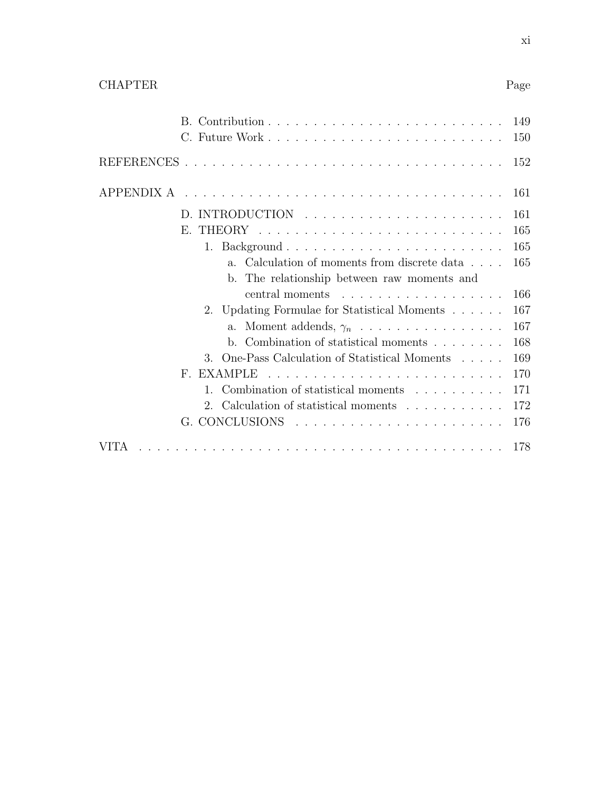|--|--|

|                                                                     | 149<br>150 |
|---------------------------------------------------------------------|------------|
|                                                                     | 152        |
| APPENDIX A                                                          | -161       |
|                                                                     | 161        |
| $\mathbf{E}$                                                        | 165        |
|                                                                     | 165        |
| Calculation of moments from discrete data<br>a <sub>1</sub>         | 165        |
| b. The relationship between raw moments and                         |            |
| central moments                                                     | 166        |
| 2. Updating Formulae for Statistical Moments                        | 167        |
| a. Moment addends, $\gamma_n \ldots \ldots \ldots \ldots \ldots$    | 167        |
| b. Combination of statistical moments $\ldots \ldots$               | 168        |
| One-Pass Calculation of Statistical Moments<br>$3_{-}$              | 169        |
| EXAMPLE<br>$F^-$                                                    | 170        |
| Combination of statistical moments<br>1                             | 171        |
| 2. Calculation of statistical moments                               | 172        |
| $G.$ CONCLUSIONS $\ldots \ldots \ldots \ldots \ldots \ldots \ldots$ | 176        |
| VITA                                                                | 178        |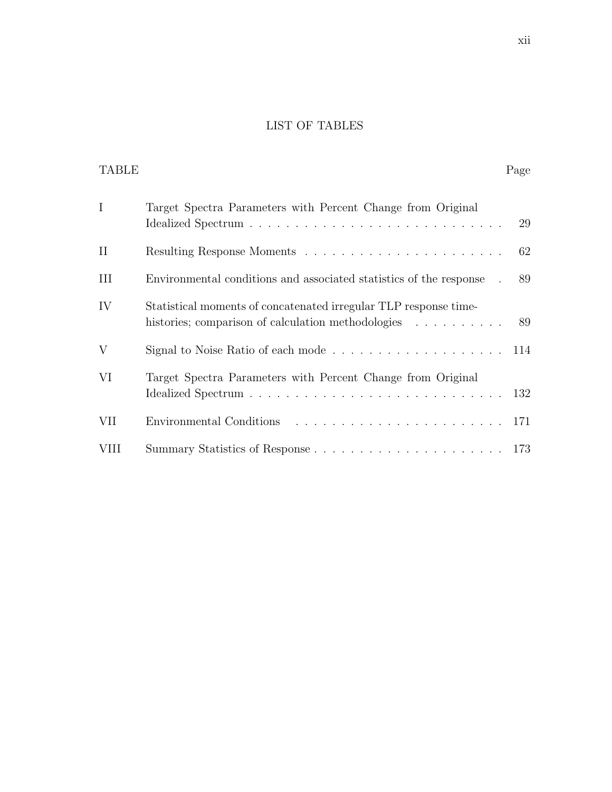## LIST OF TABLES

| <b>TABLE</b> |                                                                                                                        | Page |
|--------------|------------------------------------------------------------------------------------------------------------------------|------|
| $\mathbf I$  | Target Spectra Parameters with Percent Change from Original                                                            | 29   |
| $\rm II$     |                                                                                                                        | 62   |
| III          | Environmental conditions and associated statistics of the response.                                                    | 89   |
| IV           | Statistical moments of concatenated irregular TLP response time-<br>histories; comparison of calculation methodologies | 89   |
| V            |                                                                                                                        |      |
| VI           | Target Spectra Parameters with Percent Change from Original                                                            |      |
| VII          |                                                                                                                        |      |
| <b>VIII</b>  |                                                                                                                        |      |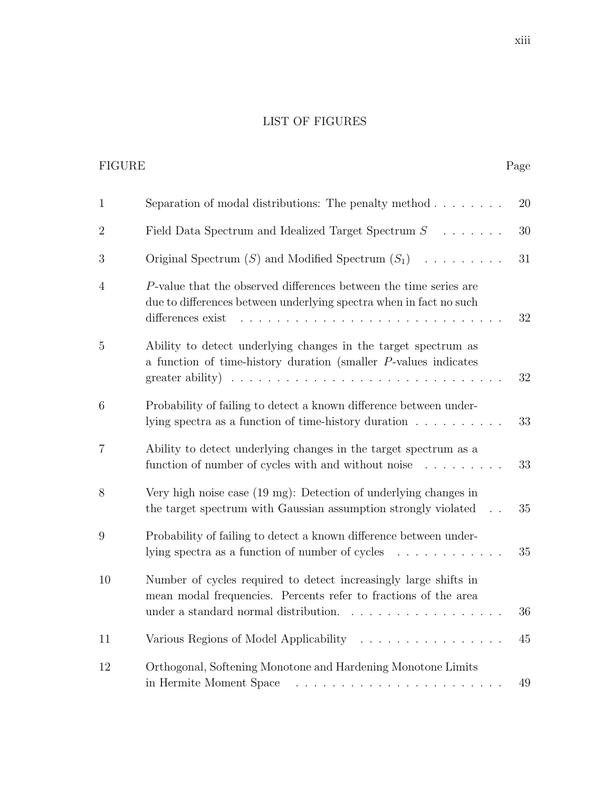# LIST OF FIGURES

| <b>FIGURE</b>  |                                                                                                                                                                                                                                  | Page |
|----------------|----------------------------------------------------------------------------------------------------------------------------------------------------------------------------------------------------------------------------------|------|
| $\mathbf{1}$   | Separation of modal distributions: The penalty method $\ldots \ldots$                                                                                                                                                            | 20   |
| $\overline{2}$ | Field Data Spectrum and Idealized Target Spectrum $S \dots \dots$                                                                                                                                                                | 30   |
| 3              | Original Spectrum $(S)$ and Modified Spectrum $(S_1)$                                                                                                                                                                            | 31   |
| $\overline{4}$ | P-value that the observed differences between the time series are<br>due to differences between underlying spectra when in fact no such<br>differences exist                                                                     | 32   |
| $\overline{5}$ | Ability to detect underlying changes in the target spectrum as<br>a function of time-history duration (smaller $P$ -values indicates<br>greater ability) $\ldots \ldots \ldots \ldots \ldots \ldots \ldots \ldots \ldots \ldots$ | 32   |
| 6              | Probability of failing to detect a known difference between under-<br>lying spectra as a function of time-history duration $\dots \dots \dots$                                                                                   | 33   |
| $\overline{7}$ | Ability to detect underlying changes in the target spectrum as a<br>function of number of cycles with and without noise $\dots \dots$                                                                                            | 33   |
| 8              | Very high noise case (19 mg): Detection of underlying changes in<br>the target spectrum with Gaussian assumption strongly violated                                                                                               | 35   |
| 9              | Probability of failing to detect a known difference between under-<br>lying spectra as a function of number of cycles<br>.                                                                                                       | 35   |
| 10             | Number of cycles required to detect increasingly large shifts in<br>mean modal frequencies. Percents refer to fractions of the area<br>under a standard normal distribution.<br>.                                                | 36   |
| 11             | Various Regions of Model Applicability                                                                                                                                                                                           | 45   |
| 12             | Orthogonal, Softening Monotone and Hardening Monotone Limits<br>in Hermite Moment Space                                                                                                                                          | 49   |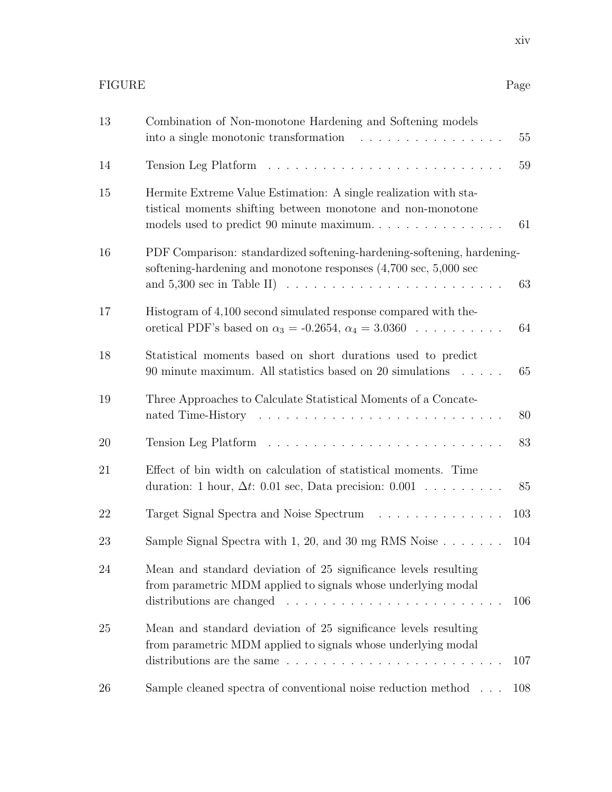| 13 | Combination of Non-monotone Hardening and Softening models<br>55                                                                                                                                                                                              |
|----|---------------------------------------------------------------------------------------------------------------------------------------------------------------------------------------------------------------------------------------------------------------|
| 14 | 59                                                                                                                                                                                                                                                            |
| 15 | Hermite Extreme Value Estimation: A single realization with sta-<br>tistical moments shifting between monotone and non-monotone<br>models used to predict 90 minute maximum<br>61                                                                             |
| 16 | PDF Comparison: standardized softening-hardening-softening, hardening-<br>softening-hardening and monotone responses $(4,700 \text{ sec}, 5,000 \text{ sec})$<br>and $5,300$ sec in Table II) $\ldots \ldots \ldots \ldots \ldots \ldots \ldots \ldots$<br>63 |
| 17 | Histogram of 4,100 second simulated response compared with the-<br>oretical PDF's based on $\alpha_3 = -0.2654$ , $\alpha_4 = 3.0360$<br>64                                                                                                                   |
| 18 | Statistical moments based on short durations used to predict<br>65<br>90 minute maximum. All statistics based on 20 simulations                                                                                                                               |
| 19 | Three Approaches to Calculate Statistical Moments of a Concate-<br>80                                                                                                                                                                                         |
| 20 | 83                                                                                                                                                                                                                                                            |
| 21 | Effect of bin width on calculation of statistical moments. Time<br>duration: 1 hour, $\Delta t$ : 0.01 sec, Data precision: 0.001<br>85                                                                                                                       |
| 22 | Target Signal Spectra and Noise Spectrum<br>103                                                                                                                                                                                                               |
| 23 | Sample Signal Spectra with 1, 20, and 30 mg RMS Noise $\ldots \ldots$<br>104                                                                                                                                                                                  |
| 24 | Mean and standard deviation of 25 significance levels resulting<br>from parametric MDM applied to signals whose underlying modal<br>distributions are changed $\ldots \ldots \ldots \ldots \ldots \ldots \ldots$<br>106                                       |
| 25 | Mean and standard deviation of 25 significance levels resulting<br>from parametric MDM applied to signals whose underlying modal<br>distributions are the same $\ldots \ldots \ldots \ldots \ldots \ldots \ldots \ldots$<br>107                               |
| 26 | Sample cleaned spectra of conventional noise reduction method<br>108                                                                                                                                                                                          |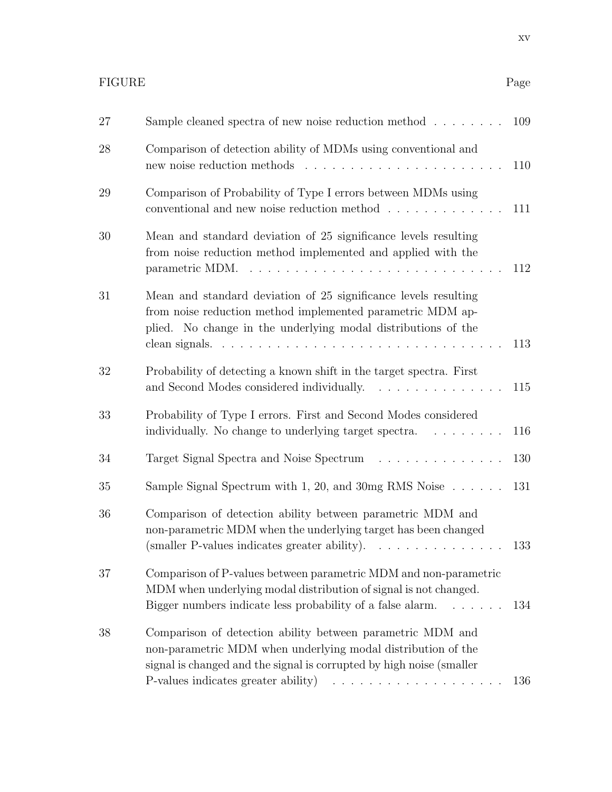# FIGURE Page

| 27 | Sample cleaned spectra of new noise reduction method $\ldots \ldots$                                                                                                                                                                           | 109 |
|----|------------------------------------------------------------------------------------------------------------------------------------------------------------------------------------------------------------------------------------------------|-----|
| 28 | Comparison of detection ability of MDMs using conventional and                                                                                                                                                                                 | 110 |
| 29 | Comparison of Probability of Type I errors between MDMs using<br>conventional and new noise reduction method $\ldots \ldots \ldots \ldots$                                                                                                     | 111 |
| 30 | Mean and standard deviation of 25 significance levels resulting<br>from noise reduction method implemented and applied with the<br>parametric MDM. $\ldots \ldots \ldots \ldots \ldots \ldots \ldots \ldots \ldots \ldots$                     | 112 |
| 31 | Mean and standard deviation of 25 significance levels resulting<br>from noise reduction method implemented parametric MDM ap-<br>plied. No change in the underlying modal distributions of the                                                 | 113 |
| 32 | Probability of detecting a known shift in the target spectra. First<br>and Second Modes considered individually.<br>.                                                                                                                          | 115 |
| 33 | Probability of Type I errors. First and Second Modes considered<br>individually. No change to underlying target spectra.                                                                                                                       | 116 |
| 34 | Target Signal Spectra and Noise Spectrum                                                                                                                                                                                                       | 130 |
| 35 | Sample Signal Spectrum with 1, 20, and 30mg RMS Noise $\dots \dots$                                                                                                                                                                            | 131 |
| 36 | Comparison of detection ability between parametric MDM and<br>non-parametric MDM when the underlying target has been changed<br>(smaller P-values indicates greater ability).<br>.                                                             | 133 |
| 37 | Comparison of P-values between parametric MDM and non-parametric<br>MDM when underlying modal distribution of signal is not changed.<br>Bigger numbers indicate less probability of a false alarm.<br>$\mathbb{R}^3$ . The same $\mathbb{R}^3$ | 134 |
| 38 | Comparison of detection ability between parametric MDM and<br>non-parametric MDM when underlying modal distribution of the<br>signal is changed and the signal is corrupted by high noise (smaller<br>P-values indicates greater ability)<br>. | 136 |
|    |                                                                                                                                                                                                                                                |     |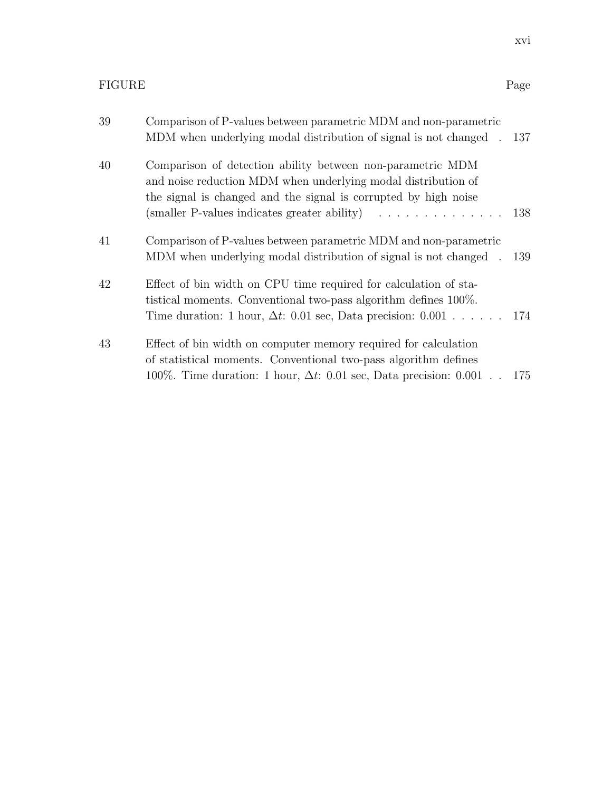| 39 | Comparison of P-values between parametric MDM and non-parametric<br>MDM when underlying modal distribution of signal is not changed . 137                                                                                                                                               |     |
|----|-----------------------------------------------------------------------------------------------------------------------------------------------------------------------------------------------------------------------------------------------------------------------------------------|-----|
| 40 | Comparison of detection ability between non-parametric MDM<br>and noise reduction MDM when underlying modal distribution of<br>the signal is changed and the signal is corrupted by high noise<br>(smaller P-values indicates greater ability) $\ldots \ldots \ldots \ldots \ldots 138$ |     |
| 41 | Comparison of P-values between parametric MDM and non-parametric<br>MDM when underlying modal distribution of signal is not changed . 139                                                                                                                                               |     |
| 42 | Effect of bin width on CPU time required for calculation of sta-<br>tistical moments. Conventional two-pass algorithm defines 100%.<br>Time duration: 1 hour, $\Delta t$ : 0.01 sec, Data precision: 0.001 174                                                                          |     |
| 43 | Effect of bin width on computer memory required for calculation<br>of statistical moments. Conventional two-pass algorithm defines<br>100%. Time duration: 1 hour, $\Delta t$ : 0.01 sec, Data precision: 0.001                                                                         | 175 |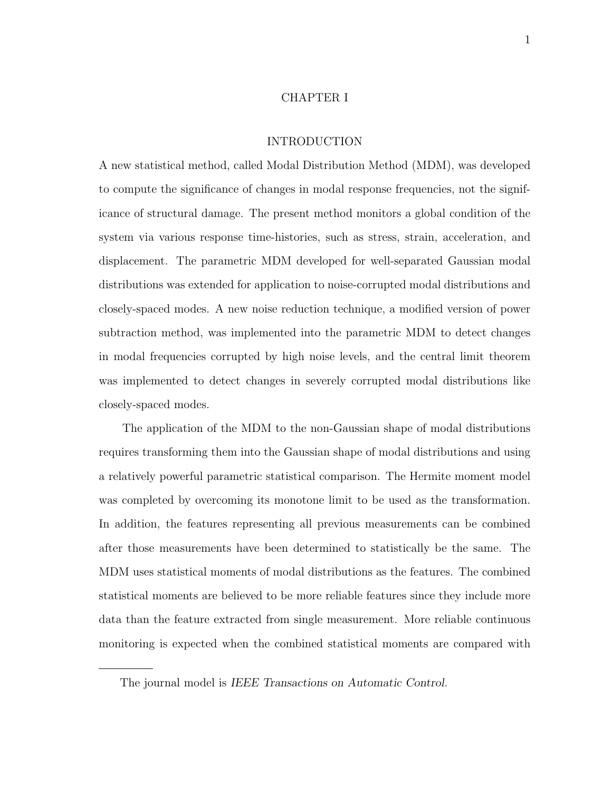#### CHAPTER I

#### INTRODUCTION

A new statistical method, called Modal Distribution Method (MDM), was developed to compute the significance of changes in modal response frequencies, not the significance of structural damage. The present method monitors a global condition of the system via various response time-histories, such as stress, strain, acceleration, and displacement. The parametric MDM developed for well-separated Gaussian modal distributions was extended for application to noise-corrupted modal distributions and closely-spaced modes. A new noise reduction technique, a modified version of power subtraction method, was implemented into the parametric MDM to detect changes in modal frequencies corrupted by high noise levels, and the central limit theorem was implemented to detect changes in severely corrupted modal distributions like closely-spaced modes.

The application of the MDM to the non-Gaussian shape of modal distributions requires transforming them into the Gaussian shape of modal distributions and using a relatively powerful parametric statistical comparison. The Hermite moment model was completed by overcoming its monotone limit to be used as the transformation. In addition, the features representing all previous measurements can be combined after those measurements have been determined to statistically be the same. The MDM uses statistical moments of modal distributions as the features. The combined statistical moments are believed to be more reliable features since they include more data than the feature extracted from single measurement. More reliable continuous monitoring is expected when the combined statistical moments are compared with

The journal model is IEEE Transactions on Automatic Control.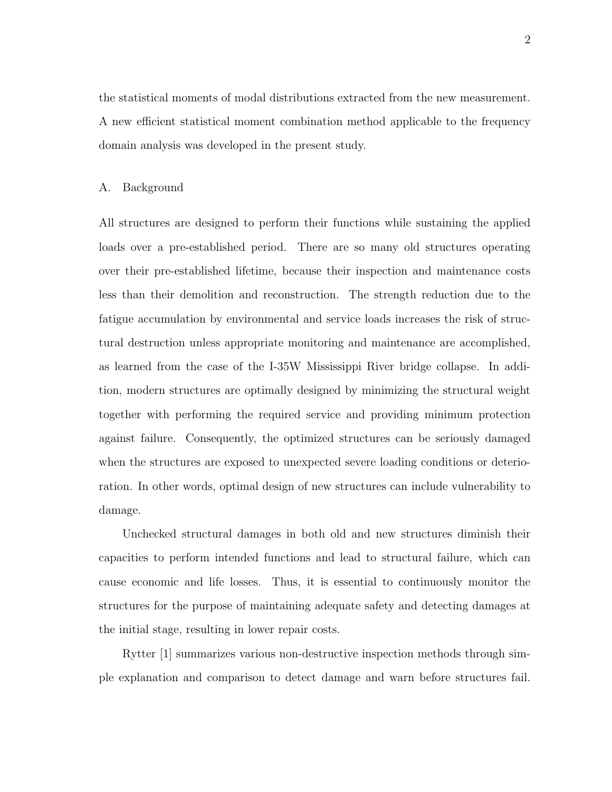the statistical moments of modal distributions extracted from the new measurement. A new efficient statistical moment combination method applicable to the frequency domain analysis was developed in the present study.

#### A. Background

All structures are designed to perform their functions while sustaining the applied loads over a pre-established period. There are so many old structures operating over their pre-established lifetime, because their inspection and maintenance costs less than their demolition and reconstruction. The strength reduction due to the fatigue accumulation by environmental and service loads increases the risk of structural destruction unless appropriate monitoring and maintenance are accomplished, as learned from the case of the I-35W Mississippi River bridge collapse. In addition, modern structures are optimally designed by minimizing the structural weight together with performing the required service and providing minimum protection against failure. Consequently, the optimized structures can be seriously damaged when the structures are exposed to unexpected severe loading conditions or deterioration. In other words, optimal design of new structures can include vulnerability to damage.

Unchecked structural damages in both old and new structures diminish their capacities to perform intended functions and lead to structural failure, which can cause economic and life losses. Thus, it is essential to continuously monitor the structures for the purpose of maintaining adequate safety and detecting damages at the initial stage, resulting in lower repair costs.

Rytter [1] summarizes various non-destructive inspection methods through simple explanation and comparison to detect damage and warn before structures fail.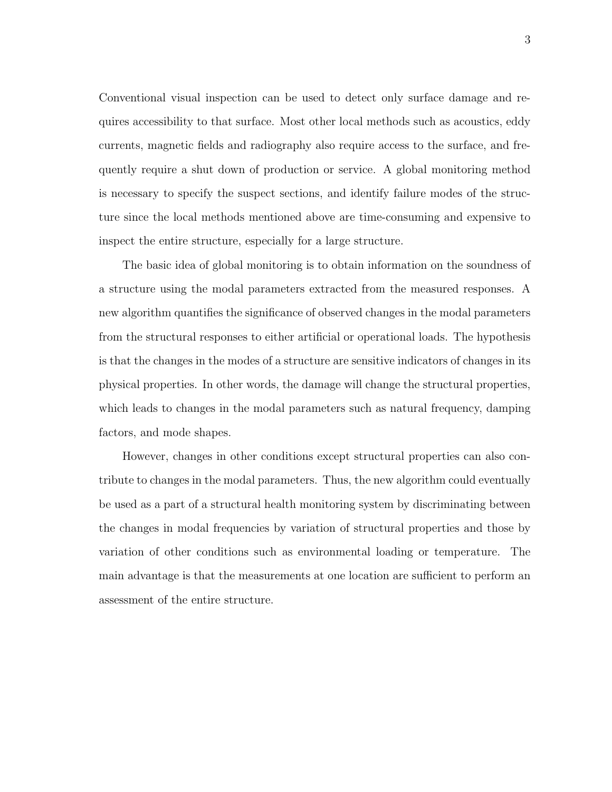Conventional visual inspection can be used to detect only surface damage and requires accessibility to that surface. Most other local methods such as acoustics, eddy currents, magnetic fields and radiography also require access to the surface, and frequently require a shut down of production or service. A global monitoring method is necessary to specify the suspect sections, and identify failure modes of the structure since the local methods mentioned above are time-consuming and expensive to inspect the entire structure, especially for a large structure.

The basic idea of global monitoring is to obtain information on the soundness of a structure using the modal parameters extracted from the measured responses. A new algorithm quantifies the significance of observed changes in the modal parameters from the structural responses to either artificial or operational loads. The hypothesis is that the changes in the modes of a structure are sensitive indicators of changes in its physical properties. In other words, the damage will change the structural properties, which leads to changes in the modal parameters such as natural frequency, damping factors, and mode shapes.

However, changes in other conditions except structural properties can also contribute to changes in the modal parameters. Thus, the new algorithm could eventually be used as a part of a structural health monitoring system by discriminating between the changes in modal frequencies by variation of structural properties and those by variation of other conditions such as environmental loading or temperature. The main advantage is that the measurements at one location are sufficient to perform an assessment of the entire structure.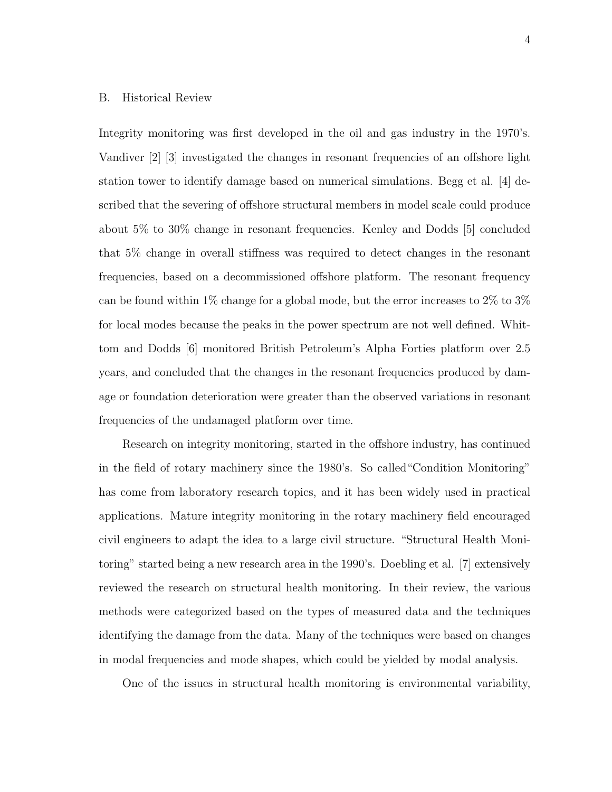#### B. Historical Review

Integrity monitoring was first developed in the oil and gas industry in the 1970's. Vandiver [2] [3] investigated the changes in resonant frequencies of an offshore light station tower to identify damage based on numerical simulations. Begg et al. [4] described that the severing of offshore structural members in model scale could produce about 5% to 30% change in resonant frequencies. Kenley and Dodds [5] concluded that 5% change in overall stiffness was required to detect changes in the resonant frequencies, based on a decommissioned offshore platform. The resonant frequency can be found within 1% change for a global mode, but the error increases to 2% to 3% for local modes because the peaks in the power spectrum are not well defined. Whittom and Dodds [6] monitored British Petroleum's Alpha Forties platform over 2.5 years, and concluded that the changes in the resonant frequencies produced by damage or foundation deterioration were greater than the observed variations in resonant frequencies of the undamaged platform over time.

Research on integrity monitoring, started in the offshore industry, has continued in the field of rotary machinery since the 1980's. So called"Condition Monitoring" has come from laboratory research topics, and it has been widely used in practical applications. Mature integrity monitoring in the rotary machinery field encouraged civil engineers to adapt the idea to a large civil structure. "Structural Health Monitoring" started being a new research area in the 1990's. Doebling et al. [7] extensively reviewed the research on structural health monitoring. In their review, the various methods were categorized based on the types of measured data and the techniques identifying the damage from the data. Many of the techniques were based on changes in modal frequencies and mode shapes, which could be yielded by modal analysis.

One of the issues in structural health monitoring is environmental variability,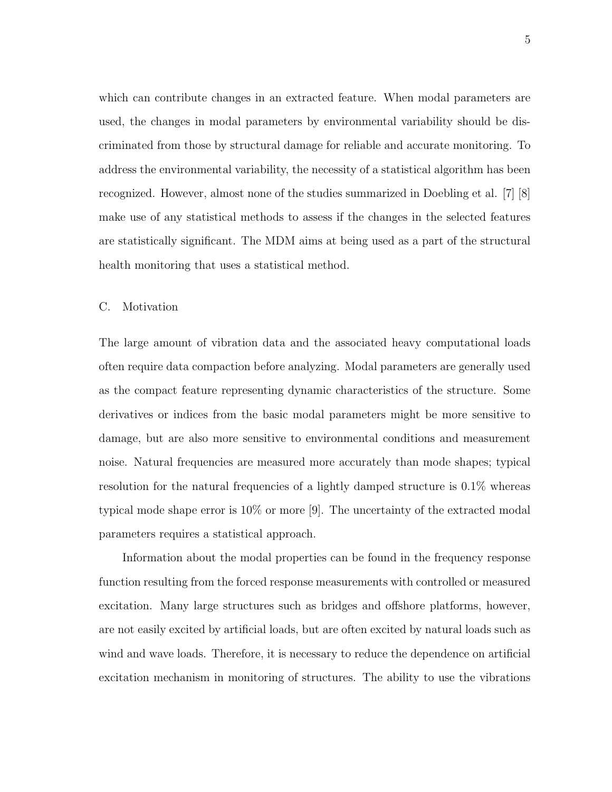which can contribute changes in an extracted feature. When modal parameters are used, the changes in modal parameters by environmental variability should be discriminated from those by structural damage for reliable and accurate monitoring. To address the environmental variability, the necessity of a statistical algorithm has been recognized. However, almost none of the studies summarized in Doebling et al. [7] [8] make use of any statistical methods to assess if the changes in the selected features are statistically significant. The MDM aims at being used as a part of the structural health monitoring that uses a statistical method.

#### C. Motivation

The large amount of vibration data and the associated heavy computational loads often require data compaction before analyzing. Modal parameters are generally used as the compact feature representing dynamic characteristics of the structure. Some derivatives or indices from the basic modal parameters might be more sensitive to damage, but are also more sensitive to environmental conditions and measurement noise. Natural frequencies are measured more accurately than mode shapes; typical resolution for the natural frequencies of a lightly damped structure is 0.1% whereas typical mode shape error is 10% or more [9]. The uncertainty of the extracted modal parameters requires a statistical approach.

Information about the modal properties can be found in the frequency response function resulting from the forced response measurements with controlled or measured excitation. Many large structures such as bridges and offshore platforms, however, are not easily excited by artificial loads, but are often excited by natural loads such as wind and wave loads. Therefore, it is necessary to reduce the dependence on artificial excitation mechanism in monitoring of structures. The ability to use the vibrations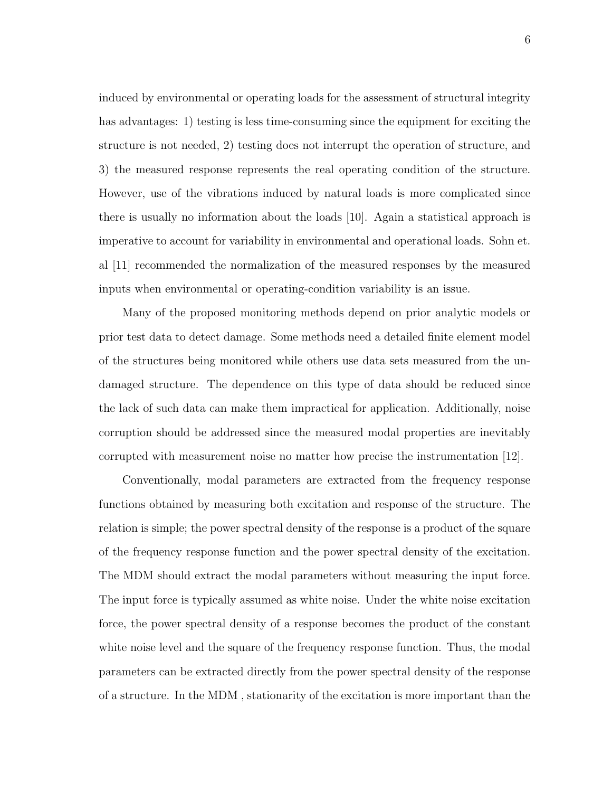induced by environmental or operating loads for the assessment of structural integrity has advantages: 1) testing is less time-consuming since the equipment for exciting the structure is not needed, 2) testing does not interrupt the operation of structure, and 3) the measured response represents the real operating condition of the structure. However, use of the vibrations induced by natural loads is more complicated since there is usually no information about the loads [10]. Again a statistical approach is imperative to account for variability in environmental and operational loads. Sohn et. al [11] recommended the normalization of the measured responses by the measured inputs when environmental or operating-condition variability is an issue.

Many of the proposed monitoring methods depend on prior analytic models or prior test data to detect damage. Some methods need a detailed finite element model of the structures being monitored while others use data sets measured from the undamaged structure. The dependence on this type of data should be reduced since the lack of such data can make them impractical for application. Additionally, noise corruption should be addressed since the measured modal properties are inevitably corrupted with measurement noise no matter how precise the instrumentation [12].

Conventionally, modal parameters are extracted from the frequency response functions obtained by measuring both excitation and response of the structure. The relation is simple; the power spectral density of the response is a product of the square of the frequency response function and the power spectral density of the excitation. The MDM should extract the modal parameters without measuring the input force. The input force is typically assumed as white noise. Under the white noise excitation force, the power spectral density of a response becomes the product of the constant white noise level and the square of the frequency response function. Thus, the modal parameters can be extracted directly from the power spectral density of the response of a structure. In the MDM , stationarity of the excitation is more important than the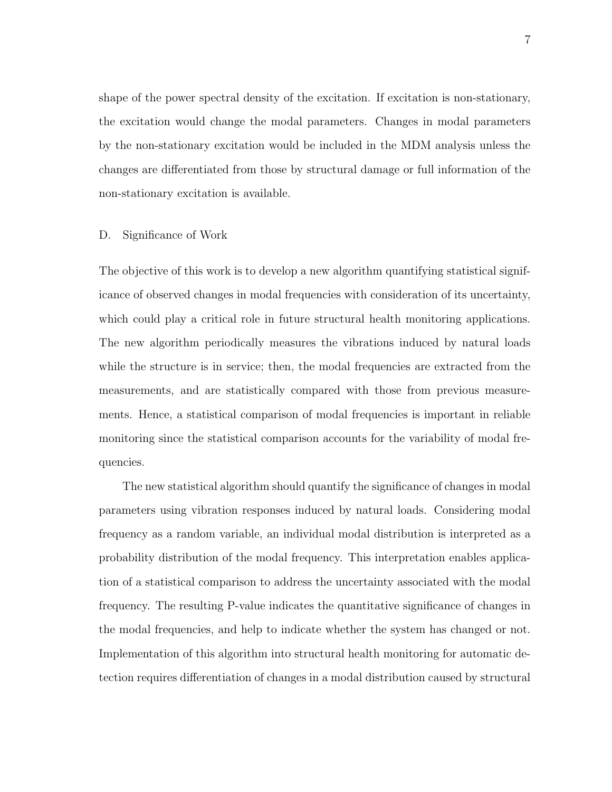shape of the power spectral density of the excitation. If excitation is non-stationary, the excitation would change the modal parameters. Changes in modal parameters by the non-stationary excitation would be included in the MDM analysis unless the changes are differentiated from those by structural damage or full information of the non-stationary excitation is available.

#### D. Significance of Work

The objective of this work is to develop a new algorithm quantifying statistical significance of observed changes in modal frequencies with consideration of its uncertainty, which could play a critical role in future structural health monitoring applications. The new algorithm periodically measures the vibrations induced by natural loads while the structure is in service; then, the modal frequencies are extracted from the measurements, and are statistically compared with those from previous measurements. Hence, a statistical comparison of modal frequencies is important in reliable monitoring since the statistical comparison accounts for the variability of modal frequencies.

The new statistical algorithm should quantify the significance of changes in modal parameters using vibration responses induced by natural loads. Considering modal frequency as a random variable, an individual modal distribution is interpreted as a probability distribution of the modal frequency. This interpretation enables application of a statistical comparison to address the uncertainty associated with the modal frequency. The resulting P-value indicates the quantitative significance of changes in the modal frequencies, and help to indicate whether the system has changed or not. Implementation of this algorithm into structural health monitoring for automatic detection requires differentiation of changes in a modal distribution caused by structural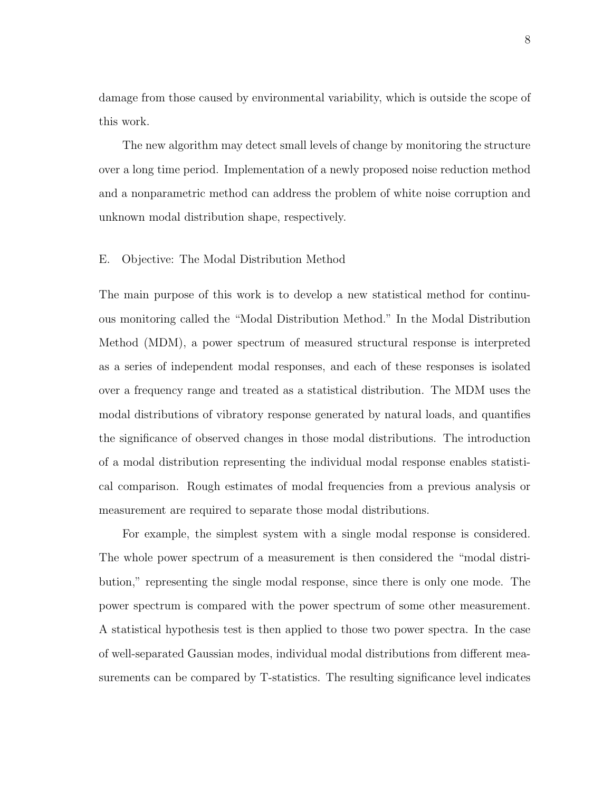damage from those caused by environmental variability, which is outside the scope of this work.

The new algorithm may detect small levels of change by monitoring the structure over a long time period. Implementation of a newly proposed noise reduction method and a nonparametric method can address the problem of white noise corruption and unknown modal distribution shape, respectively.

#### E. Objective: The Modal Distribution Method

The main purpose of this work is to develop a new statistical method for continuous monitoring called the "Modal Distribution Method." In the Modal Distribution Method (MDM), a power spectrum of measured structural response is interpreted as a series of independent modal responses, and each of these responses is isolated over a frequency range and treated as a statistical distribution. The MDM uses the modal distributions of vibratory response generated by natural loads, and quantifies the significance of observed changes in those modal distributions. The introduction of a modal distribution representing the individual modal response enables statistical comparison. Rough estimates of modal frequencies from a previous analysis or measurement are required to separate those modal distributions.

For example, the simplest system with a single modal response is considered. The whole power spectrum of a measurement is then considered the "modal distribution," representing the single modal response, since there is only one mode. The power spectrum is compared with the power spectrum of some other measurement. A statistical hypothesis test is then applied to those two power spectra. In the case of well-separated Gaussian modes, individual modal distributions from different measurements can be compared by T-statistics. The resulting significance level indicates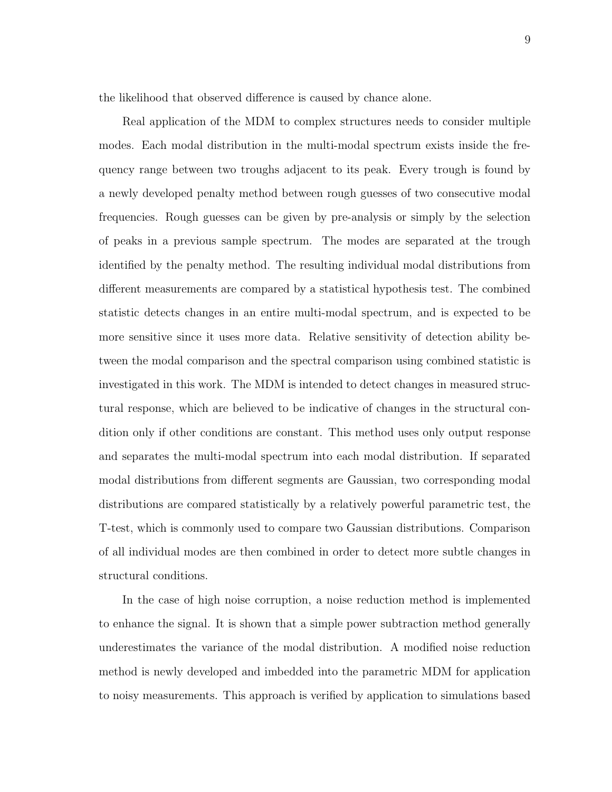the likelihood that observed difference is caused by chance alone.

Real application of the MDM to complex structures needs to consider multiple modes. Each modal distribution in the multi-modal spectrum exists inside the frequency range between two troughs adjacent to its peak. Every trough is found by a newly developed penalty method between rough guesses of two consecutive modal frequencies. Rough guesses can be given by pre-analysis or simply by the selection of peaks in a previous sample spectrum. The modes are separated at the trough identified by the penalty method. The resulting individual modal distributions from different measurements are compared by a statistical hypothesis test. The combined statistic detects changes in an entire multi-modal spectrum, and is expected to be more sensitive since it uses more data. Relative sensitivity of detection ability between the modal comparison and the spectral comparison using combined statistic is investigated in this work. The MDM is intended to detect changes in measured structural response, which are believed to be indicative of changes in the structural condition only if other conditions are constant. This method uses only output response and separates the multi-modal spectrum into each modal distribution. If separated modal distributions from different segments are Gaussian, two corresponding modal distributions are compared statistically by a relatively powerful parametric test, the T-test, which is commonly used to compare two Gaussian distributions. Comparison of all individual modes are then combined in order to detect more subtle changes in structural conditions.

In the case of high noise corruption, a noise reduction method is implemented to enhance the signal. It is shown that a simple power subtraction method generally underestimates the variance of the modal distribution. A modified noise reduction method is newly developed and imbedded into the parametric MDM for application to noisy measurements. This approach is verified by application to simulations based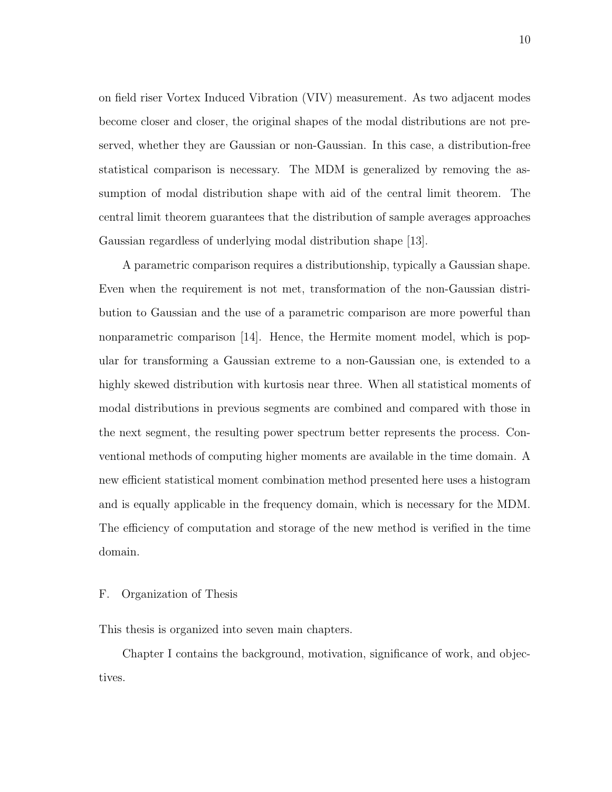on field riser Vortex Induced Vibration (VIV) measurement. As two adjacent modes become closer and closer, the original shapes of the modal distributions are not preserved, whether they are Gaussian or non-Gaussian. In this case, a distribution-free statistical comparison is necessary. The MDM is generalized by removing the assumption of modal distribution shape with aid of the central limit theorem. The central limit theorem guarantees that the distribution of sample averages approaches Gaussian regardless of underlying modal distribution shape [13].

A parametric comparison requires a distributionship, typically a Gaussian shape. Even when the requirement is not met, transformation of the non-Gaussian distribution to Gaussian and the use of a parametric comparison are more powerful than nonparametric comparison [14]. Hence, the Hermite moment model, which is popular for transforming a Gaussian extreme to a non-Gaussian one, is extended to a highly skewed distribution with kurtosis near three. When all statistical moments of modal distributions in previous segments are combined and compared with those in the next segment, the resulting power spectrum better represents the process. Conventional methods of computing higher moments are available in the time domain. A new efficient statistical moment combination method presented here uses a histogram and is equally applicable in the frequency domain, which is necessary for the MDM. The efficiency of computation and storage of the new method is verified in the time domain.

#### F. Organization of Thesis

This thesis is organized into seven main chapters.

Chapter I contains the background, motivation, significance of work, and objectives.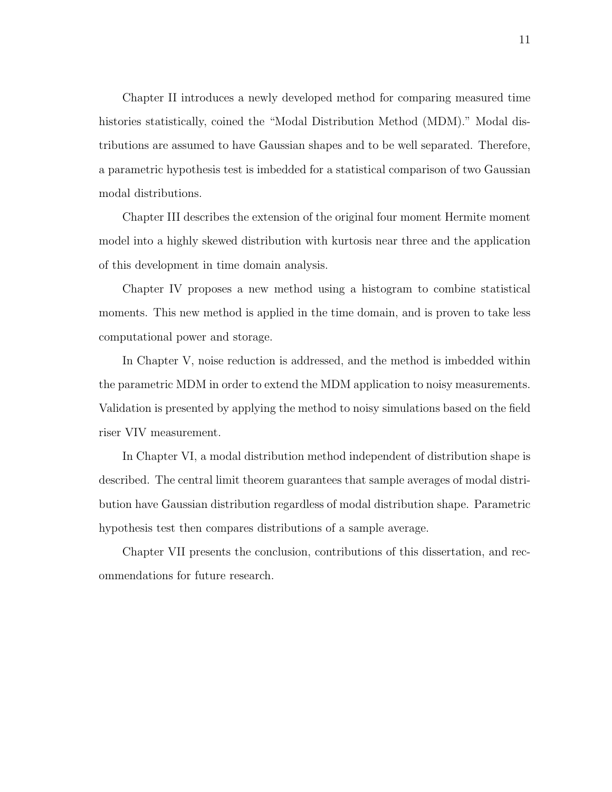Chapter II introduces a newly developed method for comparing measured time histories statistically, coined the "Modal Distribution Method (MDM)." Modal distributions are assumed to have Gaussian shapes and to be well separated. Therefore, a parametric hypothesis test is imbedded for a statistical comparison of two Gaussian modal distributions.

Chapter III describes the extension of the original four moment Hermite moment model into a highly skewed distribution with kurtosis near three and the application of this development in time domain analysis.

Chapter IV proposes a new method using a histogram to combine statistical moments. This new method is applied in the time domain, and is proven to take less computational power and storage.

In Chapter V, noise reduction is addressed, and the method is imbedded within the parametric MDM in order to extend the MDM application to noisy measurements. Validation is presented by applying the method to noisy simulations based on the field riser VIV measurement.

In Chapter VI, a modal distribution method independent of distribution shape is described. The central limit theorem guarantees that sample averages of modal distribution have Gaussian distribution regardless of modal distribution shape. Parametric hypothesis test then compares distributions of a sample average.

Chapter VII presents the conclusion, contributions of this dissertation, and recommendations for future research.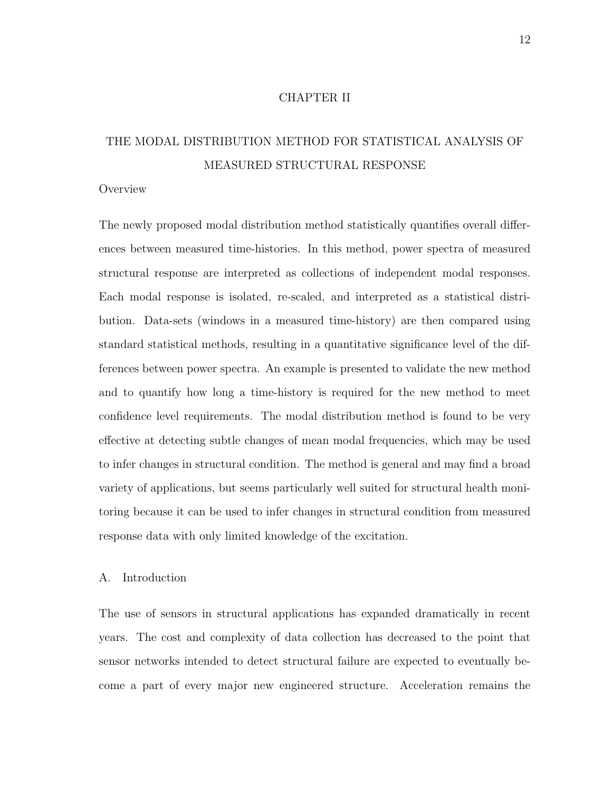#### CHAPTER II

# THE MODAL DISTRIBUTION METHOD FOR STATISTICAL ANALYSIS OF MEASURED STRUCTURAL RESPONSE

#### **Overview**

The newly proposed modal distribution method statistically quantifies overall differences between measured time-histories. In this method, power spectra of measured structural response are interpreted as collections of independent modal responses. Each modal response is isolated, re-scaled, and interpreted as a statistical distribution. Data-sets (windows in a measured time-history) are then compared using standard statistical methods, resulting in a quantitative significance level of the differences between power spectra. An example is presented to validate the new method and to quantify how long a time-history is required for the new method to meet confidence level requirements. The modal distribution method is found to be very effective at detecting subtle changes of mean modal frequencies, which may be used to infer changes in structural condition. The method is general and may find a broad variety of applications, but seems particularly well suited for structural health monitoring because it can be used to infer changes in structural condition from measured response data with only limited knowledge of the excitation.

#### A. Introduction

The use of sensors in structural applications has expanded dramatically in recent years. The cost and complexity of data collection has decreased to the point that sensor networks intended to detect structural failure are expected to eventually become a part of every major new engineered structure. Acceleration remains the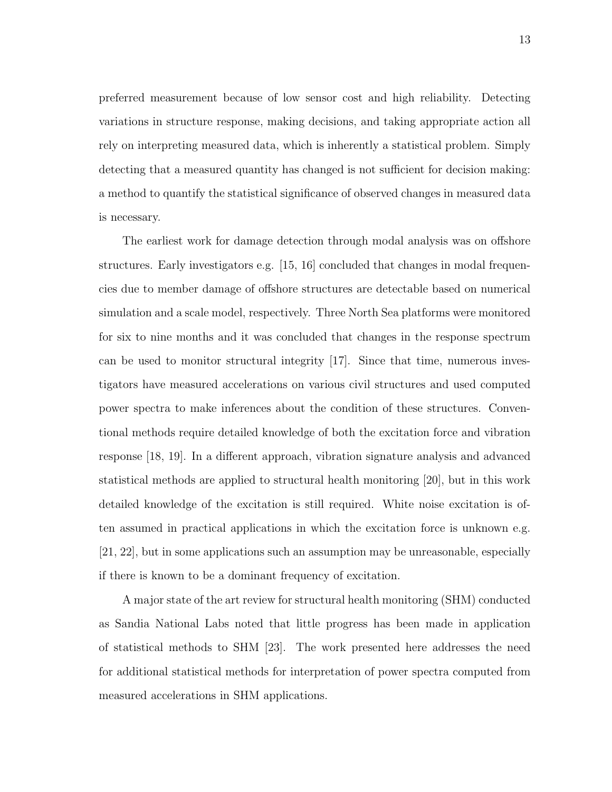preferred measurement because of low sensor cost and high reliability. Detecting variations in structure response, making decisions, and taking appropriate action all rely on interpreting measured data, which is inherently a statistical problem. Simply detecting that a measured quantity has changed is not sufficient for decision making: a method to quantify the statistical significance of observed changes in measured data is necessary.

The earliest work for damage detection through modal analysis was on offshore structures. Early investigators e.g. [15, 16] concluded that changes in modal frequencies due to member damage of offshore structures are detectable based on numerical simulation and a scale model, respectively. Three North Sea platforms were monitored for six to nine months and it was concluded that changes in the response spectrum can be used to monitor structural integrity [17]. Since that time, numerous investigators have measured accelerations on various civil structures and used computed power spectra to make inferences about the condition of these structures. Conventional methods require detailed knowledge of both the excitation force and vibration response [18, 19]. In a different approach, vibration signature analysis and advanced statistical methods are applied to structural health monitoring [20], but in this work detailed knowledge of the excitation is still required. White noise excitation is often assumed in practical applications in which the excitation force is unknown e.g. [21, 22], but in some applications such an assumption may be unreasonable, especially if there is known to be a dominant frequency of excitation.

A major state of the art review for structural health monitoring (SHM) conducted as Sandia National Labs noted that little progress has been made in application of statistical methods to SHM [23]. The work presented here addresses the need for additional statistical methods for interpretation of power spectra computed from measured accelerations in SHM applications.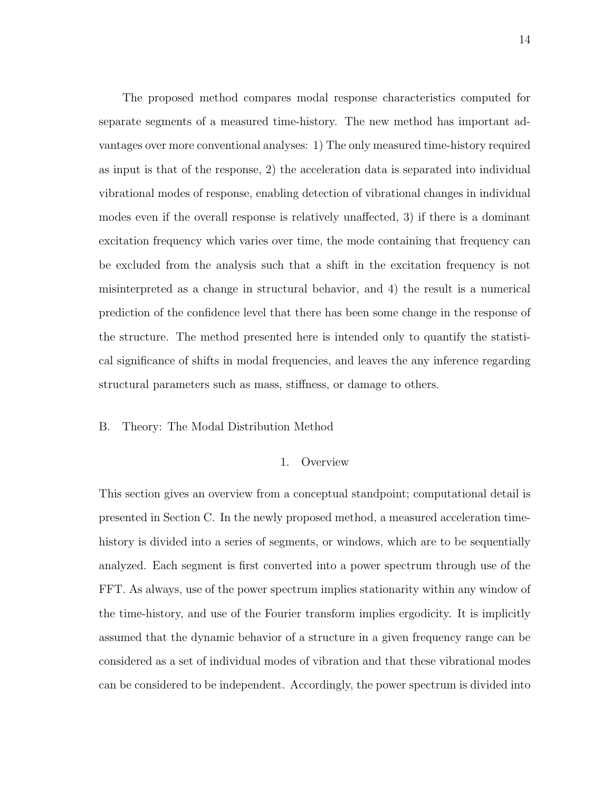The proposed method compares modal response characteristics computed for separate segments of a measured time-history. The new method has important advantages over more conventional analyses: 1) The only measured time-history required as input is that of the response, 2) the acceleration data is separated into individual vibrational modes of response, enabling detection of vibrational changes in individual modes even if the overall response is relatively unaffected, 3) if there is a dominant excitation frequency which varies over time, the mode containing that frequency can be excluded from the analysis such that a shift in the excitation frequency is not misinterpreted as a change in structural behavior, and 4) the result is a numerical prediction of the confidence level that there has been some change in the response of the structure. The method presented here is intended only to quantify the statistical significance of shifts in modal frequencies, and leaves the any inference regarding structural parameters such as mass, stiffness, or damage to others.

#### B. Theory: The Modal Distribution Method

#### 1. Overview

This section gives an overview from a conceptual standpoint; computational detail is presented in Section C. In the newly proposed method, a measured acceleration timehistory is divided into a series of segments, or windows, which are to be sequentially analyzed. Each segment is first converted into a power spectrum through use of the FFT. As always, use of the power spectrum implies stationarity within any window of the time-history, and use of the Fourier transform implies ergodicity. It is implicitly assumed that the dynamic behavior of a structure in a given frequency range can be considered as a set of individual modes of vibration and that these vibrational modes can be considered to be independent. Accordingly, the power spectrum is divided into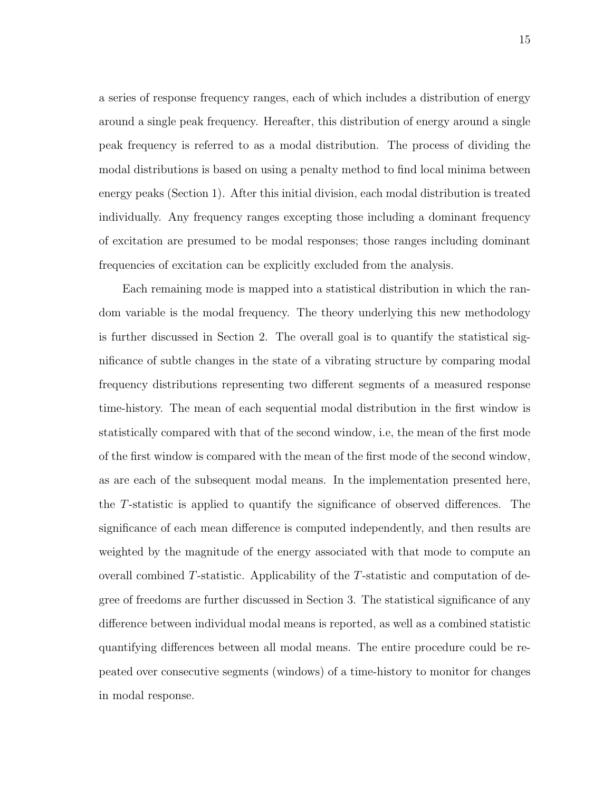a series of response frequency ranges, each of which includes a distribution of energy around a single peak frequency. Hereafter, this distribution of energy around a single peak frequency is referred to as a modal distribution. The process of dividing the modal distributions is based on using a penalty method to find local minima between energy peaks (Section 1). After this initial division, each modal distribution is treated individually. Any frequency ranges excepting those including a dominant frequency of excitation are presumed to be modal responses; those ranges including dominant frequencies of excitation can be explicitly excluded from the analysis.

Each remaining mode is mapped into a statistical distribution in which the random variable is the modal frequency. The theory underlying this new methodology is further discussed in Section 2. The overall goal is to quantify the statistical significance of subtle changes in the state of a vibrating structure by comparing modal frequency distributions representing two different segments of a measured response time-history. The mean of each sequential modal distribution in the first window is statistically compared with that of the second window, i.e, the mean of the first mode of the first window is compared with the mean of the first mode of the second window, as are each of the subsequent modal means. In the implementation presented here, the T-statistic is applied to quantify the significance of observed differences. The significance of each mean difference is computed independently, and then results are weighted by the magnitude of the energy associated with that mode to compute an overall combined T-statistic. Applicability of the T-statistic and computation of degree of freedoms are further discussed in Section 3. The statistical significance of any difference between individual modal means is reported, as well as a combined statistic quantifying differences between all modal means. The entire procedure could be repeated over consecutive segments (windows) of a time-history to monitor for changes in modal response.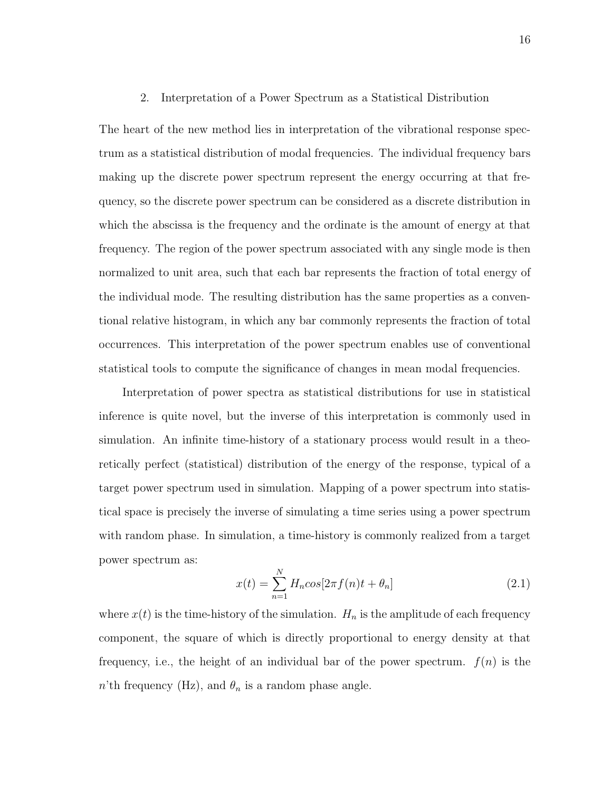#### 2. Interpretation of a Power Spectrum as a Statistical Distribution

The heart of the new method lies in interpretation of the vibrational response spectrum as a statistical distribution of modal frequencies. The individual frequency bars making up the discrete power spectrum represent the energy occurring at that frequency, so the discrete power spectrum can be considered as a discrete distribution in which the abscissa is the frequency and the ordinate is the amount of energy at that frequency. The region of the power spectrum associated with any single mode is then normalized to unit area, such that each bar represents the fraction of total energy of the individual mode. The resulting distribution has the same properties as a conventional relative histogram, in which any bar commonly represents the fraction of total occurrences. This interpretation of the power spectrum enables use of conventional statistical tools to compute the significance of changes in mean modal frequencies.

Interpretation of power spectra as statistical distributions for use in statistical inference is quite novel, but the inverse of this interpretation is commonly used in simulation. An infinite time-history of a stationary process would result in a theoretically perfect (statistical) distribution of the energy of the response, typical of a target power spectrum used in simulation. Mapping of a power spectrum into statistical space is precisely the inverse of simulating a time series using a power spectrum with random phase. In simulation, a time-history is commonly realized from a target power spectrum as:

$$
x(t) = \sum_{n=1}^{N} H_n \cos[2\pi f(n)t + \theta_n]
$$
 (2.1)

where  $x(t)$  is the time-history of the simulation.  $H_n$  is the amplitude of each frequency component, the square of which is directly proportional to energy density at that frequency, i.e., the height of an individual bar of the power spectrum.  $f(n)$  is the *n*'th frequency (Hz), and  $\theta_n$  is a random phase angle.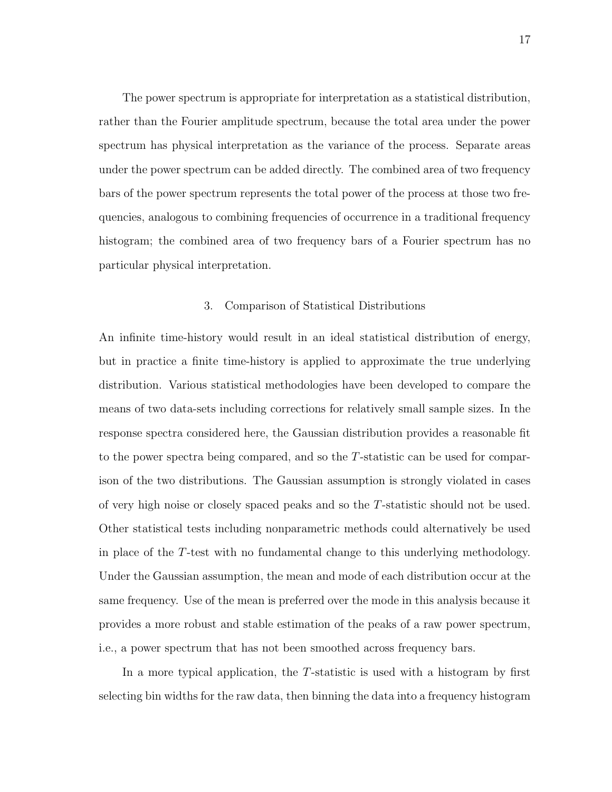The power spectrum is appropriate for interpretation as a statistical distribution, rather than the Fourier amplitude spectrum, because the total area under the power spectrum has physical interpretation as the variance of the process. Separate areas under the power spectrum can be added directly. The combined area of two frequency bars of the power spectrum represents the total power of the process at those two frequencies, analogous to combining frequencies of occurrence in a traditional frequency histogram; the combined area of two frequency bars of a Fourier spectrum has no particular physical interpretation.

#### 3. Comparison of Statistical Distributions

An infinite time-history would result in an ideal statistical distribution of energy, but in practice a finite time-history is applied to approximate the true underlying distribution. Various statistical methodologies have been developed to compare the means of two data-sets including corrections for relatively small sample sizes. In the response spectra considered here, the Gaussian distribution provides a reasonable fit to the power spectra being compared, and so the T-statistic can be used for comparison of the two distributions. The Gaussian assumption is strongly violated in cases of very high noise or closely spaced peaks and so the T-statistic should not be used. Other statistical tests including nonparametric methods could alternatively be used in place of the T-test with no fundamental change to this underlying methodology. Under the Gaussian assumption, the mean and mode of each distribution occur at the same frequency. Use of the mean is preferred over the mode in this analysis because it provides a more robust and stable estimation of the peaks of a raw power spectrum, i.e., a power spectrum that has not been smoothed across frequency bars.

In a more typical application, the T-statistic is used with a histogram by first selecting bin widths for the raw data, then binning the data into a frequency histogram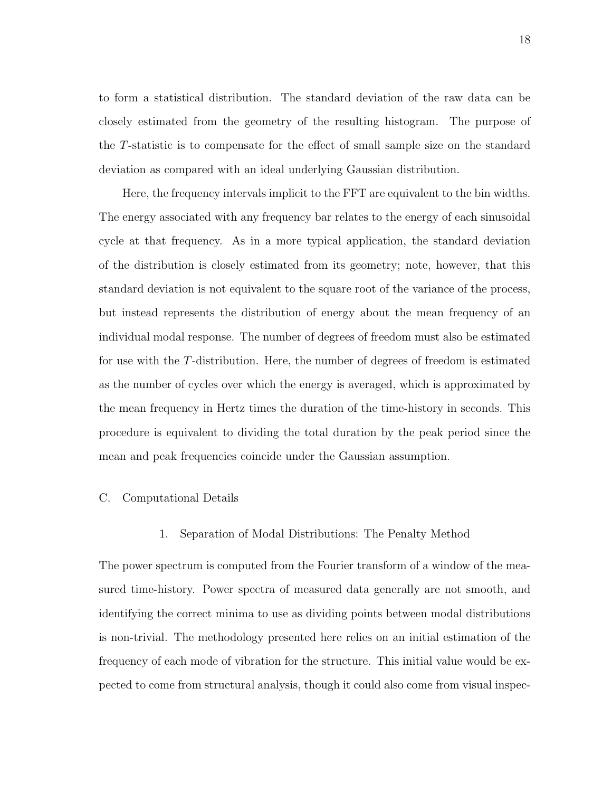to form a statistical distribution. The standard deviation of the raw data can be closely estimated from the geometry of the resulting histogram. The purpose of the T-statistic is to compensate for the effect of small sample size on the standard deviation as compared with an ideal underlying Gaussian distribution.

Here, the frequency intervals implicit to the FFT are equivalent to the bin widths. The energy associated with any frequency bar relates to the energy of each sinusoidal cycle at that frequency. As in a more typical application, the standard deviation of the distribution is closely estimated from its geometry; note, however, that this standard deviation is not equivalent to the square root of the variance of the process, but instead represents the distribution of energy about the mean frequency of an individual modal response. The number of degrees of freedom must also be estimated for use with the T-distribution. Here, the number of degrees of freedom is estimated as the number of cycles over which the energy is averaged, which is approximated by the mean frequency in Hertz times the duration of the time-history in seconds. This procedure is equivalent to dividing the total duration by the peak period since the mean and peak frequencies coincide under the Gaussian assumption.

#### C. Computational Details

#### 1. Separation of Modal Distributions: The Penalty Method

The power spectrum is computed from the Fourier transform of a window of the measured time-history. Power spectra of measured data generally are not smooth, and identifying the correct minima to use as dividing points between modal distributions is non-trivial. The methodology presented here relies on an initial estimation of the frequency of each mode of vibration for the structure. This initial value would be expected to come from structural analysis, though it could also come from visual inspec-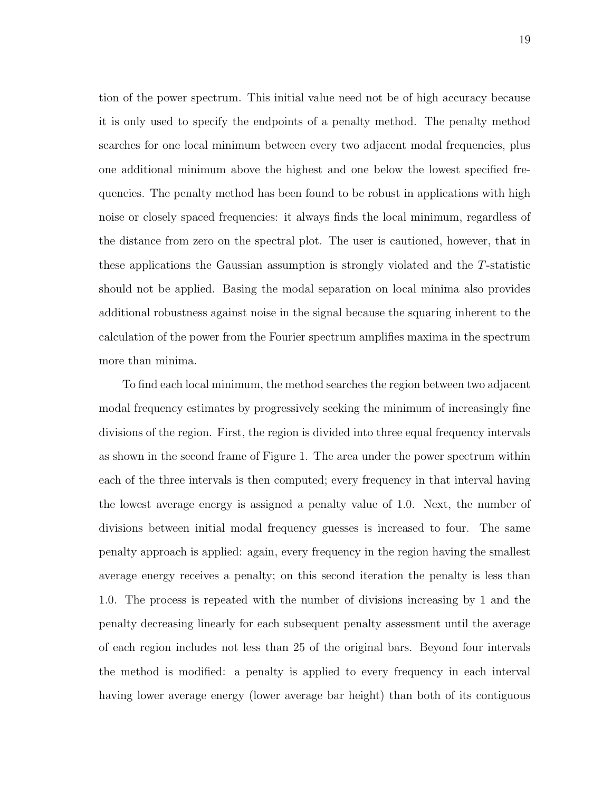tion of the power spectrum. This initial value need not be of high accuracy because it is only used to specify the endpoints of a penalty method. The penalty method searches for one local minimum between every two adjacent modal frequencies, plus one additional minimum above the highest and one below the lowest specified frequencies. The penalty method has been found to be robust in applications with high noise or closely spaced frequencies: it always finds the local minimum, regardless of the distance from zero on the spectral plot. The user is cautioned, however, that in these applications the Gaussian assumption is strongly violated and the T-statistic should not be applied. Basing the modal separation on local minima also provides additional robustness against noise in the signal because the squaring inherent to the calculation of the power from the Fourier spectrum amplifies maxima in the spectrum more than minima.

To find each local minimum, the method searches the region between two adjacent modal frequency estimates by progressively seeking the minimum of increasingly fine divisions of the region. First, the region is divided into three equal frequency intervals as shown in the second frame of Figure 1. The area under the power spectrum within each of the three intervals is then computed; every frequency in that interval having the lowest average energy is assigned a penalty value of 1.0. Next, the number of divisions between initial modal frequency guesses is increased to four. The same penalty approach is applied: again, every frequency in the region having the smallest average energy receives a penalty; on this second iteration the penalty is less than 1.0. The process is repeated with the number of divisions increasing by 1 and the penalty decreasing linearly for each subsequent penalty assessment until the average of each region includes not less than 25 of the original bars. Beyond four intervals the method is modified: a penalty is applied to every frequency in each interval having lower average energy (lower average bar height) than both of its contiguous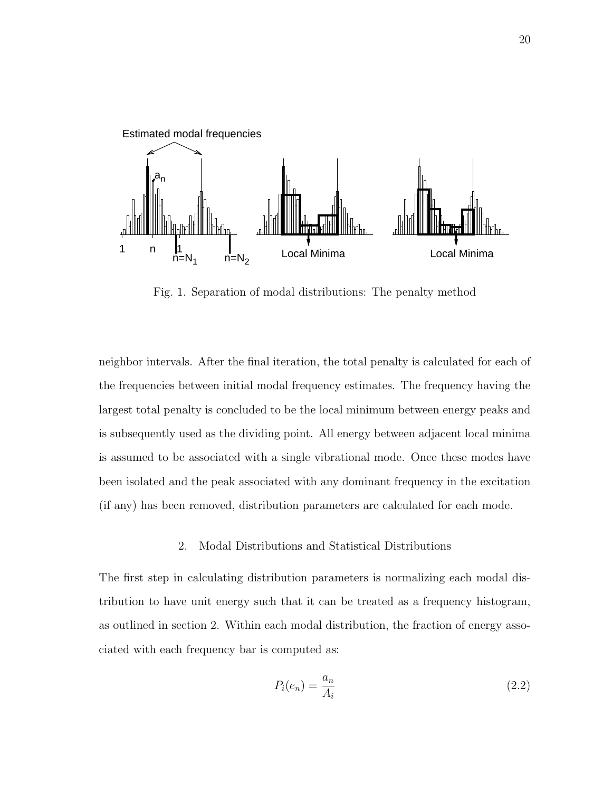

Fig. 1. Separation of modal distributions: The penalty method

neighbor intervals. After the final iteration, the total penalty is calculated for each of the frequencies between initial modal frequency estimates. The frequency having the largest total penalty is concluded to be the local minimum between energy peaks and is subsequently used as the dividing point. All energy between adjacent local minima is assumed to be associated with a single vibrational mode. Once these modes have been isolated and the peak associated with any dominant frequency in the excitation (if any) has been removed, distribution parameters are calculated for each mode.

#### 2. Modal Distributions and Statistical Distributions

The first step in calculating distribution parameters is normalizing each modal distribution to have unit energy such that it can be treated as a frequency histogram, as outlined in section 2. Within each modal distribution, the fraction of energy associated with each frequency bar is computed as:

$$
P_i(e_n) = \frac{a_n}{A_i} \tag{2.2}
$$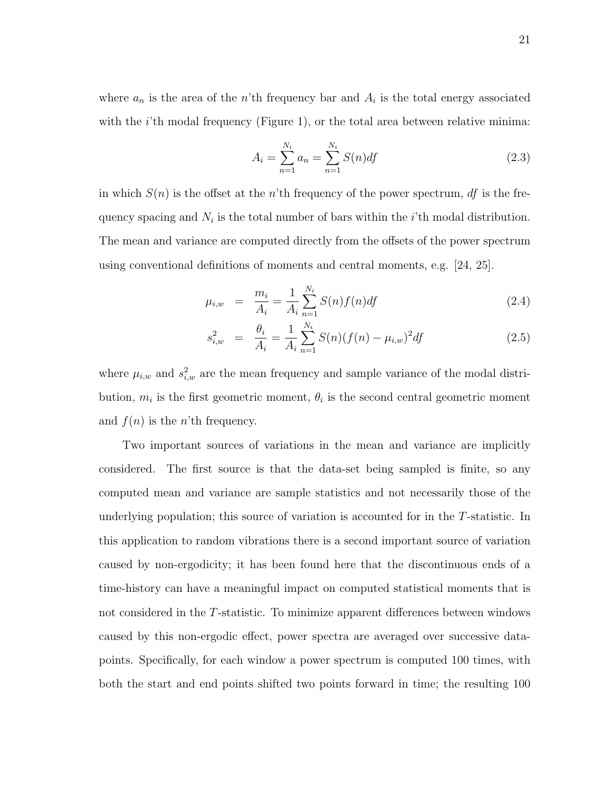where  $a_n$  is the area of the n'th frequency bar and  $A_i$  is the total energy associated with the  $i$ 'th modal frequency (Figure 1), or the total area between relative minima:

$$
A_i = \sum_{n=1}^{N_i} a_n = \sum_{n=1}^{N_i} S(n) df
$$
 (2.3)

in which  $S(n)$  is the offset at the n'th frequency of the power spectrum, df is the frequency spacing and  $N_i$  is the total number of bars within the *i*'th modal distribution. The mean and variance are computed directly from the offsets of the power spectrum using conventional definitions of moments and central moments, e.g. [24, 25].

$$
\mu_{i,w} = \frac{m_i}{A_i} = \frac{1}{A_i} \sum_{n=1}^{N_i} S(n) f(n) df \qquad (2.4)
$$

$$
s_{i,w}^2 = \frac{\theta_i}{A_i} = \frac{1}{A_i} \sum_{n=1}^{N_i} S(n) (f(n) - \mu_{i,w})^2 df
$$
 (2.5)

where  $\mu_{i,w}$  and  $s_{i,w}^2$  are the mean frequency and sample variance of the modal distribution,  $m_i$  is the first geometric moment,  $\theta_i$  is the second central geometric moment and  $f(n)$  is the *n*'th frequency.

Two important sources of variations in the mean and variance are implicitly considered. The first source is that the data-set being sampled is finite, so any computed mean and variance are sample statistics and not necessarily those of the underlying population; this source of variation is accounted for in the T-statistic. In this application to random vibrations there is a second important source of variation caused by non-ergodicity; it has been found here that the discontinuous ends of a time-history can have a meaningful impact on computed statistical moments that is not considered in the T-statistic. To minimize apparent differences between windows caused by this non-ergodic effect, power spectra are averaged over successive datapoints. Specifically, for each window a power spectrum is computed 100 times, with both the start and end points shifted two points forward in time; the resulting 100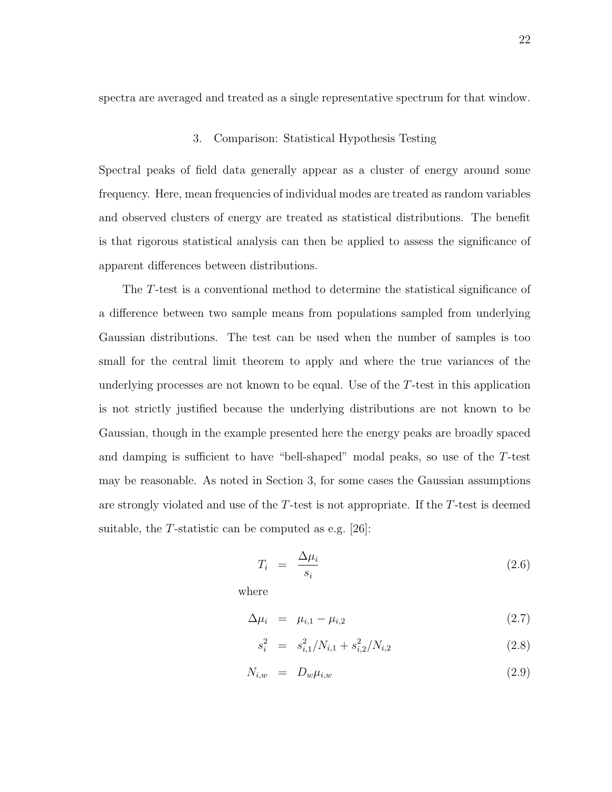spectra are averaged and treated as a single representative spectrum for that window.

## 3. Comparison: Statistical Hypothesis Testing

Spectral peaks of field data generally appear as a cluster of energy around some frequency. Here, mean frequencies of individual modes are treated as random variables and observed clusters of energy are treated as statistical distributions. The benefit is that rigorous statistical analysis can then be applied to assess the significance of apparent differences between distributions.

The T-test is a conventional method to determine the statistical significance of a difference between two sample means from populations sampled from underlying Gaussian distributions. The test can be used when the number of samples is too small for the central limit theorem to apply and where the true variances of the underlying processes are not known to be equal. Use of the T-test in this application is not strictly justified because the underlying distributions are not known to be Gaussian, though in the example presented here the energy peaks are broadly spaced and damping is sufficient to have "bell-shaped" modal peaks, so use of the T-test may be reasonable. As noted in Section 3, for some cases the Gaussian assumptions are strongly violated and use of the  $T$ -test is not appropriate. If the  $T$ -test is deemed suitable, the T-statistic can be computed as e.g. [26]:

$$
T_i = \frac{\Delta \mu_i}{s_i} \tag{2.6}
$$

where

$$
\Delta \mu_i = \mu_{i,1} - \mu_{i,2} \tag{2.7}
$$

$$
s_i^2 = s_{i,1}^2/N_{i,1} + s_{i,2}^2/N_{i,2}
$$
 (2.8)

$$
N_{i,w} = D_w \mu_{i,w} \tag{2.9}
$$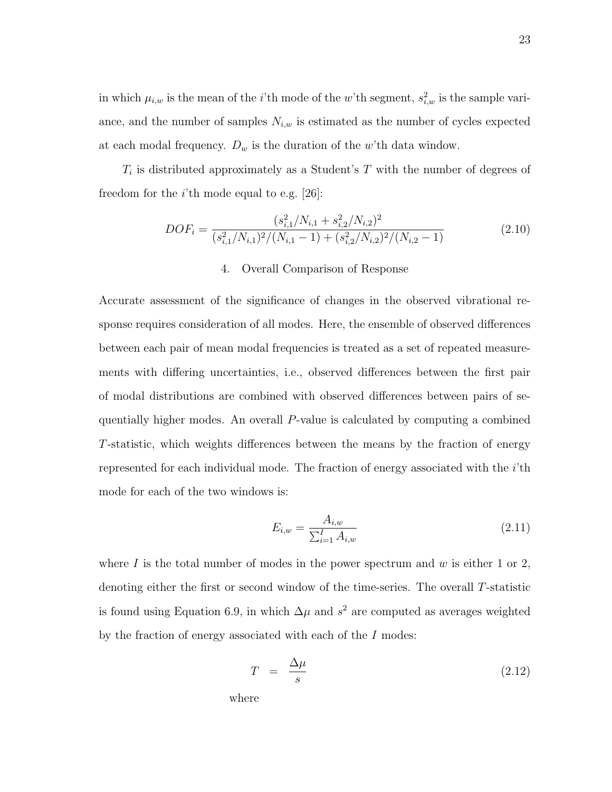in which  $\mu_{i,w}$  is the mean of the *i*'th mode of the *w*'th segment,  $s_{i,w}^2$  is the sample variance, and the number of samples  $N_{i,w}$  is estimated as the number of cycles expected at each modal frequency.  $D_w$  is the duration of the w'th data window.

 $T_i$  is distributed approximately as a Student's T with the number of degrees of freedom for the  $i$ 'th mode equal to e.g. [26]:

$$
DOF_i = \frac{(s_{i,1}^2/N_{i,1} + s_{i,2}^2/N_{i,2})^2}{(s_{i,1}^2/N_{i,1})^2/(N_{i,1} - 1) + (s_{i,2}^2/N_{i,2})^2/(N_{i,2} - 1)}
$$
(2.10)

## 4. Overall Comparison of Response

Accurate assessment of the significance of changes in the observed vibrational response requires consideration of all modes. Here, the ensemble of observed differences between each pair of mean modal frequencies is treated as a set of repeated measurements with differing uncertainties, i.e., observed differences between the first pair of modal distributions are combined with observed differences between pairs of sequentially higher modes. An overall P-value is calculated by computing a combined T-statistic, which weights differences between the means by the fraction of energy represented for each individual mode. The fraction of energy associated with the  $i$ 'th mode for each of the two windows is:

$$
E_{i,w} = \frac{A_{i,w}}{\sum_{i=1}^{I} A_{i,w}}\tag{2.11}
$$

where I is the total number of modes in the power spectrum and  $w$  is either 1 or 2, denoting either the first or second window of the time-series. The overall T-statistic is found using Equation 6.9, in which  $\Delta \mu$  and  $s^2$  are computed as averages weighted by the fraction of energy associated with each of the I modes:

$$
T = \frac{\Delta \mu}{s} \tag{2.12}
$$

where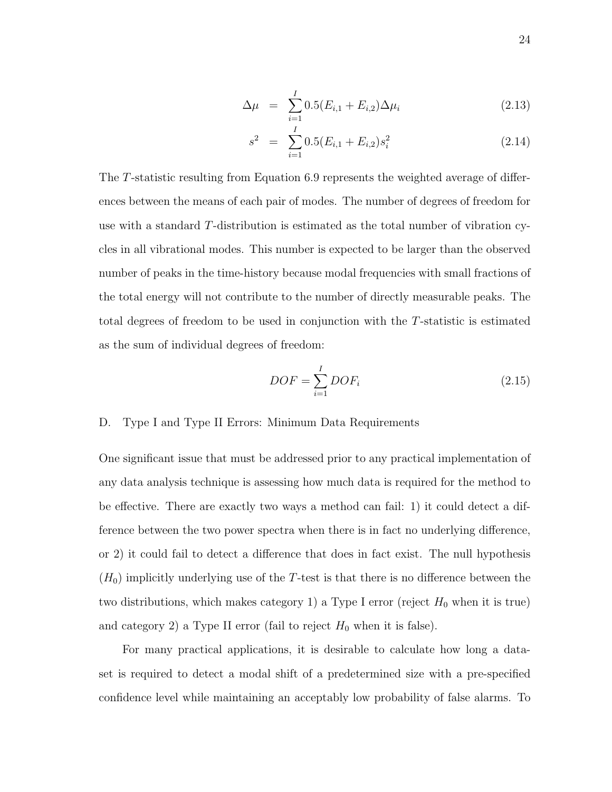$$
\Delta \mu = \sum_{i=1}^{I} 0.5(E_{i,1} + E_{i,2}) \Delta \mu_i
$$
\n(2.13)

$$
s^2 = \sum_{i=1}^{I} 0.5(E_{i,1} + E_{i,2})s_i^2
$$
 (2.14)

The T-statistic resulting from Equation 6.9 represents the weighted average of differences between the means of each pair of modes. The number of degrees of freedom for use with a standard T-distribution is estimated as the total number of vibration cycles in all vibrational modes. This number is expected to be larger than the observed number of peaks in the time-history because modal frequencies with small fractions of the total energy will not contribute to the number of directly measurable peaks. The total degrees of freedom to be used in conjunction with the T-statistic is estimated as the sum of individual degrees of freedom:

$$
DOF = \sum_{i=1}^{I} DOF_i
$$
\n(2.15)

# D. Type I and Type II Errors: Minimum Data Requirements

One significant issue that must be addressed prior to any practical implementation of any data analysis technique is assessing how much data is required for the method to be effective. There are exactly two ways a method can fail: 1) it could detect a difference between the two power spectra when there is in fact no underlying difference, or 2) it could fail to detect a difference that does in fact exist. The null hypothesis  $(H_0)$  implicitly underlying use of the T-test is that there is no difference between the two distributions, which makes category 1) a Type I error (reject  $H_0$  when it is true) and category 2) a Type II error (fail to reject  $H_0$  when it is false).

For many practical applications, it is desirable to calculate how long a dataset is required to detect a modal shift of a predetermined size with a pre-specified confidence level while maintaining an acceptably low probability of false alarms. To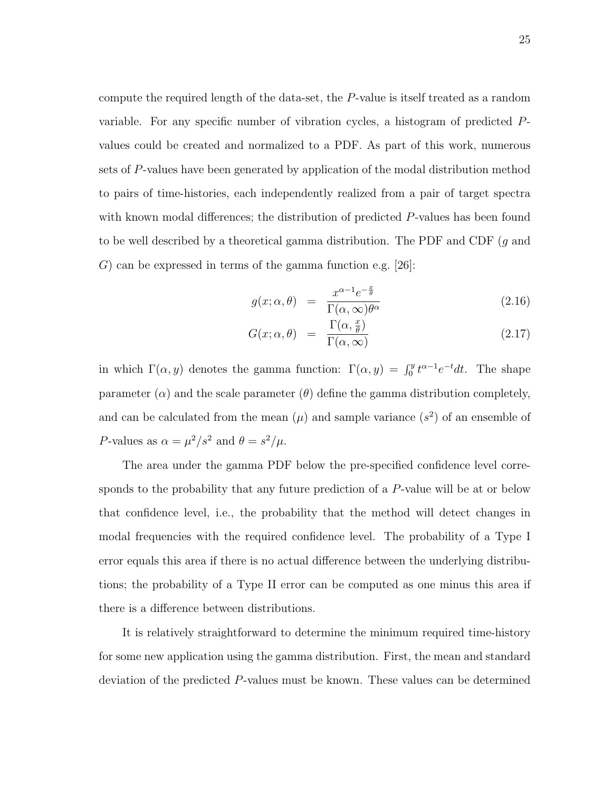compute the required length of the data-set, the P-value is itself treated as a random variable. For any specific number of vibration cycles, a histogram of predicted Pvalues could be created and normalized to a PDF. As part of this work, numerous sets of P-values have been generated by application of the modal distribution method to pairs of time-histories, each independently realized from a pair of target spectra with known modal differences; the distribution of predicted P-values has been found to be well described by a theoretical gamma distribution. The PDF and CDF  $(g$  and G) can be expressed in terms of the gamma function e.g.  $[26]$ :

$$
g(x; \alpha, \theta) = \frac{x^{\alpha - 1} e^{-\frac{x}{\theta}}}{\Gamma(\alpha, \infty) \theta^{\alpha}}
$$
(2.16)

$$
G(x; \alpha, \theta) = \frac{\Gamma(\alpha, \frac{x}{\theta})}{\Gamma(\alpha, \infty)}
$$
\n(2.17)

in which  $\Gamma(\alpha, y)$  denotes the gamma function:  $\Gamma(\alpha, y) = \int_0^y t^{\alpha-1} e^{-t} dt$ . The shape parameter  $(\alpha)$  and the scale parameter  $(\theta)$  define the gamma distribution completely, and can be calculated from the mean  $(\mu)$  and sample variance  $(s^2)$  of an ensemble of P-values as  $\alpha = \mu^2/s^2$  and  $\theta = s^2/\mu$ .

The area under the gamma PDF below the pre-specified confidence level corresponds to the probability that any future prediction of a P-value will be at or below that confidence level, i.e., the probability that the method will detect changes in modal frequencies with the required confidence level. The probability of a Type I error equals this area if there is no actual difference between the underlying distributions; the probability of a Type II error can be computed as one minus this area if there is a difference between distributions.

It is relatively straightforward to determine the minimum required time-history for some new application using the gamma distribution. First, the mean and standard deviation of the predicted P-values must be known. These values can be determined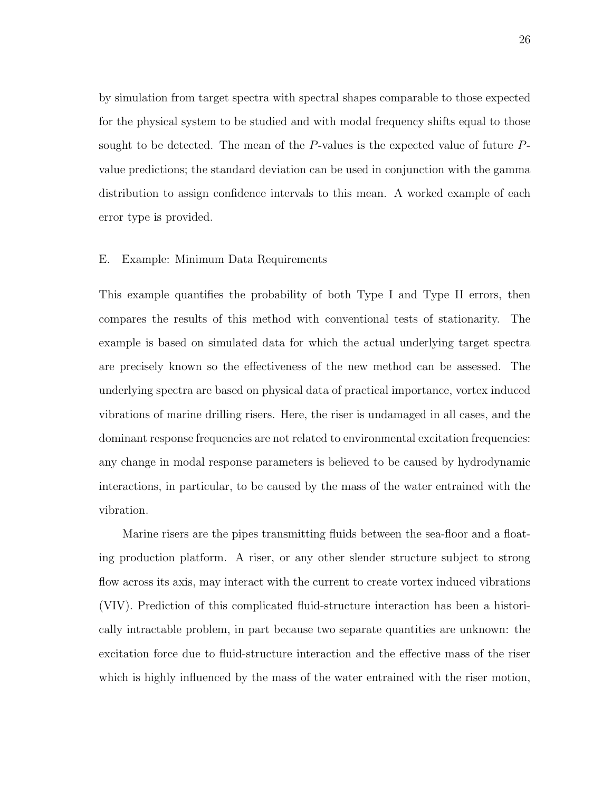by simulation from target spectra with spectral shapes comparable to those expected for the physical system to be studied and with modal frequency shifts equal to those sought to be detected. The mean of the P-values is the expected value of future Pvalue predictions; the standard deviation can be used in conjunction with the gamma distribution to assign confidence intervals to this mean. A worked example of each error type is provided.

### E. Example: Minimum Data Requirements

This example quantifies the probability of both Type I and Type II errors, then compares the results of this method with conventional tests of stationarity. The example is based on simulated data for which the actual underlying target spectra are precisely known so the effectiveness of the new method can be assessed. The underlying spectra are based on physical data of practical importance, vortex induced vibrations of marine drilling risers. Here, the riser is undamaged in all cases, and the dominant response frequencies are not related to environmental excitation frequencies: any change in modal response parameters is believed to be caused by hydrodynamic interactions, in particular, to be caused by the mass of the water entrained with the vibration.

Marine risers are the pipes transmitting fluids between the sea-floor and a floating production platform. A riser, or any other slender structure subject to strong flow across its axis, may interact with the current to create vortex induced vibrations (VIV). Prediction of this complicated fluid-structure interaction has been a historically intractable problem, in part because two separate quantities are unknown: the excitation force due to fluid-structure interaction and the effective mass of the riser which is highly influenced by the mass of the water entrained with the riser motion,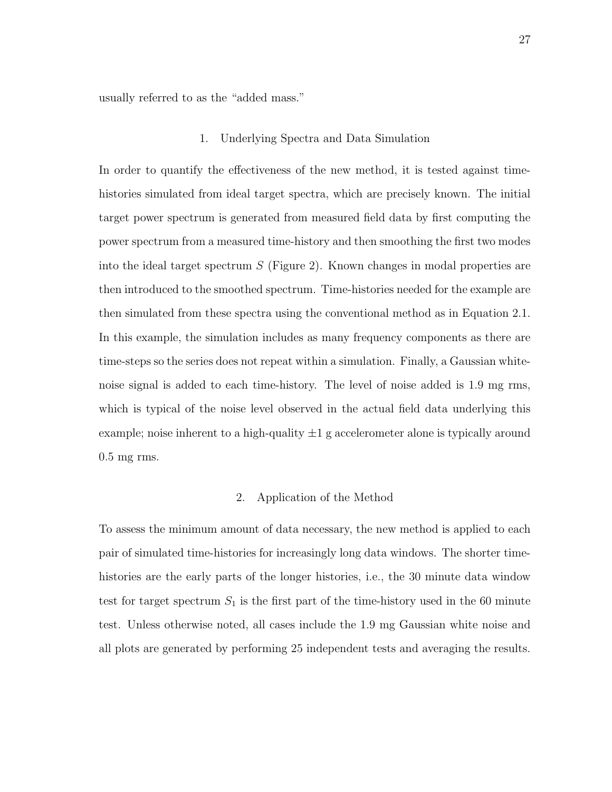usually referred to as the "added mass."

### 1. Underlying Spectra and Data Simulation

In order to quantify the effectiveness of the new method, it is tested against timehistories simulated from ideal target spectra, which are precisely known. The initial target power spectrum is generated from measured field data by first computing the power spectrum from a measured time-history and then smoothing the first two modes into the ideal target spectrum  $S$  (Figure 2). Known changes in modal properties are then introduced to the smoothed spectrum. Time-histories needed for the example are then simulated from these spectra using the conventional method as in Equation 2.1. In this example, the simulation includes as many frequency components as there are time-steps so the series does not repeat within a simulation. Finally, a Gaussian whitenoise signal is added to each time-history. The level of noise added is 1.9 mg rms, which is typical of the noise level observed in the actual field data underlying this example; noise inherent to a high-quality  $\pm 1$  g accelerometer alone is typically around 0.5 mg rms.

# 2. Application of the Method

To assess the minimum amount of data necessary, the new method is applied to each pair of simulated time-histories for increasingly long data windows. The shorter timehistories are the early parts of the longer histories, i.e., the 30 minute data window test for target spectrum  $S_1$  is the first part of the time-history used in the 60 minute test. Unless otherwise noted, all cases include the 1.9 mg Gaussian white noise and all plots are generated by performing 25 independent tests and averaging the results.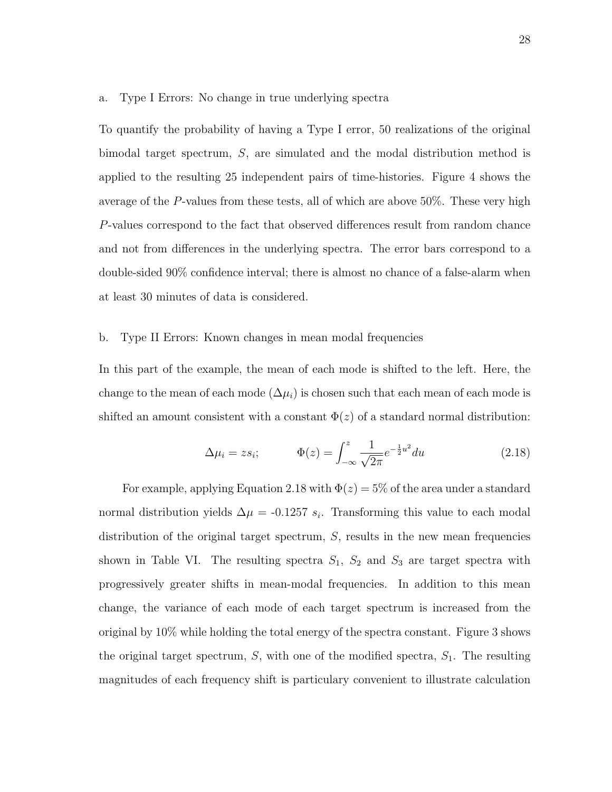### a. Type I Errors: No change in true underlying spectra

To quantify the probability of having a Type I error, 50 realizations of the original bimodal target spectrum, S, are simulated and the modal distribution method is applied to the resulting 25 independent pairs of time-histories. Figure 4 shows the average of the P-values from these tests, all of which are above 50%. These very high P-values correspond to the fact that observed differences result from random chance and not from differences in the underlying spectra. The error bars correspond to a double-sided 90% confidence interval; there is almost no chance of a false-alarm when at least 30 minutes of data is considered.

# b. Type II Errors: Known changes in mean modal frequencies

In this part of the example, the mean of each mode is shifted to the left. Here, the change to the mean of each mode ( $\Delta \mu_i$ ) is chosen such that each mean of each mode is shifted an amount consistent with a constant  $\Phi(z)$  of a standard normal distribution:

$$
\Delta \mu_i = z s_i; \qquad \Phi(z) = \int_{-\infty}^{z} \frac{1}{\sqrt{2\pi}} e^{-\frac{1}{2}u^2} du \qquad (2.18)
$$

For example, applying Equation 2.18 with  $\Phi(z) = 5\%$  of the area under a standard normal distribution yields  $\Delta \mu = -0.1257 s_i$ . Transforming this value to each modal distribution of the original target spectrum, S, results in the new mean frequencies shown in Table VI. The resulting spectra  $S_1$ ,  $S_2$  and  $S_3$  are target spectra with progressively greater shifts in mean-modal frequencies. In addition to this mean change, the variance of each mode of each target spectrum is increased from the original by 10% while holding the total energy of the spectra constant. Figure 3 shows the original target spectrum,  $S$ , with one of the modified spectra,  $S_1$ . The resulting magnitudes of each frequency shift is particulary convenient to illustrate calculation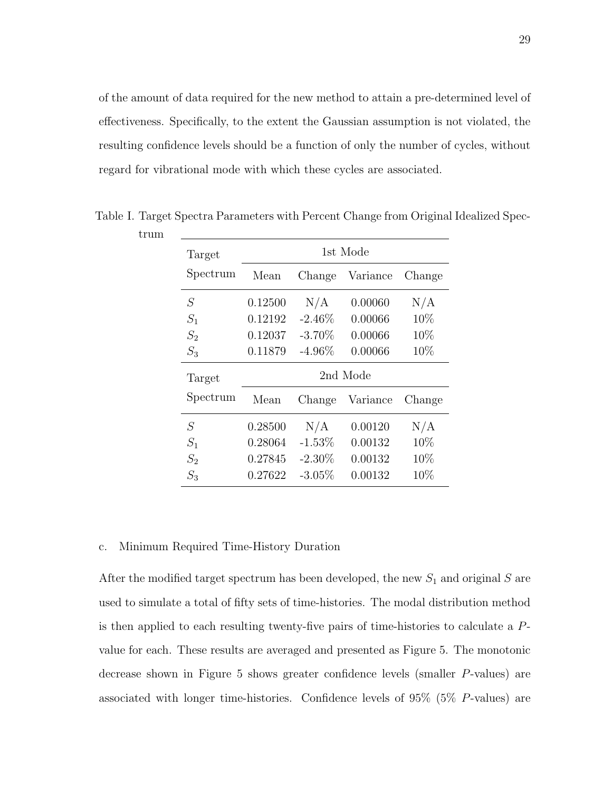of the amount of data required for the new method to attain a pre-determined level of effectiveness. Specifically, to the extent the Gaussian assumption is not violated, the resulting confidence levels should be a function of only the number of cycles, without regard for vibrational mode with which these cycles are associated.

| Target    | 1st Mode |           |          |        |
|-----------|----------|-----------|----------|--------|
| Spectrum  | Mean     | Change    | Variance | Change |
| $\, S \,$ | 0.12500  | N/A       | 0.00060  | N/A    |
| $S_1$     | 0.12192  | $-2.46\%$ | 0.00066  | 10%    |
| $S_2$     | 0.12037  | $-3.70\%$ | 0.00066  | 10%    |
| $S_3$     | 0.11879  | $-4.96\%$ | 0.00066  | 10%    |
| Target    | 2nd Mode |           |          |        |
| Spectrum  | Mean     | Change    | Variance | Change |
| S         | 0.28500  | N/A       | 0.00120  | N/A    |
| $S_1$     | 0.28064  | $-1.53\%$ | 0.00132  | 10%    |
| $S_2$     | 0.27845  | $-2.30\%$ | 0.00132  | 10%    |
| $S_3$     | 0.27622  | $-3.05\%$ | 0.00132  | 10%    |

Table I. Target Spectra Parameters with Percent Change from Original Idealized Spec-

## c. Minimum Required Time-History Duration

trum

After the modified target spectrum has been developed, the new  $S_1$  and original S are used to simulate a total of fifty sets of time-histories. The modal distribution method is then applied to each resulting twenty-five pairs of time-histories to calculate a Pvalue for each. These results are averaged and presented as Figure 5. The monotonic decrease shown in Figure 5 shows greater confidence levels (smaller P-values) are associated with longer time-histories. Confidence levels of 95% (5% P-values) are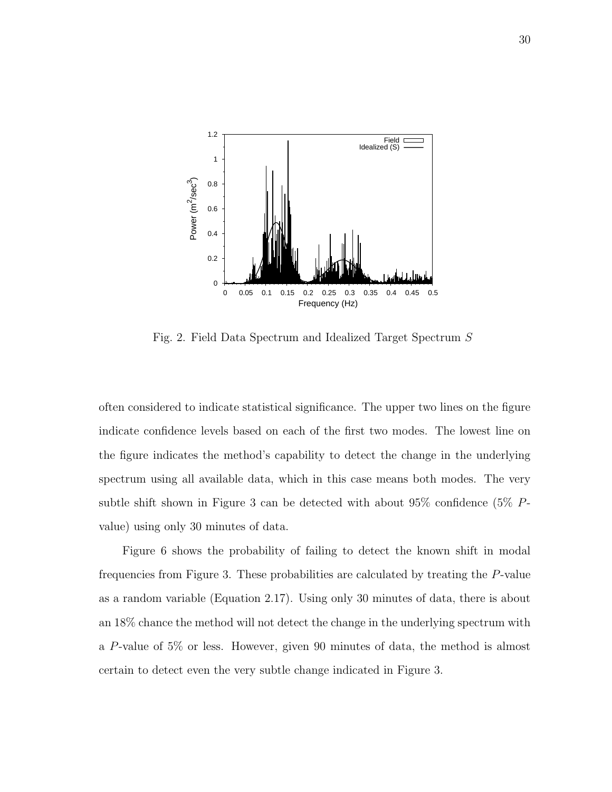

Fig. 2. Field Data Spectrum and Idealized Target Spectrum S

often considered to indicate statistical significance. The upper two lines on the figure indicate confidence levels based on each of the first two modes. The lowest line on the figure indicates the method's capability to detect the change in the underlying spectrum using all available data, which in this case means both modes. The very subtle shift shown in Figure 3 can be detected with about 95% confidence (5% Pvalue) using only 30 minutes of data.

Figure 6 shows the probability of failing to detect the known shift in modal frequencies from Figure 3. These probabilities are calculated by treating the P-value as a random variable (Equation 2.17). Using only 30 minutes of data, there is about an 18% chance the method will not detect the change in the underlying spectrum with a P-value of 5% or less. However, given 90 minutes of data, the method is almost certain to detect even the very subtle change indicated in Figure 3.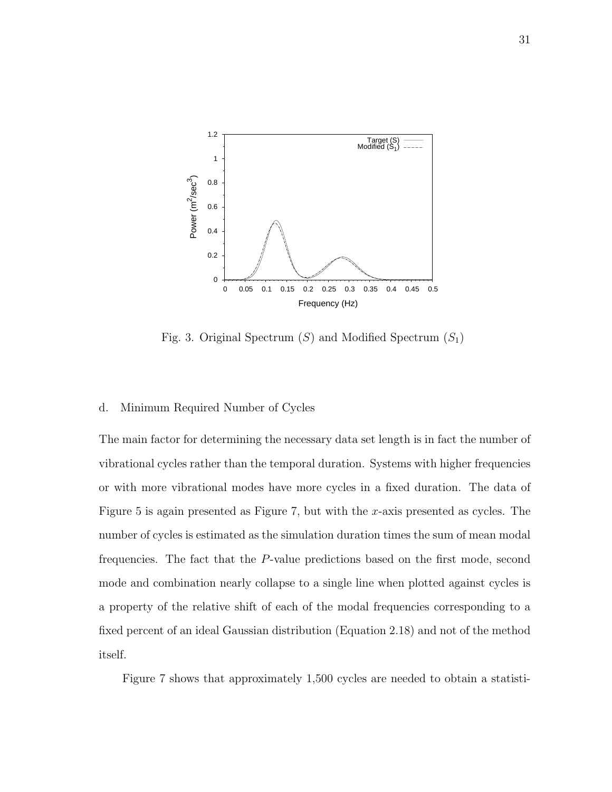

Fig. 3. Original Spectrum  $(S)$  and Modified Spectrum  $(S_1)$ 

#### d. Minimum Required Number of Cycles

The main factor for determining the necessary data set length is in fact the number of vibrational cycles rather than the temporal duration. Systems with higher frequencies or with more vibrational modes have more cycles in a fixed duration. The data of Figure 5 is again presented as Figure 7, but with the x-axis presented as cycles. The number of cycles is estimated as the simulation duration times the sum of mean modal frequencies. The fact that the P-value predictions based on the first mode, second mode and combination nearly collapse to a single line when plotted against cycles is a property of the relative shift of each of the modal frequencies corresponding to a fixed percent of an ideal Gaussian distribution (Equation 2.18) and not of the method itself.

Figure 7 shows that approximately 1,500 cycles are needed to obtain a statisti-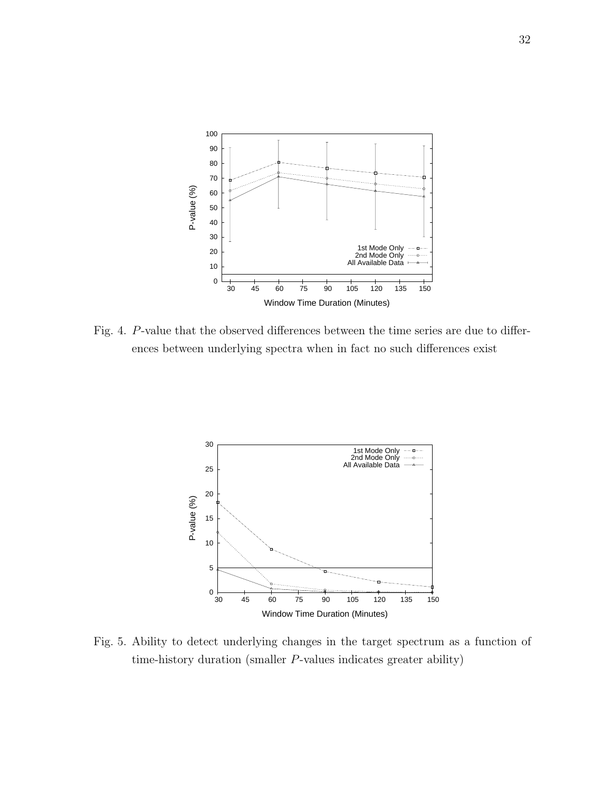

Fig. 4. P-value that the observed differences between the time series are due to differences between underlying spectra when in fact no such differences exist



Fig. 5. Ability to detect underlying changes in the target spectrum as a function of time-history duration (smaller P-values indicates greater ability)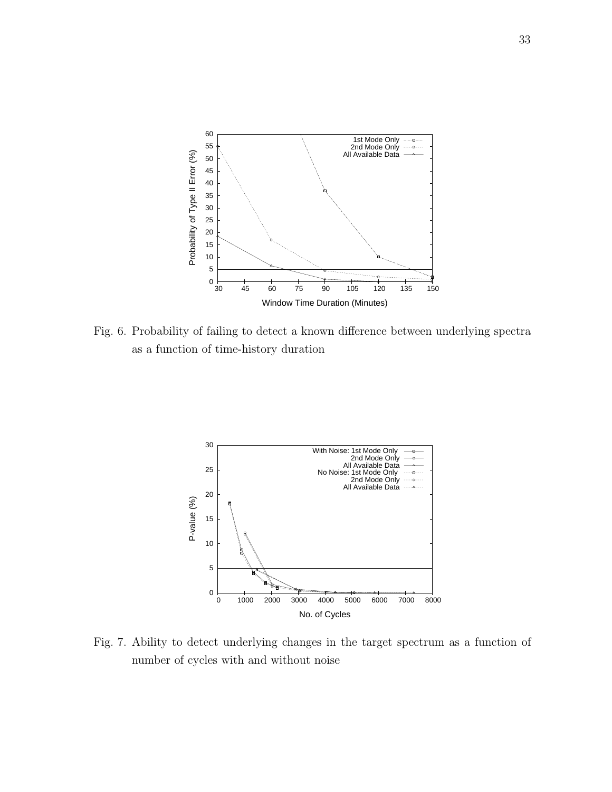

Fig. 6. Probability of failing to detect a known difference between underlying spectra as a function of time-history duration



Fig. 7. Ability to detect underlying changes in the target spectrum as a function of number of cycles with and without noise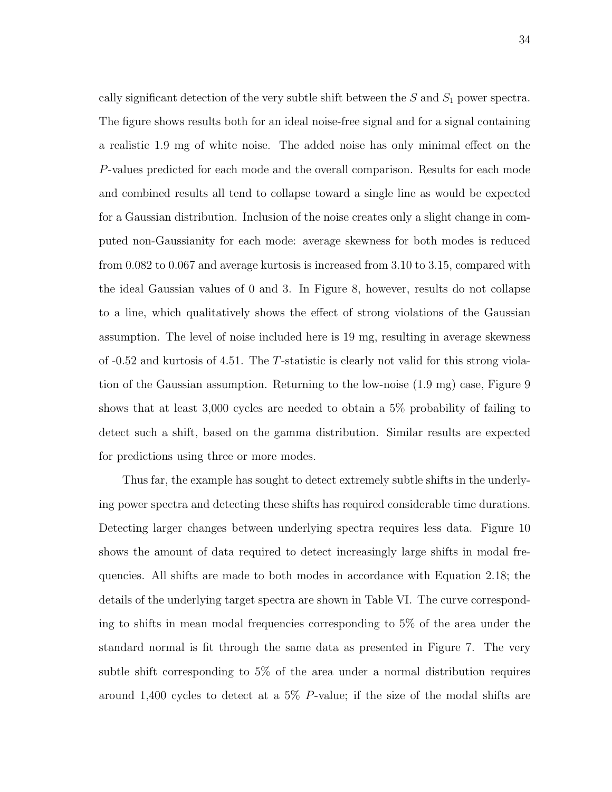cally significant detection of the very subtle shift between the  $S$  and  $S_1$  power spectra. The figure shows results both for an ideal noise-free signal and for a signal containing a realistic 1.9 mg of white noise. The added noise has only minimal effect on the P-values predicted for each mode and the overall comparison. Results for each mode and combined results all tend to collapse toward a single line as would be expected for a Gaussian distribution. Inclusion of the noise creates only a slight change in computed non-Gaussianity for each mode: average skewness for both modes is reduced from 0.082 to 0.067 and average kurtosis is increased from 3.10 to 3.15, compared with the ideal Gaussian values of 0 and 3. In Figure 8, however, results do not collapse to a line, which qualitatively shows the effect of strong violations of the Gaussian assumption. The level of noise included here is 19 mg, resulting in average skewness of -0.52 and kurtosis of 4.51. The T-statistic is clearly not valid for this strong violation of the Gaussian assumption. Returning to the low-noise (1.9 mg) case, Figure 9 shows that at least 3,000 cycles are needed to obtain a 5% probability of failing to detect such a shift, based on the gamma distribution. Similar results are expected for predictions using three or more modes.

Thus far, the example has sought to detect extremely subtle shifts in the underlying power spectra and detecting these shifts has required considerable time durations. Detecting larger changes between underlying spectra requires less data. Figure 10 shows the amount of data required to detect increasingly large shifts in modal frequencies. All shifts are made to both modes in accordance with Equation 2.18; the details of the underlying target spectra are shown in Table VI. The curve corresponding to shifts in mean modal frequencies corresponding to 5% of the area under the standard normal is fit through the same data as presented in Figure 7. The very subtle shift corresponding to 5% of the area under a normal distribution requires around 1,400 cycles to detect at a 5% P-value; if the size of the modal shifts are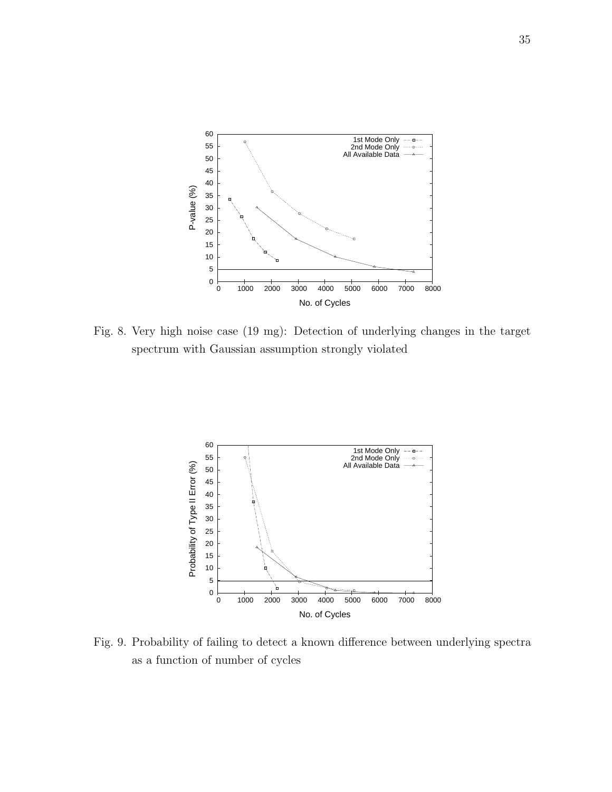

Fig. 8. Very high noise case (19 mg): Detection of underlying changes in the target spectrum with Gaussian assumption strongly violated



Fig. 9. Probability of failing to detect a known difference between underlying spectra as a function of number of cycles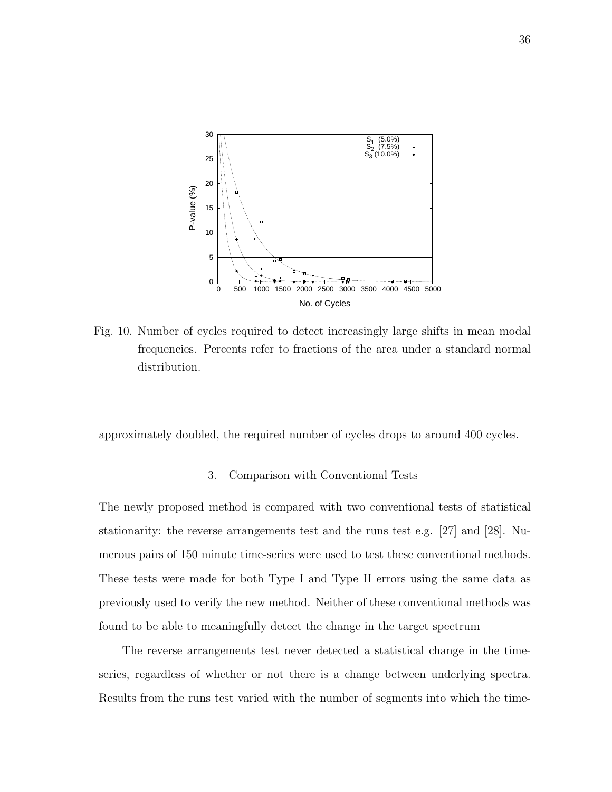

Fig. 10. Number of cycles required to detect increasingly large shifts in mean modal frequencies. Percents refer to fractions of the area under a standard normal distribution.

approximately doubled, the required number of cycles drops to around 400 cycles.

### 3. Comparison with Conventional Tests

The newly proposed method is compared with two conventional tests of statistical stationarity: the reverse arrangements test and the runs test e.g. [27] and [28]. Numerous pairs of 150 minute time-series were used to test these conventional methods. These tests were made for both Type I and Type II errors using the same data as previously used to verify the new method. Neither of these conventional methods was found to be able to meaningfully detect the change in the target spectrum

The reverse arrangements test never detected a statistical change in the timeseries, regardless of whether or not there is a change between underlying spectra. Results from the runs test varied with the number of segments into which the time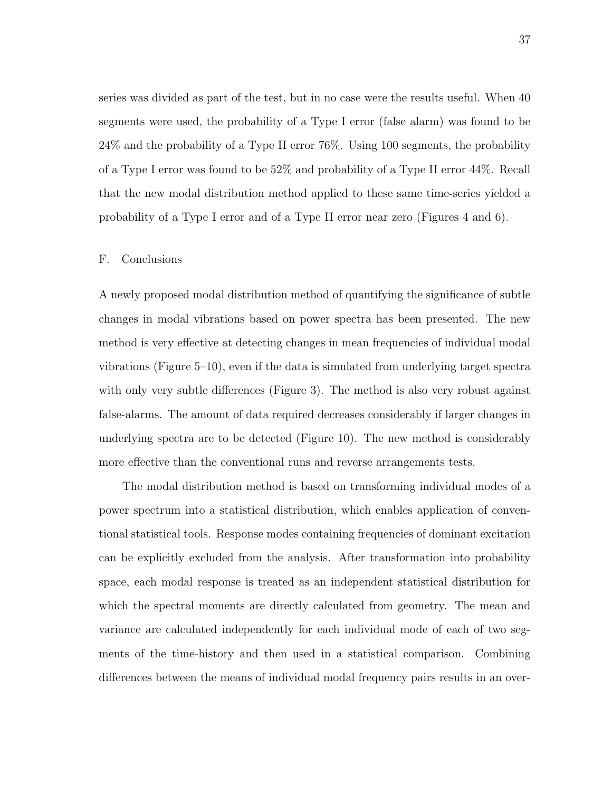series was divided as part of the test, but in no case were the results useful. When 40 segments were used, the probability of a Type I error (false alarm) was found to be 24% and the probability of a Type II error 76%. Using 100 segments, the probability of a Type I error was found to be 52% and probability of a Type II error 44%. Recall that the new modal distribution method applied to these same time-series yielded a probability of a Type I error and of a Type II error near zero (Figures 4 and 6).

### F. Conclusions

A newly proposed modal distribution method of quantifying the significance of subtle changes in modal vibrations based on power spectra has been presented. The new method is very effective at detecting changes in mean frequencies of individual modal vibrations (Figure 5–10), even if the data is simulated from underlying target spectra with only very subtle differences (Figure 3). The method is also very robust against false-alarms. The amount of data required decreases considerably if larger changes in underlying spectra are to be detected (Figure 10). The new method is considerably more effective than the conventional runs and reverse arrangements tests.

The modal distribution method is based on transforming individual modes of a power spectrum into a statistical distribution, which enables application of conventional statistical tools. Response modes containing frequencies of dominant excitation can be explicitly excluded from the analysis. After transformation into probability space, each modal response is treated as an independent statistical distribution for which the spectral moments are directly calculated from geometry. The mean and variance are calculated independently for each individual mode of each of two segments of the time-history and then used in a statistical comparison. Combining differences between the means of individual modal frequency pairs results in an over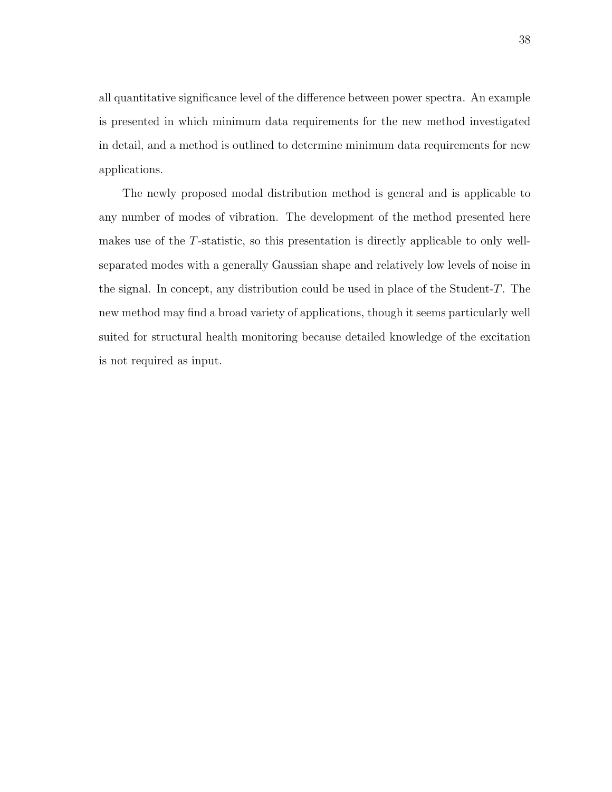all quantitative significance level of the difference between power spectra. An example is presented in which minimum data requirements for the new method investigated in detail, and a method is outlined to determine minimum data requirements for new applications.

The newly proposed modal distribution method is general and is applicable to any number of modes of vibration. The development of the method presented here makes use of the T-statistic, so this presentation is directly applicable to only wellseparated modes with a generally Gaussian shape and relatively low levels of noise in the signal. In concept, any distribution could be used in place of the Student-T. The new method may find a broad variety of applications, though it seems particularly well suited for structural health monitoring because detailed knowledge of the excitation is not required as input.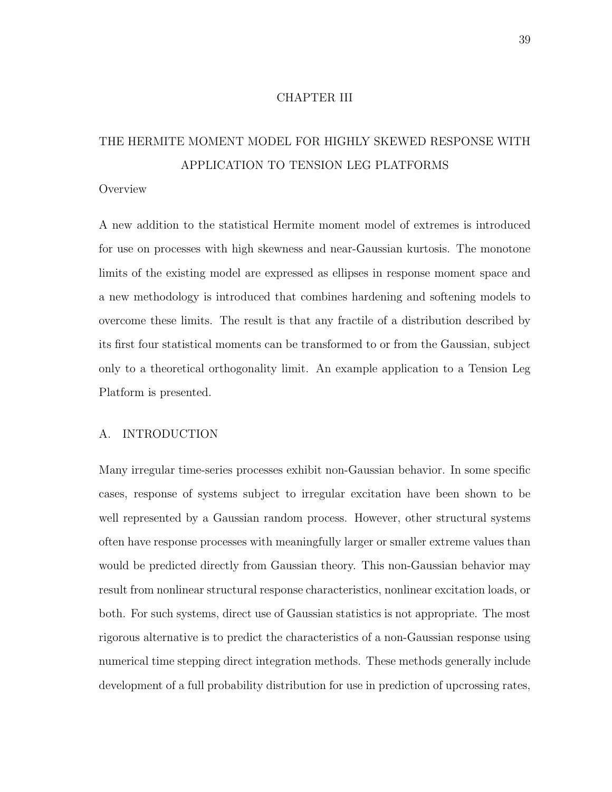### CHAPTER III

# THE HERMITE MOMENT MODEL FOR HIGHLY SKEWED RESPONSE WITH APPLICATION TO TENSION LEG PLATFORMS

#### **Overview**

A new addition to the statistical Hermite moment model of extremes is introduced for use on processes with high skewness and near-Gaussian kurtosis. The monotone limits of the existing model are expressed as ellipses in response moment space and a new methodology is introduced that combines hardening and softening models to overcome these limits. The result is that any fractile of a distribution described by its first four statistical moments can be transformed to or from the Gaussian, subject only to a theoretical orthogonality limit. An example application to a Tension Leg Platform is presented.

# A. INTRODUCTION

Many irregular time-series processes exhibit non-Gaussian behavior. In some specific cases, response of systems subject to irregular excitation have been shown to be well represented by a Gaussian random process. However, other structural systems often have response processes with meaningfully larger or smaller extreme values than would be predicted directly from Gaussian theory. This non-Gaussian behavior may result from nonlinear structural response characteristics, nonlinear excitation loads, or both. For such systems, direct use of Gaussian statistics is not appropriate. The most rigorous alternative is to predict the characteristics of a non-Gaussian response using numerical time stepping direct integration methods. These methods generally include development of a full probability distribution for use in prediction of upcrossing rates,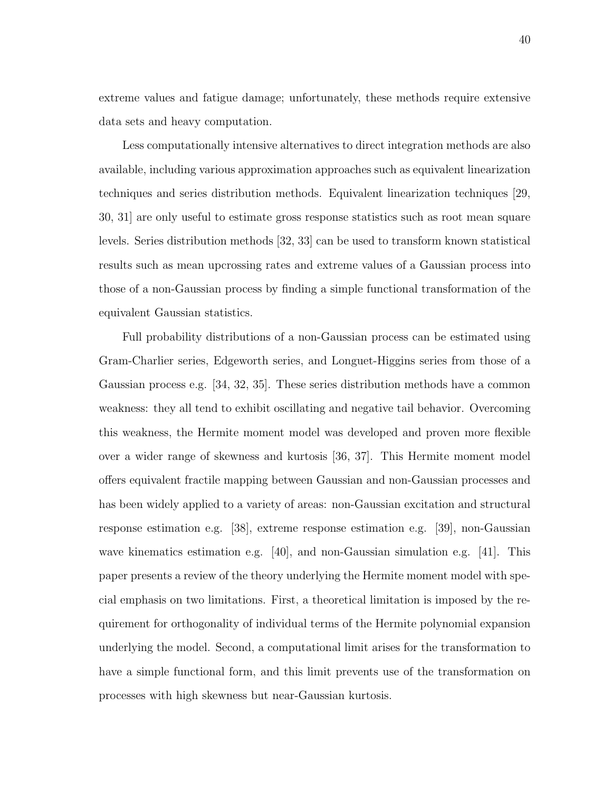extreme values and fatigue damage; unfortunately, these methods require extensive data sets and heavy computation.

Less computationally intensive alternatives to direct integration methods are also available, including various approximation approaches such as equivalent linearization techniques and series distribution methods. Equivalent linearization techniques [29, 30, 31] are only useful to estimate gross response statistics such as root mean square levels. Series distribution methods [32, 33] can be used to transform known statistical results such as mean upcrossing rates and extreme values of a Gaussian process into those of a non-Gaussian process by finding a simple functional transformation of the equivalent Gaussian statistics.

Full probability distributions of a non-Gaussian process can be estimated using Gram-Charlier series, Edgeworth series, and Longuet-Higgins series from those of a Gaussian process e.g. [34, 32, 35]. These series distribution methods have a common weakness: they all tend to exhibit oscillating and negative tail behavior. Overcoming this weakness, the Hermite moment model was developed and proven more flexible over a wider range of skewness and kurtosis [36, 37]. This Hermite moment model offers equivalent fractile mapping between Gaussian and non-Gaussian processes and has been widely applied to a variety of areas: non-Gaussian excitation and structural response estimation e.g. [38], extreme response estimation e.g. [39], non-Gaussian wave kinematics estimation e.g.  $[40]$ , and non-Gaussian simulation e.g.  $[41]$ . This paper presents a review of the theory underlying the Hermite moment model with special emphasis on two limitations. First, a theoretical limitation is imposed by the requirement for orthogonality of individual terms of the Hermite polynomial expansion underlying the model. Second, a computational limit arises for the transformation to have a simple functional form, and this limit prevents use of the transformation on processes with high skewness but near-Gaussian kurtosis.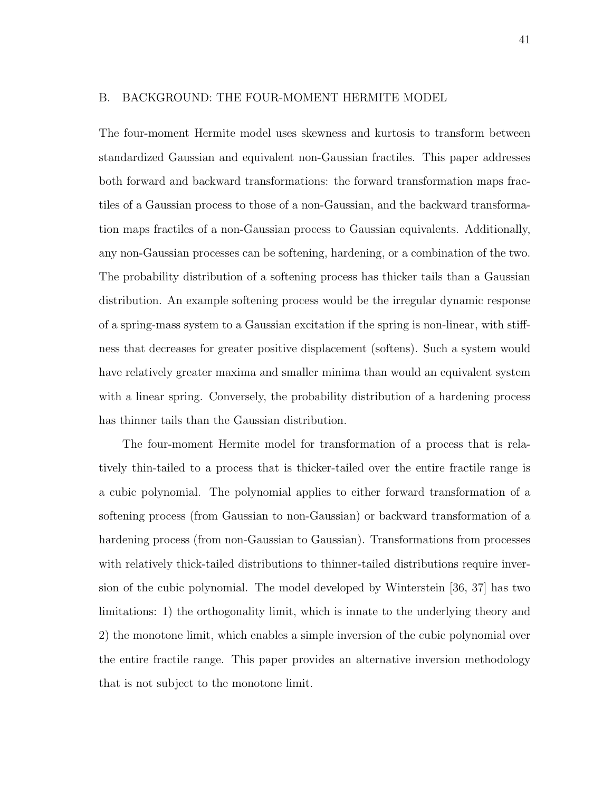#### B. BACKGROUND: THE FOUR-MOMENT HERMITE MODEL

The four-moment Hermite model uses skewness and kurtosis to transform between standardized Gaussian and equivalent non-Gaussian fractiles. This paper addresses both forward and backward transformations: the forward transformation maps fractiles of a Gaussian process to those of a non-Gaussian, and the backward transformation maps fractiles of a non-Gaussian process to Gaussian equivalents. Additionally, any non-Gaussian processes can be softening, hardening, or a combination of the two. The probability distribution of a softening process has thicker tails than a Gaussian distribution. An example softening process would be the irregular dynamic response of a spring-mass system to a Gaussian excitation if the spring is non-linear, with stiffness that decreases for greater positive displacement (softens). Such a system would have relatively greater maxima and smaller minima than would an equivalent system with a linear spring. Conversely, the probability distribution of a hardening process has thinner tails than the Gaussian distribution.

The four-moment Hermite model for transformation of a process that is relatively thin-tailed to a process that is thicker-tailed over the entire fractile range is a cubic polynomial. The polynomial applies to either forward transformation of a softening process (from Gaussian to non-Gaussian) or backward transformation of a hardening process (from non-Gaussian to Gaussian). Transformations from processes with relatively thick-tailed distributions to thinner-tailed distributions require inversion of the cubic polynomial. The model developed by Winterstein [36, 37] has two limitations: 1) the orthogonality limit, which is innate to the underlying theory and 2) the monotone limit, which enables a simple inversion of the cubic polynomial over the entire fractile range. This paper provides an alternative inversion methodology that is not subject to the monotone limit.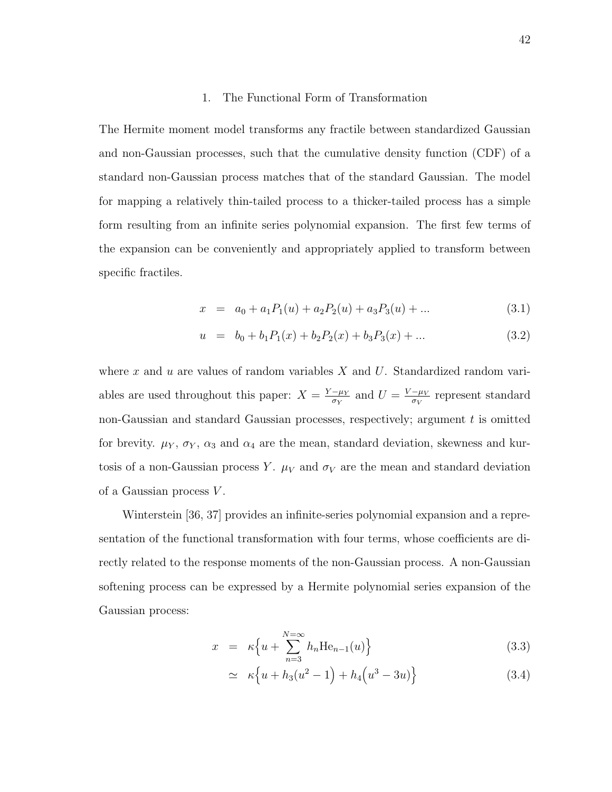#### 1. The Functional Form of Transformation

The Hermite moment model transforms any fractile between standardized Gaussian and non-Gaussian processes, such that the cumulative density function (CDF) of a standard non-Gaussian process matches that of the standard Gaussian. The model for mapping a relatively thin-tailed process to a thicker-tailed process has a simple form resulting from an infinite series polynomial expansion. The first few terms of the expansion can be conveniently and appropriately applied to transform between specific fractiles.

$$
x = a_0 + a_1 P_1(u) + a_2 P_2(u) + a_3 P_3(u) + \dots \tag{3.1}
$$

$$
u = b_0 + b_1 P_1(x) + b_2 P_2(x) + b_3 P_3(x) + \dots \tag{3.2}
$$

where  $x$  and  $u$  are values of random variables  $X$  and  $U$ . Standardized random variables are used throughout this paper:  $X = \frac{Y - \mu_Y}{\sigma_Y}$  $\frac{-\mu_Y}{\sigma_Y}$  and  $U = \frac{V - \mu_V}{\sigma_V}$  $\frac{-\mu_V}{\sigma_V}$  represent standard non-Gaussian and standard Gaussian processes, respectively; argument  $t$  is omitted for brevity.  $\mu_Y$ ,  $\sigma_Y$ ,  $\alpha_3$  and  $\alpha_4$  are the mean, standard deviation, skewness and kurtosis of a non-Gaussian process Y.  $\mu_V$  and  $\sigma_V$  are the mean and standard deviation of a Gaussian process  $V$ .

Winterstein [36, 37] provides an infinite-series polynomial expansion and a representation of the functional transformation with four terms, whose coefficients are directly related to the response moments of the non-Gaussian process. A non-Gaussian softening process can be expressed by a Hermite polynomial series expansion of the Gaussian process:

$$
x = \kappa \left\{ u + \sum_{n=3}^{N=\infty} h_n \text{He}_{n-1}(u) \right\} \tag{3.3}
$$

$$
\simeq \kappa \left\{ u + h_3(u^2 - 1) + h_4\left(u^3 - 3u\right) \right\} \tag{3.4}
$$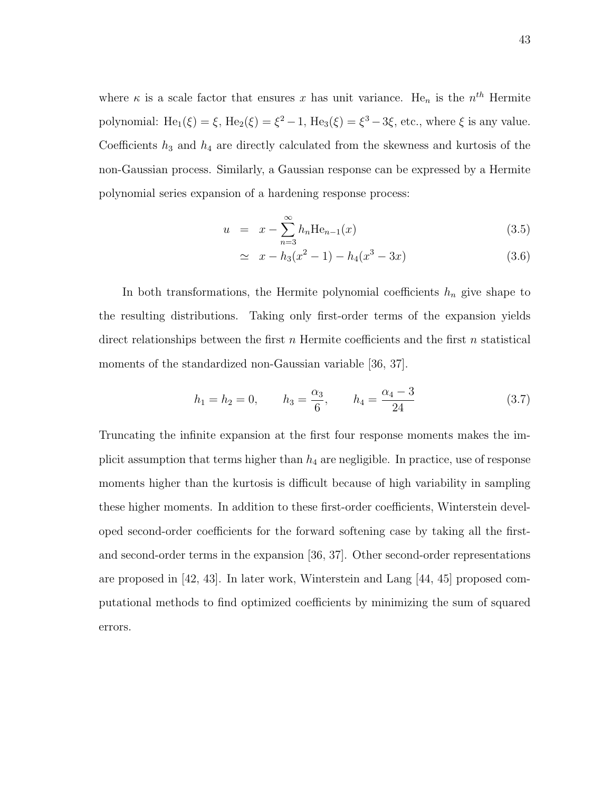where  $\kappa$  is a scale factor that ensures x has unit variance. He<sub>n</sub> is the  $n^{th}$  Hermite polynomial:  $He_1(\xi) = \xi$ ,  $He_2(\xi) = \xi^2 - 1$ ,  $He_3(\xi) = \xi^3 - 3\xi$ , etc., where  $\xi$  is any value. Coefficients  $h_3$  and  $h_4$  are directly calculated from the skewness and kurtosis of the non-Gaussian process. Similarly, a Gaussian response can be expressed by a Hermite polynomial series expansion of a hardening response process:

$$
u = x - \sum_{n=3}^{\infty} h_n \text{He}_{n-1}(x)
$$
 (3.5)

$$
\simeq x - h_3(x^2 - 1) - h_4(x^3 - 3x) \tag{3.6}
$$

In both transformations, the Hermite polynomial coefficients  $h_n$  give shape to the resulting distributions. Taking only first-order terms of the expansion yields direct relationships between the first  $n$  Hermite coefficients and the first  $n$  statistical moments of the standardized non-Gaussian variable [36, 37].

$$
h_1 = h_2 = 0,
$$
  $h_3 = \frac{\alpha_3}{6},$   $h_4 = \frac{\alpha_4 - 3}{24}$  (3.7)

Truncating the infinite expansion at the first four response moments makes the implicit assumption that terms higher than  $h_4$  are negligible. In practice, use of response moments higher than the kurtosis is difficult because of high variability in sampling these higher moments. In addition to these first-order coefficients, Winterstein developed second-order coefficients for the forward softening case by taking all the firstand second-order terms in the expansion [36, 37]. Other second-order representations are proposed in [42, 43]. In later work, Winterstein and Lang [44, 45] proposed computational methods to find optimized coefficients by minimizing the sum of squared errors.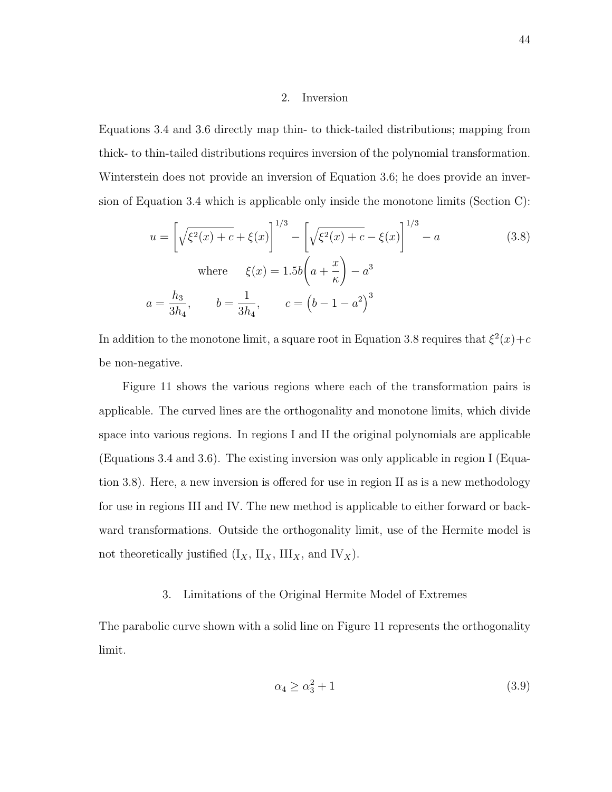#### 2. Inversion

Equations 3.4 and 3.6 directly map thin- to thick-tailed distributions; mapping from thick- to thin-tailed distributions requires inversion of the polynomial transformation. Winterstein does not provide an inversion of Equation 3.6; he does provide an inversion of Equation 3.4 which is applicable only inside the monotone limits (Section C):

$$
u = \left[\sqrt{\xi^2(x) + c} + \xi(x)\right]^{1/3} - \left[\sqrt{\xi^2(x) + c} - \xi(x)\right]^{1/3} - a
$$
\nwhere\n
$$
\xi(x) = 1.5b\left(a + \frac{x}{\kappa}\right) - a^3
$$
\n
$$
a = \frac{h_3}{3h_4}, \qquad b = \frac{1}{3h_4}, \qquad c = \left(b - 1 - a^2\right)^3
$$
\n(3.8)

In addition to the monotone limit, a square root in Equation 3.8 requires that  $\xi^2(x) + c$ be non-negative.

Figure 11 shows the various regions where each of the transformation pairs is applicable. The curved lines are the orthogonality and monotone limits, which divide space into various regions. In regions I and II the original polynomials are applicable (Equations 3.4 and 3.6). The existing inversion was only applicable in region I (Equation 3.8). Here, a new inversion is offered for use in region II as is a new methodology for use in regions III and IV. The new method is applicable to either forward or backward transformations. Outside the orthogonality limit, use of the Hermite model is not theoretically justified  $(I_X, II_X, III_X,$  and  $IV_X)$ .

# 3. Limitations of the Original Hermite Model of Extremes

The parabolic curve shown with a solid line on Figure 11 represents the orthogonality limit.

$$
\alpha_4 \ge \alpha_3^2 + 1\tag{3.9}
$$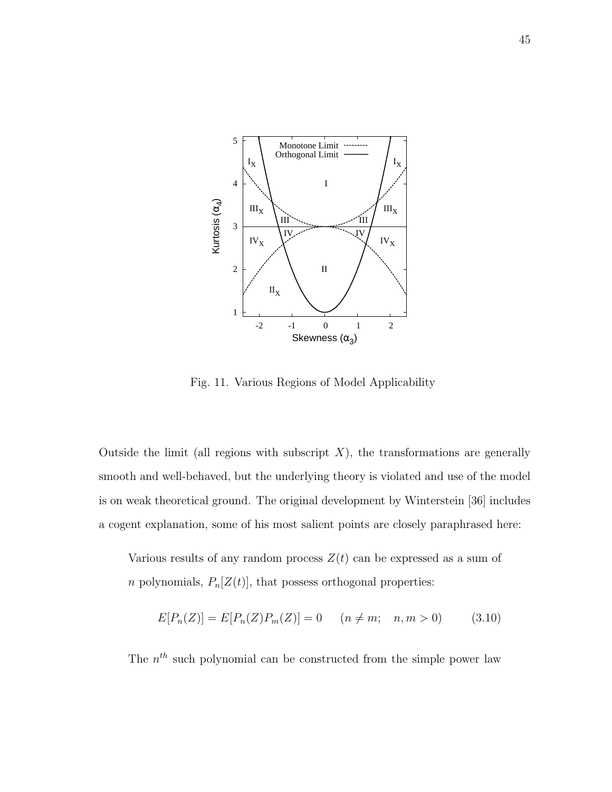

Fig. 11. Various Regions of Model Applicability

Outside the limit (all regions with subscript  $X$ ), the transformations are generally smooth and well-behaved, but the underlying theory is violated and use of the model is on weak theoretical ground. The original development by Winterstein [36] includes a cogent explanation, some of his most salient points are closely paraphrased here:

Various results of any random process  $Z(t)$  can be expressed as a sum of *n* polynomials,  $P_n[Z(t)]$ , that possess orthogonal properties:

$$
E[P_n(Z)] = E[P_n(Z)P_m(Z)] = 0 \t (n \neq m; n, m > 0)
$$
\t(3.10)

The  $n^{th}$  such polynomial can be constructed from the simple power law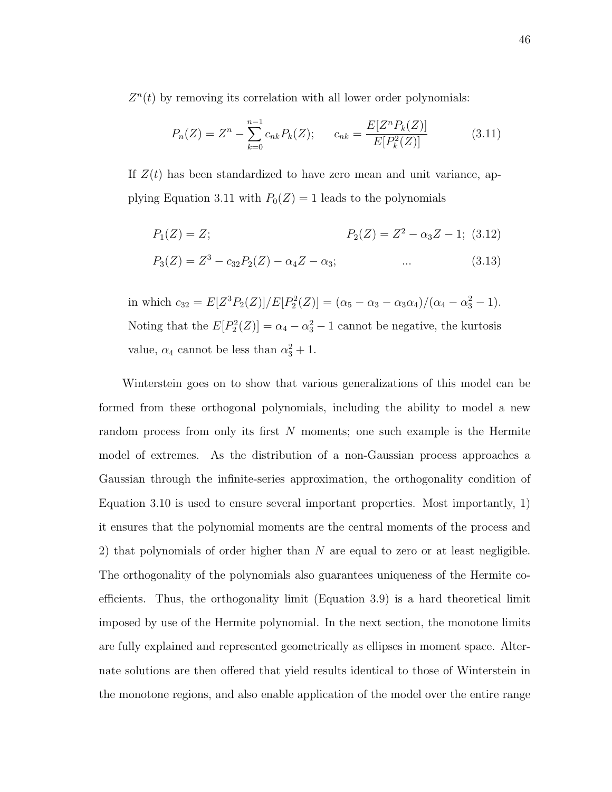$Z<sup>n</sup>(t)$  by removing its correlation with all lower order polynomials:

$$
P_n(Z) = Z^n - \sum_{k=0}^{n-1} c_{nk} P_k(Z); \qquad c_{nk} = \frac{E[Z^n P_k(Z)]}{E[P_k^2(Z)]}
$$
(3.11)

If  $Z(t)$  has been standardized to have zero mean and unit variance, applying Equation 3.11 with  $P_0(Z) = 1$  leads to the polynomials

$$
P_1(Z) = Z; \qquad P_2(Z) = Z^2 - \alpha_3 Z - 1; \tag{3.12}
$$

$$
P_3(Z) = Z^3 - c_{32}P_2(Z) - \alpha_4 Z - \alpha_3; \qquad \dots \qquad (3.13)
$$

in which  $c_{32} = E[Z^3 P_2(Z)]/E[P_2^2(Z)] = (\alpha_5 - \alpha_3 - \alpha_3 \alpha_4)/(\alpha_4 - \alpha_3^2 - 1).$ Noting that the  $E[P_2^2(Z)] = \alpha_4 - \alpha_3^2 - 1$  cannot be negative, the kurtosis value,  $\alpha_4$  cannot be less than  $\alpha_3^2 + 1$ .

Winterstein goes on to show that various generalizations of this model can be formed from these orthogonal polynomials, including the ability to model a new random process from only its first N moments; one such example is the Hermite model of extremes. As the distribution of a non-Gaussian process approaches a Gaussian through the infinite-series approximation, the orthogonality condition of Equation 3.10 is used to ensure several important properties. Most importantly, 1) it ensures that the polynomial moments are the central moments of the process and 2) that polynomials of order higher than N are equal to zero or at least negligible. The orthogonality of the polynomials also guarantees uniqueness of the Hermite coefficients. Thus, the orthogonality limit (Equation 3.9) is a hard theoretical limit imposed by use of the Hermite polynomial. In the next section, the monotone limits are fully explained and represented geometrically as ellipses in moment space. Alternate solutions are then offered that yield results identical to those of Winterstein in the monotone regions, and also enable application of the model over the entire range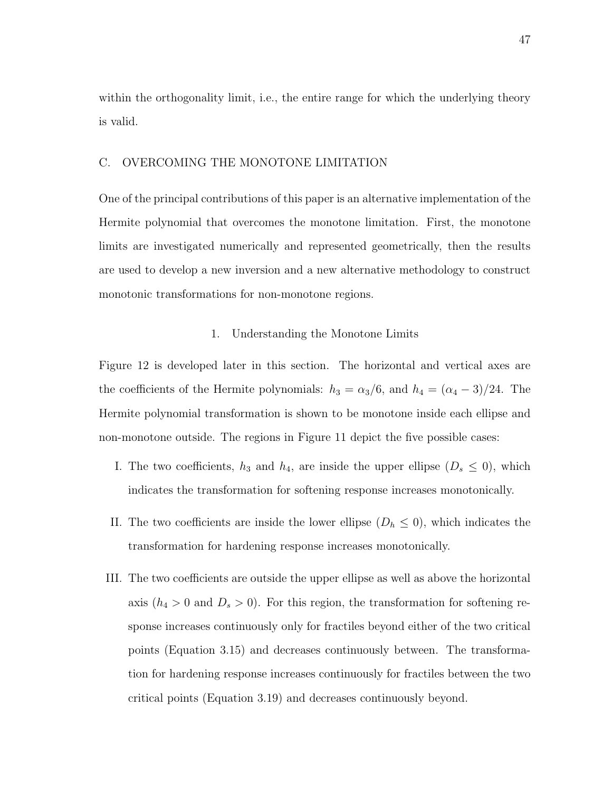within the orthogonality limit, i.e., the entire range for which the underlying theory is valid.

#### C. OVERCOMING THE MONOTONE LIMITATION

One of the principal contributions of this paper is an alternative implementation of the Hermite polynomial that overcomes the monotone limitation. First, the monotone limits are investigated numerically and represented geometrically, then the results are used to develop a new inversion and a new alternative methodology to construct monotonic transformations for non-monotone regions.

#### 1. Understanding the Monotone Limits

Figure 12 is developed later in this section. The horizontal and vertical axes are the coefficients of the Hermite polynomials:  $h_3 = \alpha_3/6$ , and  $h_4 = (\alpha_4 - 3)/24$ . The Hermite polynomial transformation is shown to be monotone inside each ellipse and non-monotone outside. The regions in Figure 11 depict the five possible cases:

- I. The two coefficients,  $h_3$  and  $h_4$ , are inside the upper ellipse  $(D_s \leq 0)$ , which indicates the transformation for softening response increases monotonically.
- II. The two coefficients are inside the lower ellipse  $(D_h \leq 0)$ , which indicates the transformation for hardening response increases monotonically.
- III. The two coefficients are outside the upper ellipse as well as above the horizontal axis  $(h_4 > 0$  and  $D_s > 0)$ . For this region, the transformation for softening response increases continuously only for fractiles beyond either of the two critical points (Equation 3.15) and decreases continuously between. The transformation for hardening response increases continuously for fractiles between the two critical points (Equation 3.19) and decreases continuously beyond.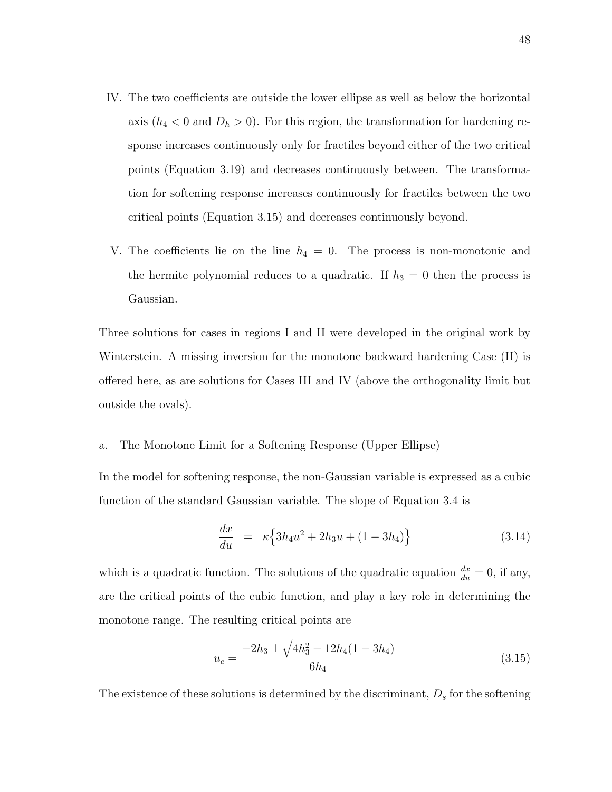- IV. The two coefficients are outside the lower ellipse as well as below the horizontal axis  $(h_4 < 0$  and  $D_h > 0)$ . For this region, the transformation for hardening response increases continuously only for fractiles beyond either of the two critical points (Equation 3.19) and decreases continuously between. The transformation for softening response increases continuously for fractiles between the two critical points (Equation 3.15) and decreases continuously beyond.
- V. The coefficients lie on the line  $h_4 = 0$ . The process is non-monotonic and the hermite polynomial reduces to a quadratic. If  $h_3 = 0$  then the process is Gaussian.

Three solutions for cases in regions I and II were developed in the original work by Winterstein. A missing inversion for the monotone backward hardening Case (II) is offered here, as are solutions for Cases III and IV (above the orthogonality limit but outside the ovals).

a. The Monotone Limit for a Softening Response (Upper Ellipse)

In the model for softening response, the non-Gaussian variable is expressed as a cubic function of the standard Gaussian variable. The slope of Equation 3.4 is

$$
\frac{dx}{du} = \kappa \left\{ 3h_4 u^2 + 2h_3 u + (1 - 3h_4) \right\} \tag{3.14}
$$

which is a quadratic function. The solutions of the quadratic equation  $\frac{dx}{du} = 0$ , if any, are the critical points of the cubic function, and play a key role in determining the monotone range. The resulting critical points are

$$
u_c = \frac{-2h_3 \pm \sqrt{4h_3^2 - 12h_4(1 - 3h_4)}}{6h_4} \tag{3.15}
$$

The existence of these solutions is determined by the discriminant,  $D_s$  for the softening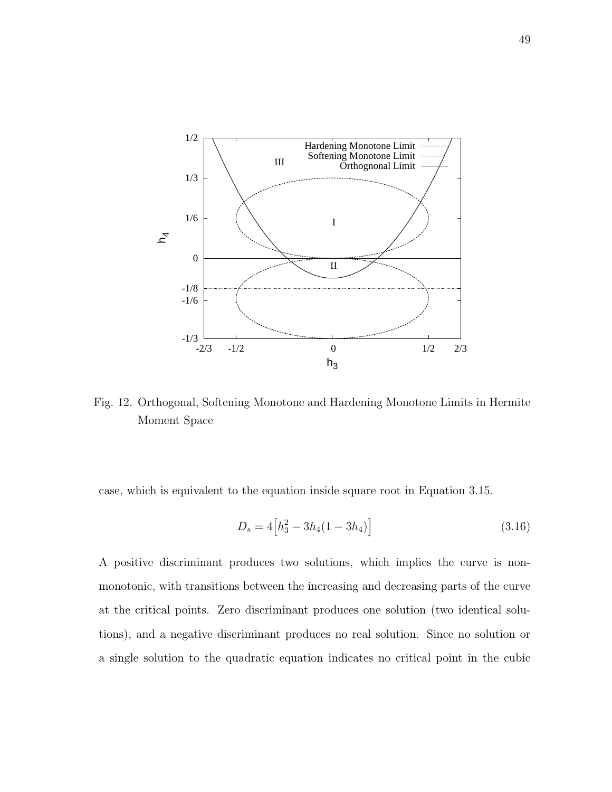

Fig. 12. Orthogonal, Softening Monotone and Hardening Monotone Limits in Hermite Moment Space

case, which is equivalent to the equation inside square root in Equation 3.15.

$$
D_s = 4\left[h_3^2 - 3h_4(1 - 3h_4)\right]
$$
\n(3.16)

A positive discriminant produces two solutions, which implies the curve is nonmonotonic, with transitions between the increasing and decreasing parts of the curve at the critical points. Zero discriminant produces one solution (two identical solutions), and a negative discriminant produces no real solution. Since no solution or a single solution to the quadratic equation indicates no critical point in the cubic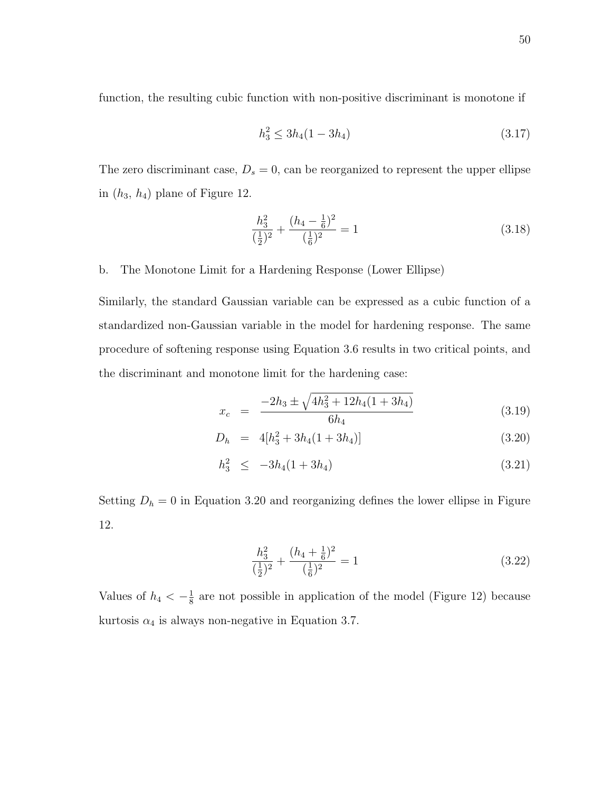function, the resulting cubic function with non-positive discriminant is monotone if

$$
h_3^2 \le 3h_4(1 - 3h_4) \tag{3.17}
$$

The zero discriminant case,  $D_s = 0$ , can be reorganized to represent the upper ellipse in  $(h_3, h_4)$  plane of Figure 12.

$$
\frac{h_3^2}{(\frac{1}{2})^2} + \frac{(h_4 - \frac{1}{6})^2}{(\frac{1}{6})^2} = 1\tag{3.18}
$$

b. The Monotone Limit for a Hardening Response (Lower Ellipse)

Similarly, the standard Gaussian variable can be expressed as a cubic function of a standardized non-Gaussian variable in the model for hardening response. The same procedure of softening response using Equation 3.6 results in two critical points, and the discriminant and monotone limit for the hardening case:

$$
x_c = \frac{-2h_3 \pm \sqrt{4h_3^2 + 12h_4(1 + 3h_4)}}{6h_4} \tag{3.19}
$$

$$
D_h = 4[h_3^2 + 3h_4(1+3h_4)] \tag{3.20}
$$

$$
h_3^2 \le -3h_4(1+3h_4) \tag{3.21}
$$

Setting  $D_h = 0$  in Equation 3.20 and reorganizing defines the lower ellipse in Figure 12.

$$
\frac{h_3^2}{(\frac{1}{2})^2} + \frac{(h_4 + \frac{1}{6})^2}{(\frac{1}{6})^2} = 1\tag{3.22}
$$

Values of  $h_4 < -\frac{1}{8}$  $\frac{1}{8}$  are not possible in application of the model (Figure 12) because kurtosis  $\alpha_4$  is always non-negative in Equation 3.7.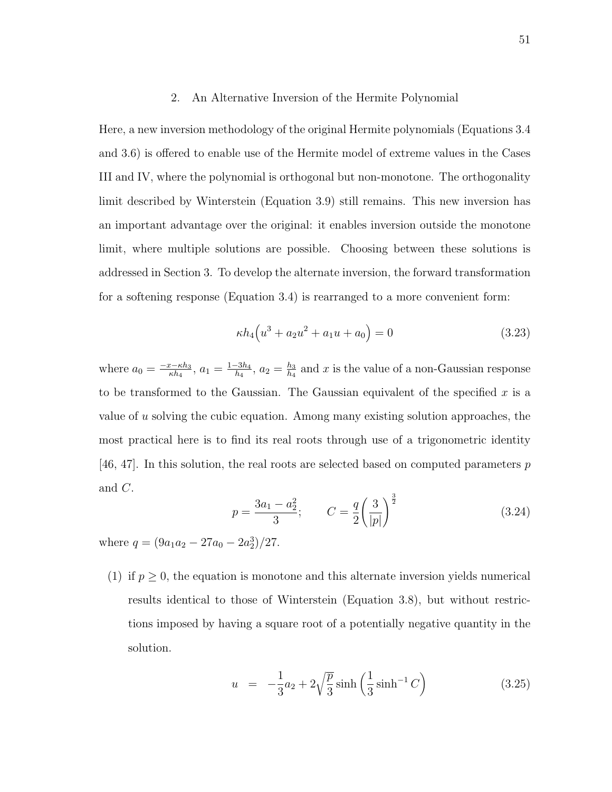#### 2. An Alternative Inversion of the Hermite Polynomial

Here, a new inversion methodology of the original Hermite polynomials (Equations 3.4 and 3.6) is offered to enable use of the Hermite model of extreme values in the Cases III and IV, where the polynomial is orthogonal but non-monotone. The orthogonality limit described by Winterstein (Equation 3.9) still remains. This new inversion has an important advantage over the original: it enables inversion outside the monotone limit, where multiple solutions are possible. Choosing between these solutions is addressed in Section 3. To develop the alternate inversion, the forward transformation for a softening response (Equation 3.4) is rearranged to a more convenient form:

$$
\kappa h_4(u^3 + a_2 u^2 + a_1 u + a_0) = 0 \tag{3.23}
$$

where  $a_0 = \frac{-x-\kappa h_3}{\kappa h_4}$  $\frac{c-\kappa h_3}{\kappa h_4}, a_1 = \frac{1-3h_4}{h_4}$  $\frac{-3h_4}{h_4}$ ,  $a_2 = \frac{h_3}{h_4}$  $\frac{h_3}{h_4}$  and x is the value of a non-Gaussian response to be transformed to the Gaussian. The Gaussian equivalent of the specified  $x$  is a value of u solving the cubic equation. Among many existing solution approaches, the most practical here is to find its real roots through use of a trigonometric identity  $[46, 47]$ . In this solution, the real roots are selected based on computed parameters p and C.  $\overline{a}$  $\frac{3}{2}$ 

$$
p = \frac{3a_1 - a_2^2}{3}; \qquad C = \frac{q}{2} \left(\frac{3}{|p|}\right)^{\frac{3}{2}} \tag{3.24}
$$

where  $q = (9a_1a_2 - 27a_0 - 2a_2^3)/27$ .

(1) if  $p \geq 0$ , the equation is monotone and this alternate inversion yields numerical results identical to those of Winterstein (Equation 3.8), but without restrictions imposed by having a square root of a potentially negative quantity in the solution.

$$
u = -\frac{1}{3}a_2 + 2\sqrt{\frac{p}{3}}\sinh\left(\frac{1}{3}\sinh^{-1}C\right)
$$
 (3.25)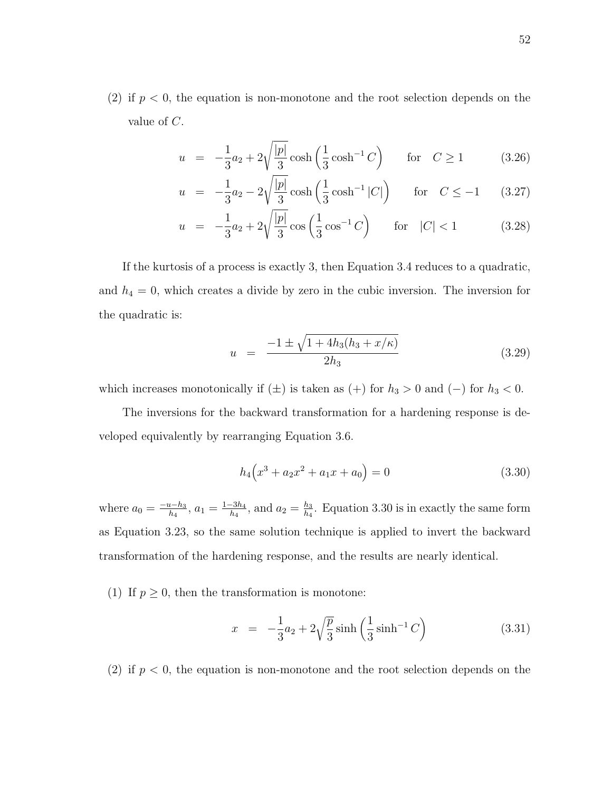(2) if  $p < 0$ , the equation is non-monotone and the root selection depends on the value of C.

$$
u = -\frac{1}{3}a_2 + 2\sqrt{\frac{|p|}{3}}\cosh\left(\frac{1}{3}\cosh^{-1}C\right) \quad \text{for} \quad C \ge 1 \tag{3.26}
$$

$$
u = -\frac{1}{3}a_2 - 2\sqrt{\frac{|p|}{3}}\cosh\left(\frac{1}{3}\cosh^{-1}|C|\right) \quad \text{for} \quad C \le -1 \quad (3.27)
$$

$$
u = -\frac{1}{3}a_2 + 2\sqrt{\frac{|p|}{3}}\cos\left(\frac{1}{3}\cos^{-1}C\right) \quad \text{for} \quad |C| < 1 \tag{3.28}
$$

If the kurtosis of a process is exactly 3, then Equation 3.4 reduces to a quadratic, and  $h_4 = 0$ , which creates a divide by zero in the cubic inversion. The inversion for the quadratic is:

$$
u = \frac{-1 \pm \sqrt{1 + 4h_3(h_3 + x/\kappa)}}{2h_3} \tag{3.29}
$$

which increases monotonically if  $(\pm)$  is taken as  $(+)$  for  $h_3 > 0$  and  $(-)$  for  $h_3 < 0$ .

The inversions for the backward transformation for a hardening response is developed equivalently by rearranging Equation 3.6.

$$
h_4(x^3 + a_2x^2 + a_1x + a_0) = 0
$$
\n(3.30)

where  $a_0 = \frac{-u-h_3}{h_4}$  $\frac{a-h_3}{h_4}$ ,  $a_1 = \frac{1-3h_4}{h_4}$  $\frac{-3h_4}{h_4}$ , and  $a_2 = \frac{h_3}{h_4}$  $\frac{h_3}{h_4}$ . Equation 3.30 is in exactly the same form as Equation 3.23, so the same solution technique is applied to invert the backward transformation of the hardening response, and the results are nearly identical.

(1) If  $p \geq 0$ , then the transformation is monotone:

$$
x = -\frac{1}{3}a_2 + 2\sqrt{\frac{p}{3}}\sinh\left(\frac{1}{3}\sinh^{-1}C\right)
$$
 (3.31)

(2) if  $p < 0$ , the equation is non-monotone and the root selection depends on the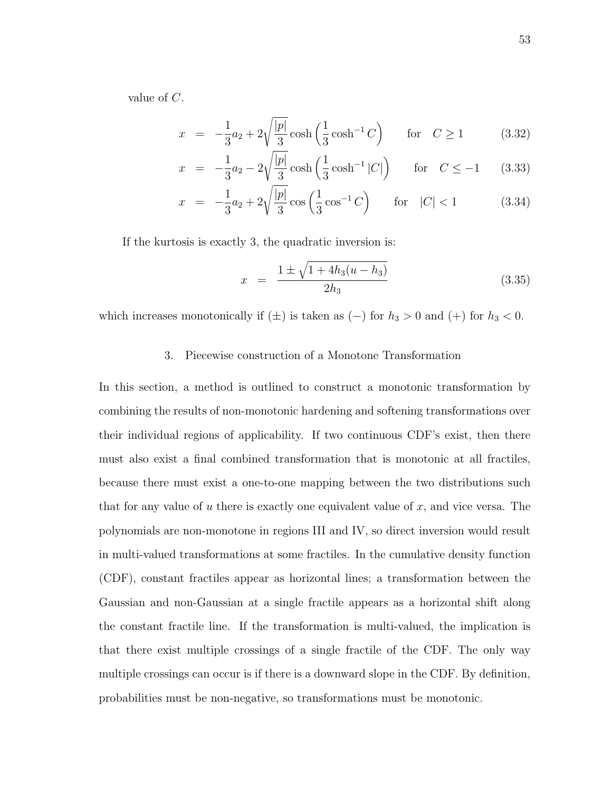value of C.

$$
x = -\frac{1}{3}a_2 + 2\sqrt{\frac{|p|}{3}}\cosh\left(\frac{1}{3}\cosh^{-1}C\right) \quad \text{for} \quad C \ge 1 \tag{3.32}
$$

$$
x = -\frac{1}{3}a_2 - 2\sqrt{\frac{|p|}{3}}\cosh\left(\frac{1}{3}\cosh^{-1}|C|\right) \quad \text{for} \quad C \le -1 \tag{3.33}
$$

$$
x = -\frac{1}{3}a_2 + 2\sqrt{\frac{|p|}{3}}\cos\left(\frac{1}{3}\cos^{-1}C\right) \quad \text{for} \quad |C| < 1 \tag{3.34}
$$

If the kurtosis is exactly 3, the quadratic inversion is:

$$
x = \frac{1 \pm \sqrt{1 + 4h_3(u - h_3)}}{2h_3} \tag{3.35}
$$

which increases monotonically if  $(\pm)$  is taken as  $(-)$  for  $h_3 > 0$  and  $(+)$  for  $h_3 < 0$ .

### 3. Piecewise construction of a Monotone Transformation

In this section, a method is outlined to construct a monotonic transformation by combining the results of non-monotonic hardening and softening transformations over their individual regions of applicability. If two continuous CDF's exist, then there must also exist a final combined transformation that is monotonic at all fractiles, because there must exist a one-to-one mapping between the two distributions such that for any value of u there is exactly one equivalent value of x, and vice versa. The polynomials are non-monotone in regions III and IV, so direct inversion would result in multi-valued transformations at some fractiles. In the cumulative density function (CDF), constant fractiles appear as horizontal lines; a transformation between the Gaussian and non-Gaussian at a single fractile appears as a horizontal shift along the constant fractile line. If the transformation is multi-valued, the implication is that there exist multiple crossings of a single fractile of the CDF. The only way multiple crossings can occur is if there is a downward slope in the CDF. By definition, probabilities must be non-negative, so transformations must be monotonic.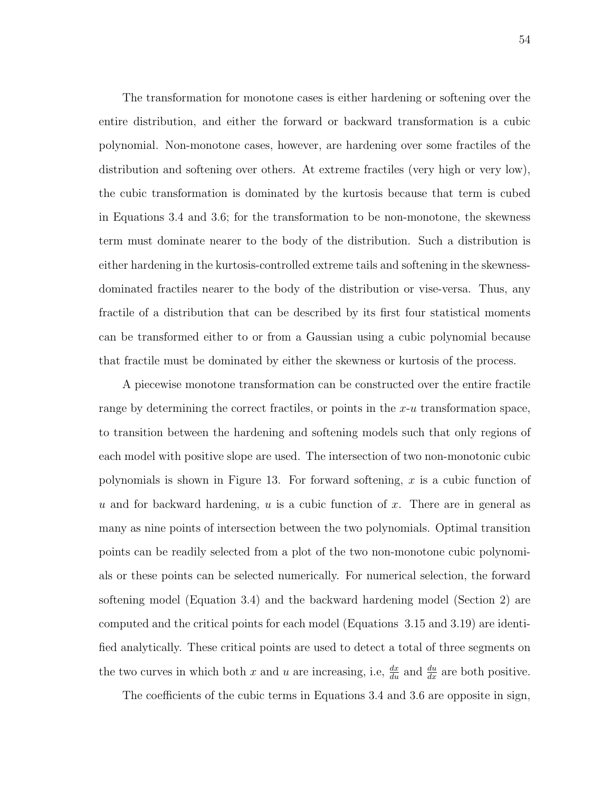The transformation for monotone cases is either hardening or softening over the entire distribution, and either the forward or backward transformation is a cubic polynomial. Non-monotone cases, however, are hardening over some fractiles of the distribution and softening over others. At extreme fractiles (very high or very low), the cubic transformation is dominated by the kurtosis because that term is cubed in Equations 3.4 and 3.6; for the transformation to be non-monotone, the skewness term must dominate nearer to the body of the distribution. Such a distribution is either hardening in the kurtosis-controlled extreme tails and softening in the skewnessdominated fractiles nearer to the body of the distribution or vise-versa. Thus, any fractile of a distribution that can be described by its first four statistical moments can be transformed either to or from a Gaussian using a cubic polynomial because that fractile must be dominated by either the skewness or kurtosis of the process.

A piecewise monotone transformation can be constructed over the entire fractile range by determining the correct fractiles, or points in the  $x$ -u transformation space, to transition between the hardening and softening models such that only regions of each model with positive slope are used. The intersection of two non-monotonic cubic polynomials is shown in Figure 13. For forward softening,  $x$  is a cubic function of u and for backward hardening,  $u$  is a cubic function of  $x$ . There are in general as many as nine points of intersection between the two polynomials. Optimal transition points can be readily selected from a plot of the two non-monotone cubic polynomials or these points can be selected numerically. For numerical selection, the forward softening model (Equation 3.4) and the backward hardening model (Section 2) are computed and the critical points for each model (Equations 3.15 and 3.19) are identified analytically. These critical points are used to detect a total of three segments on the two curves in which both x and u are increasing, i.e,  $\frac{dx}{du}$  and  $\frac{du}{dx}$  are both positive.

The coefficients of the cubic terms in Equations 3.4 and 3.6 are opposite in sign,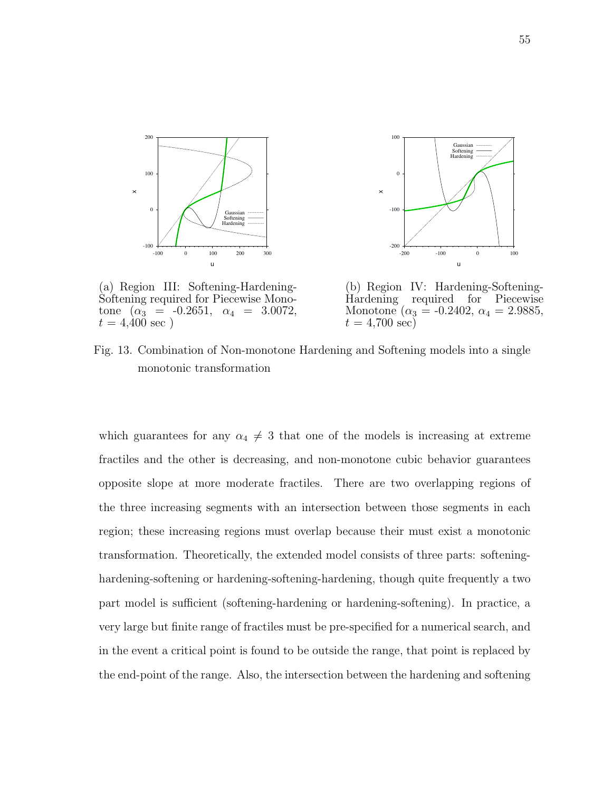



(a) Region III: Softening-Hardening-Softening required for Piecewise Monotone  $(\alpha_3 = -0.2651, \alpha_4 = 3.0072,$  $t = 4,400 \text{ sec}$ )

(b) Region IV: Hardening-Softening-Hardening required for Piecewise Monotone ( $\alpha_3 = -0.2402$ ,  $\alpha_4 = 2.9885$ ,  $t = 4,700 \text{ sec}$ 

Fig. 13. Combination of Non-monotone Hardening and Softening models into a single monotonic transformation

which guarantees for any  $\alpha_4 \neq 3$  that one of the models is increasing at extreme fractiles and the other is decreasing, and non-monotone cubic behavior guarantees opposite slope at more moderate fractiles. There are two overlapping regions of the three increasing segments with an intersection between those segments in each region; these increasing regions must overlap because their must exist a monotonic transformation. Theoretically, the extended model consists of three parts: softeninghardening-softening or hardening-softening-hardening, though quite frequently a two part model is sufficient (softening-hardening or hardening-softening). In practice, a very large but finite range of fractiles must be pre-specified for a numerical search, and in the event a critical point is found to be outside the range, that point is replaced by the end-point of the range. Also, the intersection between the hardening and softening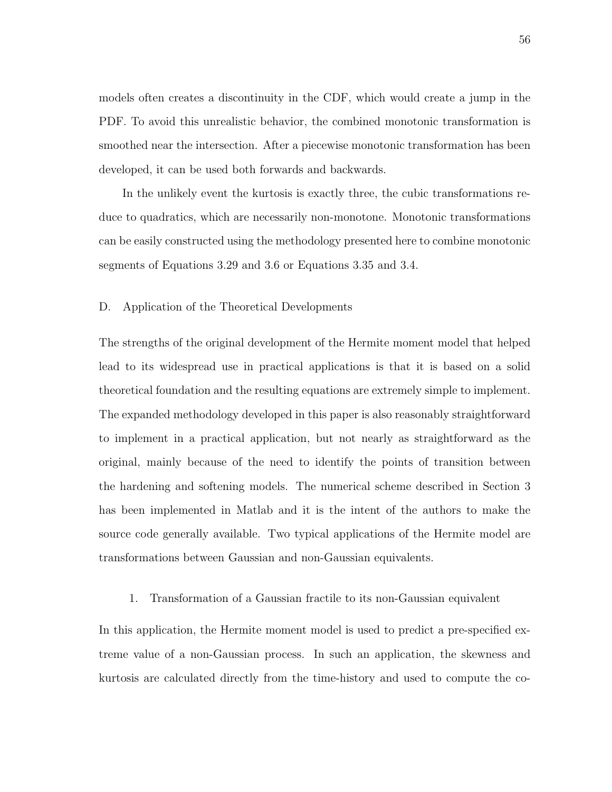models often creates a discontinuity in the CDF, which would create a jump in the PDF. To avoid this unrealistic behavior, the combined monotonic transformation is smoothed near the intersection. After a piecewise monotonic transformation has been developed, it can be used both forwards and backwards.

In the unlikely event the kurtosis is exactly three, the cubic transformations reduce to quadratics, which are necessarily non-monotone. Monotonic transformations can be easily constructed using the methodology presented here to combine monotonic segments of Equations 3.29 and 3.6 or Equations 3.35 and 3.4.

## D. Application of the Theoretical Developments

The strengths of the original development of the Hermite moment model that helped lead to its widespread use in practical applications is that it is based on a solid theoretical foundation and the resulting equations are extremely simple to implement. The expanded methodology developed in this paper is also reasonably straightforward to implement in a practical application, but not nearly as straightforward as the original, mainly because of the need to identify the points of transition between the hardening and softening models. The numerical scheme described in Section 3 has been implemented in Matlab and it is the intent of the authors to make the source code generally available. Two typical applications of the Hermite model are transformations between Gaussian and non-Gaussian equivalents.

## 1. Transformation of a Gaussian fractile to its non-Gaussian equivalent

In this application, the Hermite moment model is used to predict a pre-specified extreme value of a non-Gaussian process. In such an application, the skewness and kurtosis are calculated directly from the time-history and used to compute the co-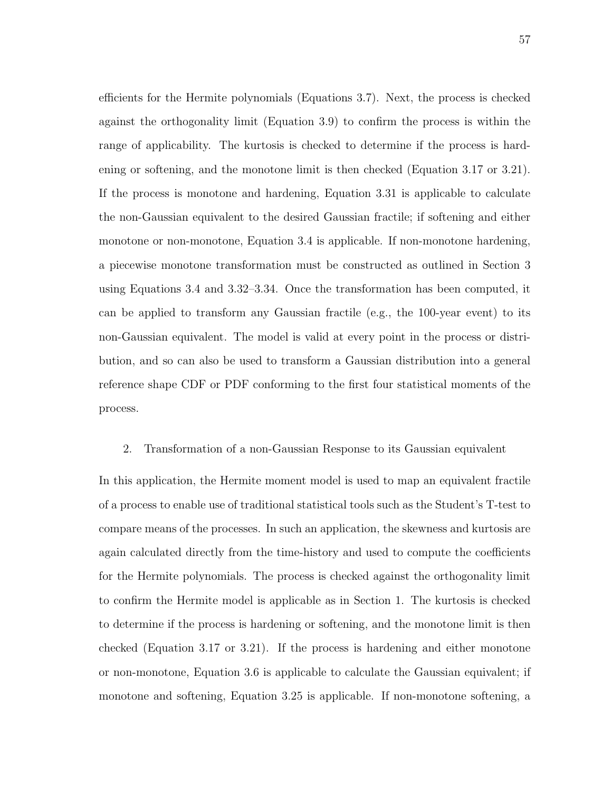efficients for the Hermite polynomials (Equations 3.7). Next, the process is checked against the orthogonality limit (Equation 3.9) to confirm the process is within the range of applicability. The kurtosis is checked to determine if the process is hardening or softening, and the monotone limit is then checked (Equation 3.17 or 3.21). If the process is monotone and hardening, Equation 3.31 is applicable to calculate the non-Gaussian equivalent to the desired Gaussian fractile; if softening and either monotone or non-monotone, Equation 3.4 is applicable. If non-monotone hardening, a piecewise monotone transformation must be constructed as outlined in Section 3 using Equations 3.4 and 3.32–3.34. Once the transformation has been computed, it can be applied to transform any Gaussian fractile (e.g., the 100-year event) to its non-Gaussian equivalent. The model is valid at every point in the process or distribution, and so can also be used to transform a Gaussian distribution into a general reference shape CDF or PDF conforming to the first four statistical moments of the process.

# 2. Transformation of a non-Gaussian Response to its Gaussian equivalent

In this application, the Hermite moment model is used to map an equivalent fractile of a process to enable use of traditional statistical tools such as the Student's T-test to compare means of the processes. In such an application, the skewness and kurtosis are again calculated directly from the time-history and used to compute the coefficients for the Hermite polynomials. The process is checked against the orthogonality limit to confirm the Hermite model is applicable as in Section 1. The kurtosis is checked to determine if the process is hardening or softening, and the monotone limit is then checked (Equation 3.17 or 3.21). If the process is hardening and either monotone or non-monotone, Equation 3.6 is applicable to calculate the Gaussian equivalent; if monotone and softening, Equation 3.25 is applicable. If non-monotone softening, a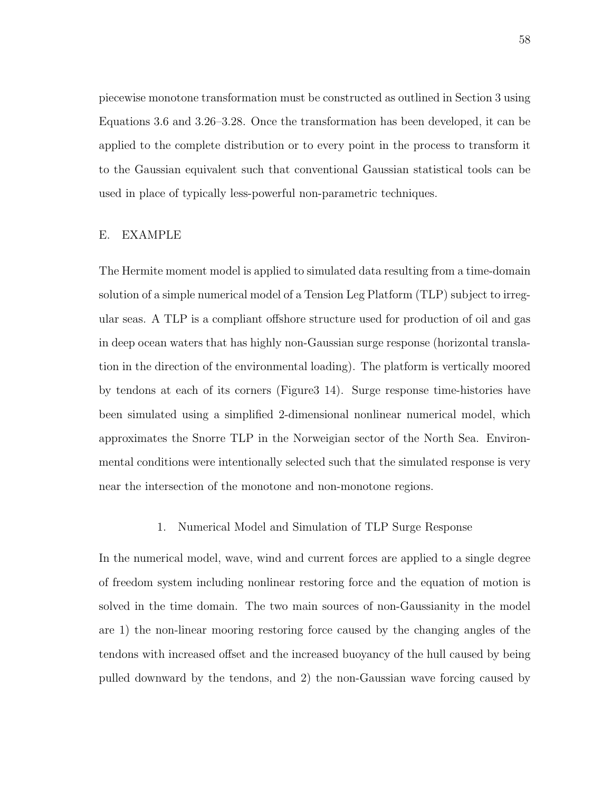piecewise monotone transformation must be constructed as outlined in Section 3 using Equations 3.6 and 3.26–3.28. Once the transformation has been developed, it can be applied to the complete distribution or to every point in the process to transform it to the Gaussian equivalent such that conventional Gaussian statistical tools can be used in place of typically less-powerful non-parametric techniques.

## E. EXAMPLE

The Hermite moment model is applied to simulated data resulting from a time-domain solution of a simple numerical model of a Tension Leg Platform (TLP) subject to irregular seas. A TLP is a compliant offshore structure used for production of oil and gas in deep ocean waters that has highly non-Gaussian surge response (horizontal translation in the direction of the environmental loading). The platform is vertically moored by tendons at each of its corners (Figure3 14). Surge response time-histories have been simulated using a simplified 2-dimensional nonlinear numerical model, which approximates the Snorre TLP in the Norweigian sector of the North Sea. Environmental conditions were intentionally selected such that the simulated response is very near the intersection of the monotone and non-monotone regions.

# 1. Numerical Model and Simulation of TLP Surge Response

In the numerical model, wave, wind and current forces are applied to a single degree of freedom system including nonlinear restoring force and the equation of motion is solved in the time domain. The two main sources of non-Gaussianity in the model are 1) the non-linear mooring restoring force caused by the changing angles of the tendons with increased offset and the increased buoyancy of the hull caused by being pulled downward by the tendons, and 2) the non-Gaussian wave forcing caused by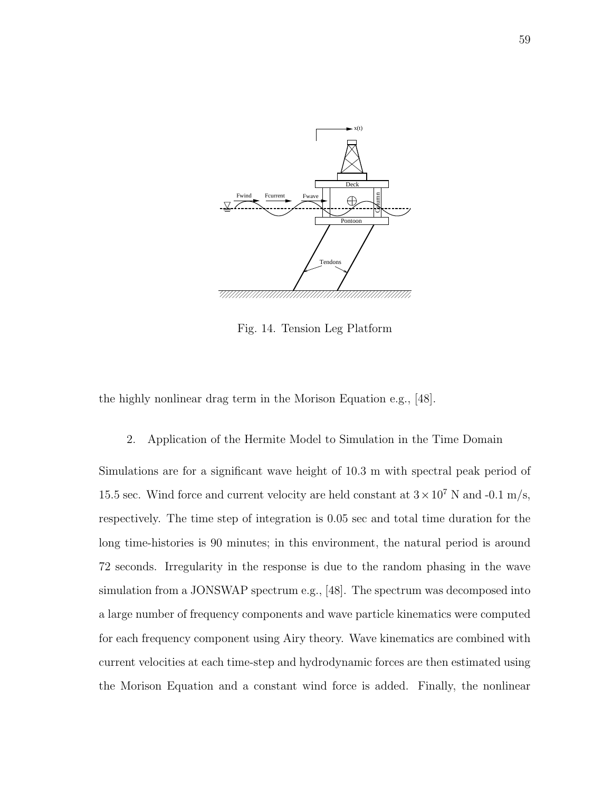

Fig. 14. Tension Leg Platform

the highly nonlinear drag term in the Morison Equation e.g., [48].

2. Application of the Hermite Model to Simulation in the Time Domain

Simulations are for a significant wave height of 10.3 m with spectral peak period of 15.5 sec. Wind force and current velocity are held constant at  $3 \times 10^7$  N and -0.1 m/s, respectively. The time step of integration is 0.05 sec and total time duration for the long time-histories is 90 minutes; in this environment, the natural period is around 72 seconds. Irregularity in the response is due to the random phasing in the wave simulation from a JONSWAP spectrum e.g., [48]. The spectrum was decomposed into a large number of frequency components and wave particle kinematics were computed for each frequency component using Airy theory. Wave kinematics are combined with current velocities at each time-step and hydrodynamic forces are then estimated using the Morison Equation and a constant wind force is added. Finally, the nonlinear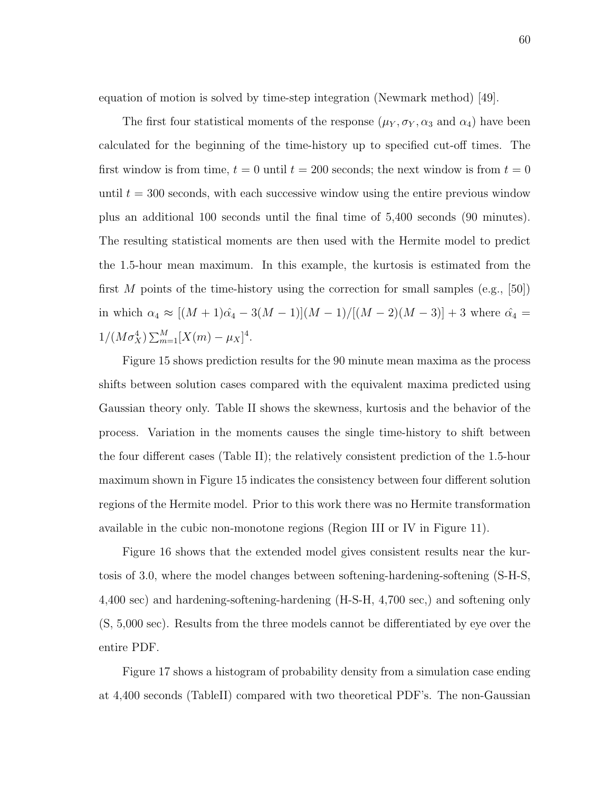equation of motion is solved by time-step integration (Newmark method) [49].

The first four statistical moments of the response  $(\mu_Y, \sigma_Y, \alpha_3 \text{ and } \alpha_4)$  have been calculated for the beginning of the time-history up to specified cut-off times. The first window is from time,  $t = 0$  until  $t = 200$  seconds; the next window is from  $t = 0$ until  $t = 300$  seconds, with each successive window using the entire previous window plus an additional 100 seconds until the final time of 5,400 seconds (90 minutes). The resulting statistical moments are then used with the Hermite model to predict the 1.5-hour mean maximum. In this example, the kurtosis is estimated from the first M points of the time-history using the correction for small samples (e.g., [50]) in which  $\alpha_4 \approx [(M + 1)\hat{\alpha_4} - 3(M - 1)](M - 1)/[(M - 2)(M - 3)] + 3$  where  $\hat{\alpha_4} =$  $1/(M\sigma_X^4) \sum_{m=1}^M [X(m) - \mu_X]^4.$ 

Figure 15 shows prediction results for the 90 minute mean maxima as the process shifts between solution cases compared with the equivalent maxima predicted using Gaussian theory only. Table II shows the skewness, kurtosis and the behavior of the process. Variation in the moments causes the single time-history to shift between the four different cases (Table II); the relatively consistent prediction of the 1.5-hour maximum shown in Figure 15 indicates the consistency between four different solution regions of the Hermite model. Prior to this work there was no Hermite transformation available in the cubic non-monotone regions (Region III or IV in Figure 11).

Figure 16 shows that the extended model gives consistent results near the kurtosis of 3.0, where the model changes between softening-hardening-softening (S-H-S, 4,400 sec) and hardening-softening-hardening (H-S-H, 4,700 sec,) and softening only (S, 5,000 sec). Results from the three models cannot be differentiated by eye over the entire PDF.

Figure 17 shows a histogram of probability density from a simulation case ending at 4,400 seconds (TableII) compared with two theoretical PDF's. The non-Gaussian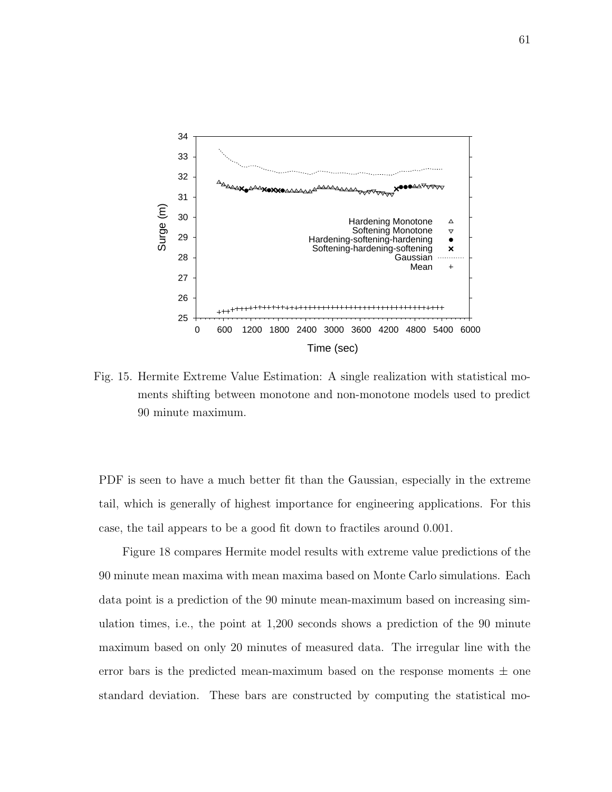

Fig. 15. Hermite Extreme Value Estimation: A single realization with statistical moments shifting between monotone and non-monotone models used to predict 90 minute maximum.

PDF is seen to have a much better fit than the Gaussian, especially in the extreme tail, which is generally of highest importance for engineering applications. For this case, the tail appears to be a good fit down to fractiles around 0.001.

Figure 18 compares Hermite model results with extreme value predictions of the 90 minute mean maxima with mean maxima based on Monte Carlo simulations. Each data point is a prediction of the 90 minute mean-maximum based on increasing simulation times, i.e., the point at 1,200 seconds shows a prediction of the 90 minute maximum based on only 20 minutes of measured data. The irregular line with the error bars is the predicted mean-maximum based on the response moments  $\pm$  one standard deviation. These bars are constructed by computing the statistical mo-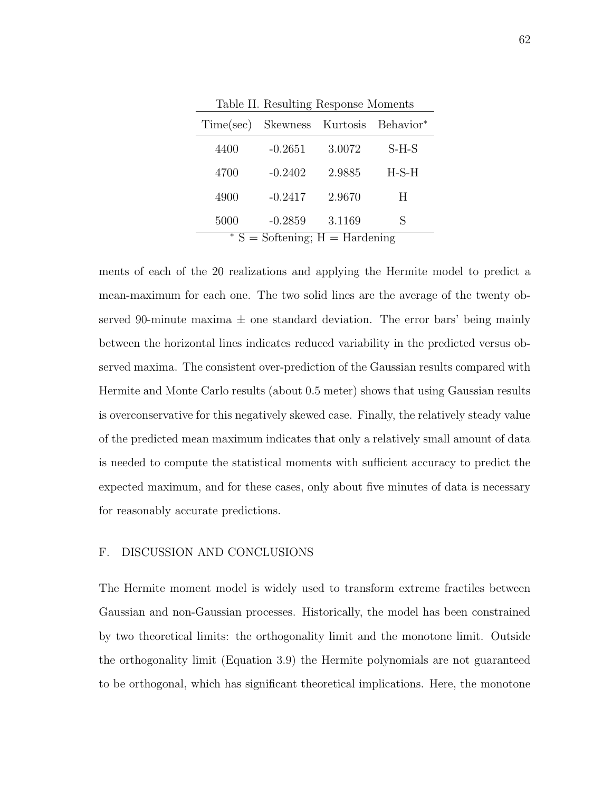| Time(sec)                                 | Skewness Kurtosis |        | Behavior* |  |  |
|-------------------------------------------|-------------------|--------|-----------|--|--|
| 4400                                      | $-0.2651$         | 3.0072 | $S-H-S$   |  |  |
| 4700                                      | $-0.2402$         | 2.9885 | $H-S-H$   |  |  |
| 4900                                      | $-0.2417$         | 2.9670 | Н         |  |  |
| 5000                                      | $-0.2859$         | 3.1169 | S         |  |  |
| $\overline{S}$ = Softening; H = Hardening |                   |        |           |  |  |

Table II. Resulting Response Moments

ments of each of the 20 realizations and applying the Hermite model to predict a mean-maximum for each one. The two solid lines are the average of the twenty observed 90-minute maxima  $\pm$  one standard deviation. The error bars' being mainly between the horizontal lines indicates reduced variability in the predicted versus observed maxima. The consistent over-prediction of the Gaussian results compared with Hermite and Monte Carlo results (about 0.5 meter) shows that using Gaussian results is overconservative for this negatively skewed case. Finally, the relatively steady value of the predicted mean maximum indicates that only a relatively small amount of data is needed to compute the statistical moments with sufficient accuracy to predict the expected maximum, and for these cases, only about five minutes of data is necessary for reasonably accurate predictions.

# F. DISCUSSION AND CONCLUSIONS

The Hermite moment model is widely used to transform extreme fractiles between Gaussian and non-Gaussian processes. Historically, the model has been constrained by two theoretical limits: the orthogonality limit and the monotone limit. Outside the orthogonality limit (Equation 3.9) the Hermite polynomials are not guaranteed to be orthogonal, which has significant theoretical implications. Here, the monotone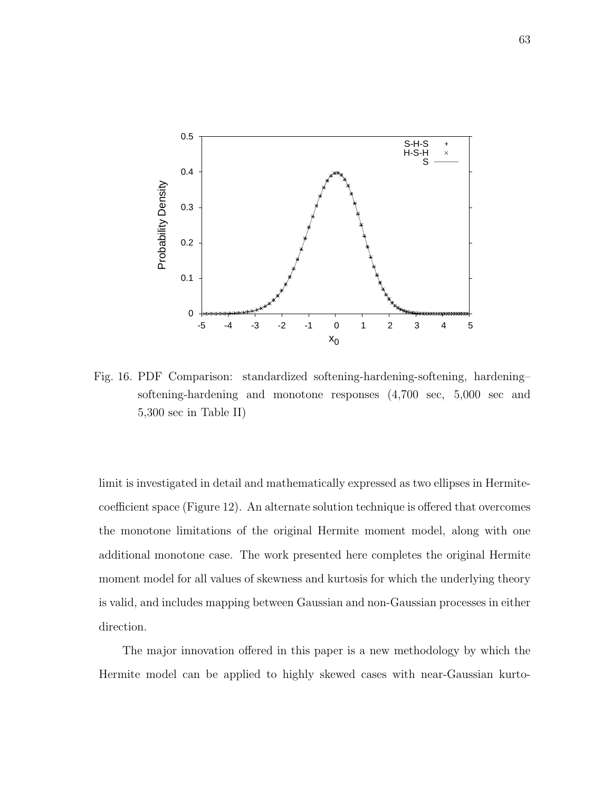

Fig. 16. PDF Comparison: standardized softening-hardening-softening, hardening– softening-hardening and monotone responses (4,700 sec, 5,000 sec and 5,300 sec in Table II)

limit is investigated in detail and mathematically expressed as two ellipses in Hermitecoefficient space (Figure 12). An alternate solution technique is offered that overcomes the monotone limitations of the original Hermite moment model, along with one additional monotone case. The work presented here completes the original Hermite moment model for all values of skewness and kurtosis for which the underlying theory is valid, and includes mapping between Gaussian and non-Gaussian processes in either direction.

The major innovation offered in this paper is a new methodology by which the Hermite model can be applied to highly skewed cases with near-Gaussian kurto-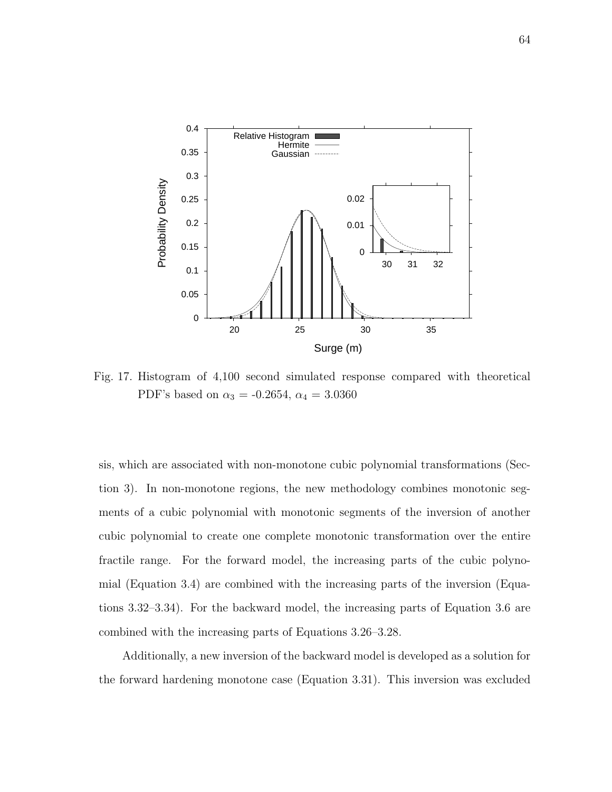

Fig. 17. Histogram of 4,100 second simulated response compared with theoretical PDF's based on  $\alpha_3 = -0.2654$ ,  $\alpha_4 = 3.0360$ 

sis, which are associated with non-monotone cubic polynomial transformations (Section 3). In non-monotone regions, the new methodology combines monotonic segments of a cubic polynomial with monotonic segments of the inversion of another cubic polynomial to create one complete monotonic transformation over the entire fractile range. For the forward model, the increasing parts of the cubic polynomial (Equation 3.4) are combined with the increasing parts of the inversion (Equations 3.32–3.34). For the backward model, the increasing parts of Equation 3.6 are combined with the increasing parts of Equations 3.26–3.28.

Additionally, a new inversion of the backward model is developed as a solution for the forward hardening monotone case (Equation 3.31). This inversion was excluded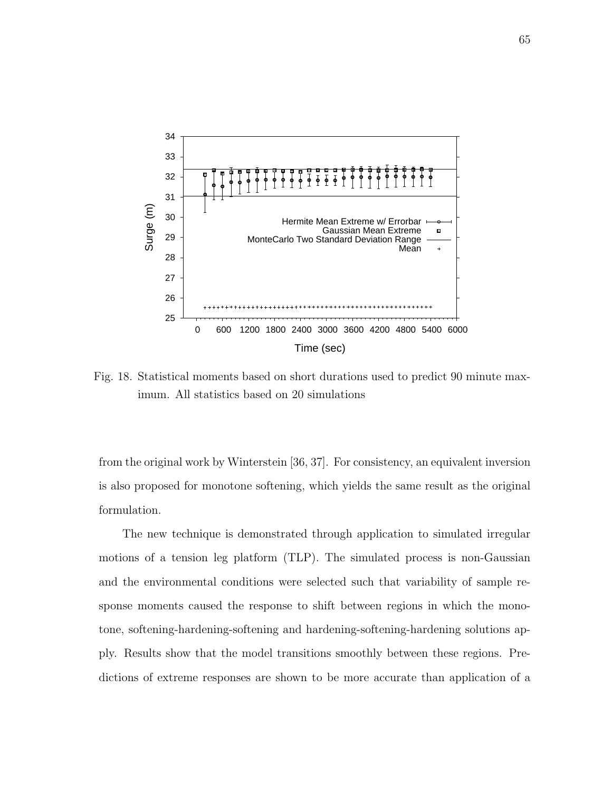

Fig. 18. Statistical moments based on short durations used to predict 90 minute maximum. All statistics based on 20 simulations

from the original work by Winterstein [36, 37]. For consistency, an equivalent inversion is also proposed for monotone softening, which yields the same result as the original formulation.

The new technique is demonstrated through application to simulated irregular motions of a tension leg platform (TLP). The simulated process is non-Gaussian and the environmental conditions were selected such that variability of sample response moments caused the response to shift between regions in which the monotone, softening-hardening-softening and hardening-softening-hardening solutions apply. Results show that the model transitions smoothly between these regions. Predictions of extreme responses are shown to be more accurate than application of a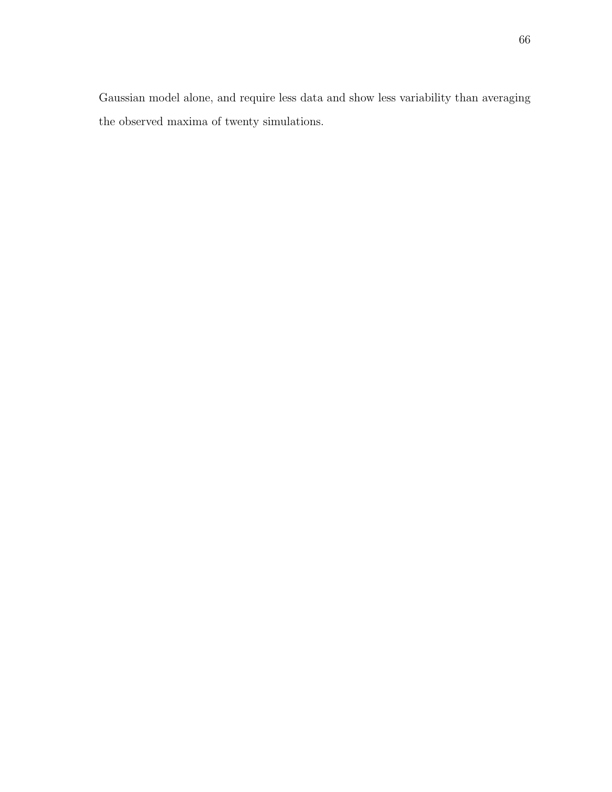Gaussian model alone, and require less data and show less variability than averaging the observed maxima of twenty simulations.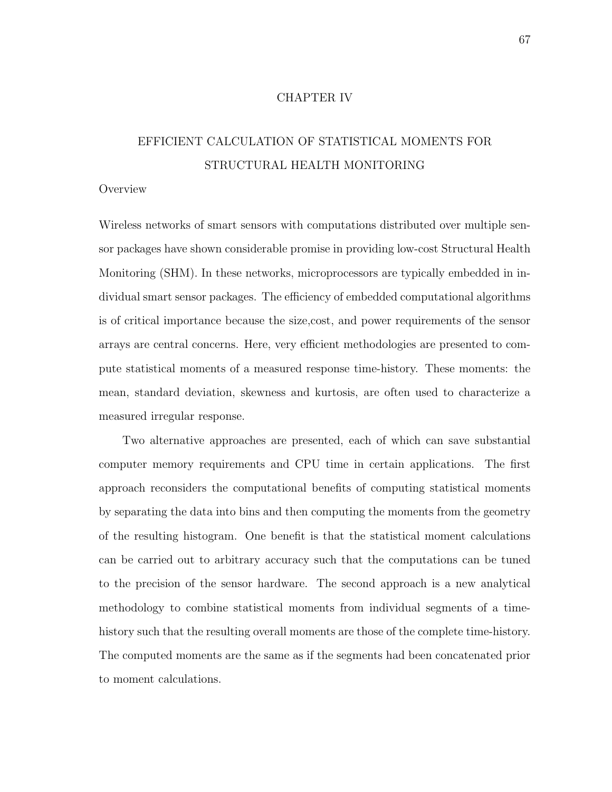# CHAPTER IV

# EFFICIENT CALCULATION OF STATISTICAL MOMENTS FOR STRUCTURAL HEALTH MONITORING

## **Overview**

Wireless networks of smart sensors with computations distributed over multiple sensor packages have shown considerable promise in providing low-cost Structural Health Monitoring (SHM). In these networks, microprocessors are typically embedded in individual smart sensor packages. The efficiency of embedded computational algorithms is of critical importance because the size,cost, and power requirements of the sensor arrays are central concerns. Here, very efficient methodologies are presented to compute statistical moments of a measured response time-history. These moments: the mean, standard deviation, skewness and kurtosis, are often used to characterize a measured irregular response.

Two alternative approaches are presented, each of which can save substantial computer memory requirements and CPU time in certain applications. The first approach reconsiders the computational benefits of computing statistical moments by separating the data into bins and then computing the moments from the geometry of the resulting histogram. One benefit is that the statistical moment calculations can be carried out to arbitrary accuracy such that the computations can be tuned to the precision of the sensor hardware. The second approach is a new analytical methodology to combine statistical moments from individual segments of a timehistory such that the resulting overall moments are those of the complete time-history. The computed moments are the same as if the segments had been concatenated prior to moment calculations.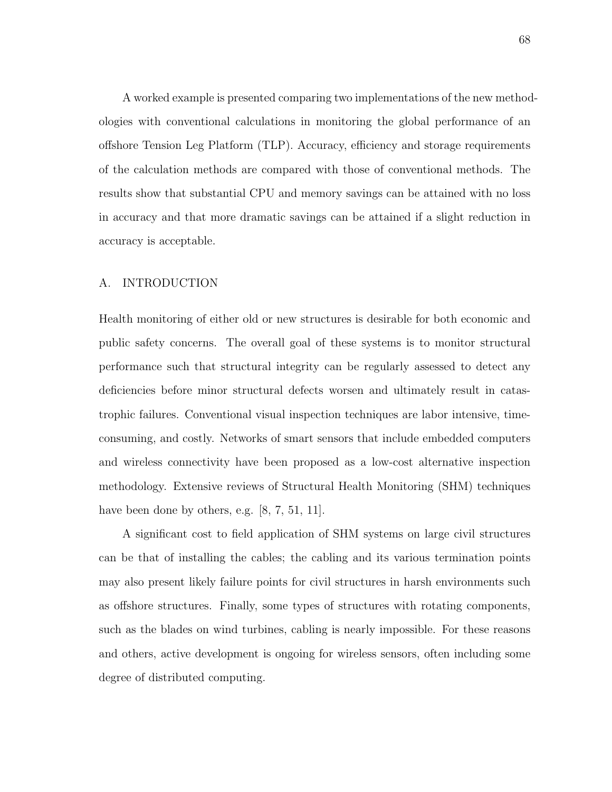A worked example is presented comparing two implementations of the new methodologies with conventional calculations in monitoring the global performance of an offshore Tension Leg Platform (TLP). Accuracy, efficiency and storage requirements of the calculation methods are compared with those of conventional methods. The results show that substantial CPU and memory savings can be attained with no loss in accuracy and that more dramatic savings can be attained if a slight reduction in accuracy is acceptable.

# A. INTRODUCTION

Health monitoring of either old or new structures is desirable for both economic and public safety concerns. The overall goal of these systems is to monitor structural performance such that structural integrity can be regularly assessed to detect any deficiencies before minor structural defects worsen and ultimately result in catastrophic failures. Conventional visual inspection techniques are labor intensive, timeconsuming, and costly. Networks of smart sensors that include embedded computers and wireless connectivity have been proposed as a low-cost alternative inspection methodology. Extensive reviews of Structural Health Monitoring (SHM) techniques have been done by others, e.g. [8, 7, 51, 11].

A significant cost to field application of SHM systems on large civil structures can be that of installing the cables; the cabling and its various termination points may also present likely failure points for civil structures in harsh environments such as offshore structures. Finally, some types of structures with rotating components, such as the blades on wind turbines, cabling is nearly impossible. For these reasons and others, active development is ongoing for wireless sensors, often including some degree of distributed computing.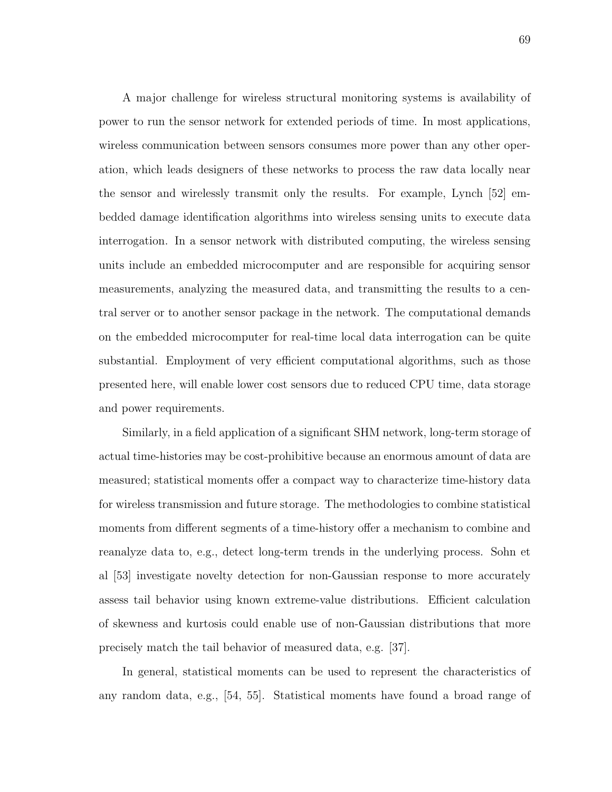A major challenge for wireless structural monitoring systems is availability of power to run the sensor network for extended periods of time. In most applications, wireless communication between sensors consumes more power than any other operation, which leads designers of these networks to process the raw data locally near the sensor and wirelessly transmit only the results. For example, Lynch [52] embedded damage identification algorithms into wireless sensing units to execute data interrogation. In a sensor network with distributed computing, the wireless sensing units include an embedded microcomputer and are responsible for acquiring sensor measurements, analyzing the measured data, and transmitting the results to a central server or to another sensor package in the network. The computational demands on the embedded microcomputer for real-time local data interrogation can be quite substantial. Employment of very efficient computational algorithms, such as those presented here, will enable lower cost sensors due to reduced CPU time, data storage and power requirements.

Similarly, in a field application of a significant SHM network, long-term storage of actual time-histories may be cost-prohibitive because an enormous amount of data are measured; statistical moments offer a compact way to characterize time-history data for wireless transmission and future storage. The methodologies to combine statistical moments from different segments of a time-history offer a mechanism to combine and reanalyze data to, e.g., detect long-term trends in the underlying process. Sohn et al [53] investigate novelty detection for non-Gaussian response to more accurately assess tail behavior using known extreme-value distributions. Efficient calculation of skewness and kurtosis could enable use of non-Gaussian distributions that more precisely match the tail behavior of measured data, e.g. [37].

In general, statistical moments can be used to represent the characteristics of any random data, e.g., [54, 55]. Statistical moments have found a broad range of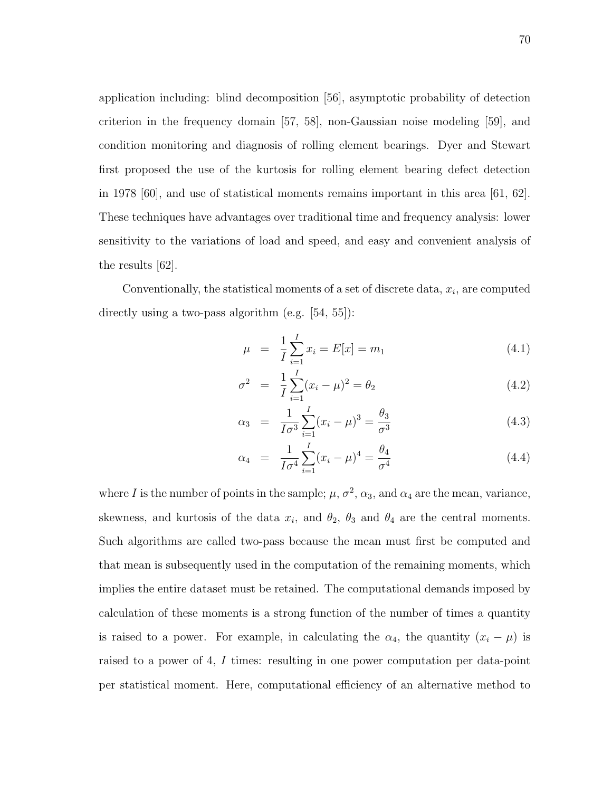application including: blind decomposition [56], asymptotic probability of detection criterion in the frequency domain [57, 58], non-Gaussian noise modeling [59], and condition monitoring and diagnosis of rolling element bearings. Dyer and Stewart first proposed the use of the kurtosis for rolling element bearing defect detection in 1978 [60], and use of statistical moments remains important in this area [61, 62]. These techniques have advantages over traditional time and frequency analysis: lower sensitivity to the variations of load and speed, and easy and convenient analysis of the results [62].

Conventionally, the statistical moments of a set of discrete data,  $x_i$ , are computed directly using a two-pass algorithm (e.g. [54, 55]):

$$
\mu = \frac{1}{I} \sum_{i=1}^{I} x_i = E[x] = m_1 \tag{4.1}
$$

$$
\sigma^2 = \frac{1}{I} \sum_{i=1}^{I} (x_i - \mu)^2 = \theta_2 \tag{4.2}
$$

$$
\alpha_3 = \frac{1}{I\sigma^3} \sum_{i=1}^{I} (x_i - \mu)^3 = \frac{\theta_3}{\sigma^3}
$$
\n(4.3)

$$
\alpha_4 = \frac{1}{I\sigma^4} \sum_{i=1}^{I} (x_i - \mu)^4 = \frac{\theta_4}{\sigma^4}
$$
\n(4.4)

where I is the number of points in the sample;  $\mu$ ,  $\sigma^2$ ,  $\alpha_3$ , and  $\alpha_4$  are the mean, variance, skewness, and kurtosis of the data  $x_i$ , and  $\theta_2$ ,  $\theta_3$  and  $\theta_4$  are the central moments. Such algorithms are called two-pass because the mean must first be computed and that mean is subsequently used in the computation of the remaining moments, which implies the entire dataset must be retained. The computational demands imposed by calculation of these moments is a strong function of the number of times a quantity is raised to a power. For example, in calculating the  $\alpha_4$ , the quantity  $(x_i - \mu)$  is raised to a power of 4, I times: resulting in one power computation per data-point per statistical moment. Here, computational efficiency of an alternative method to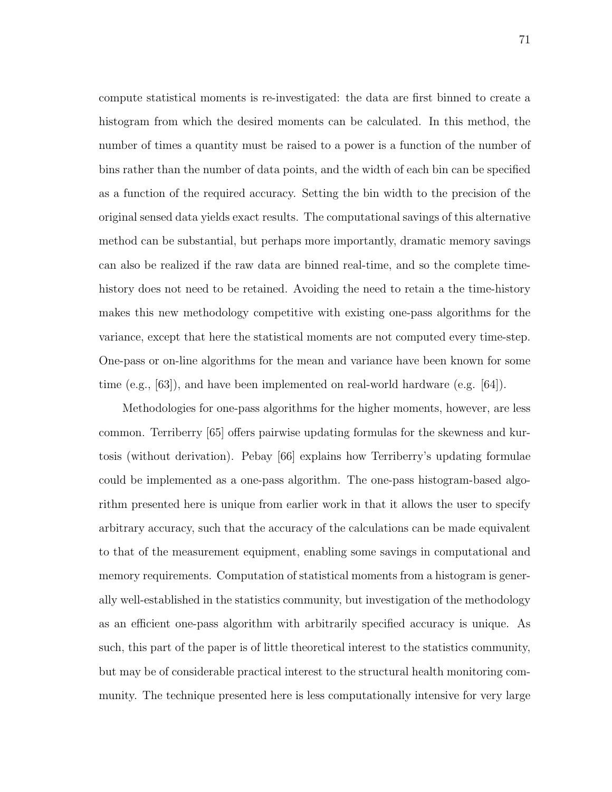compute statistical moments is re-investigated: the data are first binned to create a histogram from which the desired moments can be calculated. In this method, the number of times a quantity must be raised to a power is a function of the number of bins rather than the number of data points, and the width of each bin can be specified as a function of the required accuracy. Setting the bin width to the precision of the original sensed data yields exact results. The computational savings of this alternative method can be substantial, but perhaps more importantly, dramatic memory savings can also be realized if the raw data are binned real-time, and so the complete timehistory does not need to be retained. Avoiding the need to retain a the time-history makes this new methodology competitive with existing one-pass algorithms for the variance, except that here the statistical moments are not computed every time-step. One-pass or on-line algorithms for the mean and variance have been known for some time (e.g.,  $[63]$ ), and have been implemented on real-world hardware (e.g.  $[64]$ ).

Methodologies for one-pass algorithms for the higher moments, however, are less common. Terriberry [65] offers pairwise updating formulas for the skewness and kurtosis (without derivation). Pebay [66] explains how Terriberry's updating formulae could be implemented as a one-pass algorithm. The one-pass histogram-based algorithm presented here is unique from earlier work in that it allows the user to specify arbitrary accuracy, such that the accuracy of the calculations can be made equivalent to that of the measurement equipment, enabling some savings in computational and memory requirements. Computation of statistical moments from a histogram is generally well-established in the statistics community, but investigation of the methodology as an efficient one-pass algorithm with arbitrarily specified accuracy is unique. As such, this part of the paper is of little theoretical interest to the statistics community, but may be of considerable practical interest to the structural health monitoring community. The technique presented here is less computationally intensive for very large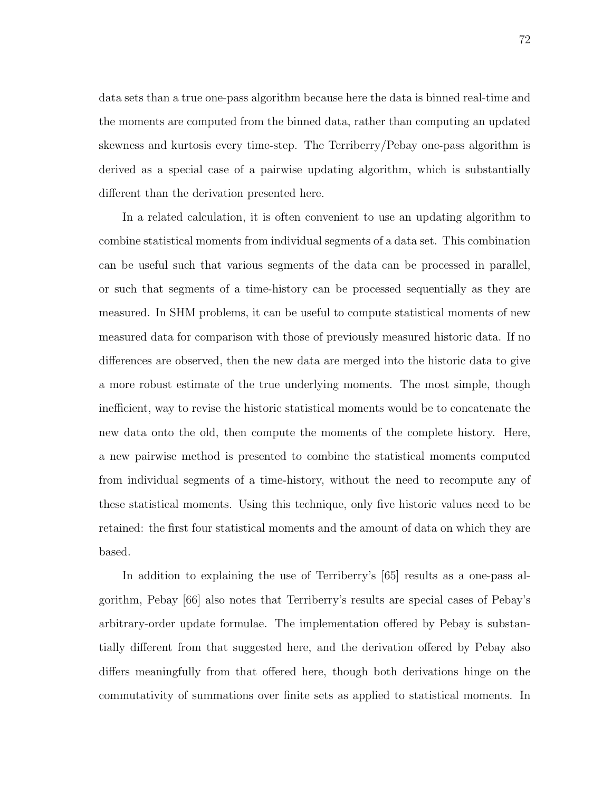data sets than a true one-pass algorithm because here the data is binned real-time and the moments are computed from the binned data, rather than computing an updated skewness and kurtosis every time-step. The Terriberry/Pebay one-pass algorithm is derived as a special case of a pairwise updating algorithm, which is substantially different than the derivation presented here.

In a related calculation, it is often convenient to use an updating algorithm to combine statistical moments from individual segments of a data set. This combination can be useful such that various segments of the data can be processed in parallel, or such that segments of a time-history can be processed sequentially as they are measured. In SHM problems, it can be useful to compute statistical moments of new measured data for comparison with those of previously measured historic data. If no differences are observed, then the new data are merged into the historic data to give a more robust estimate of the true underlying moments. The most simple, though inefficient, way to revise the historic statistical moments would be to concatenate the new data onto the old, then compute the moments of the complete history. Here, a new pairwise method is presented to combine the statistical moments computed from individual segments of a time-history, without the need to recompute any of these statistical moments. Using this technique, only five historic values need to be retained: the first four statistical moments and the amount of data on which they are based.

In addition to explaining the use of Terriberry's [65] results as a one-pass algorithm, Pebay [66] also notes that Terriberry's results are special cases of Pebay's arbitrary-order update formulae. The implementation offered by Pebay is substantially different from that suggested here, and the derivation offered by Pebay also differs meaningfully from that offered here, though both derivations hinge on the commutativity of summations over finite sets as applied to statistical moments. In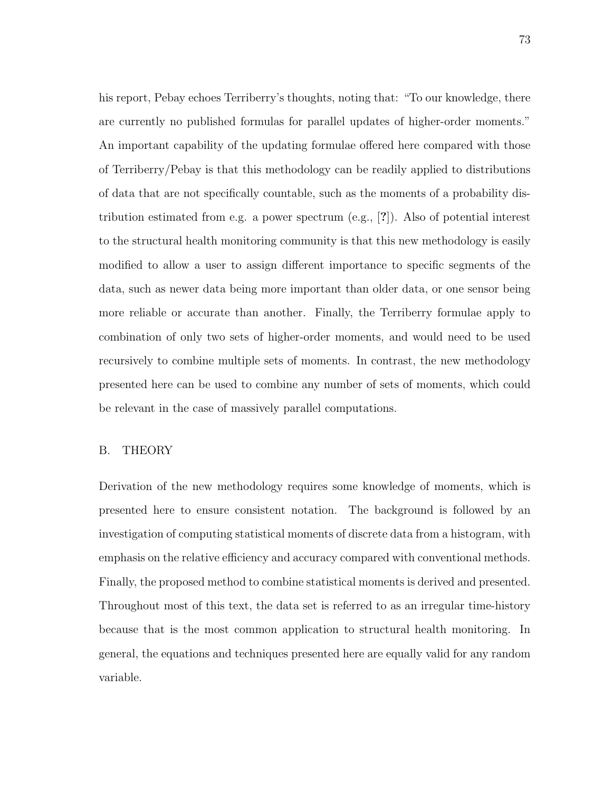his report, Pebay echoes Terriberry's thoughts, noting that: "To our knowledge, there are currently no published formulas for parallel updates of higher-order moments." An important capability of the updating formulae offered here compared with those of Terriberry/Pebay is that this methodology can be readily applied to distributions of data that are not specifically countable, such as the moments of a probability distribution estimated from e.g. a power spectrum (e.g., [?]). Also of potential interest to the structural health monitoring community is that this new methodology is easily modified to allow a user to assign different importance to specific segments of the data, such as newer data being more important than older data, or one sensor being more reliable or accurate than another. Finally, the Terriberry formulae apply to combination of only two sets of higher-order moments, and would need to be used recursively to combine multiple sets of moments. In contrast, the new methodology presented here can be used to combine any number of sets of moments, which could be relevant in the case of massively parallel computations.

# B. THEORY

Derivation of the new methodology requires some knowledge of moments, which is presented here to ensure consistent notation. The background is followed by an investigation of computing statistical moments of discrete data from a histogram, with emphasis on the relative efficiency and accuracy compared with conventional methods. Finally, the proposed method to combine statistical moments is derived and presented. Throughout most of this text, the data set is referred to as an irregular time-history because that is the most common application to structural health monitoring. In general, the equations and techniques presented here are equally valid for any random variable.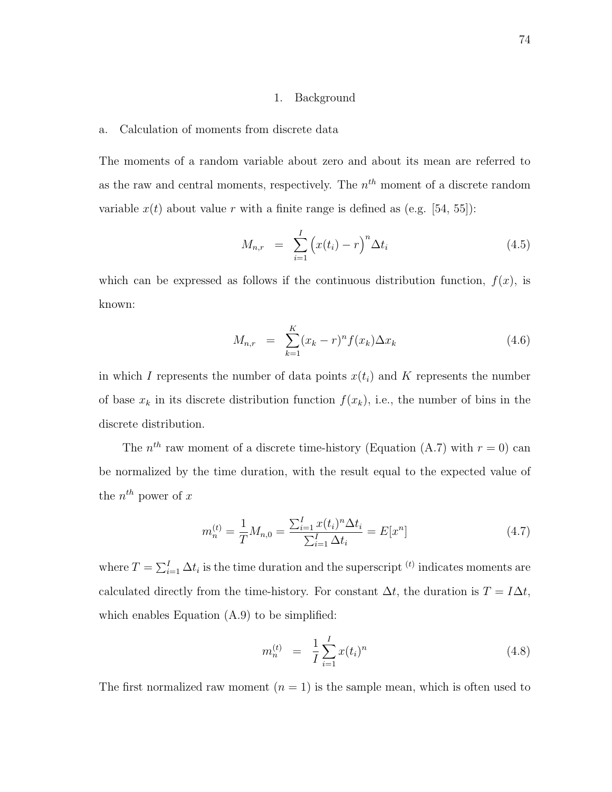## 1. Background

#### a. Calculation of moments from discrete data

The moments of a random variable about zero and about its mean are referred to as the raw and central moments, respectively. The  $n<sup>th</sup>$  moment of a discrete random variable  $x(t)$  about value r with a finite range is defined as (e.g. [54, 55]):

$$
M_{n,r} = \sum_{i=1}^{I} (x(t_i) - r)^n \Delta t_i
$$
 (4.5)

which can be expressed as follows if the continuous distribution function,  $f(x)$ , is known:

$$
M_{n,r} = \sum_{k=1}^{K} (x_k - r)^n f(x_k) \Delta x_k
$$
 (4.6)

in which I represents the number of data points  $x(t_i)$  and K represents the number of base  $x_k$  in its discrete distribution function  $f(x_k)$ , i.e., the number of bins in the discrete distribution.

The  $n^{th}$  raw moment of a discrete time-history (Equation (A.7) with  $r = 0$ ) can be normalized by the time duration, with the result equal to the expected value of the  $n^{th}$  power of x

$$
m_n^{(t)} = \frac{1}{T} M_{n,0} = \frac{\sum_{i=1}^I x(t_i)^n \Delta t_i}{\sum_{i=1}^I \Delta t_i} = E[x^n]
$$
\n(4.7)

where  $T = \sum_{i=1}^{I} \Delta t_i$  is the time duration and the superscript  $^{(t)}$  indicates moments are calculated directly from the time-history. For constant  $\Delta t$ , the duration is  $T = I \Delta t$ , which enables Equation  $(A.9)$  to be simplified:

$$
m_n^{(t)} = \frac{1}{I} \sum_{i=1}^{I} x(t_i)^n
$$
\n(4.8)

The first normalized raw moment  $(n = 1)$  is the sample mean, which is often used to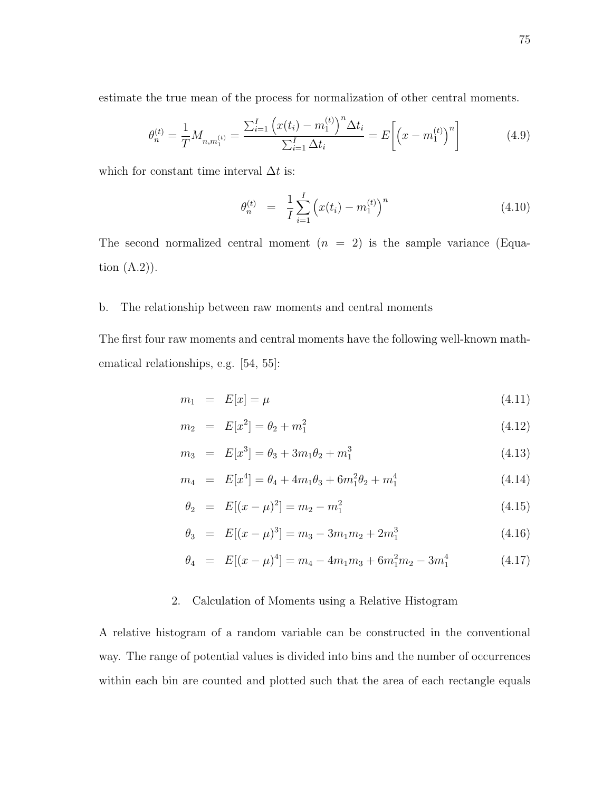estimate the true mean of the process for normalization of other central moments.

$$
\theta_n^{(t)} = \frac{1}{T} M_{n,m_1^{(t)}} = \frac{\sum_{i=1}^I \left( x(t_i) - m_1^{(t)} \right)^n \Delta t_i}{\sum_{i=1}^I \Delta t_i} = E \left[ \left( x - m_1^{(t)} \right)^n \right]
$$
(4.9)

which for constant time interval  $\Delta t$  is:

$$
\theta_n^{(t)} = \frac{1}{I} \sum_{i=1}^{I} \left( x(t_i) - m_1^{(t)} \right)^n \tag{4.10}
$$

The second normalized central moment  $(n = 2)$  is the sample variance (Equation  $(A.2)$ ).

# b. The relationship between raw moments and central moments

The first four raw moments and central moments have the following well-known mathematical relationships, e.g. [54, 55]:

$$
m_1 = E[x] = \mu \tag{4.11}
$$

$$
m_2 = E[x^2] = \theta_2 + m_1^2 \tag{4.12}
$$

$$
m_3 = E[x^3] = \theta_3 + 3m_1\theta_2 + m_1^3 \tag{4.13}
$$

$$
m_4 = E[x^4] = \theta_4 + 4m_1\theta_3 + 6m_1^2\theta_2 + m_1^4 \tag{4.14}
$$

$$
\theta_2 = E[(x - \mu)^2] = m_2 - m_1^2 \tag{4.15}
$$

$$
\theta_3 = E[(x - \mu)^3] = m_3 - 3m_1m_2 + 2m_1^3 \tag{4.16}
$$

$$
\theta_4 = E[(x - \mu)^4] = m_4 - 4m_1m_3 + 6m_1^2m_2 - 3m_1^4 \tag{4.17}
$$

# 2. Calculation of Moments using a Relative Histogram

A relative histogram of a random variable can be constructed in the conventional way. The range of potential values is divided into bins and the number of occurrences within each bin are counted and plotted such that the area of each rectangle equals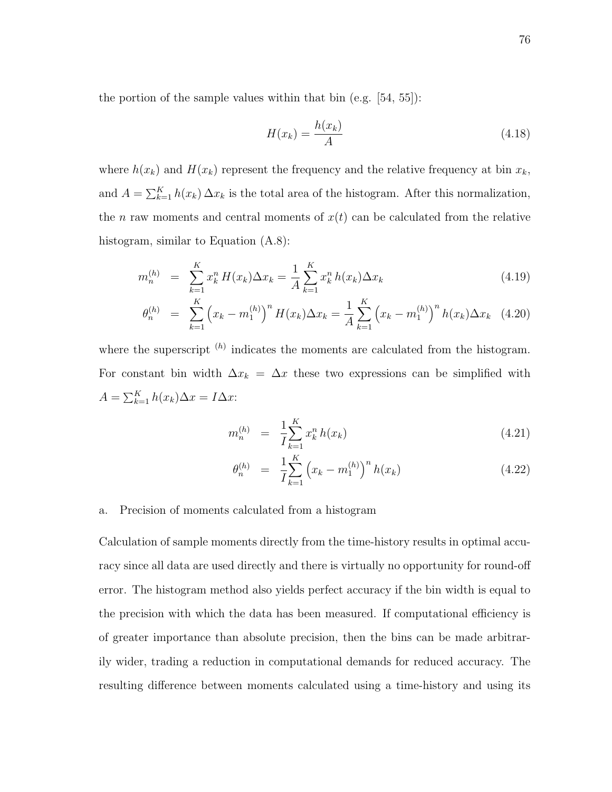the portion of the sample values within that bin (e.g. [54, 55]):

$$
H(x_k) = \frac{h(x_k)}{A} \tag{4.18}
$$

where  $h(x_k)$  and  $H(x_k)$  represent the frequency and the relative frequency at bin  $x_k$ , and  $A = \sum_{k=1}^{K} h(x_k) \Delta x_k$  is the total area of the histogram. After this normalization, the *n* raw moments and central moments of  $x(t)$  can be calculated from the relative histogram, similar to Equation (A.8):

$$
m_n^{(h)} = \sum_{k=1}^K x_k^n H(x_k) \Delta x_k = \frac{1}{A} \sum_{k=1}^K x_k^n h(x_k) \Delta x_k
$$
\n(4.19)

$$
\theta_n^{(h)} = \sum_{k=1}^K \left( x_k - m_1^{(h)} \right)^n H(x_k) \Delta x_k = \frac{1}{A} \sum_{k=1}^K \left( x_k - m_1^{(h)} \right)^n h(x_k) \Delta x_k \quad (4.20)
$$

where the superscript  $(h)$  indicates the moments are calculated from the histogram. For constant bin width  $\Delta x_k = \Delta x$  these two expressions can be simplified with  $A = \sum_{k=1}^{K} h(x_k) \Delta x = I \Delta x$ :

$$
m_n^{(h)} = \frac{1}{I} \sum_{k=1}^{K} x_k^n h(x_k)
$$
\n(4.21)

$$
\theta_n^{(h)} = \frac{1}{I} \sum_{k=1}^K \left( x_k - m_1^{(h)} \right)^n h(x_k) \tag{4.22}
$$

#### a. Precision of moments calculated from a histogram

Calculation of sample moments directly from the time-history results in optimal accuracy since all data are used directly and there is virtually no opportunity for round-off error. The histogram method also yields perfect accuracy if the bin width is equal to the precision with which the data has been measured. If computational efficiency is of greater importance than absolute precision, then the bins can be made arbitrarily wider, trading a reduction in computational demands for reduced accuracy. The resulting difference between moments calculated using a time-history and using its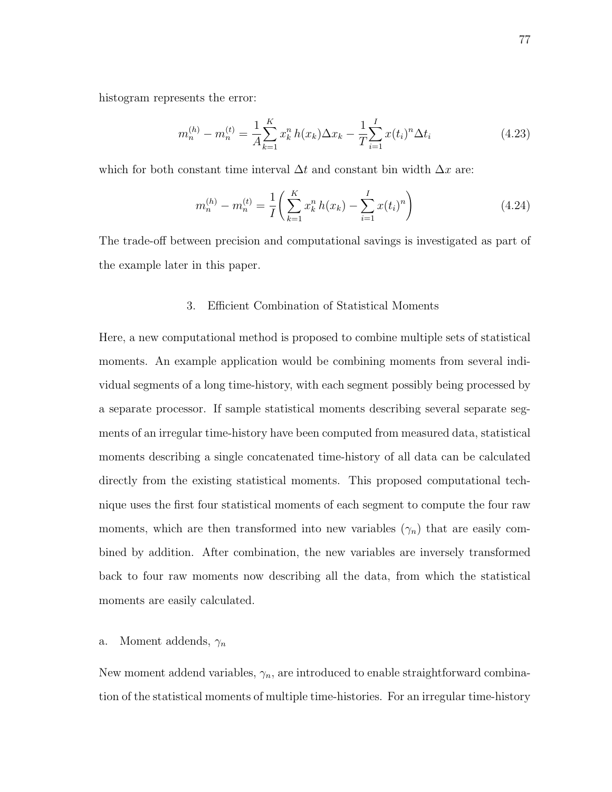histogram represents the error:

$$
m_n^{(h)} - m_n^{(t)} = \frac{1}{A} \sum_{k=1}^K x_k^n h(x_k) \Delta x_k - \frac{1}{T} \sum_{i=1}^I x(t_i)^n \Delta t_i
$$
 (4.23)

which for both constant time interval  $\Delta t$  and constant bin width  $\Delta x$  are:

$$
m_n^{(h)} - m_n^{(t)} = \frac{1}{I} \left( \sum_{k=1}^K x_k^n h(x_k) - \sum_{i=1}^I x(t_i)^n \right) \tag{4.24}
$$

The trade-off between precision and computational savings is investigated as part of the example later in this paper.

#### 3. Efficient Combination of Statistical Moments

Here, a new computational method is proposed to combine multiple sets of statistical moments. An example application would be combining moments from several individual segments of a long time-history, with each segment possibly being processed by a separate processor. If sample statistical moments describing several separate segments of an irregular time-history have been computed from measured data, statistical moments describing a single concatenated time-history of all data can be calculated directly from the existing statistical moments. This proposed computational technique uses the first four statistical moments of each segment to compute the four raw moments, which are then transformed into new variables  $(\gamma_n)$  that are easily combined by addition. After combination, the new variables are inversely transformed back to four raw moments now describing all the data, from which the statistical moments are easily calculated.

# a. Moment addends,  $\gamma_n$

New moment addend variables,  $\gamma_n$ , are introduced to enable straightforward combination of the statistical moments of multiple time-histories. For an irregular time-history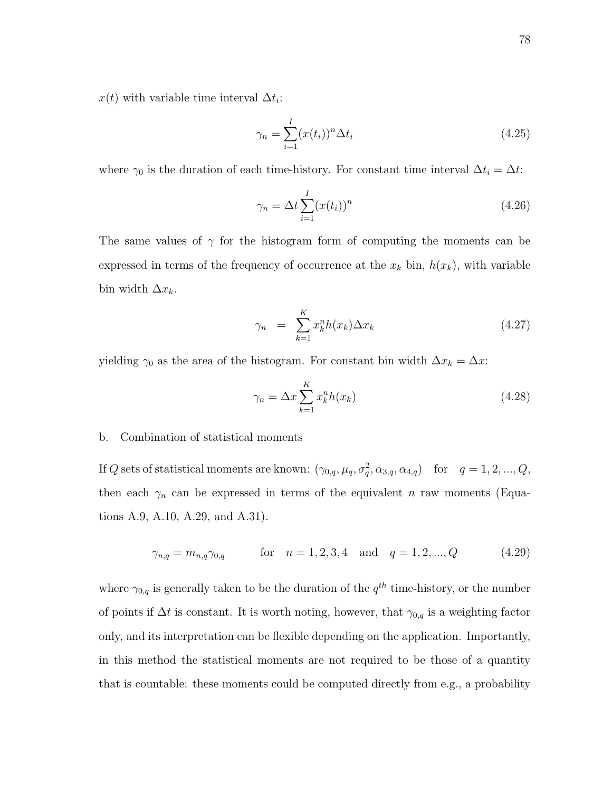$x(t)$  with variable time interval  $\Delta t_i$ :

$$
\gamma_n = \sum_{i=1}^I (x(t_i))^n \Delta t_i
$$
\n(4.25)

where  $\gamma_0$  is the duration of each time-history. For constant time interval  $\Delta t_i = \Delta t$ :

$$
\gamma_n = \Delta t \sum_{i=1}^I (x(t_i))^n
$$
\n(4.26)

The same values of  $\gamma$  for the histogram form of computing the moments can be expressed in terms of the frequency of occurrence at the  $x_k$  bin,  $h(x_k)$ , with variable bin width  $\Delta x_k$ .

$$
\gamma_n = \sum_{k=1}^K x_k^n h(x_k) \Delta x_k \tag{4.27}
$$

yielding  $\gamma_0$  as the area of the histogram. For constant bin width  $\Delta x_k = \Delta x$ :

$$
\gamma_n = \Delta x \sum_{k=1}^{K} x_k^n h(x_k) \tag{4.28}
$$

# b. Combination of statistical moments

If Q sets of statistical moments are known:  $(\gamma_{0,q}, \mu_q, \sigma_q^2, \alpha_{3,q}, \alpha_{4,q})$  for  $q = 1, 2, ..., Q$ , then each  $\gamma_n$  can be expressed in terms of the equivalent n raw moments (Equations A.9, A.10, A.29, and A.31).

$$
\gamma_{n,q} = m_{n,q} \gamma_{0,q} \qquad \text{for} \quad n = 1, 2, 3, 4 \quad \text{and} \quad q = 1, 2, ..., Q \qquad (4.29)
$$

where  $\gamma_{0,q}$  is generally taken to be the duration of the  $q^{th}$  time-history, or the number of points if  $\Delta t$  is constant. It is worth noting, however, that  $\gamma_{0,q}$  is a weighting factor only, and its interpretation can be flexible depending on the application. Importantly, in this method the statistical moments are not required to be those of a quantity that is countable: these moments could be computed directly from e.g., a probability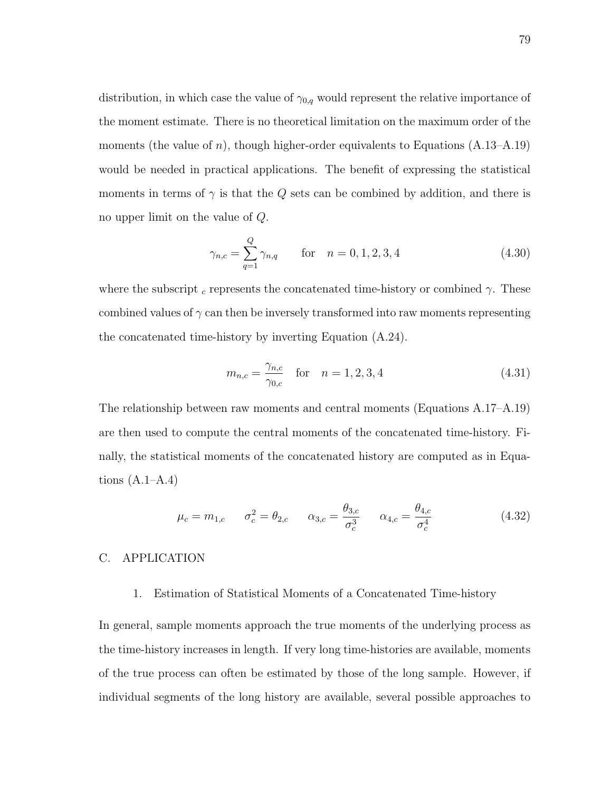distribution, in which case the value of  $\gamma_{0,q}$  would represent the relative importance of the moment estimate. There is no theoretical limitation on the maximum order of the moments (the value of n), though higher-order equivalents to Equations  $(A.13-A.19)$ would be needed in practical applications. The benefit of expressing the statistical moments in terms of  $\gamma$  is that the Q sets can be combined by addition, and there is no upper limit on the value of Q.

$$
\gamma_{n,c} = \sum_{q=1}^{Q} \gamma_{n,q} \qquad \text{for} \quad n = 0, 1, 2, 3, 4 \tag{4.30}
$$

where the subscript  $c$  represents the concatenated time-history or combined  $\gamma$ . These combined values of  $\gamma$  can then be inversely transformed into raw moments representing the concatenated time-history by inverting Equation (A.24).

$$
m_{n,c} = \frac{\gamma_{n,c}}{\gamma_{0,c}} \quad \text{for} \quad n = 1, 2, 3, 4 \tag{4.31}
$$

The relationship between raw moments and central moments (Equations A.17–A.19) are then used to compute the central moments of the concatenated time-history. Finally, the statistical moments of the concatenated history are computed as in Equations  $(A.1–A.4)$ 

$$
\mu_c = m_{1,c}
$$
\n $\sigma_c^2 = \theta_{2,c}$ \n $\alpha_{3,c} = \frac{\theta_{3,c}}{\sigma_c^3}$ \n $\alpha_{4,c} = \frac{\theta_{4,c}}{\sigma_c^4}$ \n(4.32)

# C. APPLICATION

# 1. Estimation of Statistical Moments of a Concatenated Time-history

In general, sample moments approach the true moments of the underlying process as the time-history increases in length. If very long time-histories are available, moments of the true process can often be estimated by those of the long sample. However, if individual segments of the long history are available, several possible approaches to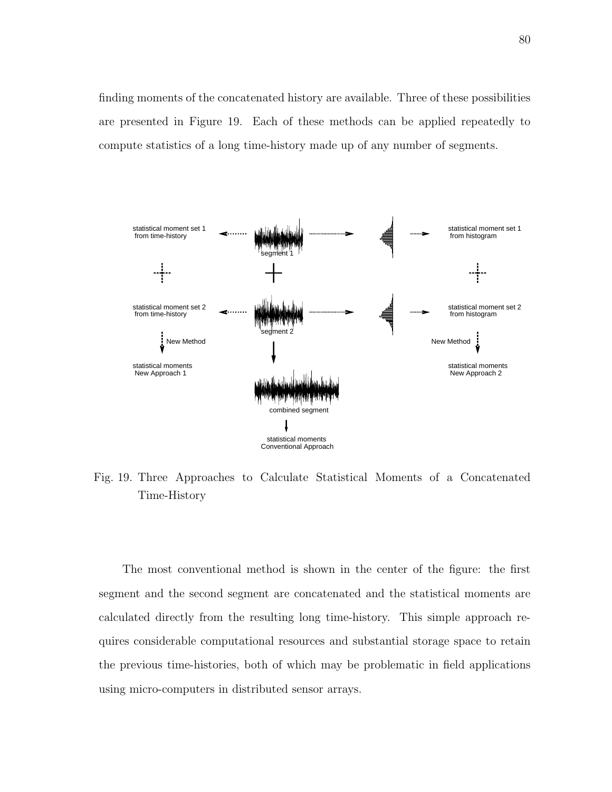finding moments of the concatenated history are available. Three of these possibilities are presented in Figure 19. Each of these methods can be applied repeatedly to compute statistics of a long time-history made up of any number of segments.



Fig. 19. Three Approaches to Calculate Statistical Moments of a Concatenated Time-History

The most conventional method is shown in the center of the figure: the first segment and the second segment are concatenated and the statistical moments are calculated directly from the resulting long time-history. This simple approach requires considerable computational resources and substantial storage space to retain the previous time-histories, both of which may be problematic in field applications using micro-computers in distributed sensor arrays.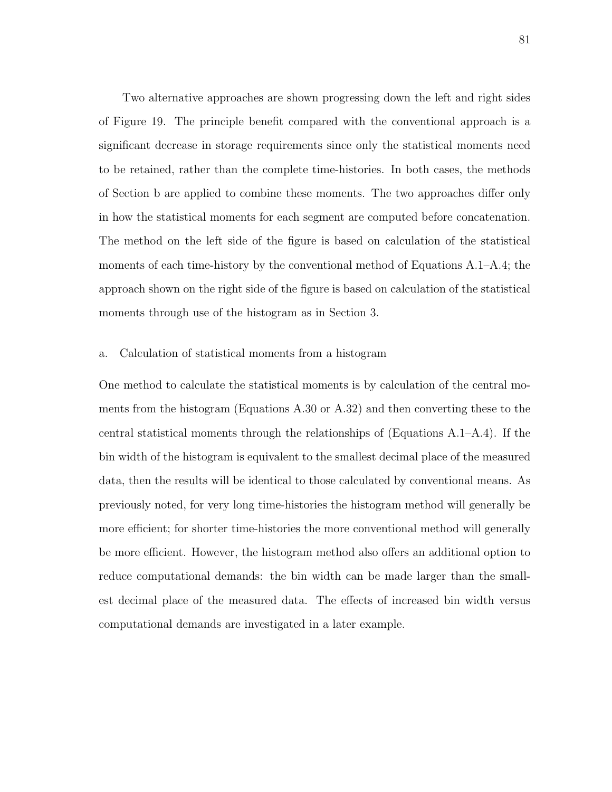Two alternative approaches are shown progressing down the left and right sides of Figure 19. The principle benefit compared with the conventional approach is a significant decrease in storage requirements since only the statistical moments need to be retained, rather than the complete time-histories. In both cases, the methods of Section b are applied to combine these moments. The two approaches differ only in how the statistical moments for each segment are computed before concatenation. The method on the left side of the figure is based on calculation of the statistical moments of each time-history by the conventional method of Equations A.1–A.4; the approach shown on the right side of the figure is based on calculation of the statistical moments through use of the histogram as in Section 3.

#### a. Calculation of statistical moments from a histogram

One method to calculate the statistical moments is by calculation of the central moments from the histogram (Equations A.30 or A.32) and then converting these to the central statistical moments through the relationships of (Equations A.1–A.4). If the bin width of the histogram is equivalent to the smallest decimal place of the measured data, then the results will be identical to those calculated by conventional means. As previously noted, for very long time-histories the histogram method will generally be more efficient; for shorter time-histories the more conventional method will generally be more efficient. However, the histogram method also offers an additional option to reduce computational demands: the bin width can be made larger than the smallest decimal place of the measured data. The effects of increased bin width versus computational demands are investigated in a later example.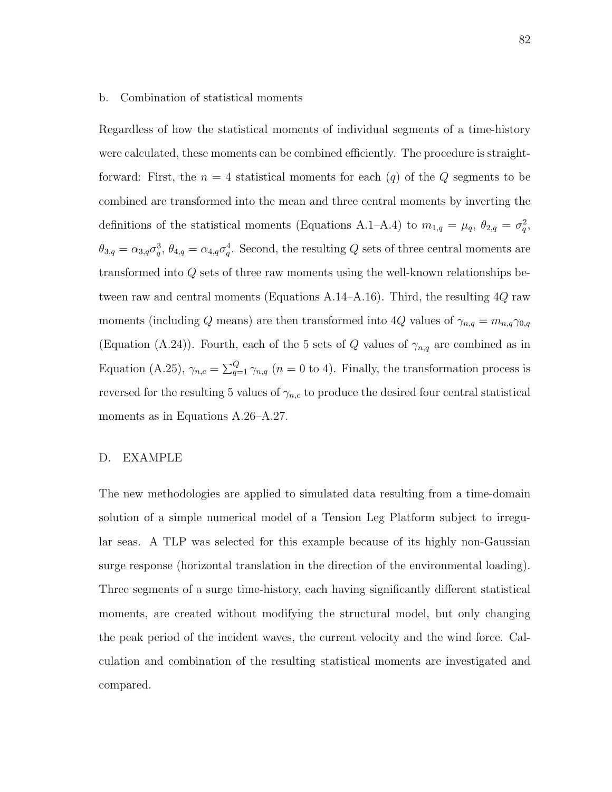#### b. Combination of statistical moments

Regardless of how the statistical moments of individual segments of a time-history were calculated, these moments can be combined efficiently. The procedure is straightforward: First, the  $n = 4$  statistical moments for each  $(q)$  of the Q segments to be combined are transformed into the mean and three central moments by inverting the definitions of the statistical moments (Equations A.1–A.4) to  $m_{1,q} = \mu_q$ ,  $\theta_{2,q} = \sigma_q^2$ ,  $\theta_{3,q} = \alpha_{3,q}\sigma_q^3$ ,  $\theta_{4,q} = \alpha_{4,q}\sigma_q^4$ . Second, the resulting Q sets of three central moments are transformed into Q sets of three raw moments using the well-known relationships between raw and central moments (Equations A.14–A.16). Third, the resulting  $4Q$  raw moments (including Q means) are then transformed into 4Q values of  $\gamma_{n,q} = m_{n,q} \gamma_{0,q}$ (Equation (A.24)). Fourth, each of the 5 sets of Q values of  $\gamma_{n,q}$  are combined as in Equation (A.25),  $\gamma_{n,c} = \sum_{q=1}^{Q} \gamma_{n,q}$  ( $n = 0$  to 4). Finally, the transformation process is reversed for the resulting 5 values of  $\gamma_{n,c}$  to produce the desired four central statistical moments as in Equations A.26–A.27.

# D. EXAMPLE

The new methodologies are applied to simulated data resulting from a time-domain solution of a simple numerical model of a Tension Leg Platform subject to irregular seas. A TLP was selected for this example because of its highly non-Gaussian surge response (horizontal translation in the direction of the environmental loading). Three segments of a surge time-history, each having significantly different statistical moments, are created without modifying the structural model, but only changing the peak period of the incident waves, the current velocity and the wind force. Calculation and combination of the resulting statistical moments are investigated and compared.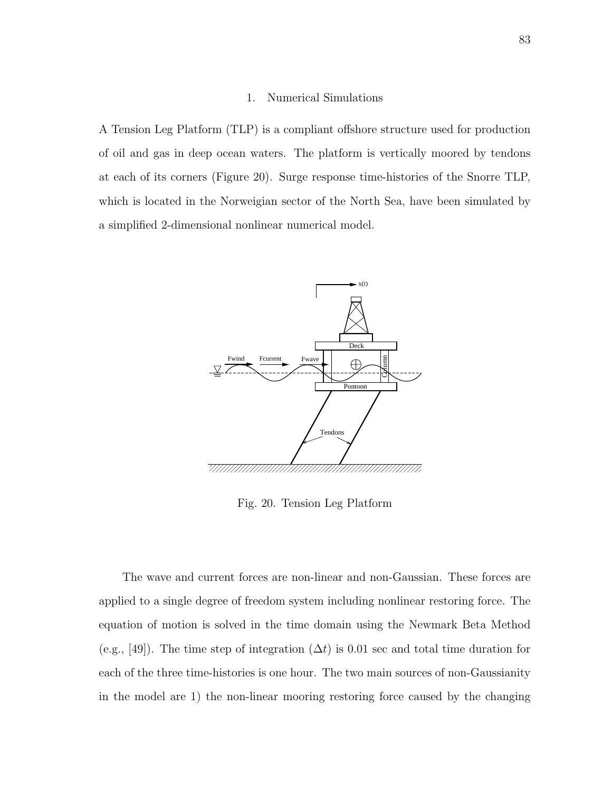#### 1. Numerical Simulations

A Tension Leg Platform (TLP) is a compliant offshore structure used for production of oil and gas in deep ocean waters. The platform is vertically moored by tendons at each of its corners (Figure 20). Surge response time-histories of the Snorre TLP, which is located in the Norweigian sector of the North Sea, have been simulated by a simplified 2-dimensional nonlinear numerical model.



Fig. 20. Tension Leg Platform

The wave and current forces are non-linear and non-Gaussian. These forces are applied to a single degree of freedom system including nonlinear restoring force. The equation of motion is solved in the time domain using the Newmark Beta Method (e.g., [49]). The time step of integration  $(\Delta t)$  is 0.01 sec and total time duration for each of the three time-histories is one hour. The two main sources of non-Gaussianity in the model are 1) the non-linear mooring restoring force caused by the changing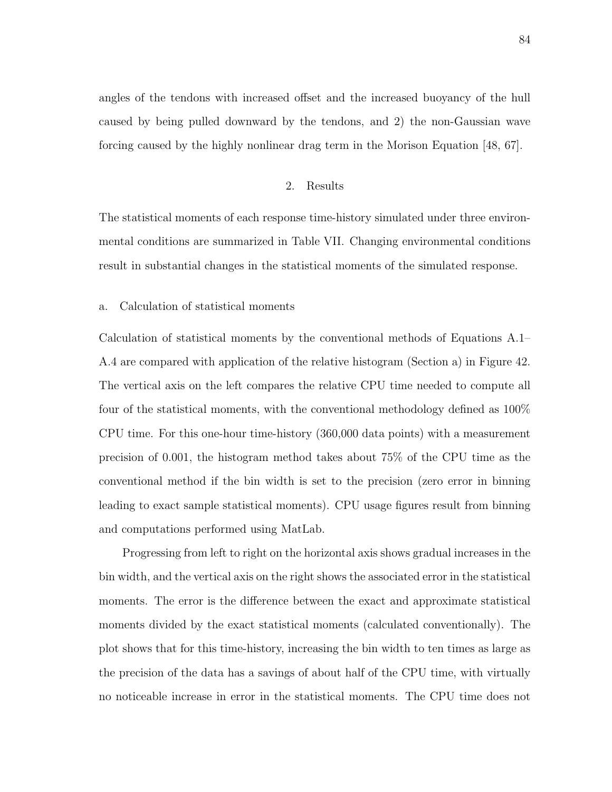angles of the tendons with increased offset and the increased buoyancy of the hull caused by being pulled downward by the tendons, and 2) the non-Gaussian wave forcing caused by the highly nonlinear drag term in the Morison Equation [48, 67].

## 2. Results

The statistical moments of each response time-history simulated under three environmental conditions are summarized in Table VII. Changing environmental conditions result in substantial changes in the statistical moments of the simulated response.

a. Calculation of statistical moments

Calculation of statistical moments by the conventional methods of Equations A.1– A.4 are compared with application of the relative histogram (Section a) in Figure 42. The vertical axis on the left compares the relative CPU time needed to compute all four of the statistical moments, with the conventional methodology defined as 100% CPU time. For this one-hour time-history (360,000 data points) with a measurement precision of 0.001, the histogram method takes about 75% of the CPU time as the conventional method if the bin width is set to the precision (zero error in binning leading to exact sample statistical moments). CPU usage figures result from binning and computations performed using MatLab.

Progressing from left to right on the horizontal axis shows gradual increases in the bin width, and the vertical axis on the right shows the associated error in the statistical moments. The error is the difference between the exact and approximate statistical moments divided by the exact statistical moments (calculated conventionally). The plot shows that for this time-history, increasing the bin width to ten times as large as the precision of the data has a savings of about half of the CPU time, with virtually no noticeable increase in error in the statistical moments. The CPU time does not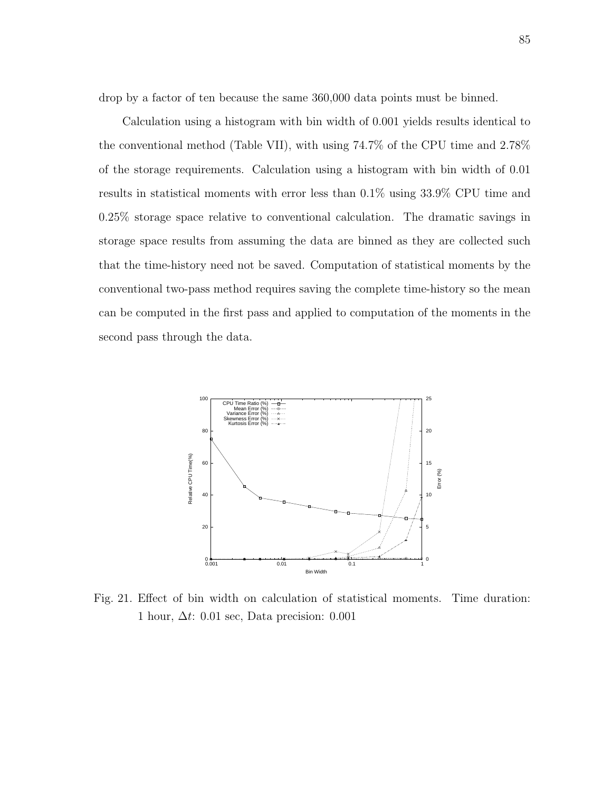drop by a factor of ten because the same  $360,000$  data points must be binned.

Calculation using a histogram with bin width of 0.001 yields results identical to the conventional method (Table VII), with using 74.7% of the CPU time and 2.78% of the storage requirements. Calculation using a histogram with bin width of 0.01 results in statistical moments with error less than 0.1% using 33.9% CPU time and 0.25% storage space relative to conventional calculation. The dramatic savings in storage space results from assuming the data are binned as they are collected such that the time-history need not be saved. Computation of statistical moments by the conventional two-pass method requires saving the complete time-history so the mean can be computed in the first pass and applied to computation of the moments in the second pass through the data.



Fig. 21. Effect of bin width on calculation of statistical moments. Time duration: 1 hour,  $\Delta t$ : 0.01 sec, Data precision: 0.001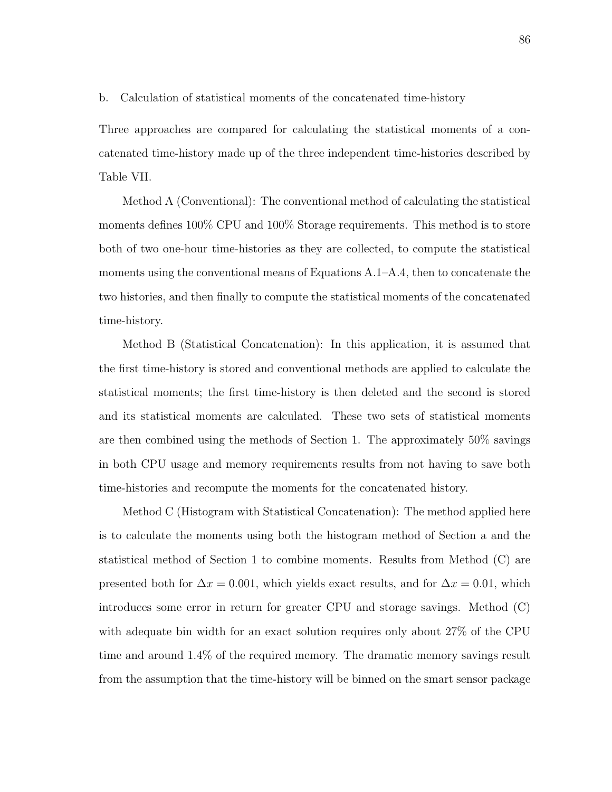b. Calculation of statistical moments of the concatenated time-history

Three approaches are compared for calculating the statistical moments of a concatenated time-history made up of the three independent time-histories described by Table VII.

Method A (Conventional): The conventional method of calculating the statistical moments defines 100% CPU and 100% Storage requirements. This method is to store both of two one-hour time-histories as they are collected, to compute the statistical moments using the conventional means of Equations A.1–A.4, then to concatenate the two histories, and then finally to compute the statistical moments of the concatenated time-history.

Method B (Statistical Concatenation): In this application, it is assumed that the first time-history is stored and conventional methods are applied to calculate the statistical moments; the first time-history is then deleted and the second is stored and its statistical moments are calculated. These two sets of statistical moments are then combined using the methods of Section 1. The approximately 50% savings in both CPU usage and memory requirements results from not having to save both time-histories and recompute the moments for the concatenated history.

Method C (Histogram with Statistical Concatenation): The method applied here is to calculate the moments using both the histogram method of Section a and the statistical method of Section 1 to combine moments. Results from Method (C) are presented both for  $\Delta x = 0.001$ , which yields exact results, and for  $\Delta x = 0.01$ , which introduces some error in return for greater CPU and storage savings. Method (C) with adequate bin width for an exact solution requires only about 27% of the CPU time and around 1.4% of the required memory. The dramatic memory savings result from the assumption that the time-history will be binned on the smart sensor package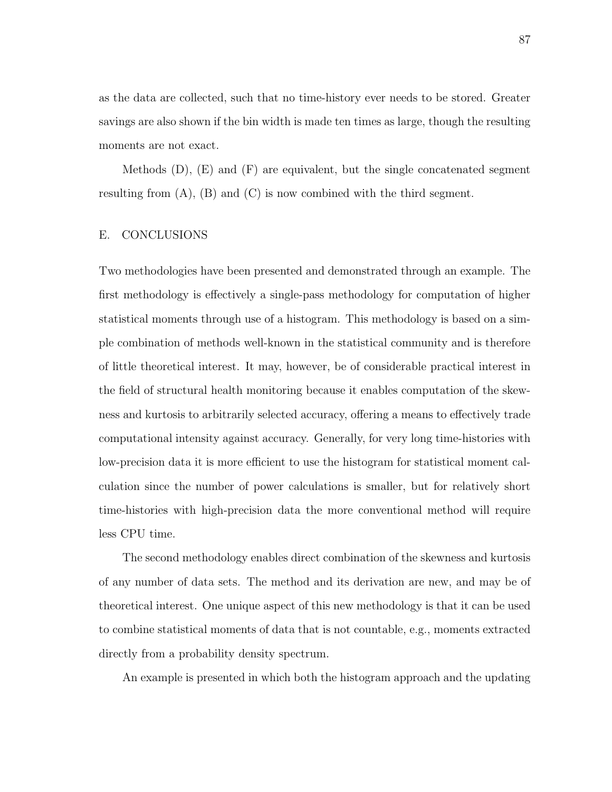as the data are collected, such that no time-history ever needs to be stored. Greater savings are also shown if the bin width is made ten times as large, though the resulting moments are not exact.

Methods  $(D)$ ,  $(E)$  and  $(F)$  are equivalent, but the single concatenated segment resulting from  $(A)$ ,  $(B)$  and  $(C)$  is now combined with the third segment.

## E. CONCLUSIONS

Two methodologies have been presented and demonstrated through an example. The first methodology is effectively a single-pass methodology for computation of higher statistical moments through use of a histogram. This methodology is based on a simple combination of methods well-known in the statistical community and is therefore of little theoretical interest. It may, however, be of considerable practical interest in the field of structural health monitoring because it enables computation of the skewness and kurtosis to arbitrarily selected accuracy, offering a means to effectively trade computational intensity against accuracy. Generally, for very long time-histories with low-precision data it is more efficient to use the histogram for statistical moment calculation since the number of power calculations is smaller, but for relatively short time-histories with high-precision data the more conventional method will require less CPU time.

The second methodology enables direct combination of the skewness and kurtosis of any number of data sets. The method and its derivation are new, and may be of theoretical interest. One unique aspect of this new methodology is that it can be used to combine statistical moments of data that is not countable, e.g., moments extracted directly from a probability density spectrum.

An example is presented in which both the histogram approach and the updating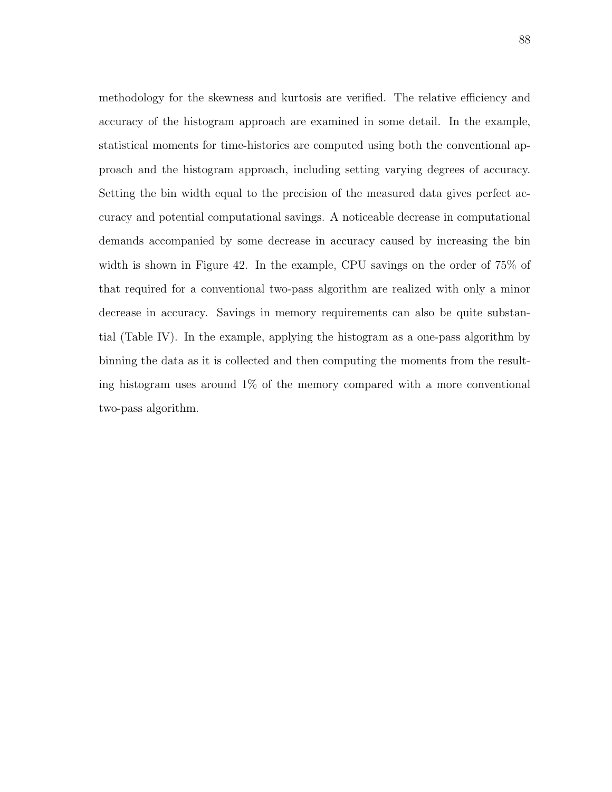methodology for the skewness and kurtosis are verified. The relative efficiency and accuracy of the histogram approach are examined in some detail. In the example, statistical moments for time-histories are computed using both the conventional approach and the histogram approach, including setting varying degrees of accuracy. Setting the bin width equal to the precision of the measured data gives perfect accuracy and potential computational savings. A noticeable decrease in computational demands accompanied by some decrease in accuracy caused by increasing the bin width is shown in Figure 42. In the example, CPU savings on the order of 75% of that required for a conventional two-pass algorithm are realized with only a minor decrease in accuracy. Savings in memory requirements can also be quite substantial (Table IV). In the example, applying the histogram as a one-pass algorithm by binning the data as it is collected and then computing the moments from the resulting histogram uses around 1% of the memory compared with a more conventional two-pass algorithm.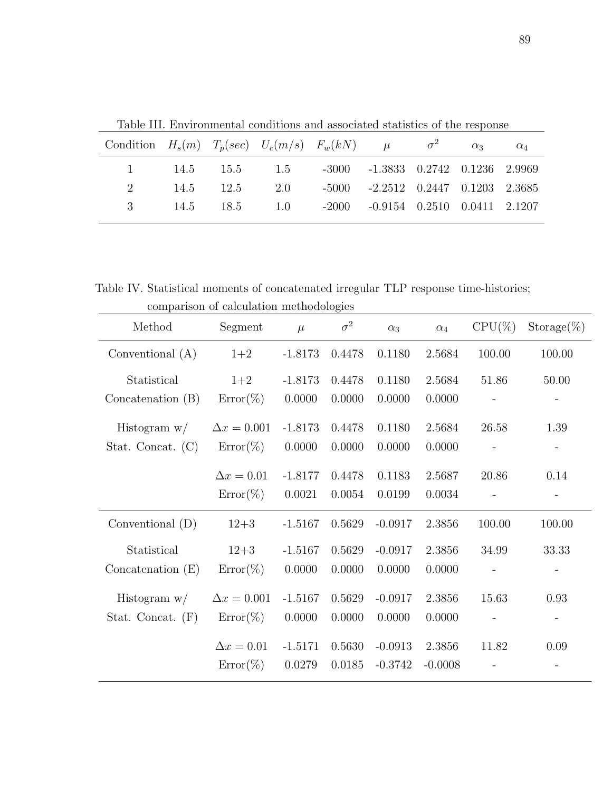| Condition $H_s(m)$ $T_p(sec)$ $U_c(m/s)$ $F_w(kN)$ $\mu$ $\sigma^2$ $\alpha_3$ $\alpha_4$ |  |                                                    |  |  |  |
|-------------------------------------------------------------------------------------------|--|----------------------------------------------------|--|--|--|
|                                                                                           |  | 1 14.5 15.5 1.5 -3000 -1.3833 0.2742 0.1236 2.9969 |  |  |  |
|                                                                                           |  | 2 14.5 12.5 2.0 -5000 -2.2512 0.2447 0.1203 2.3685 |  |  |  |
|                                                                                           |  | 3 14.5 18.5 1.0 -2000 -0.9154 0.2510 0.0411 2.1207 |  |  |  |
|                                                                                           |  |                                                    |  |  |  |

Table III. Environmental conditions and associated statistics of the response

Table IV. Statistical moments of concatenated irregular TLP response time-histories; comparison of calculation methodologies

| Method              | Segment            | $\mu$     | $\sigma^2$ | $\alpha_3$ | $\alpha_4$ | $CPU(\%)$ | $Storage(\%)$ |
|---------------------|--------------------|-----------|------------|------------|------------|-----------|---------------|
| Conventional $(A)$  | $1+2$              | $-1.8173$ | 0.4478     | 0.1180     | 2.5684     | 100.00    | 100.00        |
| Statistical         | $1+2$              | $-1.8173$ | 0.4478     | 0.1180     | 2.5684     | 51.86     | 50.00         |
| Concatenation $(B)$ | $Error(\%)$        | 0.0000    | 0.0000     | 0.0000     | 0.0000     |           |               |
| Histogram $w/$      | $\Delta x = 0.001$ | $-1.8173$ | 0.4478     | 0.1180     | 2.5684     | 26.58     | 1.39          |
| Stat. Concat. $(C)$ | $Error(\%)$        | 0.0000    | 0.0000     | 0.0000     | 0.0000     |           |               |
|                     | $\Delta x = 0.01$  | $-1.8177$ | 0.4478     | 0.1183     | 2.5687     | 20.86     | 0.14          |
|                     | $Error(\%)$        | 0.0021    | 0.0054     | 0.0199     | 0.0034     |           |               |
| Conventional $(D)$  | $12 + 3$           | $-1.5167$ | 0.5629     | $-0.0917$  | 2.3856     | 100.00    | 100.00        |
| Statistical         | $12 + 3$           | $-1.5167$ | 0.5629     | $-0.0917$  | 2.3856     | 34.99     | 33.33         |
| Concatenation $(E)$ | $Error(\%)$        | 0.0000    | 0.0000     | 0.0000     | 0.0000     |           |               |
| Histogram $w/$      | $\Delta x = 0.001$ | $-1.5167$ | 0.5629     | $-0.0917$  | 2.3856     | 15.63     | 0.93          |
| Stat. Concat. $(F)$ | $Error(\%)$        | 0.0000    | 0.0000     | 0.0000     | 0.0000     |           |               |
|                     | $\Delta x = 0.01$  | $-1.5171$ | 0.5630     | $-0.0913$  | 2.3856     | 11.82     | 0.09          |
|                     | $Error(\%)$        | 0.0279    | 0.0185     | $-0.3742$  | $-0.0008$  |           |               |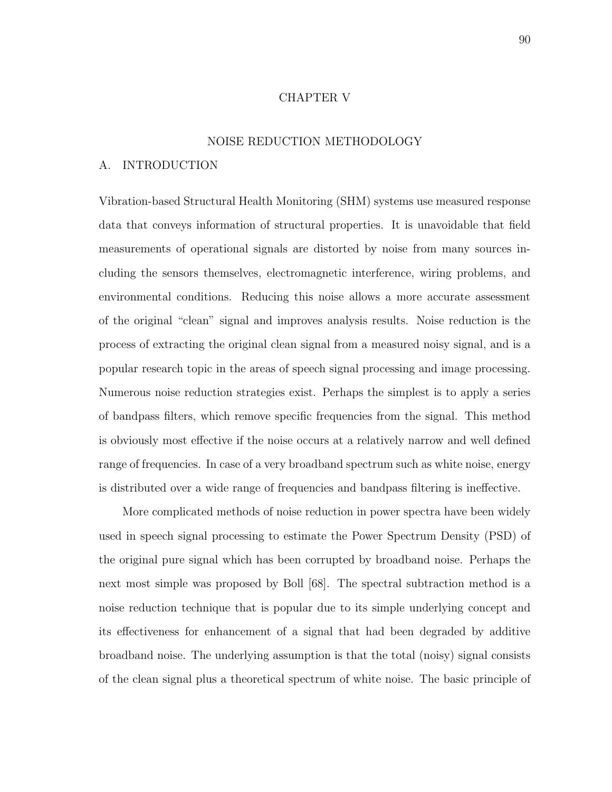#### CHAPTER V

#### NOISE REDUCTION METHODOLOGY

# A. INTRODUCTION

Vibration-based Structural Health Monitoring (SHM) systems use measured response data that conveys information of structural properties. It is unavoidable that field measurements of operational signals are distorted by noise from many sources including the sensors themselves, electromagnetic interference, wiring problems, and environmental conditions. Reducing this noise allows a more accurate assessment of the original "clean" signal and improves analysis results. Noise reduction is the process of extracting the original clean signal from a measured noisy signal, and is a popular research topic in the areas of speech signal processing and image processing. Numerous noise reduction strategies exist. Perhaps the simplest is to apply a series of bandpass filters, which remove specific frequencies from the signal. This method is obviously most effective if the noise occurs at a relatively narrow and well defined range of frequencies. In case of a very broadband spectrum such as white noise, energy is distributed over a wide range of frequencies and bandpass filtering is ineffective.

More complicated methods of noise reduction in power spectra have been widely used in speech signal processing to estimate the Power Spectrum Density (PSD) of the original pure signal which has been corrupted by broadband noise. Perhaps the next most simple was proposed by Boll [68]. The spectral subtraction method is a noise reduction technique that is popular due to its simple underlying concept and its effectiveness for enhancement of a signal that had been degraded by additive broadband noise. The underlying assumption is that the total (noisy) signal consists of the clean signal plus a theoretical spectrum of white noise. The basic principle of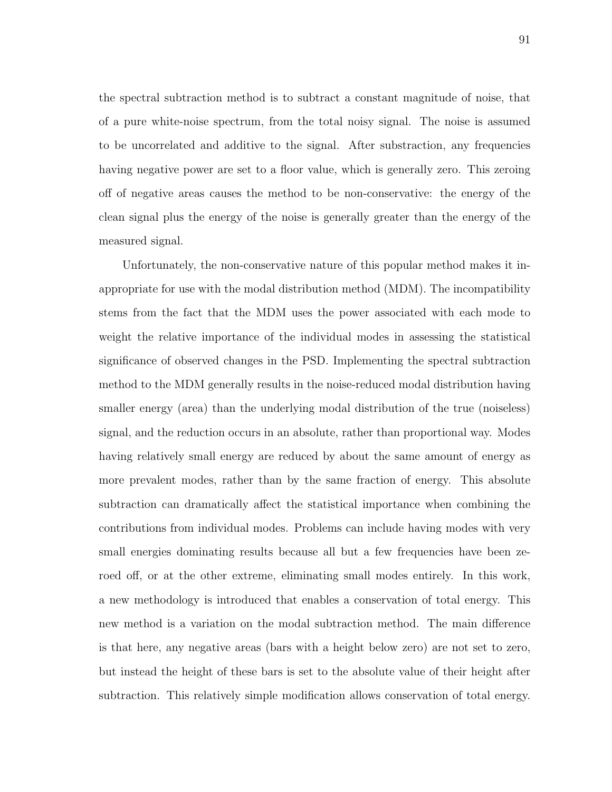the spectral subtraction method is to subtract a constant magnitude of noise, that of a pure white-noise spectrum, from the total noisy signal. The noise is assumed to be uncorrelated and additive to the signal. After substraction, any frequencies having negative power are set to a floor value, which is generally zero. This zeroing off of negative areas causes the method to be non-conservative: the energy of the clean signal plus the energy of the noise is generally greater than the energy of the measured signal.

Unfortunately, the non-conservative nature of this popular method makes it inappropriate for use with the modal distribution method (MDM). The incompatibility stems from the fact that the MDM uses the power associated with each mode to weight the relative importance of the individual modes in assessing the statistical significance of observed changes in the PSD. Implementing the spectral subtraction method to the MDM generally results in the noise-reduced modal distribution having smaller energy (area) than the underlying modal distribution of the true (noiseless) signal, and the reduction occurs in an absolute, rather than proportional way. Modes having relatively small energy are reduced by about the same amount of energy as more prevalent modes, rather than by the same fraction of energy. This absolute subtraction can dramatically affect the statistical importance when combining the contributions from individual modes. Problems can include having modes with very small energies dominating results because all but a few frequencies have been zeroed off, or at the other extreme, eliminating small modes entirely. In this work, a new methodology is introduced that enables a conservation of total energy. This new method is a variation on the modal subtraction method. The main difference is that here, any negative areas (bars with a height below zero) are not set to zero, but instead the height of these bars is set to the absolute value of their height after subtraction. This relatively simple modification allows conservation of total energy.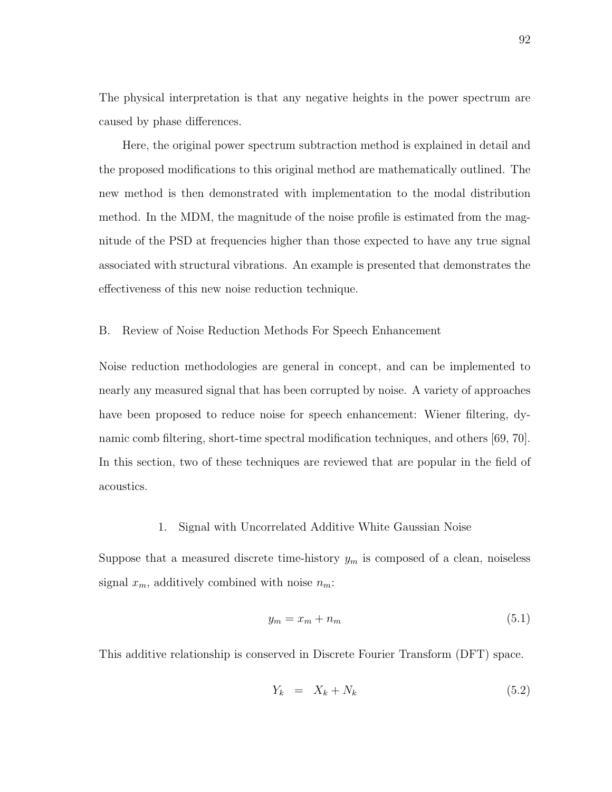The physical interpretation is that any negative heights in the power spectrum are caused by phase differences.

Here, the original power spectrum subtraction method is explained in detail and the proposed modifications to this original method are mathematically outlined. The new method is then demonstrated with implementation to the modal distribution method. In the MDM, the magnitude of the noise profile is estimated from the magnitude of the PSD at frequencies higher than those expected to have any true signal associated with structural vibrations. An example is presented that demonstrates the effectiveness of this new noise reduction technique.

B. Review of Noise Reduction Methods For Speech Enhancement

Noise reduction methodologies are general in concept, and can be implemented to nearly any measured signal that has been corrupted by noise. A variety of approaches have been proposed to reduce noise for speech enhancement: Wiener filtering, dynamic comb filtering, short-time spectral modification techniques, and others [69, 70]. In this section, two of these techniques are reviewed that are popular in the field of acoustics.

## 1. Signal with Uncorrelated Additive White Gaussian Noise

Suppose that a measured discrete time-history  $y_m$  is composed of a clean, noiseless signal  $x_m$ , additively combined with noise  $n_m$ :

$$
y_m = x_m + n_m \tag{5.1}
$$

This additive relationship is conserved in Discrete Fourier Transform (DFT) space.

$$
Y_k = X_k + N_k \tag{5.2}
$$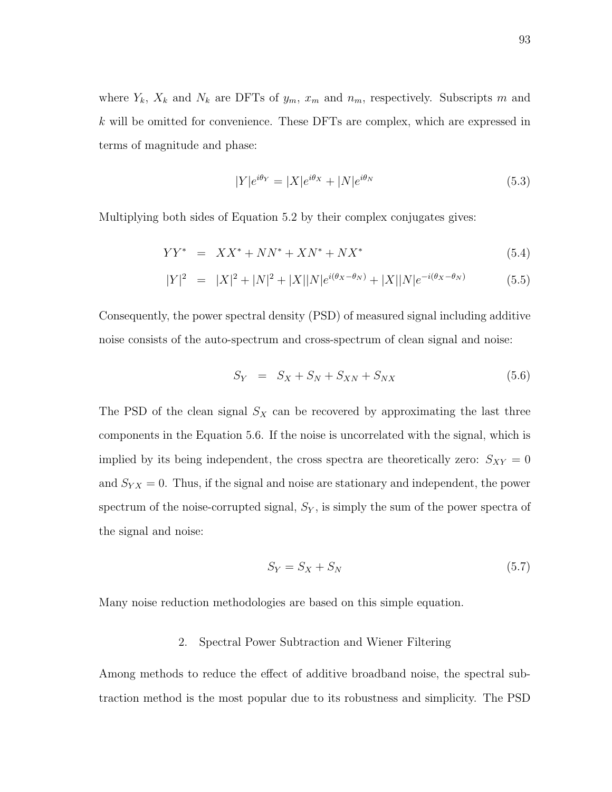where  $Y_k$ ,  $X_k$  and  $N_k$  are DFTs of  $y_m$ ,  $x_m$  and  $n_m$ , respectively. Subscripts m and k will be omitted for convenience. These DFTs are complex, which are expressed in terms of magnitude and phase:

$$
|Y|e^{i\theta_Y} = |X|e^{i\theta_X} + |N|e^{i\theta_N}
$$
\n(5.3)

Multiplying both sides of Equation 5.2 by their complex conjugates gives:

$$
YY^* = XX^* + NN^* + XN^* + NX^*
$$
\n(5.4)

$$
|Y|^2 = |X|^2 + |N|^2 + |X||N|e^{i(\theta_X - \theta_N)} + |X||N|e^{-i(\theta_X - \theta_N)}
$$
(5.5)

Consequently, the power spectral density (PSD) of measured signal including additive noise consists of the auto-spectrum and cross-spectrum of clean signal and noise:

$$
S_Y = S_X + S_N + S_{XN} + S_{NX} \tag{5.6}
$$

The PSD of the clean signal  $S_X$  can be recovered by approximating the last three components in the Equation 5.6. If the noise is uncorrelated with the signal, which is implied by its being independent, the cross spectra are theoretically zero:  $S_{XY} = 0$ and  $S_{YX} = 0$ . Thus, if the signal and noise are stationary and independent, the power spectrum of the noise-corrupted signal,  $S_Y$ , is simply the sum of the power spectra of the signal and noise:

$$
S_Y = S_X + S_N \tag{5.7}
$$

Many noise reduction methodologies are based on this simple equation.

# 2. Spectral Power Subtraction and Wiener Filtering

Among methods to reduce the effect of additive broadband noise, the spectral subtraction method is the most popular due to its robustness and simplicity. The PSD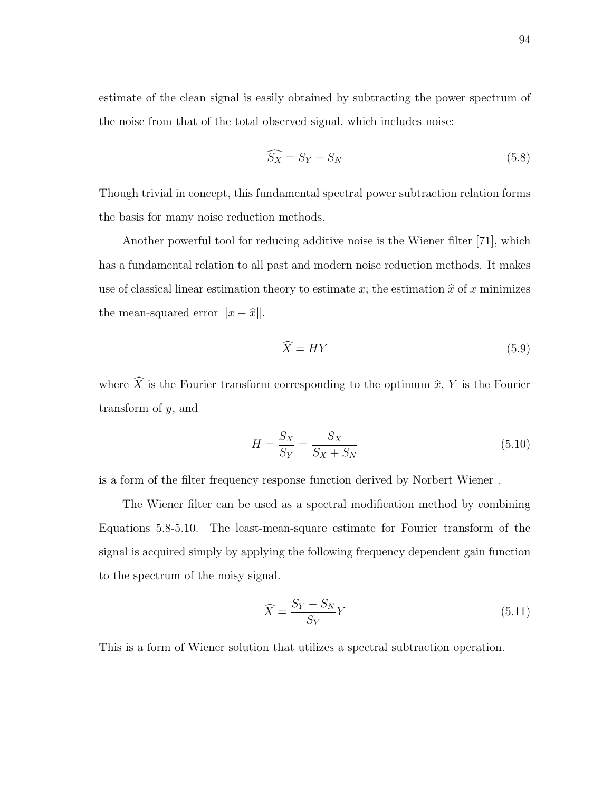estimate of the clean signal is easily obtained by subtracting the power spectrum of the noise from that of the total observed signal, which includes noise:

$$
\widehat{S_X} = S_Y - S_N \tag{5.8}
$$

Though trivial in concept, this fundamental spectral power subtraction relation forms the basis for many noise reduction methods.

Another powerful tool for reducing additive noise is the Wiener filter [71], which has a fundamental relation to all past and modern noise reduction methods. It makes use of classical linear estimation theory to estimate x; the estimation  $\hat{x}$  of x minimizes the mean-squared error  $||x - \hat{x}||$ .

$$
\widehat{X} = HY \tag{5.9}
$$

where  $\widehat{X}$  is the Fourier transform corresponding to the optimum  $\widehat{x}$ , Y is the Fourier transform of y, and

$$
H = \frac{S_X}{S_Y} = \frac{S_X}{S_X + S_N} \tag{5.10}
$$

is a form of the filter frequency response function derived by Norbert Wiener .

The Wiener filter can be used as a spectral modification method by combining Equations 5.8-5.10. The least-mean-square estimate for Fourier transform of the signal is acquired simply by applying the following frequency dependent gain function to the spectrum of the noisy signal.

$$
\widehat{X} = \frac{S_Y - S_N}{S_Y} Y \tag{5.11}
$$

This is a form of Wiener solution that utilizes a spectral subtraction operation.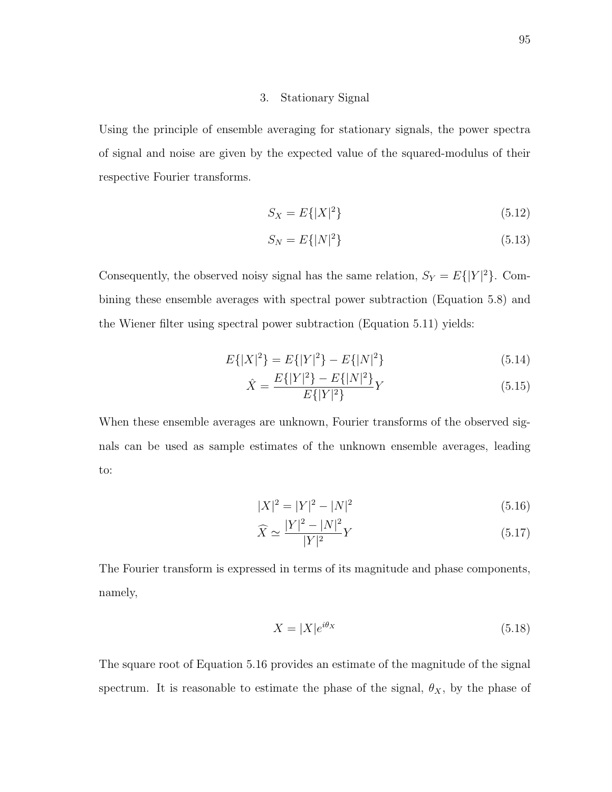### 3. Stationary Signal

Using the principle of ensemble averaging for stationary signals, the power spectra of signal and noise are given by the expected value of the squared-modulus of their respective Fourier transforms.

$$
S_X = E\{|X|^2\} \tag{5.12}
$$

$$
S_N = E\{|N|^2\} \tag{5.13}
$$

Consequently, the observed noisy signal has the same relation,  $S_Y = E\{|Y|^2\}$ . Combining these ensemble averages with spectral power subtraction (Equation 5.8) and the Wiener filter using spectral power subtraction (Equation 5.11) yields:

$$
E\{|X|^{2}\} = E\{|Y|^{2}\} - E\{|N|^{2}\}\tag{5.14}
$$

$$
\hat{X} = \frac{E\{|Y|^2\} - E\{|N|^2\}}{E\{|Y|^2\}} Y
$$
\n(5.15)

When these ensemble averages are unknown, Fourier transforms of the observed signals can be used as sample estimates of the unknown ensemble averages, leading to:

$$
|X|^2 = |Y|^2 - |N|^2 \tag{5.16}
$$

$$
\widehat{X} \simeq \frac{|Y|^2 - |N|^2}{|Y|^2} Y \tag{5.17}
$$

The Fourier transform is expressed in terms of its magnitude and phase components, namely,

$$
X = |X|e^{i\theta_X} \tag{5.18}
$$

The square root of Equation 5.16 provides an estimate of the magnitude of the signal spectrum. It is reasonable to estimate the phase of the signal,  $\theta_X$ , by the phase of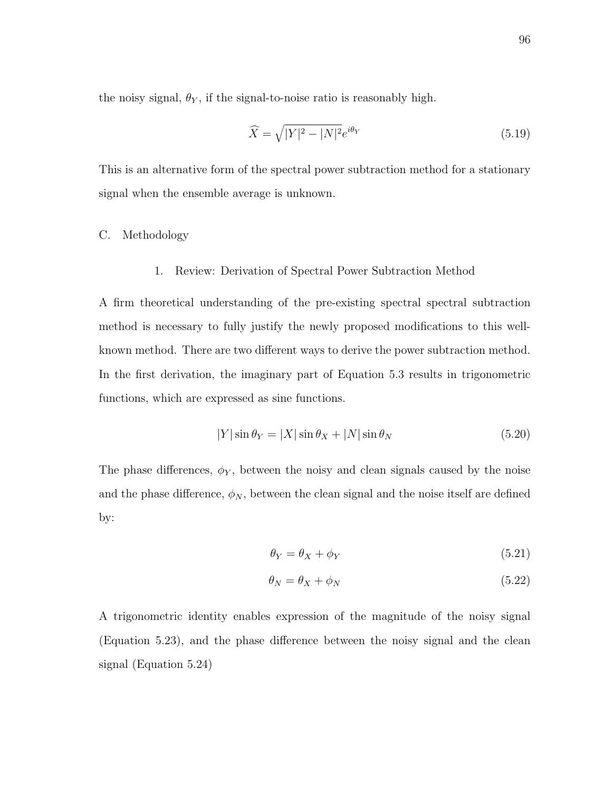the noisy signal,  $\theta_Y$ , if the signal-to-noise ratio is reasonably high.

$$
\widehat{X} = \sqrt{|Y|^2 - |N|^2} e^{i\theta_Y} \tag{5.19}
$$

This is an alternative form of the spectral power subtraction method for a stationary signal when the ensemble average is unknown.

## C. Methodology

### 1. Review: Derivation of Spectral Power Subtraction Method

A firm theoretical understanding of the pre-existing spectral spectral subtraction method is necessary to fully justify the newly proposed modifications to this wellknown method. There are two different ways to derive the power subtraction method. In the first derivation, the imaginary part of Equation 5.3 results in trigonometric functions, which are expressed as sine functions.

$$
|Y|\sin\theta_Y = |X|\sin\theta_X + |N|\sin\theta_N \tag{5.20}
$$

The phase differences,  $\phi_Y$ , between the noisy and clean signals caused by the noise and the phase difference,  $\phi_N$ , between the clean signal and the noise itself are defined by:

$$
\theta_Y = \theta_X + \phi_Y \tag{5.21}
$$

$$
\theta_N = \theta_X + \phi_N \tag{5.22}
$$

A trigonometric identity enables expression of the magnitude of the noisy signal (Equation 5.23), and the phase difference between the noisy signal and the clean signal (Equation 5.24)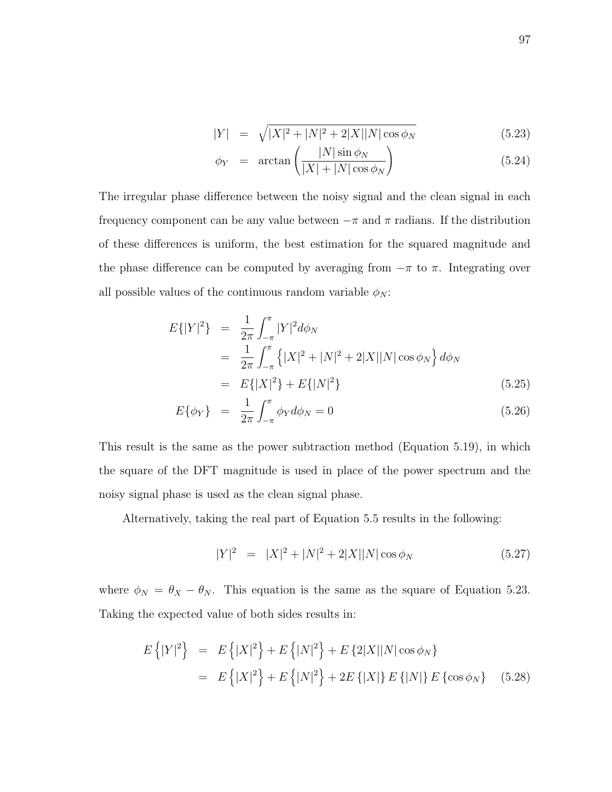$$
|Y| = \sqrt{|X|^2 + |N|^2 + 2|X||N|\cos\phi_N}
$$
 (5.23)

$$
\phi_Y = \arctan\left(\frac{|N|\sin\phi_N}{|X| + |N|\cos\phi_N}\right) \tag{5.24}
$$

The irregular phase difference between the noisy signal and the clean signal in each frequency component can be any value between  $-\pi$  and  $\pi$  radians. If the distribution of these differences is uniform, the best estimation for the squared magnitude and the phase difference can be computed by averaging from  $-\pi$  to  $\pi$ . Integrating over all possible values of the continuous random variable  $\phi_N$ :

$$
E\{|Y|^2\} = \frac{1}{2\pi} \int_{-\pi}^{\pi} |Y|^2 d\phi_N
$$
  
= 
$$
\frac{1}{2\pi} \int_{-\pi}^{\pi} \left\{ |X|^2 + |N|^2 + 2|X||N|\cos\phi_N \right\} d\phi_N
$$
  
= 
$$
E\{|X|^2\} + E\{|N|^2\}
$$
(5.25)

$$
E\{\phi_Y\} = \frac{1}{2\pi} \int_{-\pi}^{\pi} \phi_Y d\phi_N = 0
$$
\n(5.26)

This result is the same as the power subtraction method (Equation 5.19), in which the square of the DFT magnitude is used in place of the power spectrum and the noisy signal phase is used as the clean signal phase.

Alternatively, taking the real part of Equation 5.5 results in the following:

$$
|Y|^2 = |X|^2 + |N|^2 + 2|X||N|\cos\phi_N \tag{5.27}
$$

where  $\phi_N = \theta_X - \theta_N$ . This equation is the same as the square of Equation 5.23. Taking the expected value of both sides results in:

$$
E\{|Y|^2\} = E\{|X|^2\} + E\{|N|^2\} + E\{2|X||N|\cos\phi_N\}
$$
  
= 
$$
E\{|X|^2\} + E\{|N|^2\} + 2E\{|X|\}E\{|N|\}E\{\cos\phi_N\}
$$
 (5.28)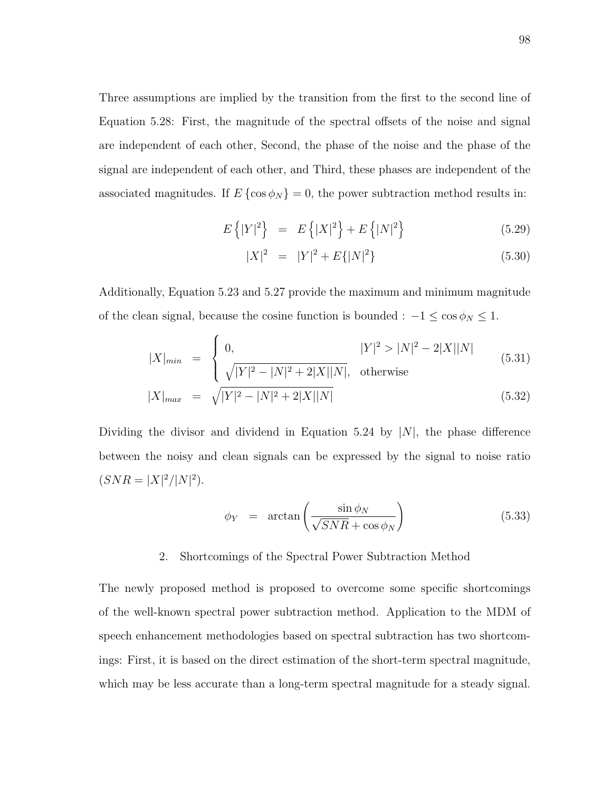Three assumptions are implied by the transition from the first to the second line of Equation 5.28: First, the magnitude of the spectral offsets of the noise and signal are independent of each other, Second, the phase of the noise and the phase of the signal are independent of each other, and Third, these phases are independent of the associated magnitudes. If  $E \{ \cos \phi_N \} = 0$ , the power subtraction method results in:

$$
E\{|Y|^2\} = E\{|X|^2\} + E\{|N|^2\}
$$
\n(5.29)

$$
|X|^2 = |Y|^2 + E\{|N|^2\} \tag{5.30}
$$

Additionally, Equation 5.23 and 5.27 provide the maximum and minimum magnitude of the clean signal, because the cosine function is bounded :  $-1 \le \cos \phi_N \le 1$ .

$$
|X|_{min} = \begin{cases} 0, & |Y|^2 > |N|^2 - 2|X||N| \\ \sqrt{|Y|^2 - |N|^2 + 2|X||N|}, & \text{otherwise} \end{cases}
$$
(5.31)  

$$
|X|_{max} = \sqrt{|Y|^2 - |N|^2 + 2|X||N|}
$$
(5.32)

Dividing the divisor and dividend in Equation 5.24 by  $|N|$ , the phase difference between the noisy and clean signals can be expressed by the signal to noise ratio  $(SNR = |X|^2/|N|^2).$ 

$$
\phi_Y = \arctan\left(\frac{\sin \phi_N}{\sqrt{SNR} + \cos \phi_N}\right) \tag{5.33}
$$

## 2. Shortcomings of the Spectral Power Subtraction Method

The newly proposed method is proposed to overcome some specific shortcomings of the well-known spectral power subtraction method. Application to the MDM of speech enhancement methodologies based on spectral subtraction has two shortcomings: First, it is based on the direct estimation of the short-term spectral magnitude, which may be less accurate than a long-term spectral magnitude for a steady signal.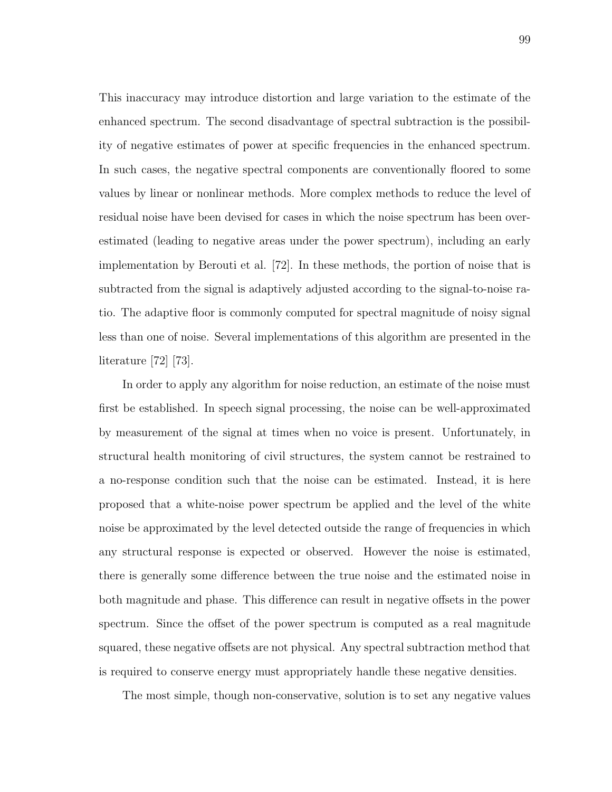This inaccuracy may introduce distortion and large variation to the estimate of the enhanced spectrum. The second disadvantage of spectral subtraction is the possibility of negative estimates of power at specific frequencies in the enhanced spectrum. In such cases, the negative spectral components are conventionally floored to some values by linear or nonlinear methods. More complex methods to reduce the level of residual noise have been devised for cases in which the noise spectrum has been overestimated (leading to negative areas under the power spectrum), including an early implementation by Berouti et al. [72]. In these methods, the portion of noise that is subtracted from the signal is adaptively adjusted according to the signal-to-noise ratio. The adaptive floor is commonly computed for spectral magnitude of noisy signal less than one of noise. Several implementations of this algorithm are presented in the literature [72] [73].

In order to apply any algorithm for noise reduction, an estimate of the noise must first be established. In speech signal processing, the noise can be well-approximated by measurement of the signal at times when no voice is present. Unfortunately, in structural health monitoring of civil structures, the system cannot be restrained to a no-response condition such that the noise can be estimated. Instead, it is here proposed that a white-noise power spectrum be applied and the level of the white noise be approximated by the level detected outside the range of frequencies in which any structural response is expected or observed. However the noise is estimated, there is generally some difference between the true noise and the estimated noise in both magnitude and phase. This difference can result in negative offsets in the power spectrum. Since the offset of the power spectrum is computed as a real magnitude squared, these negative offsets are not physical. Any spectral subtraction method that is required to conserve energy must appropriately handle these negative densities.

The most simple, though non-conservative, solution is to set any negative values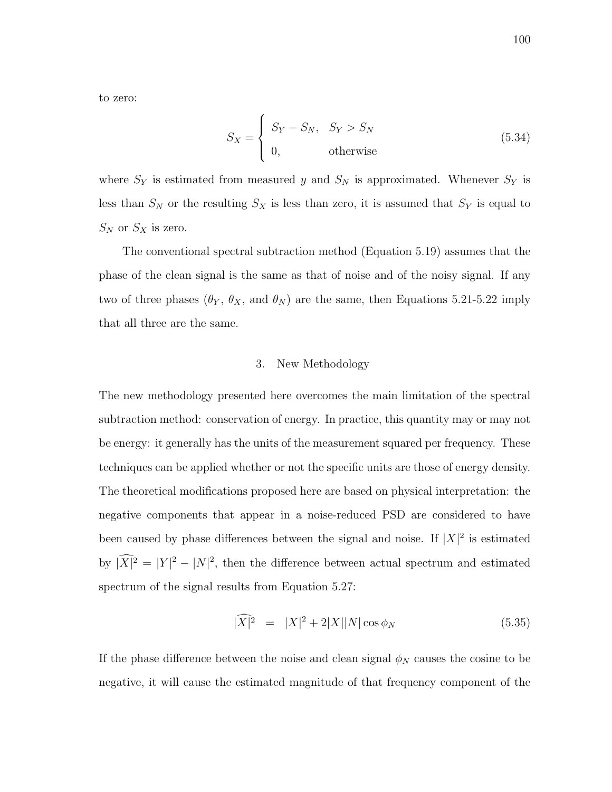to zero:

$$
S_X = \begin{cases} S_Y - S_N, & S_Y > S_N \\ 0, & \text{otherwise} \end{cases} \tag{5.34}
$$

where  $S_Y$  is estimated from measured y and  $S_N$  is approximated. Whenever  $S_Y$  is less than  $S_N$  or the resulting  $S_X$  is less than zero, it is assumed that  $S_Y$  is equal to  $S_N$  or  $S_X$  is zero.

The conventional spectral subtraction method (Equation 5.19) assumes that the phase of the clean signal is the same as that of noise and of the noisy signal. If any two of three phases  $(\theta_Y, \theta_X, \text{ and } \theta_N)$  are the same, then Equations 5.21-5.22 imply that all three are the same.

### 3. New Methodology

The new methodology presented here overcomes the main limitation of the spectral subtraction method: conservation of energy. In practice, this quantity may or may not be energy: it generally has the units of the measurement squared per frequency. These techniques can be applied whether or not the specific units are those of energy density. The theoretical modifications proposed here are based on physical interpretation: the negative components that appear in a noise-reduced PSD are considered to have been caused by phase differences between the signal and noise. If  $|X|^2$  is estimated by  $|\widehat{X}|^2 = |Y|^2 - |N|^2$ , then the difference between actual spectrum and estimated spectrum of the signal results from Equation 5.27:

$$
|\widehat{X}|^2 = |X|^2 + 2|X||N|\cos\phi_N \tag{5.35}
$$

If the phase difference between the noise and clean signal  $\phi_N$  causes the cosine to be negative, it will cause the estimated magnitude of that frequency component of the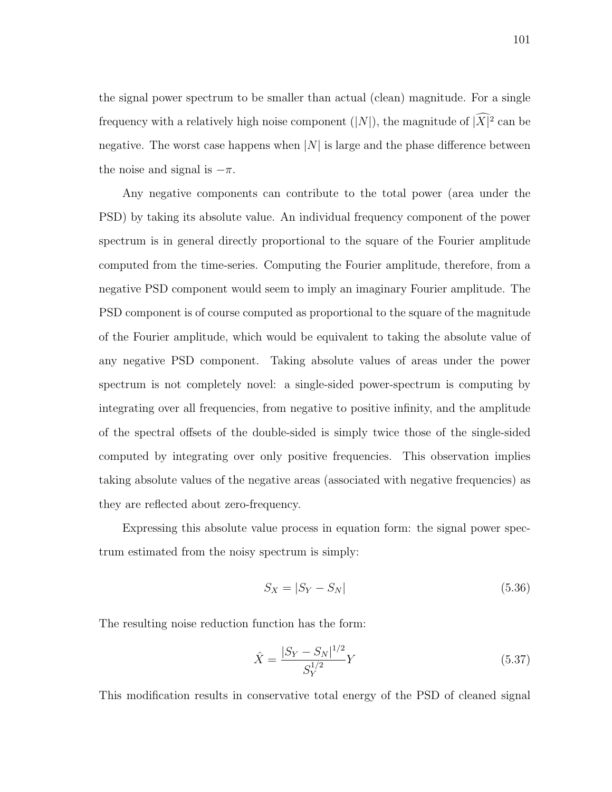the signal power spectrum to be smaller than actual (clean) magnitude. For a single frequency with a relatively high noise component  $(|N|)$ , the magnitude of  $|\widehat{X}|^2$  can be negative. The worst case happens when  $|N|$  is large and the phase difference between the noise and signal is  $-\pi$ .

Any negative components can contribute to the total power (area under the PSD) by taking its absolute value. An individual frequency component of the power spectrum is in general directly proportional to the square of the Fourier amplitude computed from the time-series. Computing the Fourier amplitude, therefore, from a negative PSD component would seem to imply an imaginary Fourier amplitude. The PSD component is of course computed as proportional to the square of the magnitude of the Fourier amplitude, which would be equivalent to taking the absolute value of any negative PSD component. Taking absolute values of areas under the power spectrum is not completely novel: a single-sided power-spectrum is computing by integrating over all frequencies, from negative to positive infinity, and the amplitude of the spectral offsets of the double-sided is simply twice those of the single-sided computed by integrating over only positive frequencies. This observation implies taking absolute values of the negative areas (associated with negative frequencies) as they are reflected about zero-frequency.

Expressing this absolute value process in equation form: the signal power spectrum estimated from the noisy spectrum is simply:

$$
S_X = |S_Y - S_N| \tag{5.36}
$$

The resulting noise reduction function has the form:

$$
\hat{X} = \frac{|S_Y - S_N|^{1/2}}{S_Y^{1/2}} Y
$$
\n(5.37)

This modification results in conservative total energy of the PSD of cleaned signal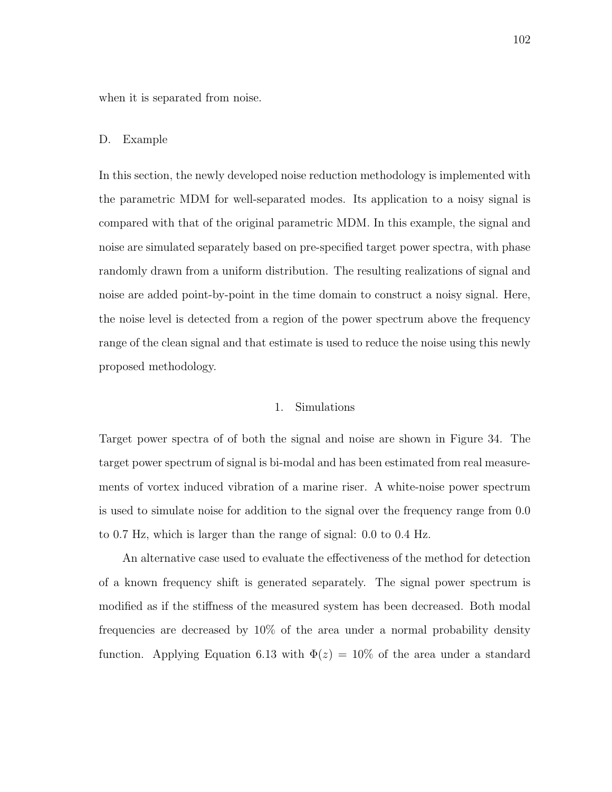when it is separated from noise.

#### D. Example

In this section, the newly developed noise reduction methodology is implemented with the parametric MDM for well-separated modes. Its application to a noisy signal is compared with that of the original parametric MDM. In this example, the signal and noise are simulated separately based on pre-specified target power spectra, with phase randomly drawn from a uniform distribution. The resulting realizations of signal and noise are added point-by-point in the time domain to construct a noisy signal. Here, the noise level is detected from a region of the power spectrum above the frequency range of the clean signal and that estimate is used to reduce the noise using this newly proposed methodology.

# 1. Simulations

Target power spectra of of both the signal and noise are shown in Figure 34. The target power spectrum of signal is bi-modal and has been estimated from real measurements of vortex induced vibration of a marine riser. A white-noise power spectrum is used to simulate noise for addition to the signal over the frequency range from 0.0 to 0.7 Hz, which is larger than the range of signal: 0.0 to 0.4 Hz.

An alternative case used to evaluate the effectiveness of the method for detection of a known frequency shift is generated separately. The signal power spectrum is modified as if the stiffness of the measured system has been decreased. Both modal frequencies are decreased by 10% of the area under a normal probability density function. Applying Equation 6.13 with  $\Phi(z) = 10\%$  of the area under a standard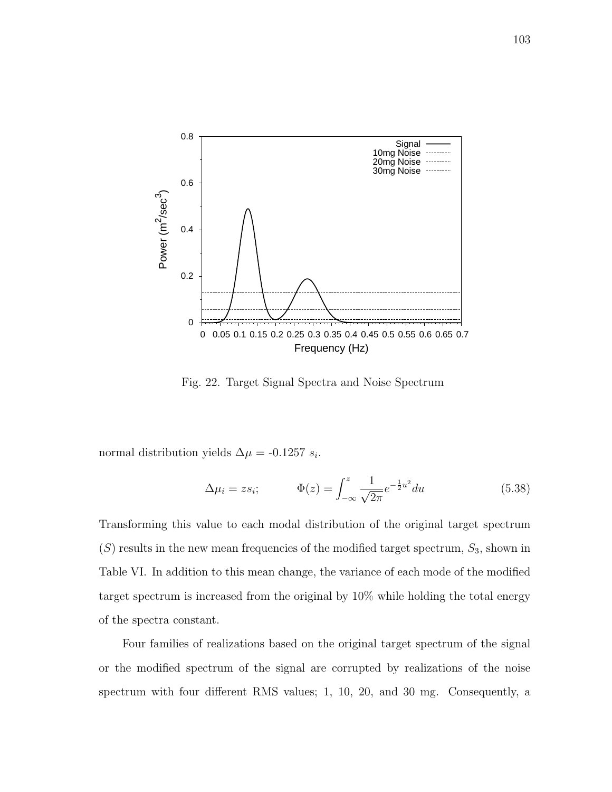

Fig. 22. Target Signal Spectra and Noise Spectrum

normal distribution yields  $\Delta \mu = -0.1257 s_i$ .

$$
\Delta \mu_i = z s_i; \qquad \Phi(z) = \int_{-\infty}^{z} \frac{1}{\sqrt{2\pi}} e^{-\frac{1}{2}u^2} du \qquad (5.38)
$$

Transforming this value to each modal distribution of the original target spectrum  $(S)$  results in the new mean frequencies of the modified target spectrum,  $S_3$ , shown in Table VI. In addition to this mean change, the variance of each mode of the modified target spectrum is increased from the original by 10% while holding the total energy of the spectra constant.

Four families of realizations based on the original target spectrum of the signal or the modified spectrum of the signal are corrupted by realizations of the noise spectrum with four different RMS values; 1, 10, 20, and 30 mg. Consequently, a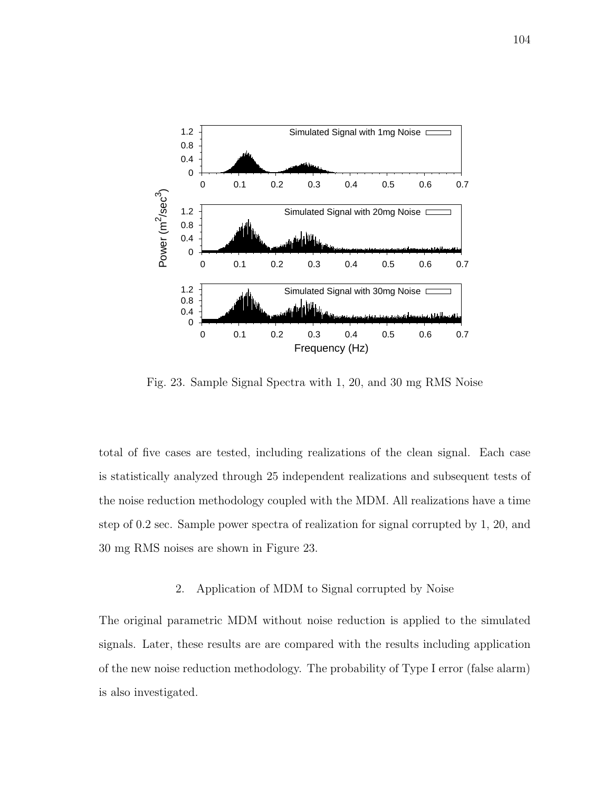

Fig. 23. Sample Signal Spectra with 1, 20, and 30 mg RMS Noise

total of five cases are tested, including realizations of the clean signal. Each case is statistically analyzed through 25 independent realizations and subsequent tests of the noise reduction methodology coupled with the MDM. All realizations have a time step of 0.2 sec. Sample power spectra of realization for signal corrupted by 1, 20, and 30 mg RMS noises are shown in Figure 23.

# 2. Application of MDM to Signal corrupted by Noise

The original parametric MDM without noise reduction is applied to the simulated signals. Later, these results are are compared with the results including application of the new noise reduction methodology. The probability of Type I error (false alarm) is also investigated.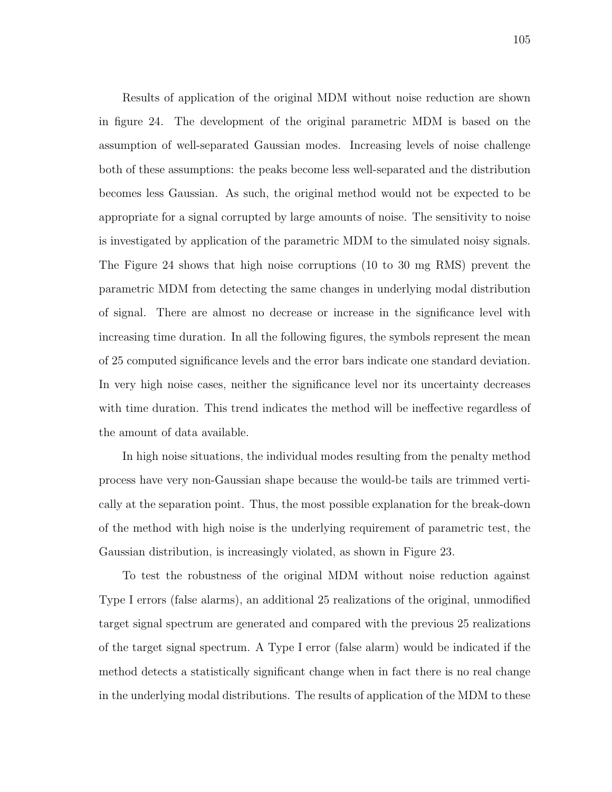Results of application of the original MDM without noise reduction are shown in figure 24. The development of the original parametric MDM is based on the assumption of well-separated Gaussian modes. Increasing levels of noise challenge both of these assumptions: the peaks become less well-separated and the distribution becomes less Gaussian. As such, the original method would not be expected to be appropriate for a signal corrupted by large amounts of noise. The sensitivity to noise is investigated by application of the parametric MDM to the simulated noisy signals. The Figure 24 shows that high noise corruptions (10 to 30 mg RMS) prevent the parametric MDM from detecting the same changes in underlying modal distribution of signal. There are almost no decrease or increase in the significance level with increasing time duration. In all the following figures, the symbols represent the mean of 25 computed significance levels and the error bars indicate one standard deviation. In very high noise cases, neither the significance level nor its uncertainty decreases with time duration. This trend indicates the method will be ineffective regardless of the amount of data available.

In high noise situations, the individual modes resulting from the penalty method process have very non-Gaussian shape because the would-be tails are trimmed vertically at the separation point. Thus, the most possible explanation for the break-down of the method with high noise is the underlying requirement of parametric test, the Gaussian distribution, is increasingly violated, as shown in Figure 23.

To test the robustness of the original MDM without noise reduction against Type I errors (false alarms), an additional 25 realizations of the original, unmodified target signal spectrum are generated and compared with the previous 25 realizations of the target signal spectrum. A Type I error (false alarm) would be indicated if the method detects a statistically significant change when in fact there is no real change in the underlying modal distributions. The results of application of the MDM to these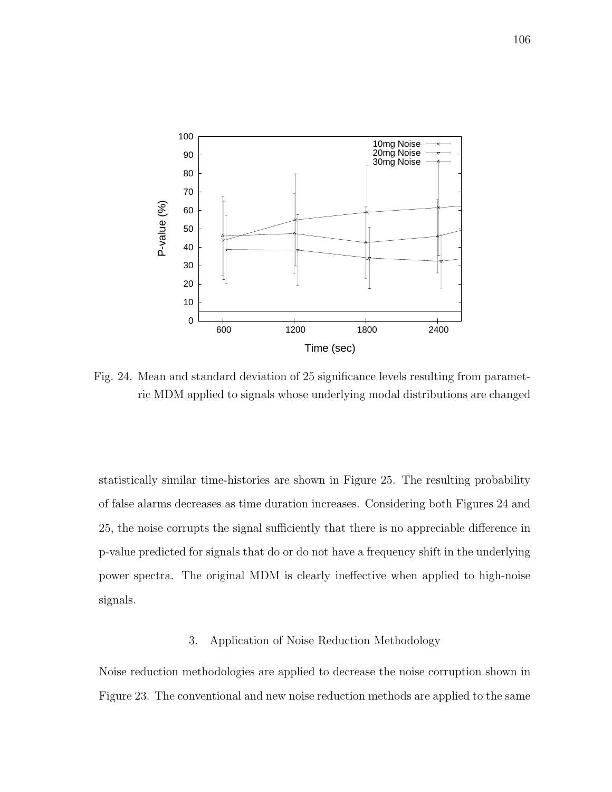

Fig. 24. Mean and standard deviation of 25 significance levels resulting from parametric MDM applied to signals whose underlying modal distributions are changed

statistically similar time-histories are shown in Figure 25. The resulting probability of false alarms decreases as time duration increases. Considering both Figures 24 and 25, the noise corrupts the signal sufficiently that there is no appreciable difference in p-value predicted for signals that do or do not have a frequency shift in the underlying power spectra. The original MDM is clearly ineffective when applied to high-noise signals.

# 3. Application of Noise Reduction Methodology

Noise reduction methodologies are applied to decrease the noise corruption shown in Figure 23. The conventional and new noise reduction methods are applied to the same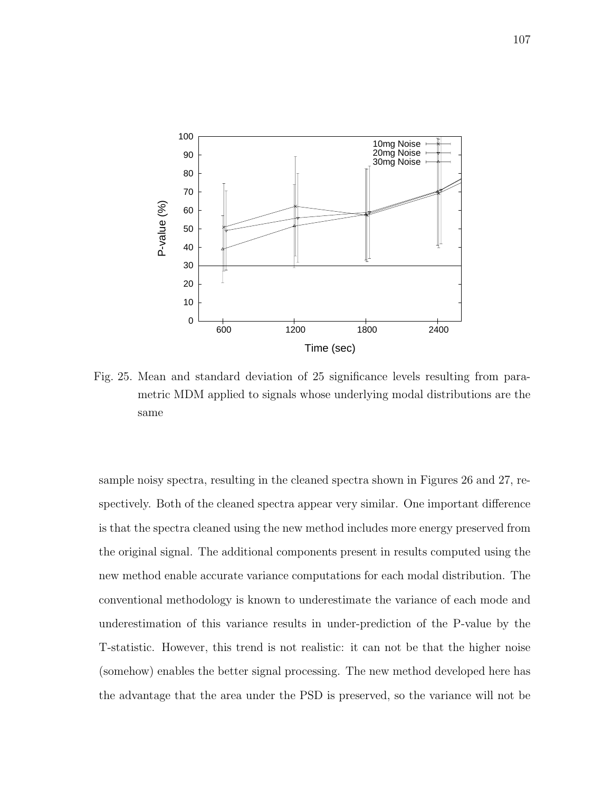

Fig. 25. Mean and standard deviation of 25 significance levels resulting from parametric MDM applied to signals whose underlying modal distributions are the same

sample noisy spectra, resulting in the cleaned spectra shown in Figures 26 and 27, respectively. Both of the cleaned spectra appear very similar. One important difference is that the spectra cleaned using the new method includes more energy preserved from the original signal. The additional components present in results computed using the new method enable accurate variance computations for each modal distribution. The conventional methodology is known to underestimate the variance of each mode and underestimation of this variance results in under-prediction of the P-value by the T-statistic. However, this trend is not realistic: it can not be that the higher noise (somehow) enables the better signal processing. The new method developed here has the advantage that the area under the PSD is preserved, so the variance will not be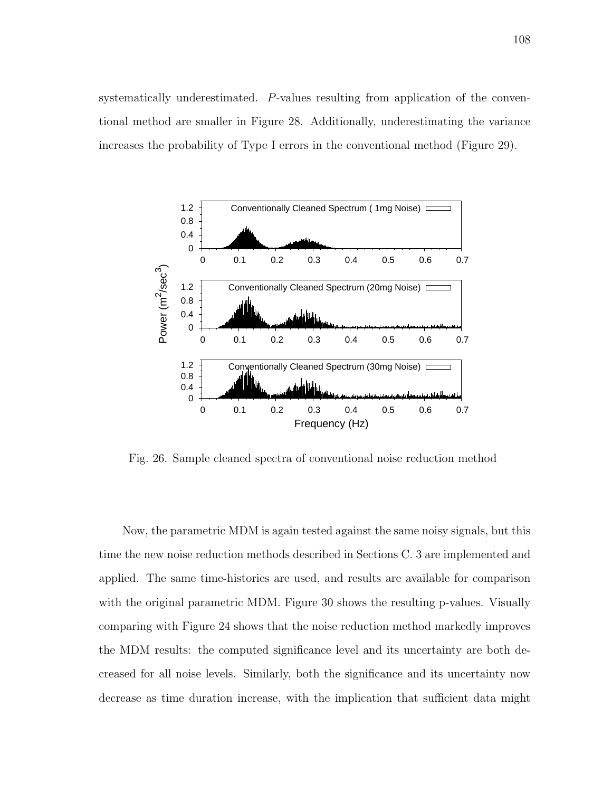systematically underestimated. P-values resulting from application of the conventional method are smaller in Figure 28. Additionally, underestimating the variance increases the probability of Type I errors in the conventional method (Figure 29).



Fig. 26. Sample cleaned spectra of conventional noise reduction method

Now, the parametric MDM is again tested against the same noisy signals, but this time the new noise reduction methods described in Sections C. 3 are implemented and applied. The same time-histories are used, and results are available for comparison with the original parametric MDM. Figure 30 shows the resulting p-values. Visually comparing with Figure 24 shows that the noise reduction method markedly improves the MDM results: the computed significance level and its uncertainty are both decreased for all noise levels. Similarly, both the significance and its uncertainty now decrease as time duration increase, with the implication that sufficient data might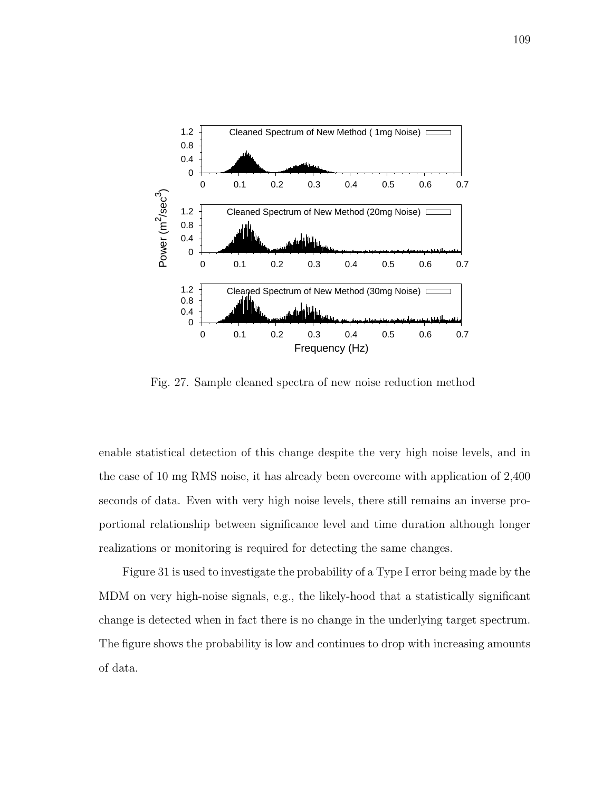

Fig. 27. Sample cleaned spectra of new noise reduction method

enable statistical detection of this change despite the very high noise levels, and in the case of 10 mg RMS noise, it has already been overcome with application of 2,400 seconds of data. Even with very high noise levels, there still remains an inverse proportional relationship between significance level and time duration although longer realizations or monitoring is required for detecting the same changes.

Figure 31 is used to investigate the probability of a Type I error being made by the MDM on very high-noise signals, e.g., the likely-hood that a statistically significant change is detected when in fact there is no change in the underlying target spectrum. The figure shows the probability is low and continues to drop with increasing amounts of data.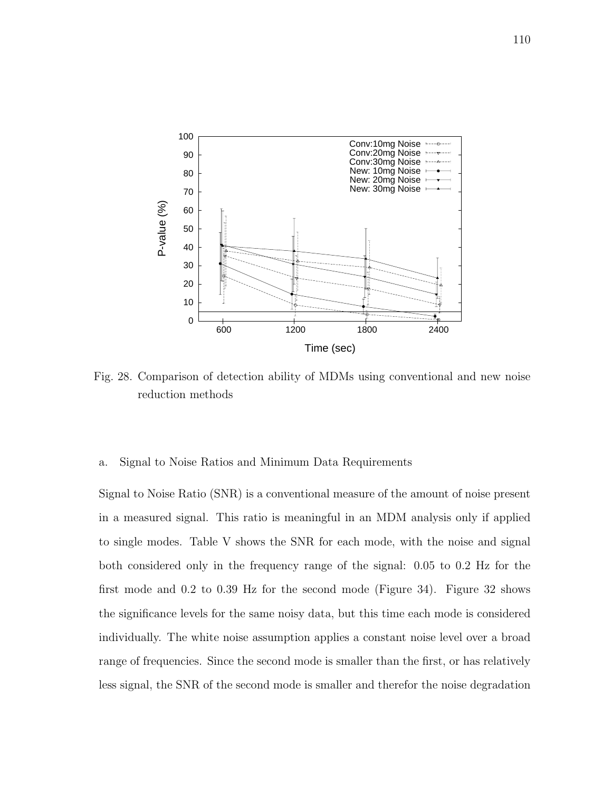

Fig. 28. Comparison of detection ability of MDMs using conventional and new noise reduction methods

## a. Signal to Noise Ratios and Minimum Data Requirements

Signal to Noise Ratio (SNR) is a conventional measure of the amount of noise present in a measured signal. This ratio is meaningful in an MDM analysis only if applied to single modes. Table V shows the SNR for each mode, with the noise and signal both considered only in the frequency range of the signal: 0.05 to 0.2 Hz for the first mode and 0.2 to 0.39 Hz for the second mode (Figure 34). Figure 32 shows the significance levels for the same noisy data, but this time each mode is considered individually. The white noise assumption applies a constant noise level over a broad range of frequencies. Since the second mode is smaller than the first, or has relatively less signal, the SNR of the second mode is smaller and therefor the noise degradation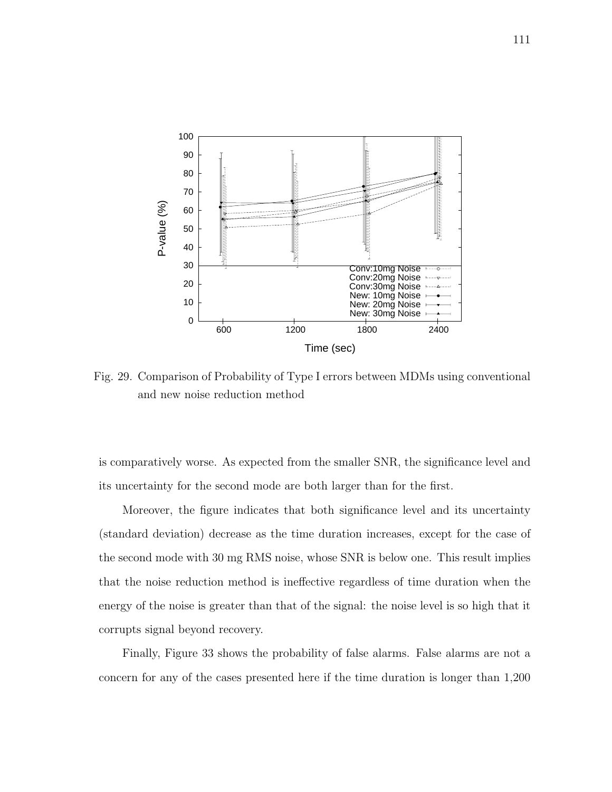

Fig. 29. Comparison of Probability of Type I errors between MDMs using conventional and new noise reduction method

is comparatively worse. As expected from the smaller SNR, the significance level and its uncertainty for the second mode are both larger than for the first.

Moreover, the figure indicates that both significance level and its uncertainty (standard deviation) decrease as the time duration increases, except for the case of the second mode with 30 mg RMS noise, whose SNR is below one. This result implies that the noise reduction method is ineffective regardless of time duration when the energy of the noise is greater than that of the signal: the noise level is so high that it corrupts signal beyond recovery.

Finally, Figure 33 shows the probability of false alarms. False alarms are not a concern for any of the cases presented here if the time duration is longer than 1,200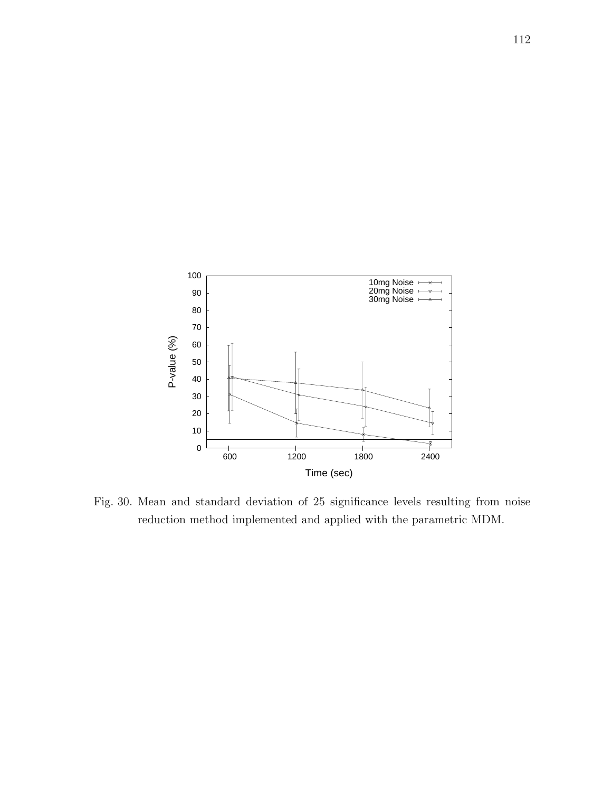

Fig. 30. Mean and standard deviation of 25 significance levels resulting from noise reduction method implemented and applied with the parametric MDM.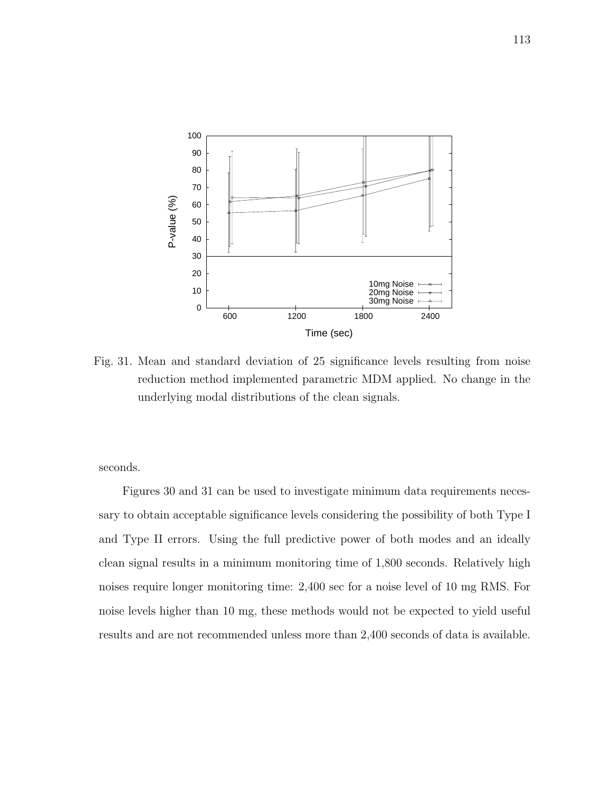

Fig. 31. Mean and standard deviation of 25 significance levels resulting from noise reduction method implemented parametric MDM applied. No change in the underlying modal distributions of the clean signals.

seconds.

Figures 30 and 31 can be used to investigate minimum data requirements necessary to obtain acceptable significance levels considering the possibility of both Type I and Type II errors. Using the full predictive power of both modes and an ideally clean signal results in a minimum monitoring time of 1,800 seconds. Relatively high noises require longer monitoring time: 2,400 sec for a noise level of 10 mg RMS. For noise levels higher than 10 mg, these methods would not be expected to yield useful results and are not recommended unless more than 2,400 seconds of data is available.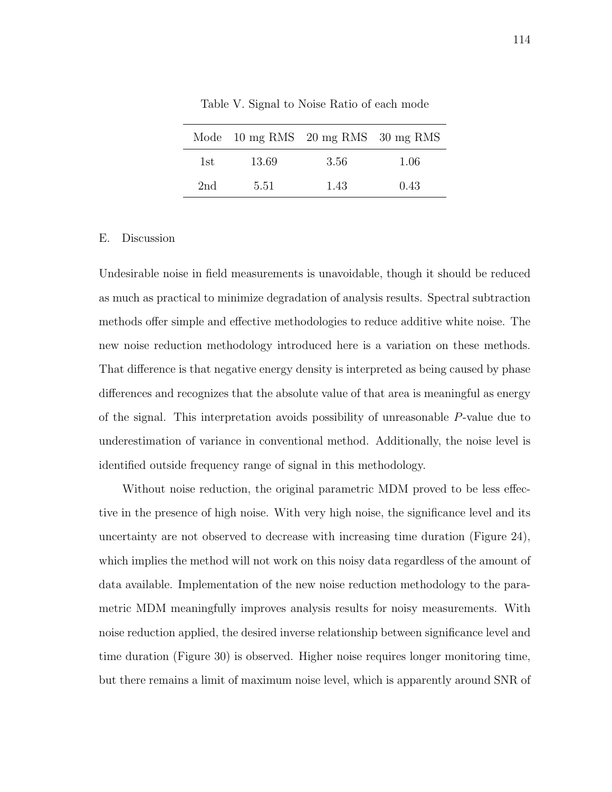|      |       | Mode $10 \text{ mg RMS}$ $20 \text{ mg RMS}$ $30 \text{ mg RMS}$ |      |
|------|-------|------------------------------------------------------------------|------|
| 1st. | 13.69 | 3.56                                                             | 1.06 |
| 2nd  | 5.51  | 1.43                                                             | 0.43 |

Table V. Signal to Noise Ratio of each mode

#### E. Discussion

Undesirable noise in field measurements is unavoidable, though it should be reduced as much as practical to minimize degradation of analysis results. Spectral subtraction methods offer simple and effective methodologies to reduce additive white noise. The new noise reduction methodology introduced here is a variation on these methods. That difference is that negative energy density is interpreted as being caused by phase differences and recognizes that the absolute value of that area is meaningful as energy of the signal. This interpretation avoids possibility of unreasonable P-value due to underestimation of variance in conventional method. Additionally, the noise level is identified outside frequency range of signal in this methodology.

Without noise reduction, the original parametric MDM proved to be less effective in the presence of high noise. With very high noise, the significance level and its uncertainty are not observed to decrease with increasing time duration (Figure 24), which implies the method will not work on this noisy data regardless of the amount of data available. Implementation of the new noise reduction methodology to the parametric MDM meaningfully improves analysis results for noisy measurements. With noise reduction applied, the desired inverse relationship between significance level and time duration (Figure 30) is observed. Higher noise requires longer monitoring time, but there remains a limit of maximum noise level, which is apparently around SNR of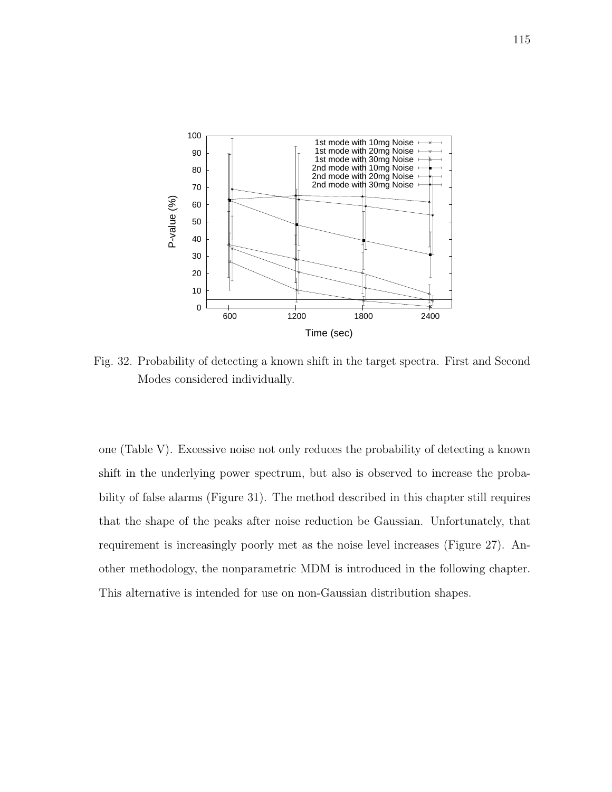

Fig. 32. Probability of detecting a known shift in the target spectra. First and Second Modes considered individually.

one (Table V). Excessive noise not only reduces the probability of detecting a known shift in the underlying power spectrum, but also is observed to increase the probability of false alarms (Figure 31). The method described in this chapter still requires that the shape of the peaks after noise reduction be Gaussian. Unfortunately, that requirement is increasingly poorly met as the noise level increases (Figure 27). Another methodology, the nonparametric MDM is introduced in the following chapter. This alternative is intended for use on non-Gaussian distribution shapes.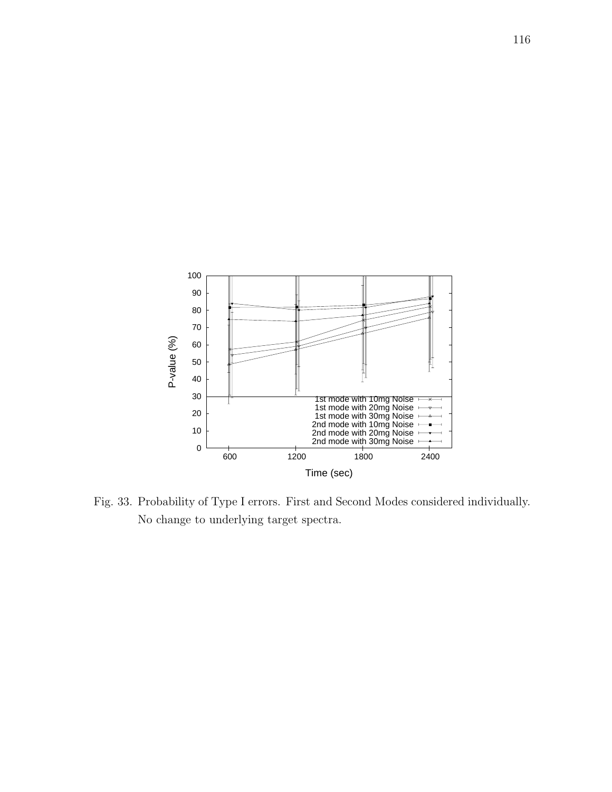

Fig. 33. Probability of Type I errors. First and Second Modes considered individually. No change to underlying target spectra.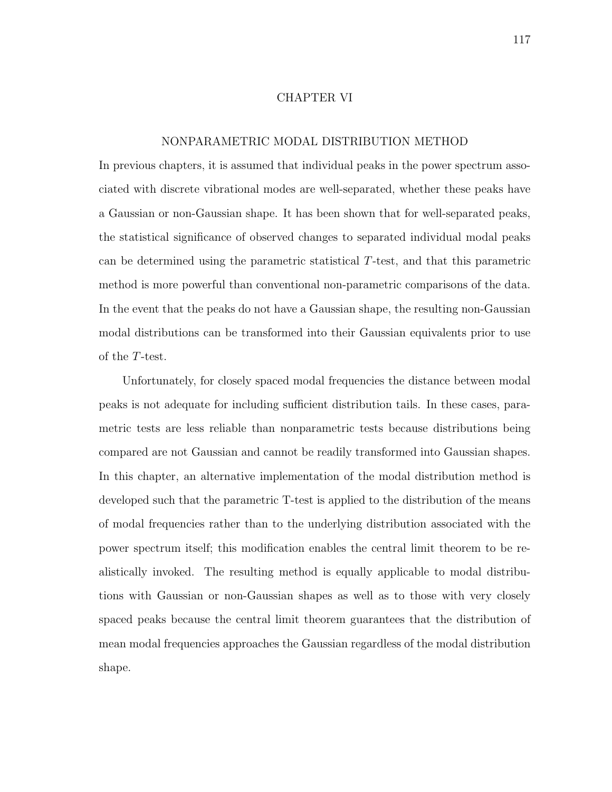#### CHAPTER VI

### NONPARAMETRIC MODAL DISTRIBUTION METHOD

In previous chapters, it is assumed that individual peaks in the power spectrum associated with discrete vibrational modes are well-separated, whether these peaks have a Gaussian or non-Gaussian shape. It has been shown that for well-separated peaks, the statistical significance of observed changes to separated individual modal peaks can be determined using the parametric statistical T-test, and that this parametric method is more powerful than conventional non-parametric comparisons of the data. In the event that the peaks do not have a Gaussian shape, the resulting non-Gaussian modal distributions can be transformed into their Gaussian equivalents prior to use of the T-test.

Unfortunately, for closely spaced modal frequencies the distance between modal peaks is not adequate for including sufficient distribution tails. In these cases, parametric tests are less reliable than nonparametric tests because distributions being compared are not Gaussian and cannot be readily transformed into Gaussian shapes. In this chapter, an alternative implementation of the modal distribution method is developed such that the parametric T-test is applied to the distribution of the means of modal frequencies rather than to the underlying distribution associated with the power spectrum itself; this modification enables the central limit theorem to be realistically invoked. The resulting method is equally applicable to modal distributions with Gaussian or non-Gaussian shapes as well as to those with very closely spaced peaks because the central limit theorem guarantees that the distribution of mean modal frequencies approaches the Gaussian regardless of the modal distribution shape.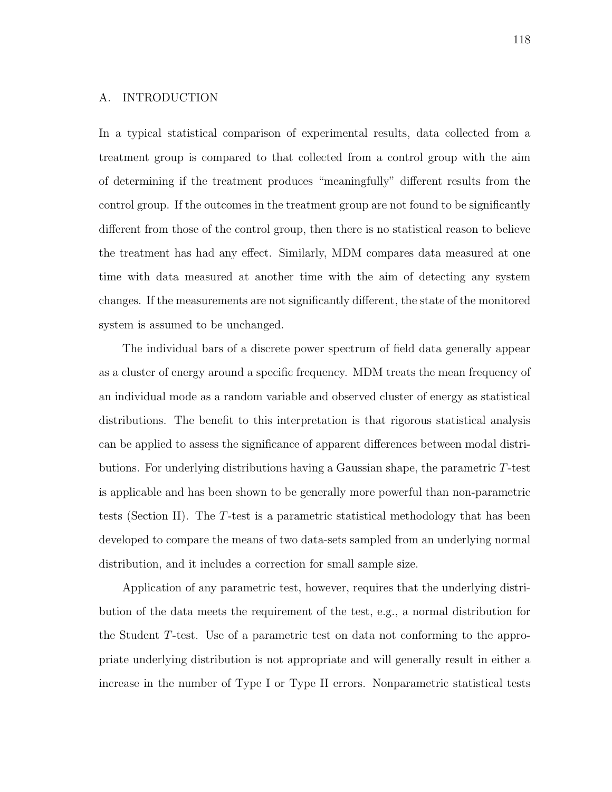# A. INTRODUCTION

In a typical statistical comparison of experimental results, data collected from a treatment group is compared to that collected from a control group with the aim of determining if the treatment produces "meaningfully" different results from the control group. If the outcomes in the treatment group are not found to be significantly different from those of the control group, then there is no statistical reason to believe the treatment has had any effect. Similarly, MDM compares data measured at one time with data measured at another time with the aim of detecting any system changes. If the measurements are not significantly different, the state of the monitored system is assumed to be unchanged.

The individual bars of a discrete power spectrum of field data generally appear as a cluster of energy around a specific frequency. MDM treats the mean frequency of an individual mode as a random variable and observed cluster of energy as statistical distributions. The benefit to this interpretation is that rigorous statistical analysis can be applied to assess the significance of apparent differences between modal distributions. For underlying distributions having a Gaussian shape, the parametric T-test is applicable and has been shown to be generally more powerful than non-parametric tests (Section II). The T-test is a parametric statistical methodology that has been developed to compare the means of two data-sets sampled from an underlying normal distribution, and it includes a correction for small sample size.

Application of any parametric test, however, requires that the underlying distribution of the data meets the requirement of the test, e.g., a normal distribution for the Student T-test. Use of a parametric test on data not conforming to the appropriate underlying distribution is not appropriate and will generally result in either a increase in the number of Type I or Type II errors. Nonparametric statistical tests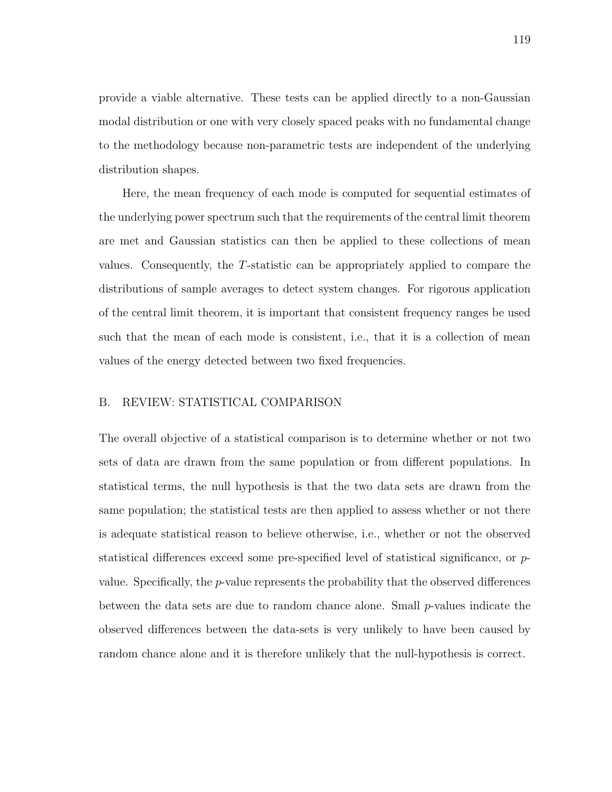provide a viable alternative. These tests can be applied directly to a non-Gaussian modal distribution or one with very closely spaced peaks with no fundamental change to the methodology because non-parametric tests are independent of the underlying distribution shapes.

Here, the mean frequency of each mode is computed for sequential estimates of the underlying power spectrum such that the requirements of the central limit theorem are met and Gaussian statistics can then be applied to these collections of mean values. Consequently, the T-statistic can be appropriately applied to compare the distributions of sample averages to detect system changes. For rigorous application of the central limit theorem, it is important that consistent frequency ranges be used such that the mean of each mode is consistent, i.e., that it is a collection of mean values of the energy detected between two fixed frequencies.

## B. REVIEW: STATISTICAL COMPARISON

The overall objective of a statistical comparison is to determine whether or not two sets of data are drawn from the same population or from different populations. In statistical terms, the null hypothesis is that the two data sets are drawn from the same population; the statistical tests are then applied to assess whether or not there is adequate statistical reason to believe otherwise, i.e., whether or not the observed statistical differences exceed some pre-specified level of statistical significance, or pvalue. Specifically, the p-value represents the probability that the observed differences between the data sets are due to random chance alone. Small p-values indicate the observed differences between the data-sets is very unlikely to have been caused by random chance alone and it is therefore unlikely that the null-hypothesis is correct.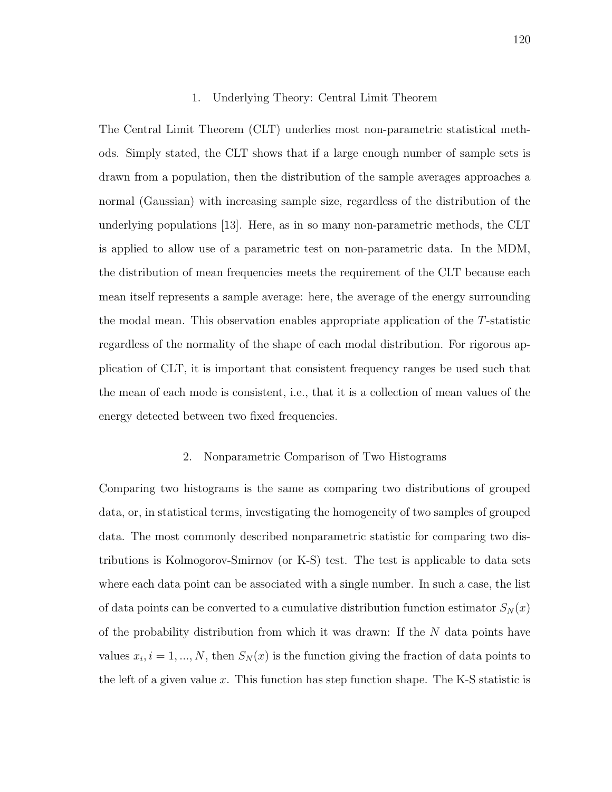### 1. Underlying Theory: Central Limit Theorem

The Central Limit Theorem (CLT) underlies most non-parametric statistical methods. Simply stated, the CLT shows that if a large enough number of sample sets is drawn from a population, then the distribution of the sample averages approaches a normal (Gaussian) with increasing sample size, regardless of the distribution of the underlying populations [13]. Here, as in so many non-parametric methods, the CLT is applied to allow use of a parametric test on non-parametric data. In the MDM, the distribution of mean frequencies meets the requirement of the CLT because each mean itself represents a sample average: here, the average of the energy surrounding the modal mean. This observation enables appropriate application of the T-statistic regardless of the normality of the shape of each modal distribution. For rigorous application of CLT, it is important that consistent frequency ranges be used such that the mean of each mode is consistent, i.e., that it is a collection of mean values of the energy detected between two fixed frequencies.

#### 2. Nonparametric Comparison of Two Histograms

Comparing two histograms is the same as comparing two distributions of grouped data, or, in statistical terms, investigating the homogeneity of two samples of grouped data. The most commonly described nonparametric statistic for comparing two distributions is Kolmogorov-Smirnov (or K-S) test. The test is applicable to data sets where each data point can be associated with a single number. In such a case, the list of data points can be converted to a cumulative distribution function estimator  $S_N(x)$ of the probability distribution from which it was drawn: If the  $N$  data points have values  $x_i$ ,  $i = 1, ..., N$ , then  $S_N(x)$  is the function giving the fraction of data points to the left of a given value x. This function has step function shape. The K-S statistic is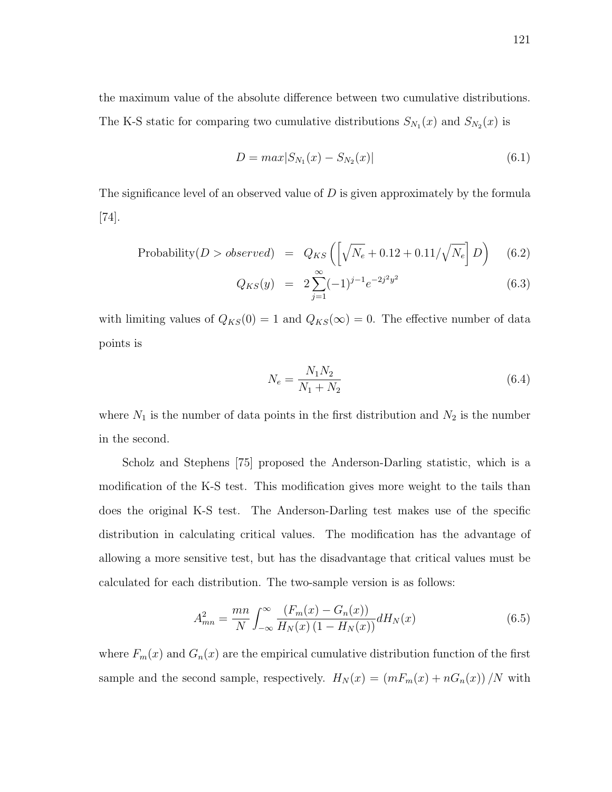the maximum value of the absolute difference between two cumulative distributions. The K-S static for comparing two cumulative distributions  $S_{N_1}(x)$  and  $S_{N_2}(x)$  is

$$
D = max|S_{N_1}(x) - S_{N_2}(x)|
$$
\n(6.1)

The significance level of an observed value of  $D$  is given approximately by the formula [74].

Probability
$$
(D > observed) = Q_{KS} \left( \left[ \sqrt{N_e} + 0.12 + 0.11/\sqrt{N_e} \right] D \right)
$$
 (6.2)

$$
Q_{KS}(y) = 2\sum_{j=1}^{\infty} (-1)^{j-1} e^{-2j^2 y^2}
$$
 (6.3)

with limiting values of  $Q_{KS}(0) = 1$  and  $Q_{KS}(\infty) = 0$ . The effective number of data points is

$$
N_e = \frac{N_1 N_2}{N_1 + N_2} \tag{6.4}
$$

where  $N_1$  is the number of data points in the first distribution and  $N_2$  is the number in the second.

Scholz and Stephens [75] proposed the Anderson-Darling statistic, which is a modification of the K-S test. This modification gives more weight to the tails than does the original K-S test. The Anderson-Darling test makes use of the specific distribution in calculating critical values. The modification has the advantage of allowing a more sensitive test, but has the disadvantage that critical values must be calculated for each distribution. The two-sample version is as follows:

$$
A_{mn}^2 = \frac{mn}{N} \int_{-\infty}^{\infty} \frac{(F_m(x) - G_n(x))}{H_N(x) (1 - H_N(x))} dH_N(x)
$$
(6.5)

where  $F_m(x)$  and  $G_n(x)$  are the empirical cumulative distribution function of the first sample and the second sample, respectively.  $H_N(x) = (mF_m(x) + nG_n(x))/N$  with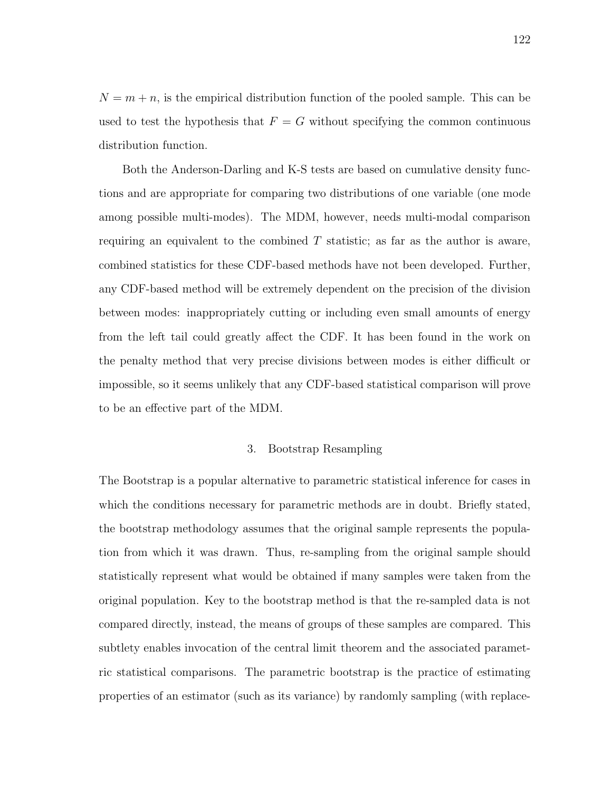$N = m + n$ , is the empirical distribution function of the pooled sample. This can be used to test the hypothesis that  $F = G$  without specifying the common continuous distribution function.

Both the Anderson-Darling and K-S tests are based on cumulative density functions and are appropriate for comparing two distributions of one variable (one mode among possible multi-modes). The MDM, however, needs multi-modal comparison requiring an equivalent to the combined  $T$  statistic; as far as the author is aware, combined statistics for these CDF-based methods have not been developed. Further, any CDF-based method will be extremely dependent on the precision of the division between modes: inappropriately cutting or including even small amounts of energy from the left tail could greatly affect the CDF. It has been found in the work on the penalty method that very precise divisions between modes is either difficult or impossible, so it seems unlikely that any CDF-based statistical comparison will prove to be an effective part of the MDM.

# 3. Bootstrap Resampling

The Bootstrap is a popular alternative to parametric statistical inference for cases in which the conditions necessary for parametric methods are in doubt. Briefly stated, the bootstrap methodology assumes that the original sample represents the population from which it was drawn. Thus, re-sampling from the original sample should statistically represent what would be obtained if many samples were taken from the original population. Key to the bootstrap method is that the re-sampled data is not compared directly, instead, the means of groups of these samples are compared. This subtlety enables invocation of the central limit theorem and the associated parametric statistical comparisons. The parametric bootstrap is the practice of estimating properties of an estimator (such as its variance) by randomly sampling (with replace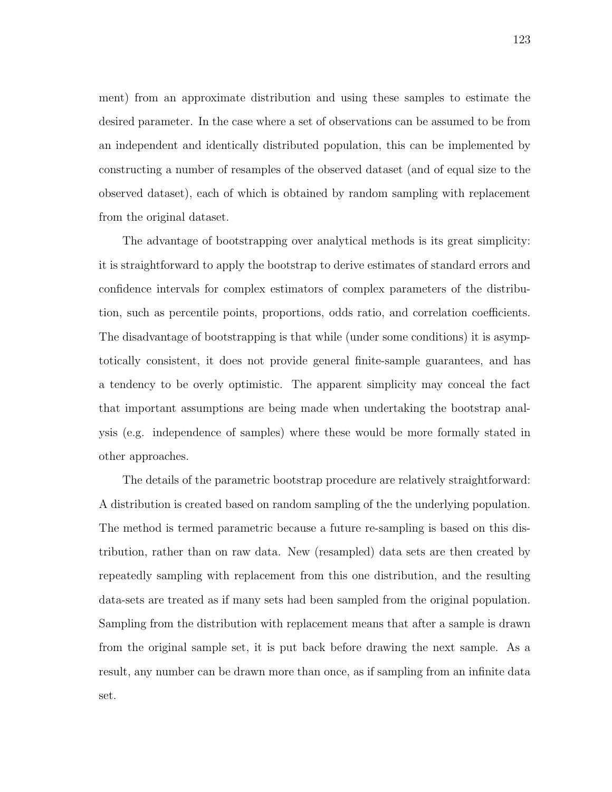ment) from an approximate distribution and using these samples to estimate the desired parameter. In the case where a set of observations can be assumed to be from an independent and identically distributed population, this can be implemented by constructing a number of resamples of the observed dataset (and of equal size to the observed dataset), each of which is obtained by random sampling with replacement from the original dataset.

The advantage of bootstrapping over analytical methods is its great simplicity: it is straightforward to apply the bootstrap to derive estimates of standard errors and confidence intervals for complex estimators of complex parameters of the distribution, such as percentile points, proportions, odds ratio, and correlation coefficients. The disadvantage of bootstrapping is that while (under some conditions) it is asymptotically consistent, it does not provide general finite-sample guarantees, and has a tendency to be overly optimistic. The apparent simplicity may conceal the fact that important assumptions are being made when undertaking the bootstrap analysis (e.g. independence of samples) where these would be more formally stated in other approaches.

The details of the parametric bootstrap procedure are relatively straightforward: A distribution is created based on random sampling of the the underlying population. The method is termed parametric because a future re-sampling is based on this distribution, rather than on raw data. New (resampled) data sets are then created by repeatedly sampling with replacement from this one distribution, and the resulting data-sets are treated as if many sets had been sampled from the original population. Sampling from the distribution with replacement means that after a sample is drawn from the original sample set, it is put back before drawing the next sample. As a result, any number can be drawn more than once, as if sampling from an infinite data set.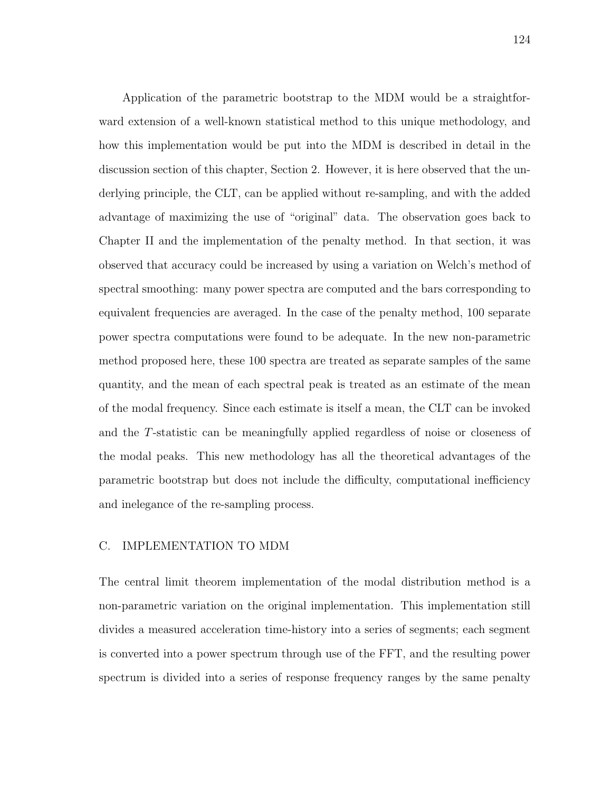Application of the parametric bootstrap to the MDM would be a straightforward extension of a well-known statistical method to this unique methodology, and how this implementation would be put into the MDM is described in detail in the discussion section of this chapter, Section 2. However, it is here observed that the underlying principle, the CLT, can be applied without re-sampling, and with the added advantage of maximizing the use of "original" data. The observation goes back to Chapter II and the implementation of the penalty method. In that section, it was observed that accuracy could be increased by using a variation on Welch's method of spectral smoothing: many power spectra are computed and the bars corresponding to equivalent frequencies are averaged. In the case of the penalty method, 100 separate power spectra computations were found to be adequate. In the new non-parametric method proposed here, these 100 spectra are treated as separate samples of the same quantity, and the mean of each spectral peak is treated as an estimate of the mean of the modal frequency. Since each estimate is itself a mean, the CLT can be invoked and the T-statistic can be meaningfully applied regardless of noise or closeness of the modal peaks. This new methodology has all the theoretical advantages of the parametric bootstrap but does not include the difficulty, computational inefficiency and inelegance of the re-sampling process.

# C. IMPLEMENTATION TO MDM

The central limit theorem implementation of the modal distribution method is a non-parametric variation on the original implementation. This implementation still divides a measured acceleration time-history into a series of segments; each segment is converted into a power spectrum through use of the FFT, and the resulting power spectrum is divided into a series of response frequency ranges by the same penalty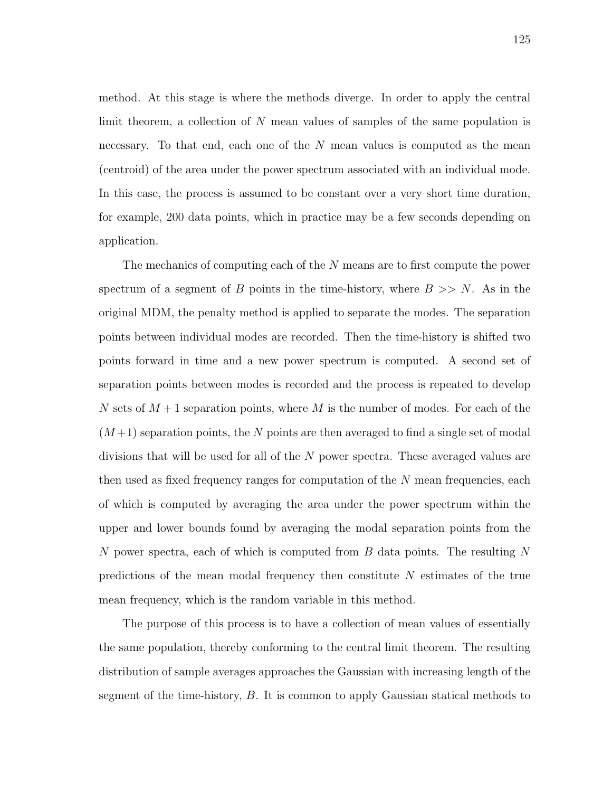method. At this stage is where the methods diverge. In order to apply the central limit theorem, a collection of N mean values of samples of the same population is necessary. To that end, each one of the  $N$  mean values is computed as the mean (centroid) of the area under the power spectrum associated with an individual mode. In this case, the process is assumed to be constant over a very short time duration, for example, 200 data points, which in practice may be a few seconds depending on application.

The mechanics of computing each of the N means are to first compute the power spectrum of a segment of B points in the time-history, where  $B \gg N$ . As in the original MDM, the penalty method is applied to separate the modes. The separation points between individual modes are recorded. Then the time-history is shifted two points forward in time and a new power spectrum is computed. A second set of separation points between modes is recorded and the process is repeated to develop N sets of  $M+1$  separation points, where M is the number of modes. For each of the  $(M+1)$  separation points, the N points are then averaged to find a single set of modal divisions that will be used for all of the N power spectra. These averaged values are then used as fixed frequency ranges for computation of the N mean frequencies, each of which is computed by averaging the area under the power spectrum within the upper and lower bounds found by averaging the modal separation points from the N power spectra, each of which is computed from B data points. The resulting N predictions of the mean modal frequency then constitute N estimates of the true mean frequency, which is the random variable in this method.

The purpose of this process is to have a collection of mean values of essentially the same population, thereby conforming to the central limit theorem. The resulting distribution of sample averages approaches the Gaussian with increasing length of the segment of the time-history, B. It is common to apply Gaussian statical methods to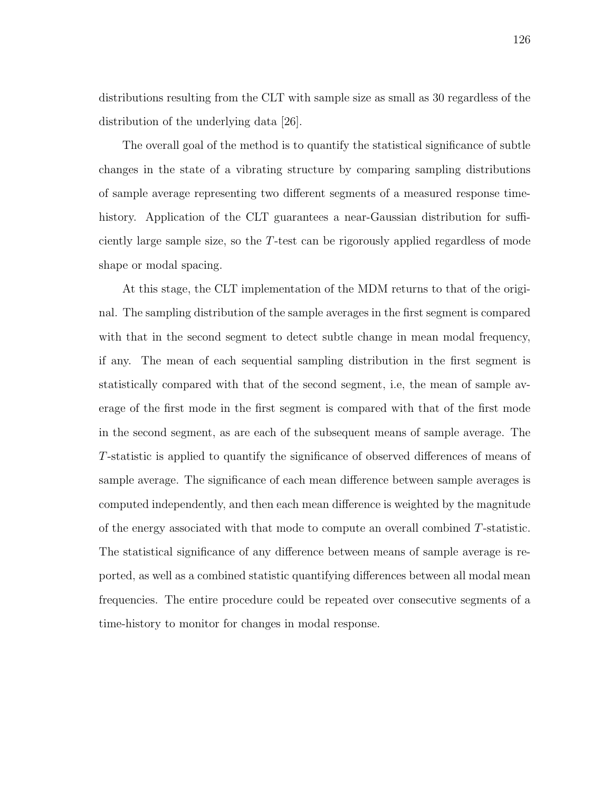distributions resulting from the CLT with sample size as small as 30 regardless of the distribution of the underlying data [26].

The overall goal of the method is to quantify the statistical significance of subtle changes in the state of a vibrating structure by comparing sampling distributions of sample average representing two different segments of a measured response timehistory. Application of the CLT guarantees a near-Gaussian distribution for sufficiently large sample size, so the T-test can be rigorously applied regardless of mode shape or modal spacing.

At this stage, the CLT implementation of the MDM returns to that of the original. The sampling distribution of the sample averages in the first segment is compared with that in the second segment to detect subtle change in mean modal frequency, if any. The mean of each sequential sampling distribution in the first segment is statistically compared with that of the second segment, i.e, the mean of sample average of the first mode in the first segment is compared with that of the first mode in the second segment, as are each of the subsequent means of sample average. The T-statistic is applied to quantify the significance of observed differences of means of sample average. The significance of each mean difference between sample averages is computed independently, and then each mean difference is weighted by the magnitude of the energy associated with that mode to compute an overall combined T-statistic. The statistical significance of any difference between means of sample average is reported, as well as a combined statistic quantifying differences between all modal mean frequencies. The entire procedure could be repeated over consecutive segments of a time-history to monitor for changes in modal response.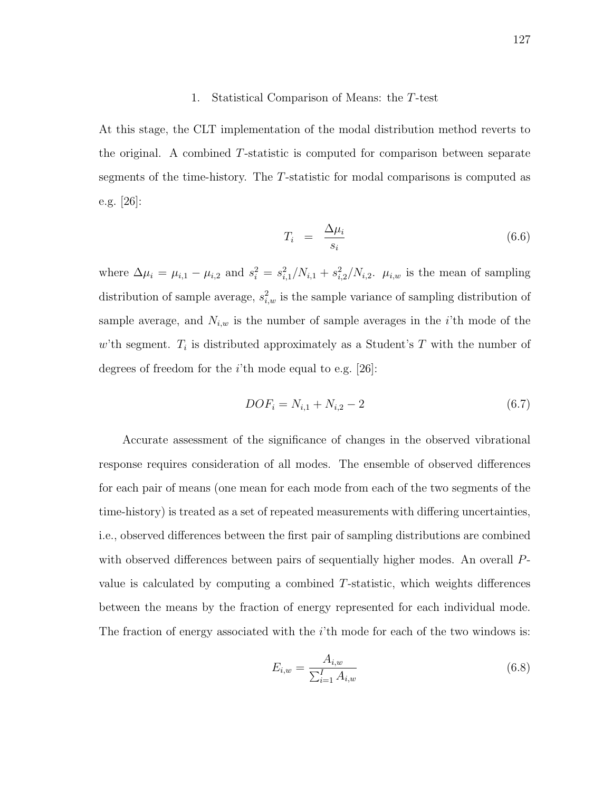#### 1. Statistical Comparison of Means: the T-test

At this stage, the CLT implementation of the modal distribution method reverts to the original. A combined T-statistic is computed for comparison between separate segments of the time-history. The T-statistic for modal comparisons is computed as e.g. [26]:

$$
T_i = \frac{\Delta \mu_i}{s_i} \tag{6.6}
$$

where  $\Delta \mu_i = \mu_{i,1} - \mu_{i,2}$  and  $s_i^2 = s_{i,1}^2/N_{i,1} + s_{i,2}^2/N_{i,2}$ .  $\mu_{i,w}$  is the mean of sampling distribution of sample average,  $s_{i,w}^2$  is the sample variance of sampling distribution of sample average, and  $N_{i,w}$  is the number of sample averages in the *i*'th mode of the w'th segment.  $T_i$  is distributed approximately as a Student's T with the number of degrees of freedom for the  $i$ 'th mode equal to e.g. [26]:

$$
DOF_i = N_{i,1} + N_{i,2} - 2 \tag{6.7}
$$

Accurate assessment of the significance of changes in the observed vibrational response requires consideration of all modes. The ensemble of observed differences for each pair of means (one mean for each mode from each of the two segments of the time-history) is treated as a set of repeated measurements with differing uncertainties, i.e., observed differences between the first pair of sampling distributions are combined with observed differences between pairs of sequentially higher modes. An overall Pvalue is calculated by computing a combined T-statistic, which weights differences between the means by the fraction of energy represented for each individual mode. The fraction of energy associated with the  $i$ 'th mode for each of the two windows is:

$$
E_{i,w} = \frac{A_{i,w}}{\sum_{i=1}^{I} A_{i,w}}\tag{6.8}
$$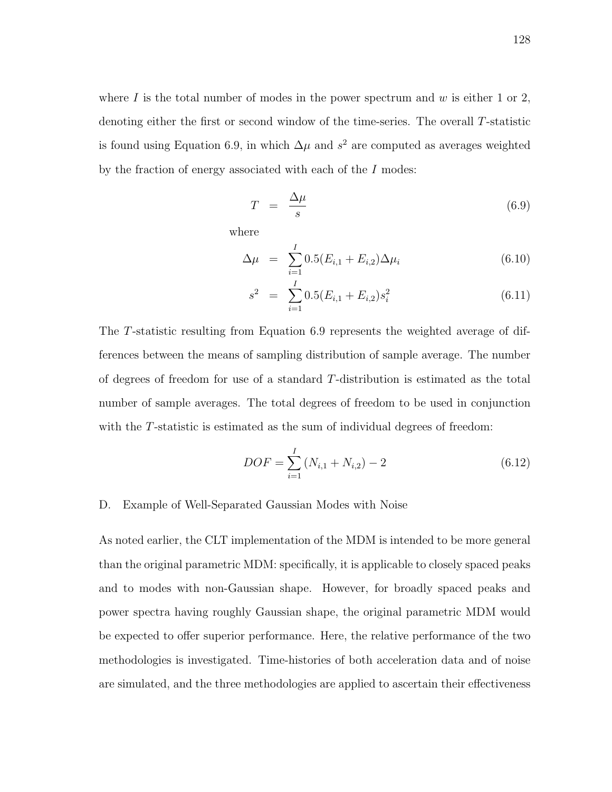where  $I$  is the total number of modes in the power spectrum and  $w$  is either 1 or 2, denoting either the first or second window of the time-series. The overall T-statistic is found using Equation 6.9, in which  $\Delta \mu$  and  $s^2$  are computed as averages weighted by the fraction of energy associated with each of the I modes:

$$
T = \frac{\Delta \mu}{s} \tag{6.9}
$$

where

$$
\Delta \mu = \sum_{i=1}^{I} 0.5 (E_{i,1} + E_{i,2}) \Delta \mu_i \tag{6.10}
$$

$$
s^2 = \sum_{i=1}^{I} 0.5(E_{i,1} + E_{i,2})s_i^2
$$
 (6.11)

The T-statistic resulting from Equation 6.9 represents the weighted average of differences between the means of sampling distribution of sample average. The number of degrees of freedom for use of a standard T-distribution is estimated as the total number of sample averages. The total degrees of freedom to be used in conjunction with the T-statistic is estimated as the sum of individual degrees of freedom:

$$
DOF = \sum_{i=1}^{I} (N_{i,1} + N_{i,2}) - 2
$$
\n(6.12)

### D. Example of Well-Separated Gaussian Modes with Noise

As noted earlier, the CLT implementation of the MDM is intended to be more general than the original parametric MDM: specifically, it is applicable to closely spaced peaks and to modes with non-Gaussian shape. However, for broadly spaced peaks and power spectra having roughly Gaussian shape, the original parametric MDM would be expected to offer superior performance. Here, the relative performance of the two methodologies is investigated. Time-histories of both acceleration data and of noise are simulated, and the three methodologies are applied to ascertain their effectiveness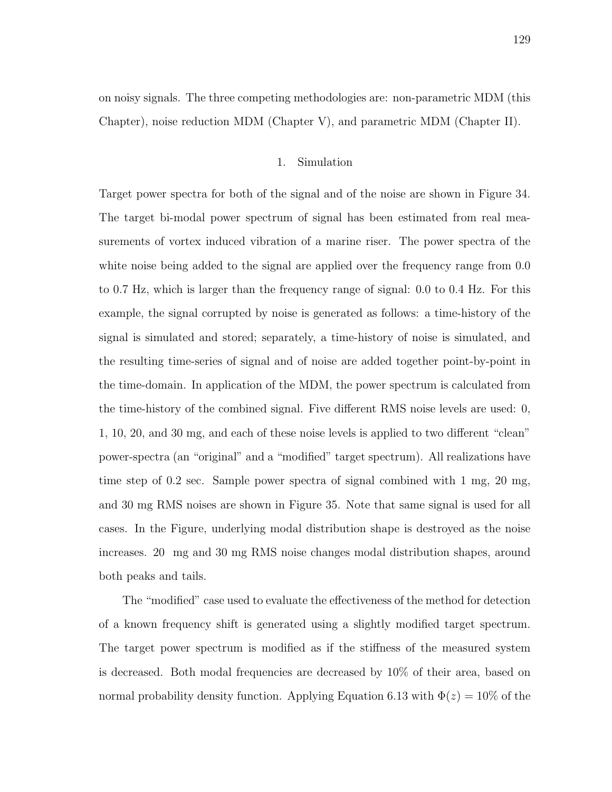on noisy signals. The three competing methodologies are: non-parametric MDM (this Chapter), noise reduction MDM (Chapter V), and parametric MDM (Chapter II).

## 1. Simulation

Target power spectra for both of the signal and of the noise are shown in Figure 34. The target bi-modal power spectrum of signal has been estimated from real measurements of vortex induced vibration of a marine riser. The power spectra of the white noise being added to the signal are applied over the frequency range from 0.0 to 0.7 Hz, which is larger than the frequency range of signal: 0.0 to 0.4 Hz. For this example, the signal corrupted by noise is generated as follows: a time-history of the signal is simulated and stored; separately, a time-history of noise is simulated, and the resulting time-series of signal and of noise are added together point-by-point in the time-domain. In application of the MDM, the power spectrum is calculated from the time-history of the combined signal. Five different RMS noise levels are used: 0, 1, 10, 20, and 30 mg, and each of these noise levels is applied to two different "clean" power-spectra (an "original" and a "modified" target spectrum). All realizations have time step of 0.2 sec. Sample power spectra of signal combined with 1 mg, 20 mg, and 30 mg RMS noises are shown in Figure 35. Note that same signal is used for all cases. In the Figure, underlying modal distribution shape is destroyed as the noise increases. 20 mg and 30 mg RMS noise changes modal distribution shapes, around both peaks and tails.

The "modified" case used to evaluate the effectiveness of the method for detection of a known frequency shift is generated using a slightly modified target spectrum. The target power spectrum is modified as if the stiffness of the measured system is decreased. Both modal frequencies are decreased by 10% of their area, based on normal probability density function. Applying Equation 6.13 with  $\Phi(z) = 10\%$  of the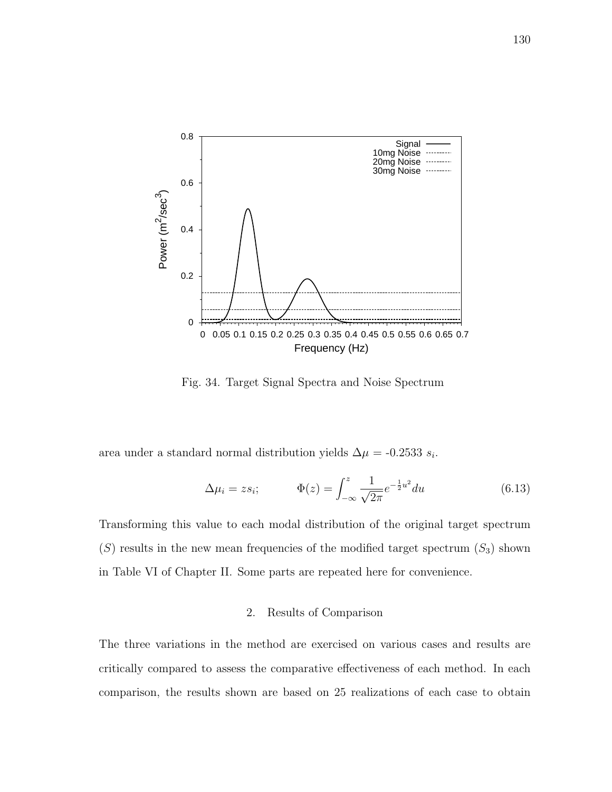

Fig. 34. Target Signal Spectra and Noise Spectrum

area under a standard normal distribution yields  $\Delta \mu = -0.2533 s_i$ .

$$
\Delta \mu_i = z s_i; \qquad \Phi(z) = \int_{-\infty}^{z} \frac{1}{\sqrt{2\pi}} e^{-\frac{1}{2}u^2} du \qquad (6.13)
$$

Transforming this value to each modal distribution of the original target spectrum  $(S)$  results in the new mean frequencies of the modified target spectrum  $(S_3)$  shown in Table VI of Chapter II. Some parts are repeated here for convenience.

## 2. Results of Comparison

The three variations in the method are exercised on various cases and results are critically compared to assess the comparative effectiveness of each method. In each comparison, the results shown are based on 25 realizations of each case to obtain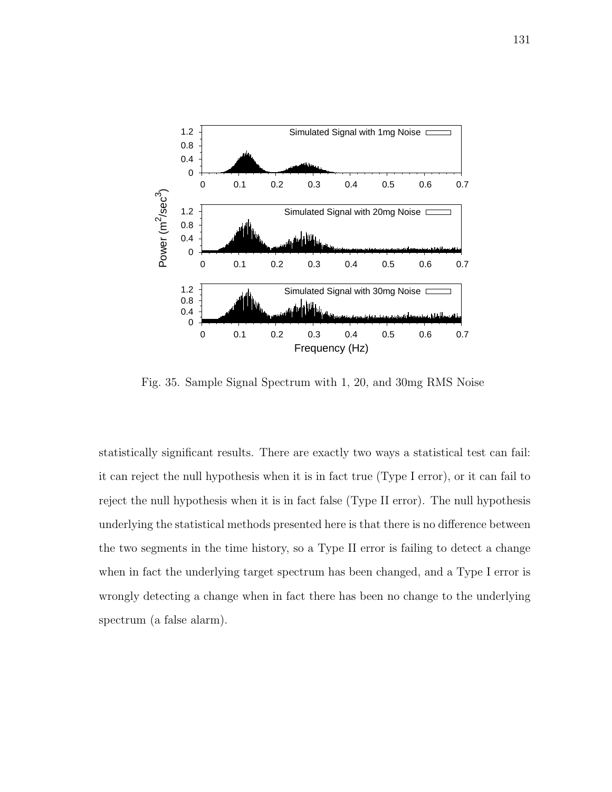

Fig. 35. Sample Signal Spectrum with 1, 20, and 30mg RMS Noise

statistically significant results. There are exactly two ways a statistical test can fail: it can reject the null hypothesis when it is in fact true (Type I error), or it can fail to reject the null hypothesis when it is in fact false (Type II error). The null hypothesis underlying the statistical methods presented here is that there is no difference between the two segments in the time history, so a Type II error is failing to detect a change when in fact the underlying target spectrum has been changed, and a Type I error is wrongly detecting a change when in fact there has been no change to the underlying spectrum (a false alarm).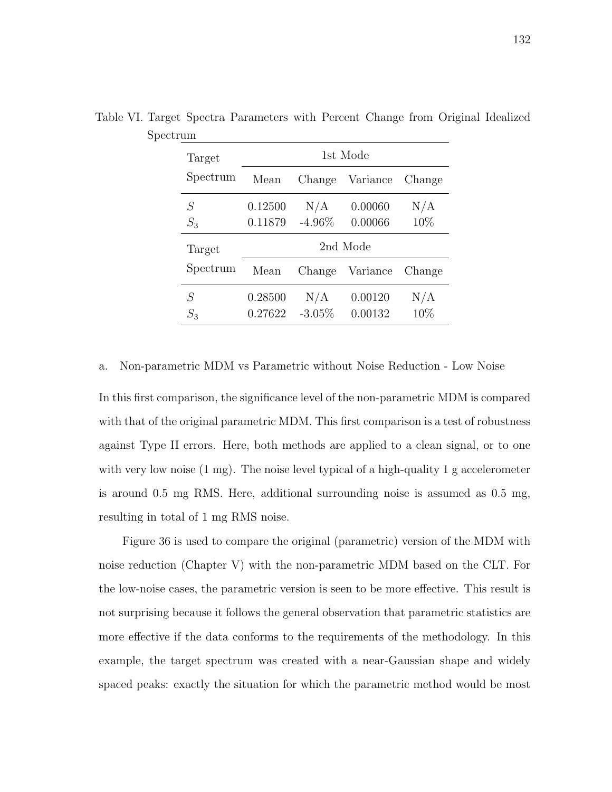| Target   | 1st Mode |           |          |        |
|----------|----------|-----------|----------|--------|
| Spectrum | Mean     | Change    | Variance | Change |
| S        | 0.12500  | N/A       | 0.00060  | N/A    |
| $S_3$    | 0.11879  | $-4.96\%$ | 0.00066  | 10%    |
| Target   | 2nd Mode |           |          |        |
| Spectrum | Mean     | Change    | Variance | Change |
| S        | 0.28500  | N/A       | 0.00120  | N/A    |
| $S_3$    | 0.27622  | $-3.05%$  | 0.00132  | 10\%   |

Table VI. Target Spectra Parameters with Percent Change from Original Idealized Spectrum

a. Non-parametric MDM vs Parametric without Noise Reduction - Low Noise

In this first comparison, the significance level of the non-parametric MDM is compared with that of the original parametric MDM. This first comparison is a test of robustness against Type II errors. Here, both methods are applied to a clean signal, or to one with very low noise  $(1 \text{ mg})$ . The noise level typical of a high-quality 1 g accelerometer is around 0.5 mg RMS. Here, additional surrounding noise is assumed as 0.5 mg, resulting in total of 1 mg RMS noise.

Figure 36 is used to compare the original (parametric) version of the MDM with noise reduction (Chapter V) with the non-parametric MDM based on the CLT. For the low-noise cases, the parametric version is seen to be more effective. This result is not surprising because it follows the general observation that parametric statistics are more effective if the data conforms to the requirements of the methodology. In this example, the target spectrum was created with a near-Gaussian shape and widely spaced peaks: exactly the situation for which the parametric method would be most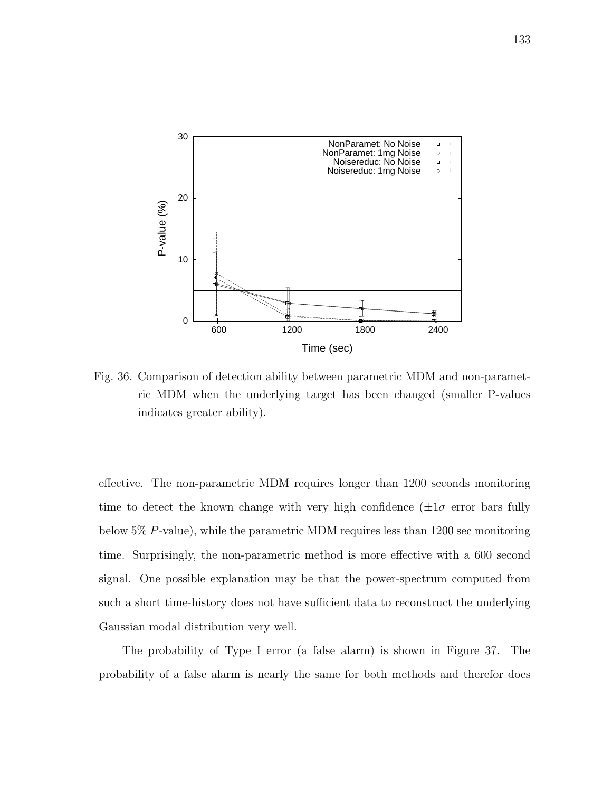

Fig. 36. Comparison of detection ability between parametric MDM and non-parametric MDM when the underlying target has been changed (smaller P-values indicates greater ability).

effective. The non-parametric MDM requires longer than 1200 seconds monitoring time to detect the known change with very high confidence  $(\pm 1\sigma$  error bars fully below 5% P-value), while the parametric MDM requires less than 1200 sec monitoring time. Surprisingly, the non-parametric method is more effective with a 600 second signal. One possible explanation may be that the power-spectrum computed from such a short time-history does not have sufficient data to reconstruct the underlying Gaussian modal distribution very well.

The probability of Type I error (a false alarm) is shown in Figure 37. The probability of a false alarm is nearly the same for both methods and therefor does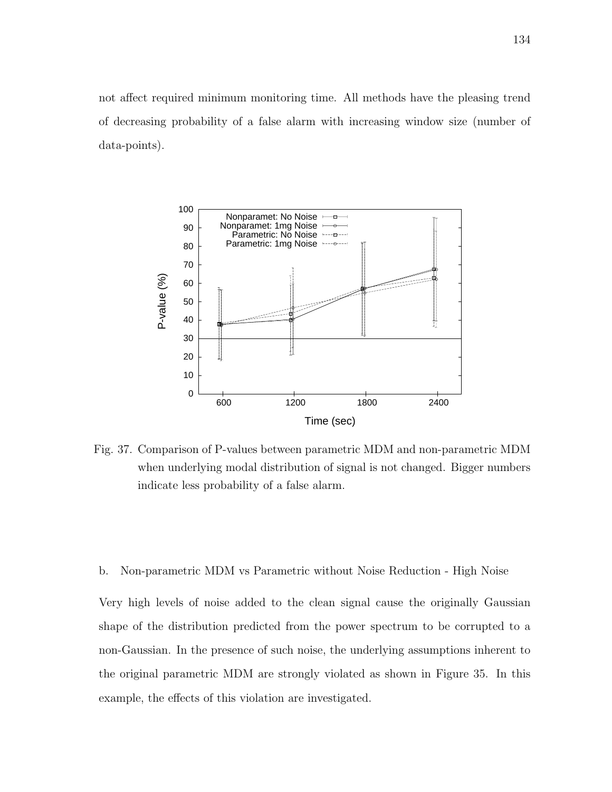not affect required minimum monitoring time. All methods have the pleasing trend of decreasing probability of a false alarm with increasing window size (number of data-points).



Fig. 37. Comparison of P-values between parametric MDM and non-parametric MDM when underlying modal distribution of signal is not changed. Bigger numbers indicate less probability of a false alarm.

b. Non-parametric MDM vs Parametric without Noise Reduction - High Noise

Very high levels of noise added to the clean signal cause the originally Gaussian shape of the distribution predicted from the power spectrum to be corrupted to a non-Gaussian. In the presence of such noise, the underlying assumptions inherent to the original parametric MDM are strongly violated as shown in Figure 35. In this example, the effects of this violation are investigated.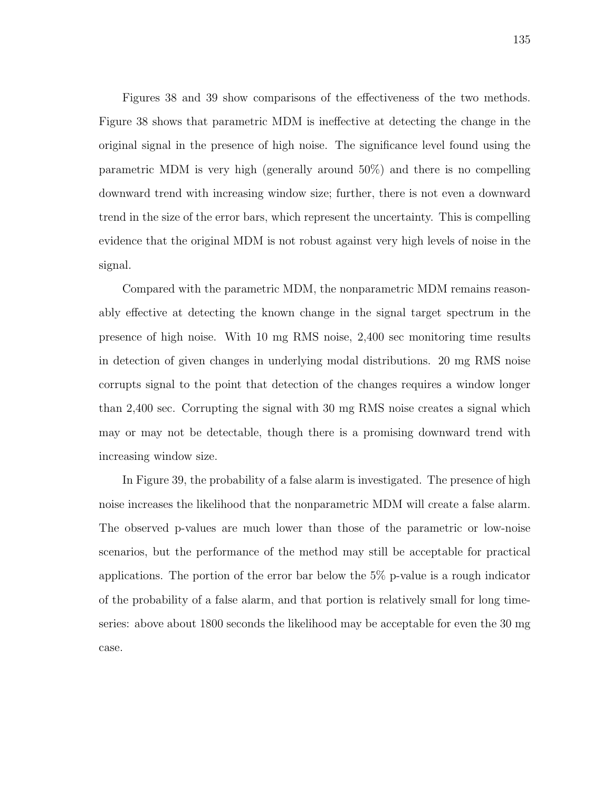Figures 38 and 39 show comparisons of the effectiveness of the two methods. Figure 38 shows that parametric MDM is ineffective at detecting the change in the original signal in the presence of high noise. The significance level found using the parametric MDM is very high (generally around 50%) and there is no compelling downward trend with increasing window size; further, there is not even a downward trend in the size of the error bars, which represent the uncertainty. This is compelling evidence that the original MDM is not robust against very high levels of noise in the signal.

Compared with the parametric MDM, the nonparametric MDM remains reasonably effective at detecting the known change in the signal target spectrum in the presence of high noise. With 10 mg RMS noise, 2,400 sec monitoring time results in detection of given changes in underlying modal distributions. 20 mg RMS noise corrupts signal to the point that detection of the changes requires a window longer than 2,400 sec. Corrupting the signal with 30 mg RMS noise creates a signal which may or may not be detectable, though there is a promising downward trend with increasing window size.

In Figure 39, the probability of a false alarm is investigated. The presence of high noise increases the likelihood that the nonparametric MDM will create a false alarm. The observed p-values are much lower than those of the parametric or low-noise scenarios, but the performance of the method may still be acceptable for practical applications. The portion of the error bar below the 5% p-value is a rough indicator of the probability of a false alarm, and that portion is relatively small for long timeseries: above about 1800 seconds the likelihood may be acceptable for even the 30 mg case.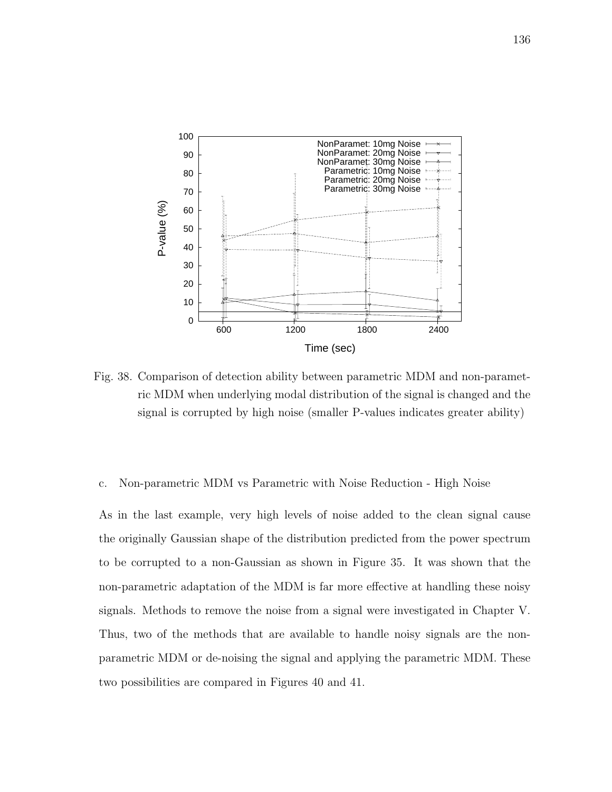

Fig. 38. Comparison of detection ability between parametric MDM and non-parametric MDM when underlying modal distribution of the signal is changed and the signal is corrupted by high noise (smaller P-values indicates greater ability)

## c. Non-parametric MDM vs Parametric with Noise Reduction - High Noise

As in the last example, very high levels of noise added to the clean signal cause the originally Gaussian shape of the distribution predicted from the power spectrum to be corrupted to a non-Gaussian as shown in Figure 35. It was shown that the non-parametric adaptation of the MDM is far more effective at handling these noisy signals. Methods to remove the noise from a signal were investigated in Chapter V. Thus, two of the methods that are available to handle noisy signals are the nonparametric MDM or de-noising the signal and applying the parametric MDM. These two possibilities are compared in Figures 40 and 41.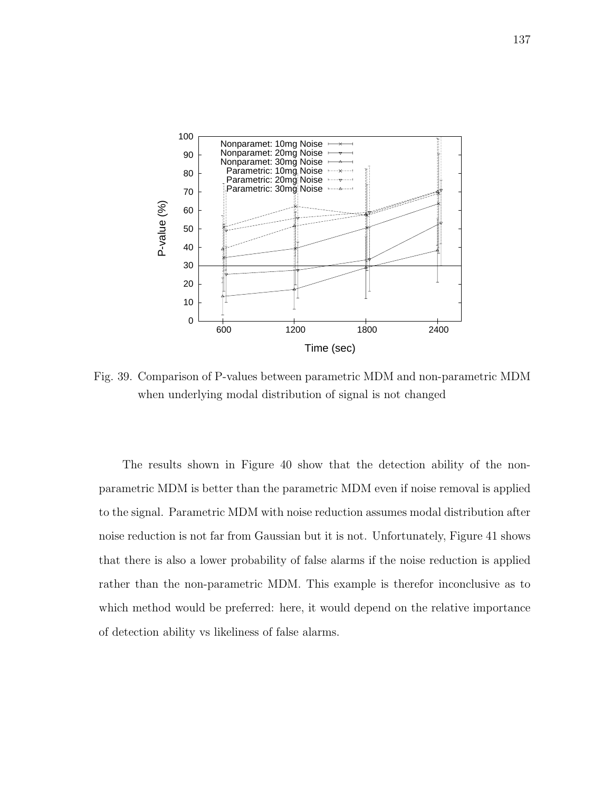

Fig. 39. Comparison of P-values between parametric MDM and non-parametric MDM when underlying modal distribution of signal is not changed

The results shown in Figure 40 show that the detection ability of the nonparametric MDM is better than the parametric MDM even if noise removal is applied to the signal. Parametric MDM with noise reduction assumes modal distribution after noise reduction is not far from Gaussian but it is not. Unfortunately, Figure 41 shows that there is also a lower probability of false alarms if the noise reduction is applied rather than the non-parametric MDM. This example is therefor inconclusive as to which method would be preferred: here, it would depend on the relative importance of detection ability vs likeliness of false alarms.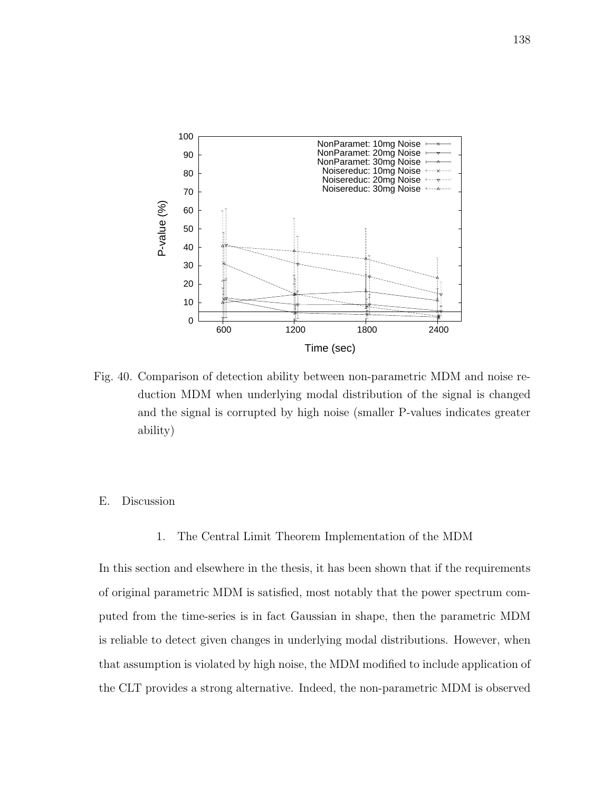

Fig. 40. Comparison of detection ability between non-parametric MDM and noise reduction MDM when underlying modal distribution of the signal is changed and the signal is corrupted by high noise (smaller P-values indicates greater ability)

# E. Discussion

1. The Central Limit Theorem Implementation of the MDM

In this section and elsewhere in the thesis, it has been shown that if the requirements of original parametric MDM is satisfied, most notably that the power spectrum computed from the time-series is in fact Gaussian in shape, then the parametric MDM is reliable to detect given changes in underlying modal distributions. However, when that assumption is violated by high noise, the MDM modified to include application of the CLT provides a strong alternative. Indeed, the non-parametric MDM is observed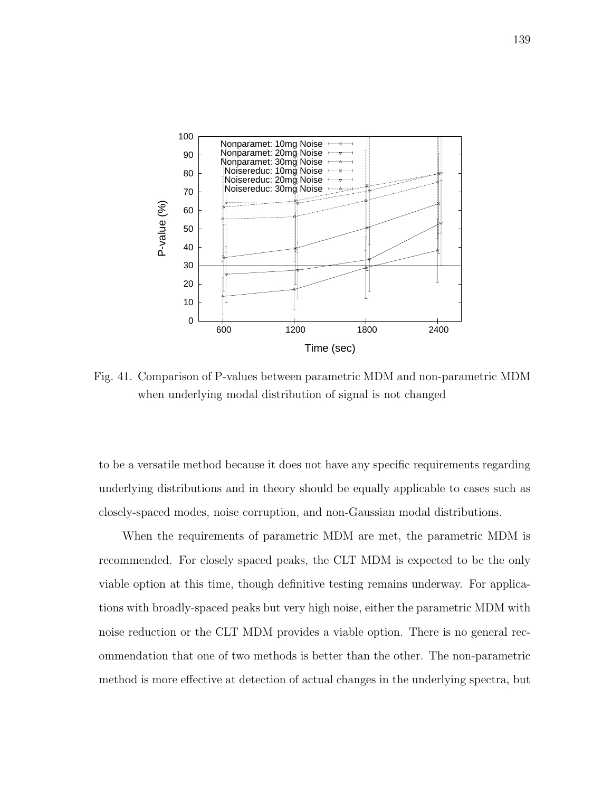

Fig. 41. Comparison of P-values between parametric MDM and non-parametric MDM when underlying modal distribution of signal is not changed

to be a versatile method because it does not have any specific requirements regarding underlying distributions and in theory should be equally applicable to cases such as closely-spaced modes, noise corruption, and non-Gaussian modal distributions.

When the requirements of parametric MDM are met, the parametric MDM is recommended. For closely spaced peaks, the CLT MDM is expected to be the only viable option at this time, though definitive testing remains underway. For applications with broadly-spaced peaks but very high noise, either the parametric MDM with noise reduction or the CLT MDM provides a viable option. There is no general recommendation that one of two methods is better than the other. The non-parametric method is more effective at detection of actual changes in the underlying spectra, but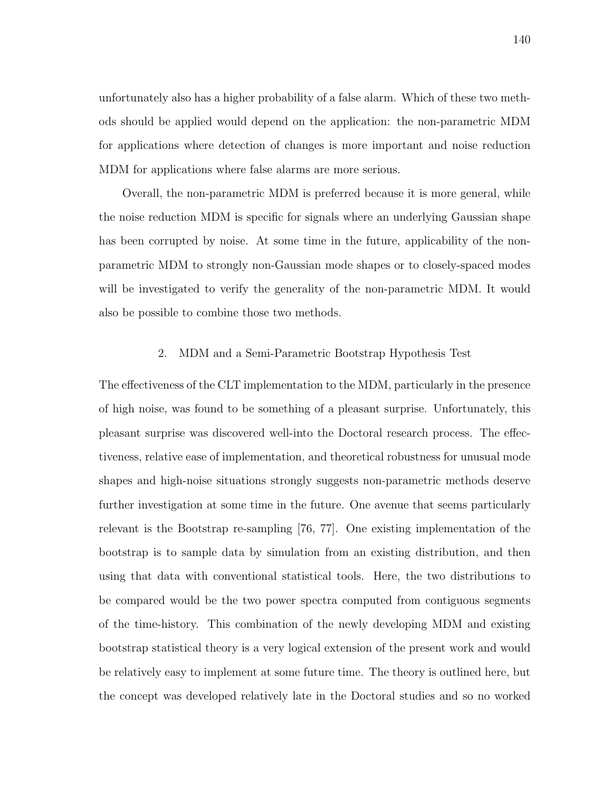unfortunately also has a higher probability of a false alarm. Which of these two methods should be applied would depend on the application: the non-parametric MDM for applications where detection of changes is more important and noise reduction MDM for applications where false alarms are more serious.

Overall, the non-parametric MDM is preferred because it is more general, while the noise reduction MDM is specific for signals where an underlying Gaussian shape has been corrupted by noise. At some time in the future, applicability of the nonparametric MDM to strongly non-Gaussian mode shapes or to closely-spaced modes will be investigated to verify the generality of the non-parametric MDM. It would also be possible to combine those two methods.

### 2. MDM and a Semi-Parametric Bootstrap Hypothesis Test

The effectiveness of the CLT implementation to the MDM, particularly in the presence of high noise, was found to be something of a pleasant surprise. Unfortunately, this pleasant surprise was discovered well-into the Doctoral research process. The effectiveness, relative ease of implementation, and theoretical robustness for unusual mode shapes and high-noise situations strongly suggests non-parametric methods deserve further investigation at some time in the future. One avenue that seems particularly relevant is the Bootstrap re-sampling [76, 77]. One existing implementation of the bootstrap is to sample data by simulation from an existing distribution, and then using that data with conventional statistical tools. Here, the two distributions to be compared would be the two power spectra computed from contiguous segments of the time-history. This combination of the newly developing MDM and existing bootstrap statistical theory is a very logical extension of the present work and would be relatively easy to implement at some future time. The theory is outlined here, but the concept was developed relatively late in the Doctoral studies and so no worked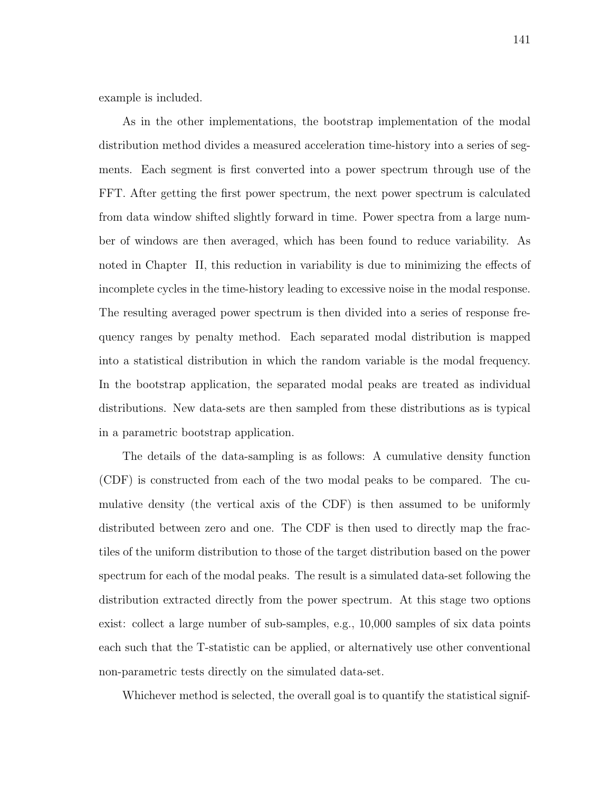example is included.

As in the other implementations, the bootstrap implementation of the modal distribution method divides a measured acceleration time-history into a series of segments. Each segment is first converted into a power spectrum through use of the FFT. After getting the first power spectrum, the next power spectrum is calculated from data window shifted slightly forward in time. Power spectra from a large number of windows are then averaged, which has been found to reduce variability. As noted in Chapter II, this reduction in variability is due to minimizing the effects of incomplete cycles in the time-history leading to excessive noise in the modal response. The resulting averaged power spectrum is then divided into a series of response frequency ranges by penalty method. Each separated modal distribution is mapped into a statistical distribution in which the random variable is the modal frequency. In the bootstrap application, the separated modal peaks are treated as individual distributions. New data-sets are then sampled from these distributions as is typical in a parametric bootstrap application.

The details of the data-sampling is as follows: A cumulative density function (CDF) is constructed from each of the two modal peaks to be compared. The cumulative density (the vertical axis of the CDF) is then assumed to be uniformly distributed between zero and one. The CDF is then used to directly map the fractiles of the uniform distribution to those of the target distribution based on the power spectrum for each of the modal peaks. The result is a simulated data-set following the distribution extracted directly from the power spectrum. At this stage two options exist: collect a large number of sub-samples, e.g., 10,000 samples of six data points each such that the T-statistic can be applied, or alternatively use other conventional non-parametric tests directly on the simulated data-set.

Whichever method is selected, the overall goal is to quantify the statistical signif-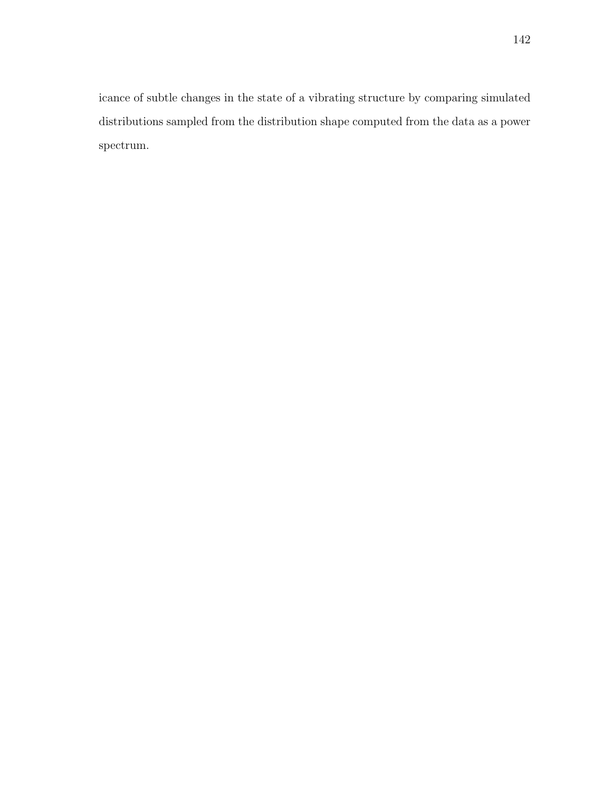icance of subtle changes in the state of a vibrating structure by comparing simulated distributions sampled from the distribution shape computed from the data as a power spectrum.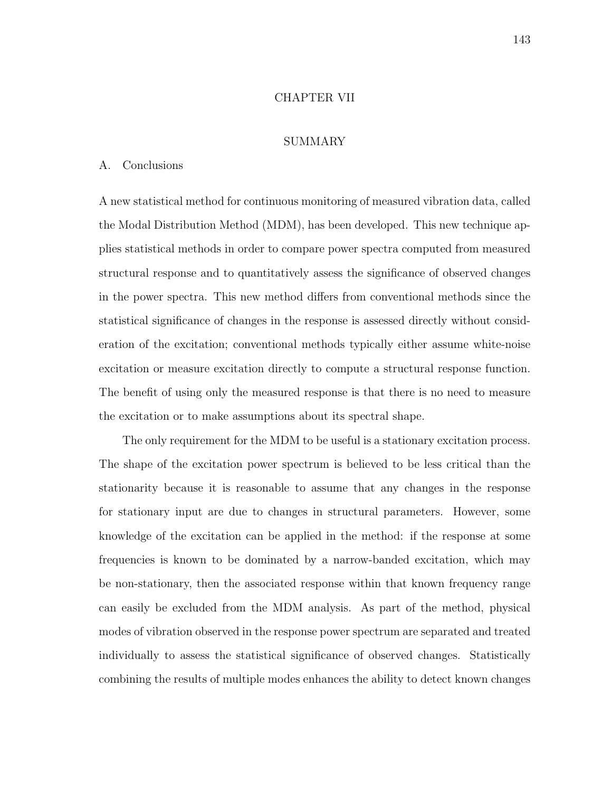#### CHAPTER VII

#### SUMMARY

## A. Conclusions

A new statistical method for continuous monitoring of measured vibration data, called the Modal Distribution Method (MDM), has been developed. This new technique applies statistical methods in order to compare power spectra computed from measured structural response and to quantitatively assess the significance of observed changes in the power spectra. This new method differs from conventional methods since the statistical significance of changes in the response is assessed directly without consideration of the excitation; conventional methods typically either assume white-noise excitation or measure excitation directly to compute a structural response function. The benefit of using only the measured response is that there is no need to measure the excitation or to make assumptions about its spectral shape.

The only requirement for the MDM to be useful is a stationary excitation process. The shape of the excitation power spectrum is believed to be less critical than the stationarity because it is reasonable to assume that any changes in the response for stationary input are due to changes in structural parameters. However, some knowledge of the excitation can be applied in the method: if the response at some frequencies is known to be dominated by a narrow-banded excitation, which may be non-stationary, then the associated response within that known frequency range can easily be excluded from the MDM analysis. As part of the method, physical modes of vibration observed in the response power spectrum are separated and treated individually to assess the statistical significance of observed changes. Statistically combining the results of multiple modes enhances the ability to detect known changes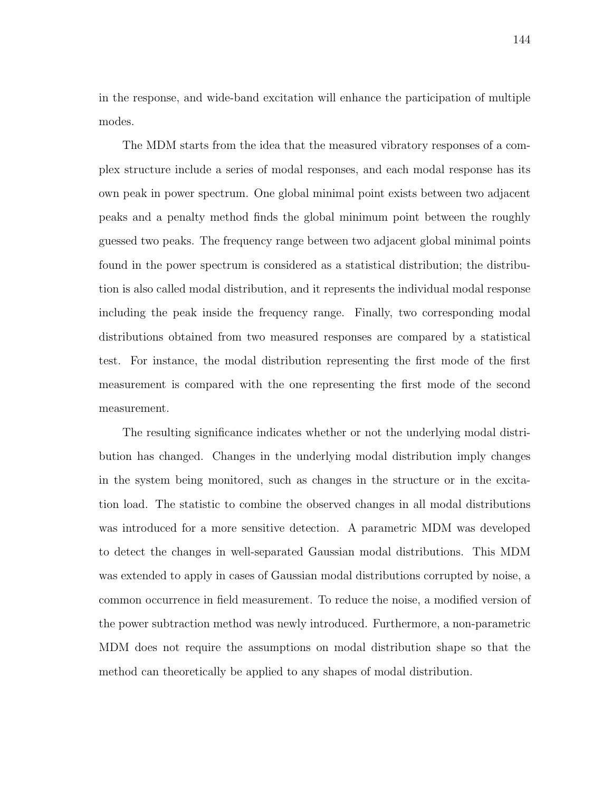in the response, and wide-band excitation will enhance the participation of multiple modes.

The MDM starts from the idea that the measured vibratory responses of a complex structure include a series of modal responses, and each modal response has its own peak in power spectrum. One global minimal point exists between two adjacent peaks and a penalty method finds the global minimum point between the roughly guessed two peaks. The frequency range between two adjacent global minimal points found in the power spectrum is considered as a statistical distribution; the distribution is also called modal distribution, and it represents the individual modal response including the peak inside the frequency range. Finally, two corresponding modal distributions obtained from two measured responses are compared by a statistical test. For instance, the modal distribution representing the first mode of the first measurement is compared with the one representing the first mode of the second measurement.

The resulting significance indicates whether or not the underlying modal distribution has changed. Changes in the underlying modal distribution imply changes in the system being monitored, such as changes in the structure or in the excitation load. The statistic to combine the observed changes in all modal distributions was introduced for a more sensitive detection. A parametric MDM was developed to detect the changes in well-separated Gaussian modal distributions. This MDM was extended to apply in cases of Gaussian modal distributions corrupted by noise, a common occurrence in field measurement. To reduce the noise, a modified version of the power subtraction method was newly introduced. Furthermore, a non-parametric MDM does not require the assumptions on modal distribution shape so that the method can theoretically be applied to any shapes of modal distribution.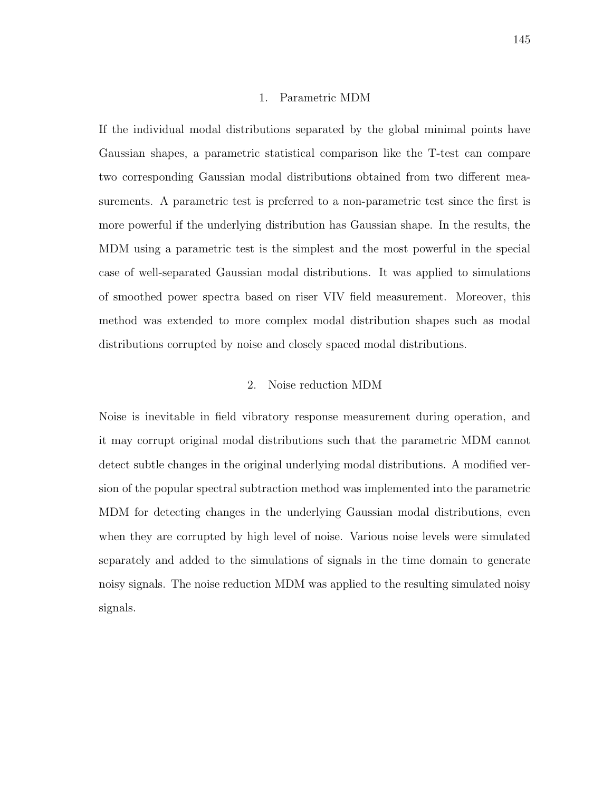#### 1. Parametric MDM

If the individual modal distributions separated by the global minimal points have Gaussian shapes, a parametric statistical comparison like the T-test can compare two corresponding Gaussian modal distributions obtained from two different measurements. A parametric test is preferred to a non-parametric test since the first is more powerful if the underlying distribution has Gaussian shape. In the results, the MDM using a parametric test is the simplest and the most powerful in the special case of well-separated Gaussian modal distributions. It was applied to simulations of smoothed power spectra based on riser VIV field measurement. Moreover, this method was extended to more complex modal distribution shapes such as modal distributions corrupted by noise and closely spaced modal distributions.

## 2. Noise reduction MDM

Noise is inevitable in field vibratory response measurement during operation, and it may corrupt original modal distributions such that the parametric MDM cannot detect subtle changes in the original underlying modal distributions. A modified version of the popular spectral subtraction method was implemented into the parametric MDM for detecting changes in the underlying Gaussian modal distributions, even when they are corrupted by high level of noise. Various noise levels were simulated separately and added to the simulations of signals in the time domain to generate noisy signals. The noise reduction MDM was applied to the resulting simulated noisy signals.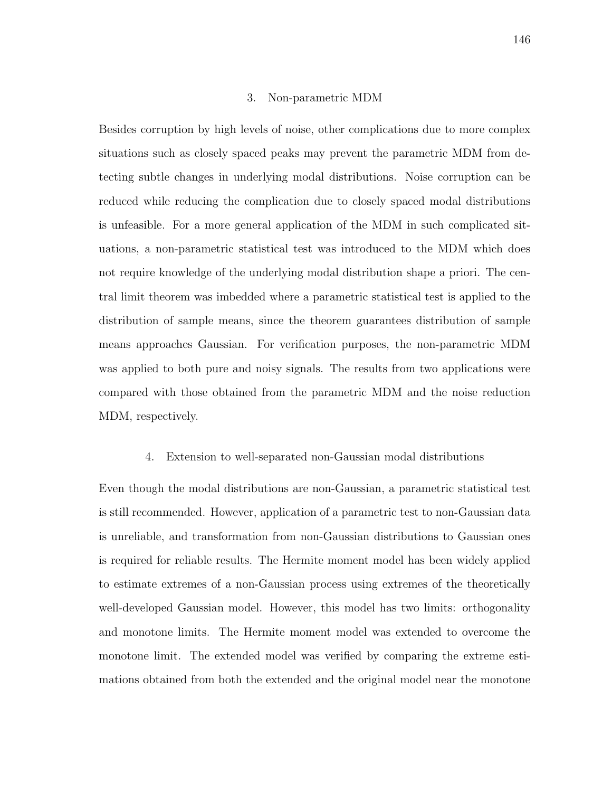#### 3. Non-parametric MDM

Besides corruption by high levels of noise, other complications due to more complex situations such as closely spaced peaks may prevent the parametric MDM from detecting subtle changes in underlying modal distributions. Noise corruption can be reduced while reducing the complication due to closely spaced modal distributions is unfeasible. For a more general application of the MDM in such complicated situations, a non-parametric statistical test was introduced to the MDM which does not require knowledge of the underlying modal distribution shape a priori. The central limit theorem was imbedded where a parametric statistical test is applied to the distribution of sample means, since the theorem guarantees distribution of sample means approaches Gaussian. For verification purposes, the non-parametric MDM was applied to both pure and noisy signals. The results from two applications were compared with those obtained from the parametric MDM and the noise reduction MDM, respectively.

#### 4. Extension to well-separated non-Gaussian modal distributions

Even though the modal distributions are non-Gaussian, a parametric statistical test is still recommended. However, application of a parametric test to non-Gaussian data is unreliable, and transformation from non-Gaussian distributions to Gaussian ones is required for reliable results. The Hermite moment model has been widely applied to estimate extremes of a non-Gaussian process using extremes of the theoretically well-developed Gaussian model. However, this model has two limits: orthogonality and monotone limits. The Hermite moment model was extended to overcome the monotone limit. The extended model was verified by comparing the extreme estimations obtained from both the extended and the original model near the monotone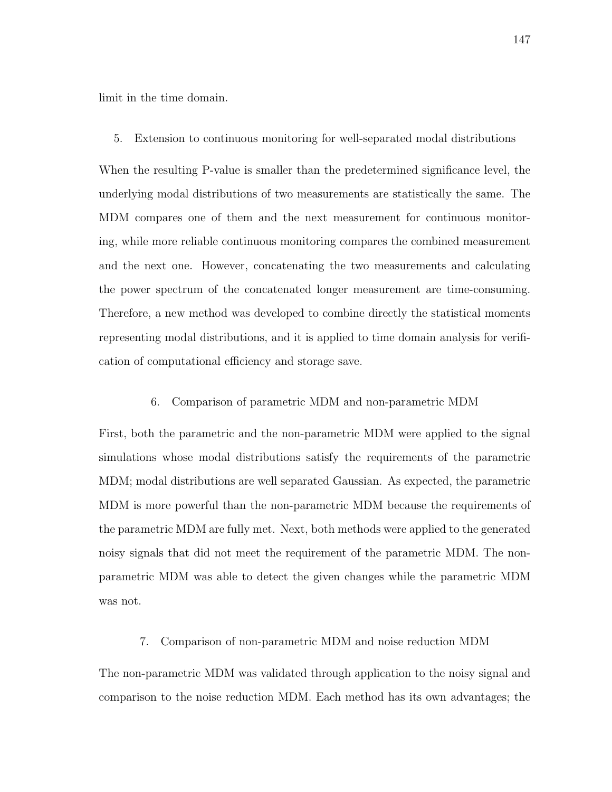limit in the time domain.

5. Extension to continuous monitoring for well-separated modal distributions

When the resulting P-value is smaller than the predetermined significance level, the underlying modal distributions of two measurements are statistically the same. The MDM compares one of them and the next measurement for continuous monitoring, while more reliable continuous monitoring compares the combined measurement and the next one. However, concatenating the two measurements and calculating the power spectrum of the concatenated longer measurement are time-consuming. Therefore, a new method was developed to combine directly the statistical moments representing modal distributions, and it is applied to time domain analysis for verification of computational efficiency and storage save.

6. Comparison of parametric MDM and non-parametric MDM

First, both the parametric and the non-parametric MDM were applied to the signal simulations whose modal distributions satisfy the requirements of the parametric MDM; modal distributions are well separated Gaussian. As expected, the parametric MDM is more powerful than the non-parametric MDM because the requirements of the parametric MDM are fully met. Next, both methods were applied to the generated noisy signals that did not meet the requirement of the parametric MDM. The nonparametric MDM was able to detect the given changes while the parametric MDM was not.

## 7. Comparison of non-parametric MDM and noise reduction MDM

The non-parametric MDM was validated through application to the noisy signal and comparison to the noise reduction MDM. Each method has its own advantages; the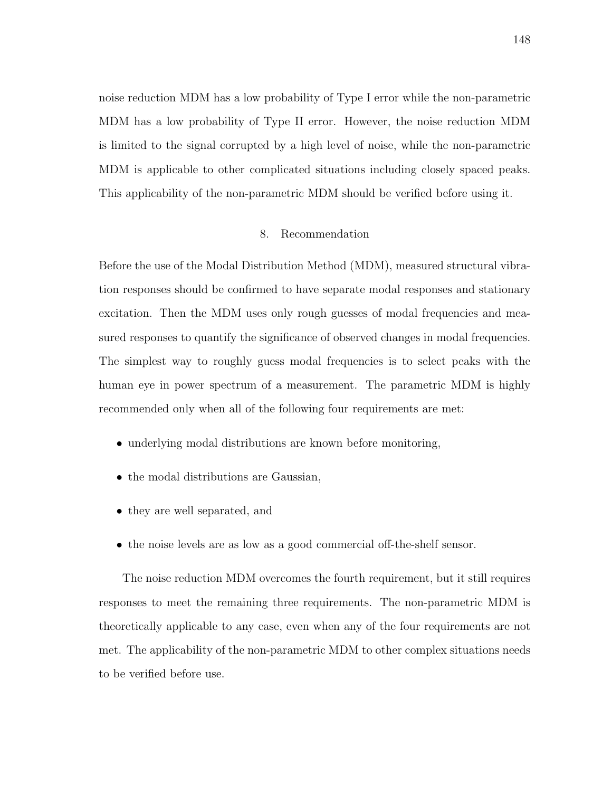noise reduction MDM has a low probability of Type I error while the non-parametric MDM has a low probability of Type II error. However, the noise reduction MDM is limited to the signal corrupted by a high level of noise, while the non-parametric MDM is applicable to other complicated situations including closely spaced peaks. This applicability of the non-parametric MDM should be verified before using it.

### 8. Recommendation

Before the use of the Modal Distribution Method (MDM), measured structural vibration responses should be confirmed to have separate modal responses and stationary excitation. Then the MDM uses only rough guesses of modal frequencies and measured responses to quantify the significance of observed changes in modal frequencies. The simplest way to roughly guess modal frequencies is to select peaks with the human eye in power spectrum of a measurement. The parametric MDM is highly recommended only when all of the following four requirements are met:

- underlying modal distributions are known before monitoring,
- the modal distributions are Gaussian,
- they are well separated, and
- the noise levels are as low as a good commercial off-the-shelf sensor.

The noise reduction MDM overcomes the fourth requirement, but it still requires responses to meet the remaining three requirements. The non-parametric MDM is theoretically applicable to any case, even when any of the four requirements are not met. The applicability of the non-parametric MDM to other complex situations needs to be verified before use.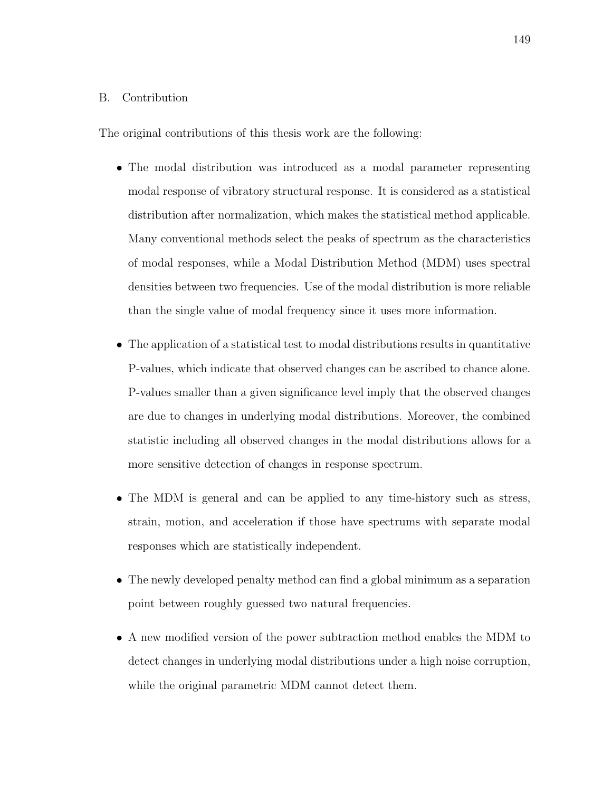### B. Contribution

The original contributions of this thesis work are the following:

- The modal distribution was introduced as a modal parameter representing modal response of vibratory structural response. It is considered as a statistical distribution after normalization, which makes the statistical method applicable. Many conventional methods select the peaks of spectrum as the characteristics of modal responses, while a Modal Distribution Method (MDM) uses spectral densities between two frequencies. Use of the modal distribution is more reliable than the single value of modal frequency since it uses more information.
- The application of a statistical test to modal distributions results in quantitative P-values, which indicate that observed changes can be ascribed to chance alone. P-values smaller than a given significance level imply that the observed changes are due to changes in underlying modal distributions. Moreover, the combined statistic including all observed changes in the modal distributions allows for a more sensitive detection of changes in response spectrum.
- The MDM is general and can be applied to any time-history such as stress, strain, motion, and acceleration if those have spectrums with separate modal responses which are statistically independent.
- The newly developed penalty method can find a global minimum as a separation point between roughly guessed two natural frequencies.
- A new modified version of the power subtraction method enables the MDM to detect changes in underlying modal distributions under a high noise corruption, while the original parametric MDM cannot detect them.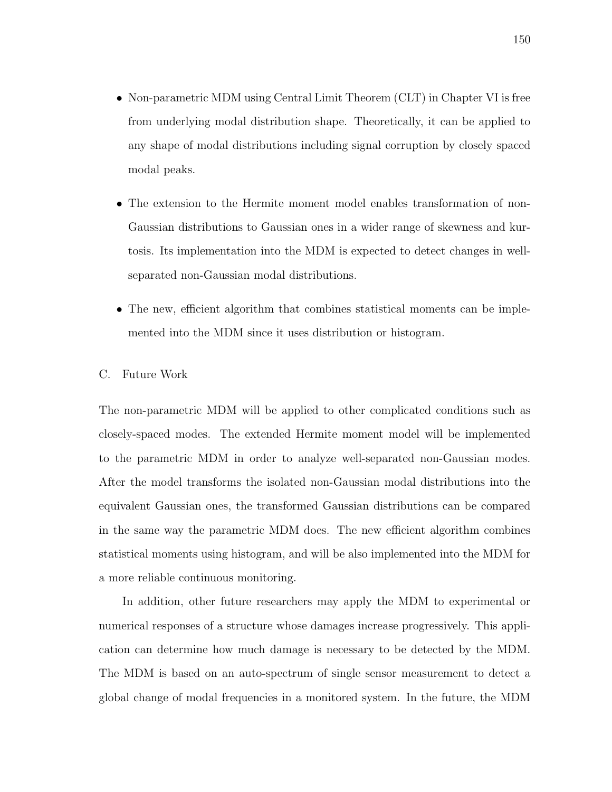- Non-parametric MDM using Central Limit Theorem (CLT) in Chapter VI is free from underlying modal distribution shape. Theoretically, it can be applied to any shape of modal distributions including signal corruption by closely spaced modal peaks.
- The extension to the Hermite moment model enables transformation of non-Gaussian distributions to Gaussian ones in a wider range of skewness and kurtosis. Its implementation into the MDM is expected to detect changes in wellseparated non-Gaussian modal distributions.
- The new, efficient algorithm that combines statistical moments can be implemented into the MDM since it uses distribution or histogram.

## C. Future Work

The non-parametric MDM will be applied to other complicated conditions such as closely-spaced modes. The extended Hermite moment model will be implemented to the parametric MDM in order to analyze well-separated non-Gaussian modes. After the model transforms the isolated non-Gaussian modal distributions into the equivalent Gaussian ones, the transformed Gaussian distributions can be compared in the same way the parametric MDM does. The new efficient algorithm combines statistical moments using histogram, and will be also implemented into the MDM for a more reliable continuous monitoring.

In addition, other future researchers may apply the MDM to experimental or numerical responses of a structure whose damages increase progressively. This application can determine how much damage is necessary to be detected by the MDM. The MDM is based on an auto-spectrum of single sensor measurement to detect a global change of modal frequencies in a monitored system. In the future, the MDM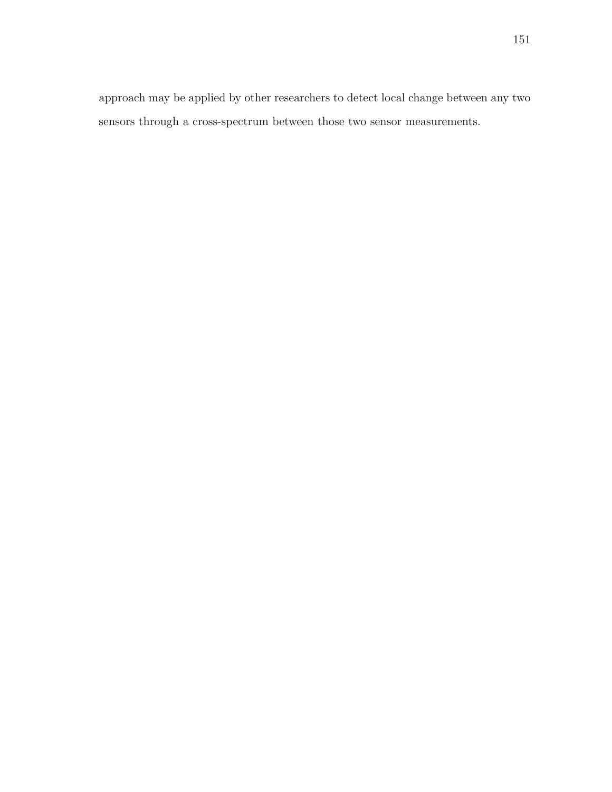approach may be applied by other researchers to detect local change between any two sensors through a cross-spectrum between those two sensor measurements.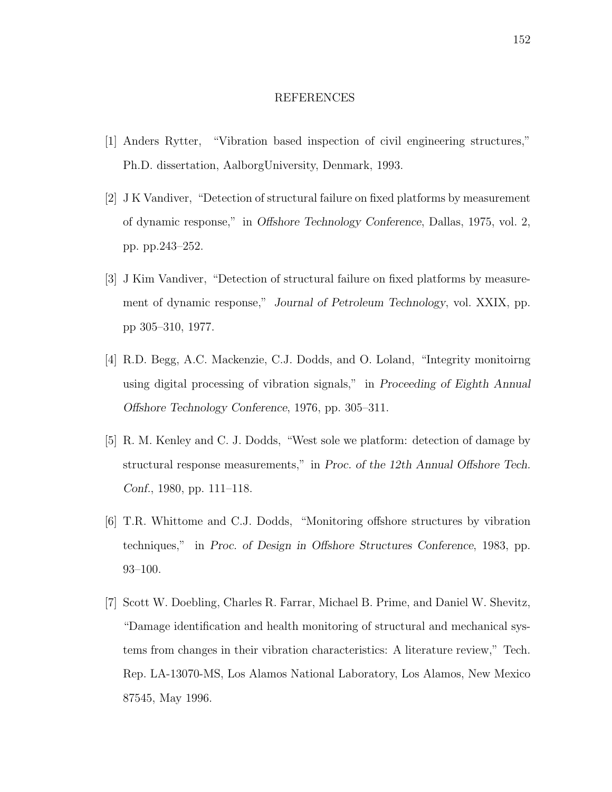#### REFERENCES

- [1] Anders Rytter, "Vibration based inspection of civil engineering structures," Ph.D. dissertation, AalborgUniversity, Denmark, 1993.
- [2] J K Vandiver, "Detection of structural failure on fixed platforms by measurement of dynamic response," in Offshore Technology Conference, Dallas, 1975, vol. 2, pp. pp.243–252.
- [3] J Kim Vandiver, "Detection of structural failure on fixed platforms by measurement of dynamic response," Journal of Petroleum Technology, vol. XXIX, pp. pp 305–310, 1977.
- [4] R.D. Begg, A.C. Mackenzie, C.J. Dodds, and O. Loland, "Integrity monitoirng using digital processing of vibration signals," in Proceeding of Eighth Annual Offshore Technology Conference, 1976, pp. 305–311.
- [5] R. M. Kenley and C. J. Dodds, "West sole we platform: detection of damage by structural response measurements," in Proc. of the 12th Annual Offshore Tech. Conf., 1980, pp. 111–118.
- [6] T.R. Whittome and C.J. Dodds, "Monitoring offshore structures by vibration techniques," in Proc. of Design in Offshore Structures Conference, 1983, pp. 93–100.
- [7] Scott W. Doebling, Charles R. Farrar, Michael B. Prime, and Daniel W. Shevitz, "Damage identification and health monitoring of structural and mechanical systems from changes in their vibration characteristics: A literature review," Tech. Rep. LA-13070-MS, Los Alamos National Laboratory, Los Alamos, New Mexico 87545, May 1996.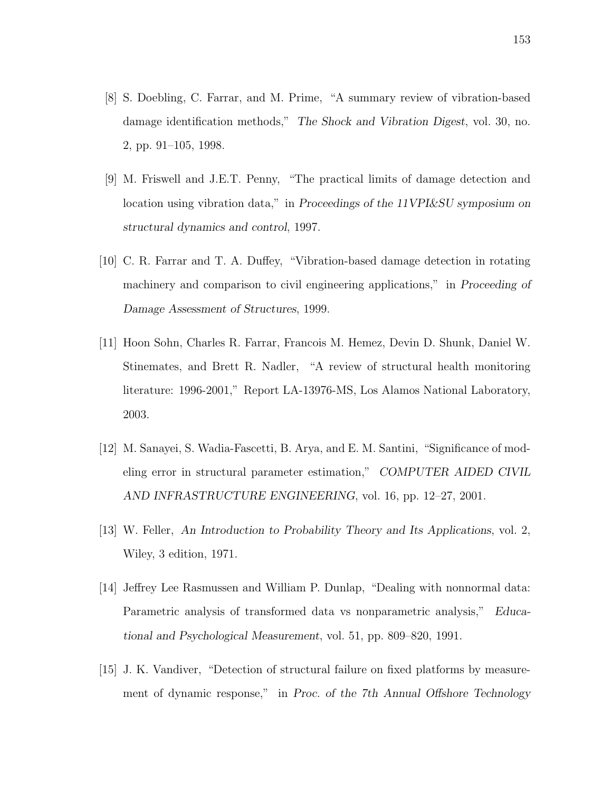- [8] S. Doebling, C. Farrar, and M. Prime, "A summary review of vibration-based damage identification methods," The Shock and Vibration Digest, vol. 30, no. 2, pp. 91–105, 1998.
- [9] M. Friswell and J.E.T. Penny, "The practical limits of damage detection and location using vibration data," in Proceedings of the 11VPI&SU symposium on structural dynamics and control, 1997.
- [10] C. R. Farrar and T. A. Duffey, "Vibration-based damage detection in rotating machinery and comparison to civil engineering applications," in Proceeding of Damage Assessment of Structures, 1999.
- [11] Hoon Sohn, Charles R. Farrar, Francois M. Hemez, Devin D. Shunk, Daniel W. Stinemates, and Brett R. Nadler, "A review of structural health monitoring literature: 1996-2001," Report LA-13976-MS, Los Alamos National Laboratory, 2003.
- [12] M. Sanayei, S. Wadia-Fascetti, B. Arya, and E. M. Santini, "Significance of modeling error in structural parameter estimation," COMPUTER AIDED CIVIL AND INFRASTRUCTURE ENGINEERING, vol. 16, pp. 12–27, 2001.
- [13] W. Feller, An Introduction to Probability Theory and Its Applications, vol. 2, Wiley, 3 edition, 1971.
- [14] Jeffrey Lee Rasmussen and William P. Dunlap, "Dealing with nonnormal data: Parametric analysis of transformed data vs nonparametric analysis," Educational and Psychological Measurement, vol. 51, pp. 809–820, 1991.
- [15] J. K. Vandiver, "Detection of structural failure on fixed platforms by measurement of dynamic response," in Proc. of the 7th Annual Offshore Technology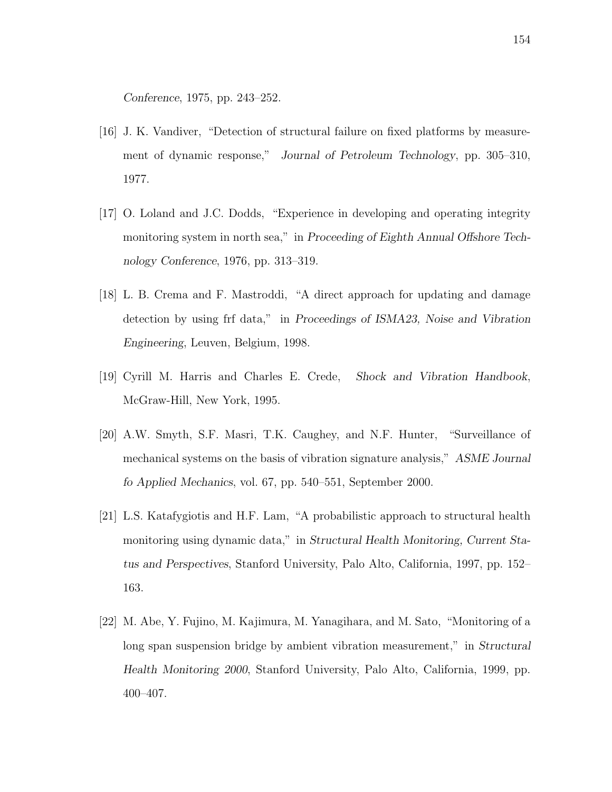Conference, 1975, pp. 243–252.

- [16] J. K. Vandiver, "Detection of structural failure on fixed platforms by measurement of dynamic response," Journal of Petroleum Technology, pp. 305–310, 1977.
- [17] O. Loland and J.C. Dodds, "Experience in developing and operating integrity monitoring system in north sea," in Proceeding of Eighth Annual Offshore Technology Conference, 1976, pp. 313–319.
- [18] L. B. Crema and F. Mastroddi, "A direct approach for updating and damage detection by using frf data," in Proceedings of ISMA23, Noise and Vibration Engineering, Leuven, Belgium, 1998.
- [19] Cyrill M. Harris and Charles E. Crede, Shock and Vibration Handbook, McGraw-Hill, New York, 1995.
- [20] A.W. Smyth, S.F. Masri, T.K. Caughey, and N.F. Hunter, "Surveillance of mechanical systems on the basis of vibration signature analysis," ASME Journal fo Applied Mechanics, vol. 67, pp. 540–551, September 2000.
- [21] L.S. Katafygiotis and H.F. Lam, "A probabilistic approach to structural health monitoring using dynamic data," in Structural Health Monitoring, Current Status and Perspectives, Stanford University, Palo Alto, California, 1997, pp. 152– 163.
- [22] M. Abe, Y. Fujino, M. Kajimura, M. Yanagihara, and M. Sato, "Monitoring of a long span suspension bridge by ambient vibration measurement," in Structural Health Monitoring 2000, Stanford University, Palo Alto, California, 1999, pp. 400–407.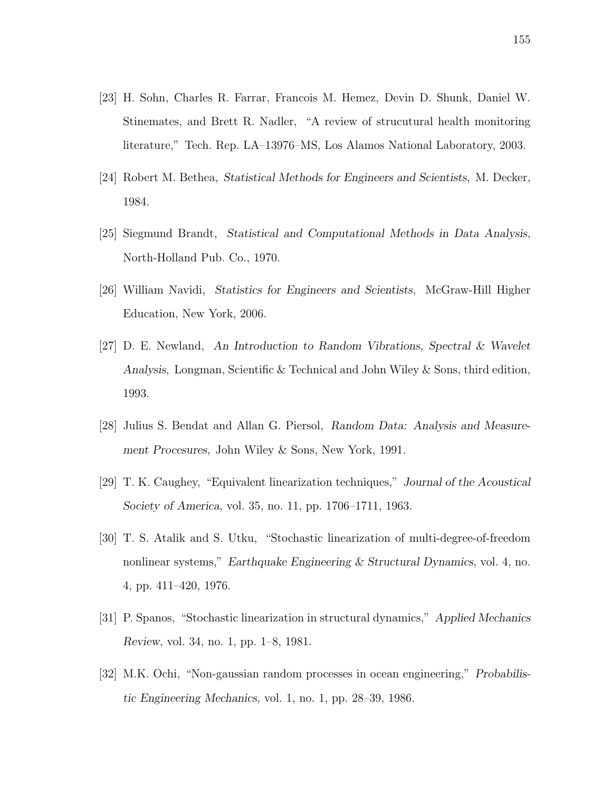- [23] H. Sohn, Charles R. Farrar, Francois M. Hemez, Devin D. Shunk, Daniel W. Stinemates, and Brett R. Nadler, "A review of strucutural health monitoring literature," Tech. Rep. LA–13976–MS, Los Alamos National Laboratory, 2003.
- [24] Robert M. Bethea, Statistical Methods for Engineers and Scientists, M. Decker, 1984.
- [25] Siegmund Brandt, Statistical and Computational Methods in Data Analysis, North-Holland Pub. Co., 1970.
- [26] William Navidi, Statistics for Engineers and Scientists, McGraw-Hill Higher Education, New York, 2006.
- [27] D. E. Newland, An Introduction to Random Vibrations, Spectral & Wavelet Analysis, Longman, Scientific & Technical and John Wiley & Sons, third edition, 1993.
- [28] Julius S. Bendat and Allan G. Piersol, Random Data: Analysis and Measurement Procesures, John Wiley & Sons, New York, 1991.
- [29] T. K. Caughey, "Equivalent linearization techniques," Journal of the Acoustical Society of America, vol. 35, no. 11, pp. 1706–1711, 1963.
- [30] T. S. Atalik and S. Utku, "Stochastic linearization of multi-degree-of-freedom nonlinear systems," Earthquake Engineering & Structural Dynamics, vol. 4, no. 4, pp. 411–420, 1976.
- [31] P. Spanos, "Stochastic linearization in structural dynamics," Applied Mechanics Review, vol. 34, no. 1, pp. 1–8, 1981.
- [32] M.K. Ochi, "Non-gaussian random processes in ocean engineering," Probabilistic Engineering Mechanics, vol. 1, no. 1, pp. 28–39, 1986.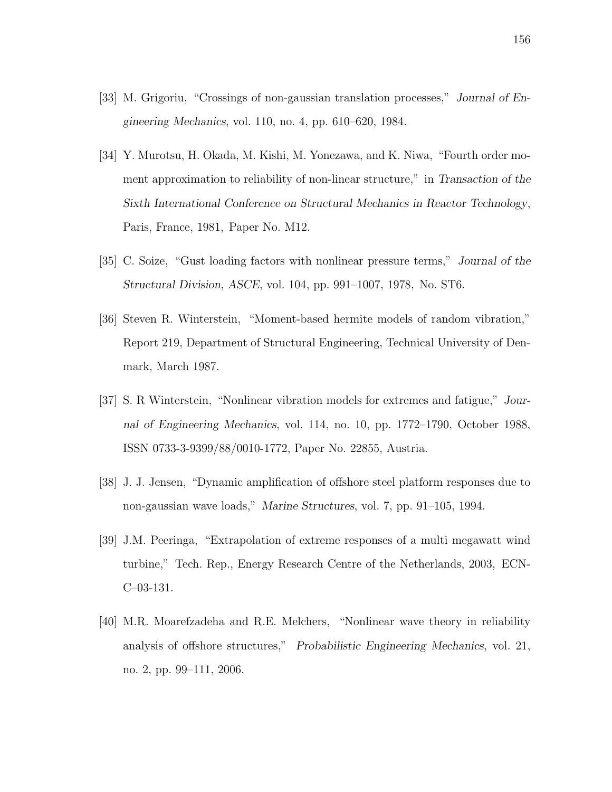- [33] M. Grigoriu, "Crossings of non-gaussian translation processes," Journal of Engineering Mechanics, vol. 110, no. 4, pp. 610–620, 1984.
- [34] Y. Murotsu, H. Okada, M. Kishi, M. Yonezawa, and K. Niwa, "Fourth order moment approximation to reliability of non-linear structure," in Transaction of the Sixth International Conference on Structural Mechanics in Reactor Technology, Paris, France, 1981, Paper No. M12.
- [35] C. Soize, "Gust loading factors with nonlinear pressure terms," Journal of the Structural Division, ASCE, vol. 104, pp. 991–1007, 1978, No. ST6.
- [36] Steven R. Winterstein, "Moment-based hermite models of random vibration," Report 219, Department of Structural Engineering, Technical University of Denmark, March 1987.
- [37] S. R Winterstein, "Nonlinear vibration models for extremes and fatigue," Journal of Engineering Mechanics, vol. 114, no. 10, pp. 1772–1790, October 1988, ISSN 0733-3-9399/88/0010-1772, Paper No. 22855, Austria.
- [38] J. J. Jensen, "Dynamic amplification of offshore steel platform responses due to non-gaussian wave loads," Marine Structures, vol. 7, pp. 91–105, 1994.
- [39] J.M. Peeringa, "Extrapolation of extreme responses of a multi megawatt wind turbine," Tech. Rep., Energy Research Centre of the Netherlands, 2003, ECN-C–03-131.
- [40] M.R. Moarefzadeha and R.E. Melchers, "Nonlinear wave theory in reliability analysis of offshore structures," Probabilistic Engineering Mechanics, vol. 21, no. 2, pp. 99–111, 2006.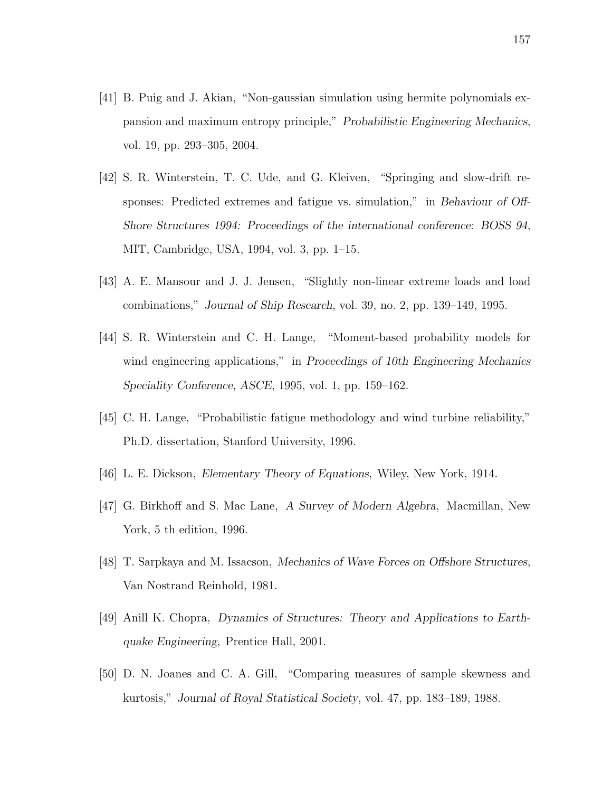- [41] B. Puig and J. Akian, "Non-gaussian simulation using hermite polynomials expansion and maximum entropy principle," Probabilistic Engineering Mechanics, vol. 19, pp. 293–305, 2004.
- [42] S. R. Winterstein, T. C. Ude, and G. Kleiven, "Springing and slow-drift responses: Predicted extremes and fatigue vs. simulation," in Behaviour of Off-Shore Structures 1994: Proceedings of the international conference: BOSS 94, MIT, Cambridge, USA, 1994, vol. 3, pp. 1–15.
- [43] A. E. Mansour and J. J. Jensen, "Slightly non-linear extreme loads and load combinations," Journal of Ship Research, vol. 39, no. 2, pp. 139–149, 1995.
- [44] S. R. Winterstein and C. H. Lange, "Moment-based probability models for wind engineering applications," in Proceedings of 10th Engineering Mechanics Speciality Conference, ASCE, 1995, vol. 1, pp. 159–162.
- [45] C. H. Lange, "Probabilistic fatigue methodology and wind turbine reliability," Ph.D. dissertation, Stanford University, 1996.
- [46] L. E. Dickson, Elementary Theory of Equations, Wiley, New York, 1914.
- [47] G. Birkhoff and S. Mac Lane, A Survey of Modern Algebra, Macmillan, New York, 5 th edition, 1996.
- [48] T. Sarpkaya and M. Issacson, Mechanics of Wave Forces on Offshore Structures, Van Nostrand Reinhold, 1981.
- [49] Anill K. Chopra, Dynamics of Structures: Theory and Applications to Earthquake Engineering, Prentice Hall, 2001.
- [50] D. N. Joanes and C. A. Gill, "Comparing measures of sample skewness and kurtosis," Journal of Royal Statistical Society, vol. 47, pp. 183–189, 1988.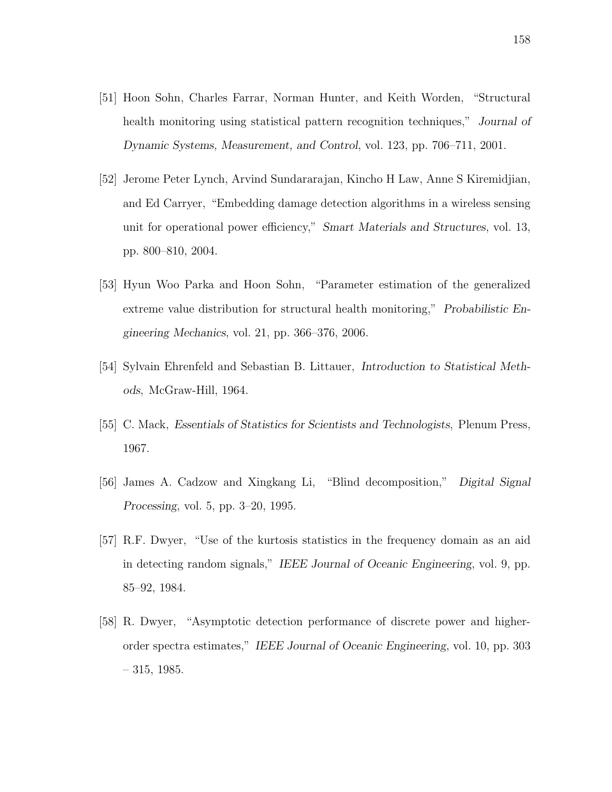- [51] Hoon Sohn, Charles Farrar, Norman Hunter, and Keith Worden, "Structural health monitoring using statistical pattern recognition techniques," Journal of Dynamic Systems, Measurement, and Control, vol. 123, pp. 706–711, 2001.
- [52] Jerome Peter Lynch, Arvind Sundararajan, Kincho H Law, Anne S Kiremidjian, and Ed Carryer, "Embedding damage detection algorithms in a wireless sensing unit for operational power efficiency," Smart Materials and Structures, vol. 13, pp. 800–810, 2004.
- [53] Hyun Woo Parka and Hoon Sohn, "Parameter estimation of the generalized extreme value distribution for structural health monitoring," Probabilistic Engineering Mechanics, vol. 21, pp. 366–376, 2006.
- [54] Sylvain Ehrenfeld and Sebastian B. Littauer, Introduction to Statistical Methods, McGraw-Hill, 1964.
- [55] C. Mack, Essentials of Statistics for Scientists and Technologists, Plenum Press, 1967.
- [56] James A. Cadzow and Xingkang Li, "Blind decomposition," Digital Signal Processing, vol. 5, pp. 3–20, 1995.
- [57] R.F. Dwyer, "Use of the kurtosis statistics in the frequency domain as an aid in detecting random signals," IEEE Journal of Oceanic Engineering, vol. 9, pp. 85–92, 1984.
- [58] R. Dwyer, "Asymptotic detection performance of discrete power and higherorder spectra estimates," IEEE Journal of Oceanic Engineering, vol. 10, pp. 303  $-315, 1985.$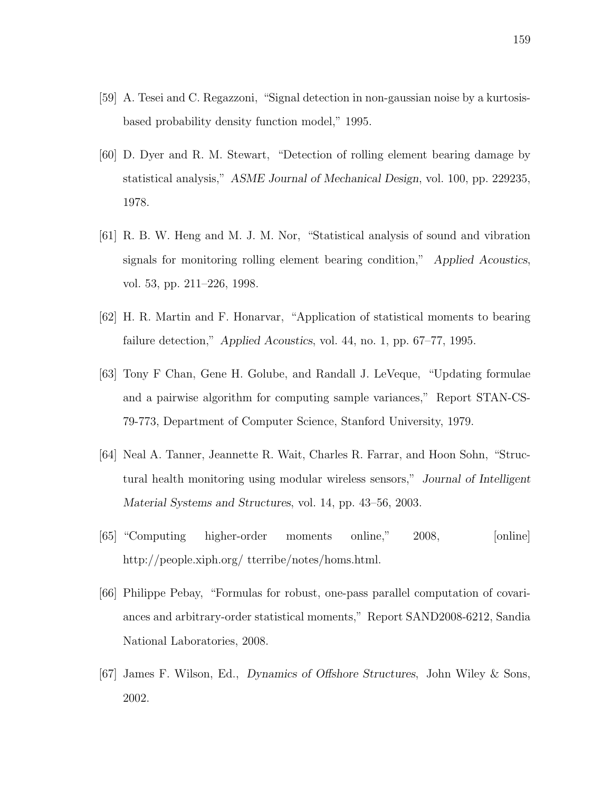- [59] A. Tesei and C. Regazzoni, "Signal detection in non-gaussian noise by a kurtosisbased probability density function model," 1995.
- [60] D. Dyer and R. M. Stewart, "Detection of rolling element bearing damage by statistical analysis," ASME Journal of Mechanical Design, vol. 100, pp. 229235, 1978.
- [61] R. B. W. Heng and M. J. M. Nor, "Statistical analysis of sound and vibration signals for monitoring rolling element bearing condition," Applied Acoustics, vol. 53, pp. 211–226, 1998.
- [62] H. R. Martin and F. Honarvar, "Application of statistical moments to bearing failure detection," Applied Acoustics, vol. 44, no. 1, pp. 67–77, 1995.
- [63] Tony F Chan, Gene H. Golube, and Randall J. LeVeque, "Updating formulae and a pairwise algorithm for computing sample variances," Report STAN-CS-79-773, Department of Computer Science, Stanford University, 1979.
- [64] Neal A. Tanner, Jeannette R. Wait, Charles R. Farrar, and Hoon Sohn, "Structural health monitoring using modular wireless sensors," Journal of Intelligent Material Systems and Structures, vol. 14, pp. 43–56, 2003.
- [65] "Computing higher-order moments online," 2008, [online] http://people.xiph.org/ tterribe/notes/homs.html.
- [66] Philippe Pebay, "Formulas for robust, one-pass parallel computation of covariances and arbitrary-order statistical moments," Report SAND2008-6212, Sandia National Laboratories, 2008.
- [67] James F. Wilson, Ed., Dynamics of Offshore Structures, John Wiley & Sons, 2002.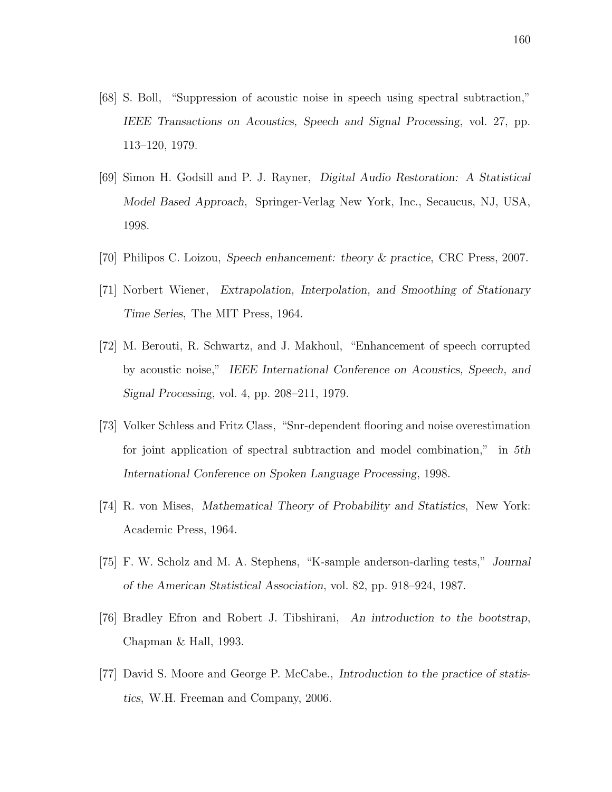- [68] S. Boll, "Suppression of acoustic noise in speech using spectral subtraction," IEEE Transactions on Acoustics, Speech and Signal Processing, vol. 27, pp. 113–120, 1979.
- [69] Simon H. Godsill and P. J. Rayner, Digital Audio Restoration: A Statistical Model Based Approach, Springer-Verlag New York, Inc., Secaucus, NJ, USA, 1998.
- [70] Philipos C. Loizou, Speech enhancement: theory & practice, CRC Press, 2007.
- [71] Norbert Wiener, Extrapolation, Interpolation, and Smoothing of Stationary Time Series, The MIT Press, 1964.
- [72] M. Berouti, R. Schwartz, and J. Makhoul, "Enhancement of speech corrupted by acoustic noise," IEEE International Conference on Acoustics, Speech, and Signal Processing, vol. 4, pp. 208–211, 1979.
- [73] Volker Schless and Fritz Class, "Snr-dependent flooring and noise overestimation for joint application of spectral subtraction and model combination," in 5th International Conference on Spoken Language Processing, 1998.
- [74] R. von Mises, Mathematical Theory of Probability and Statistics, New York: Academic Press, 1964.
- [75] F. W. Scholz and M. A. Stephens, "K-sample anderson-darling tests," Journal of the American Statistical Association, vol. 82, pp. 918–924, 1987.
- [76] Bradley Efron and Robert J. Tibshirani, An introduction to the bootstrap, Chapman & Hall, 1993.
- [77] David S. Moore and George P. McCabe., Introduction to the practice of statistics, W.H. Freeman and Company, 2006.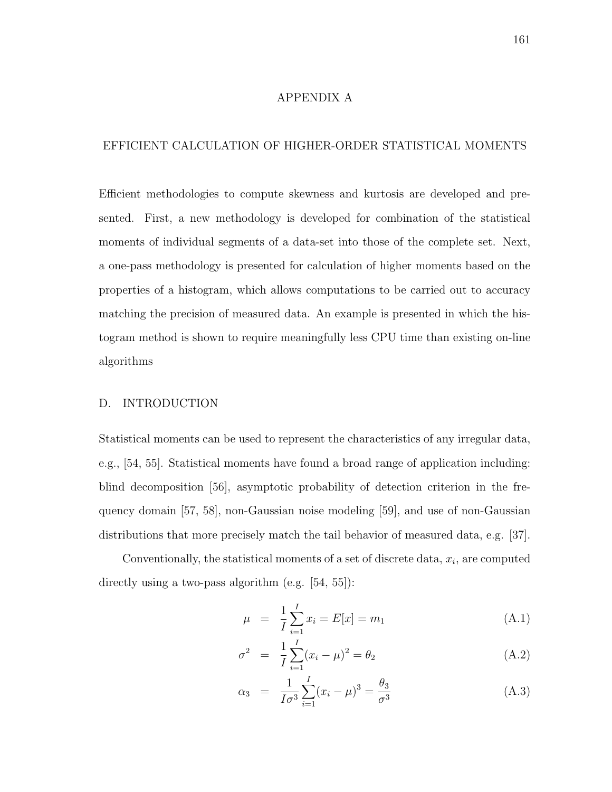#### APPENDIX A

# EFFICIENT CALCULATION OF HIGHER-ORDER STATISTICAL MOMENTS

Efficient methodologies to compute skewness and kurtosis are developed and presented. First, a new methodology is developed for combination of the statistical moments of individual segments of a data-set into those of the complete set. Next, a one-pass methodology is presented for calculation of higher moments based on the properties of a histogram, which allows computations to be carried out to accuracy matching the precision of measured data. An example is presented in which the histogram method is shown to require meaningfully less CPU time than existing on-line algorithms

## D. INTRODUCTION

Statistical moments can be used to represent the characteristics of any irregular data, e.g., [54, 55]. Statistical moments have found a broad range of application including: blind decomposition [56], asymptotic probability of detection criterion in the frequency domain [57, 58], non-Gaussian noise modeling [59], and use of non-Gaussian distributions that more precisely match the tail behavior of measured data, e.g. [37].

Conventionally, the statistical moments of a set of discrete data,  $x_i$ , are computed directly using a two-pass algorithm (e.g. [54, 55]):

$$
\mu = \frac{1}{I} \sum_{i=1}^{I} x_i = E[x] = m_1 \tag{A.1}
$$

$$
\sigma^2 = \frac{1}{I} \sum_{i=1}^{I} (x_i - \mu)^2 = \theta_2 \tag{A.2}
$$

$$
\alpha_3 = \frac{1}{I\sigma^3} \sum_{i=1}^{I} (x_i - \mu)^3 = \frac{\theta_3}{\sigma^3}
$$
 (A.3)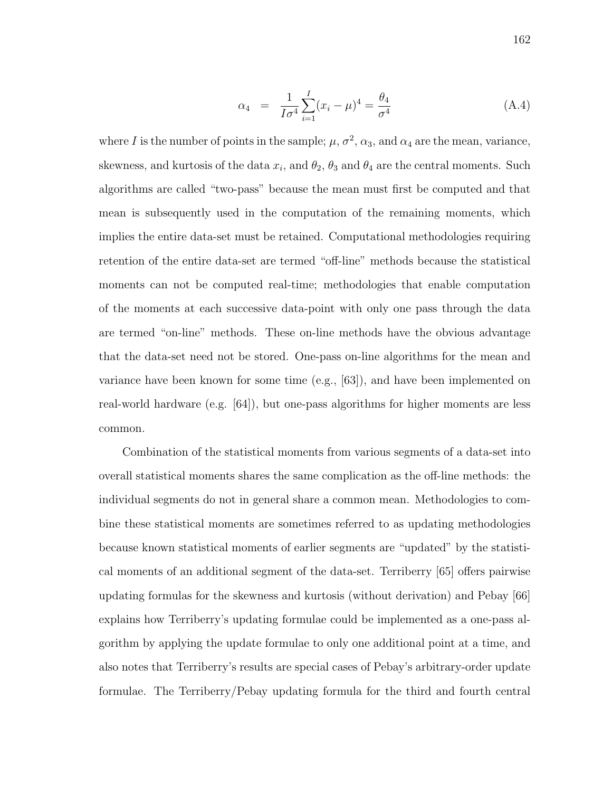$$
\alpha_4 = \frac{1}{I\sigma^4} \sum_{i=1}^{I} (x_i - \mu)^4 = \frac{\theta_4}{\sigma^4}
$$
 (A.4)

where I is the number of points in the sample;  $\mu$ ,  $\sigma^2$ ,  $\alpha_3$ , and  $\alpha_4$  are the mean, variance, skewness, and kurtosis of the data  $x_i$ , and  $\theta_2$ ,  $\theta_3$  and  $\theta_4$  are the central moments. Such algorithms are called "two-pass" because the mean must first be computed and that mean is subsequently used in the computation of the remaining moments, which implies the entire data-set must be retained. Computational methodologies requiring retention of the entire data-set are termed "off-line" methods because the statistical moments can not be computed real-time; methodologies that enable computation of the moments at each successive data-point with only one pass through the data are termed "on-line" methods. These on-line methods have the obvious advantage that the data-set need not be stored. One-pass on-line algorithms for the mean and variance have been known for some time (e.g., [63]), and have been implemented on real-world hardware (e.g. [64]), but one-pass algorithms for higher moments are less common.

Combination of the statistical moments from various segments of a data-set into overall statistical moments shares the same complication as the off-line methods: the individual segments do not in general share a common mean. Methodologies to combine these statistical moments are sometimes referred to as updating methodologies because known statistical moments of earlier segments are "updated" by the statistical moments of an additional segment of the data-set. Terriberry [65] offers pairwise updating formulas for the skewness and kurtosis (without derivation) and Pebay [66] explains how Terriberry's updating formulae could be implemented as a one-pass algorithm by applying the update formulae to only one additional point at a time, and also notes that Terriberry's results are special cases of Pebay's arbitrary-order update formulae. The Terriberry/Pebay updating formula for the third and fourth central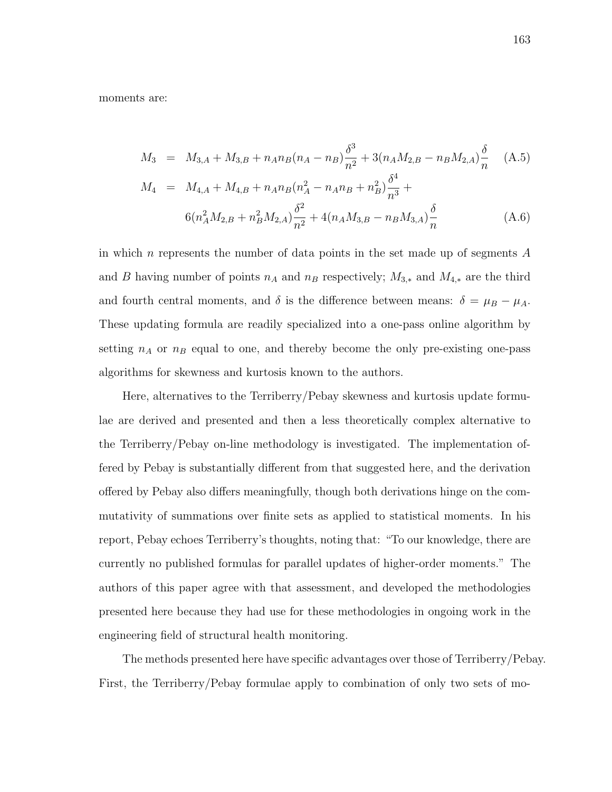moments are:

$$
M_3 = M_{3,A} + M_{3,B} + n_A n_B (n_A - n_B) \frac{\delta^3}{n^2} + 3(n_A M_{2,B} - n_B M_{2,A}) \frac{\delta}{n}
$$
 (A.5)  
\n
$$
M_4 = M_{4,A} + M_{4,B} + n_A n_B (n_A^2 - n_A n_B + n_B^2) \frac{\delta^4}{n^3} +
$$
  
\n
$$
6(n_A^2 M_{2,B} + n_B^2 M_{2,A}) \frac{\delta^2}{n^2} + 4(n_A M_{3,B} - n_B M_{3,A}) \frac{\delta}{n}
$$
 (A.6)

in which n represents the number of data points in the set made up of segments  $A$ and B having number of points  $n_A$  and  $n_B$  respectively;  $M_{3,*}$  and  $M_{4,*}$  are the third and fourth central moments, and  $\delta$  is the difference between means:  $\delta = \mu_B - \mu_A$ . These updating formula are readily specialized into a one-pass online algorithm by setting  $n_A$  or  $n_B$  equal to one, and thereby become the only pre-existing one-pass algorithms for skewness and kurtosis known to the authors.

Here, alternatives to the Terriberry/Pebay skewness and kurtosis update formulae are derived and presented and then a less theoretically complex alternative to the Terriberry/Pebay on-line methodology is investigated. The implementation offered by Pebay is substantially different from that suggested here, and the derivation offered by Pebay also differs meaningfully, though both derivations hinge on the commutativity of summations over finite sets as applied to statistical moments. In his report, Pebay echoes Terriberry's thoughts, noting that: "To our knowledge, there are currently no published formulas for parallel updates of higher-order moments." The authors of this paper agree with that assessment, and developed the methodologies presented here because they had use for these methodologies in ongoing work in the engineering field of structural health monitoring.

The methods presented here have specific advantages over those of Terriberry/Pebay. First, the Terriberry/Pebay formulae apply to combination of only two sets of mo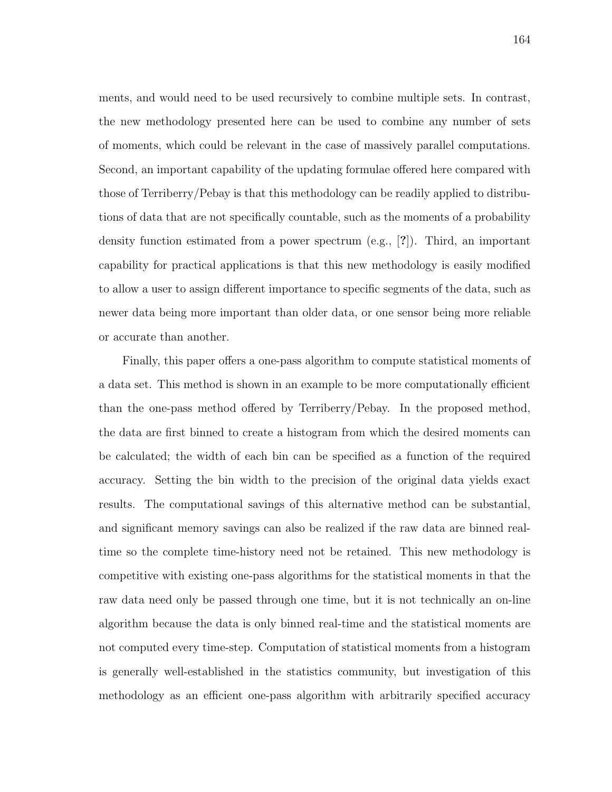ments, and would need to be used recursively to combine multiple sets. In contrast, the new methodology presented here can be used to combine any number of sets of moments, which could be relevant in the case of massively parallel computations. Second, an important capability of the updating formulae offered here compared with those of Terriberry/Pebay is that this methodology can be readily applied to distributions of data that are not specifically countable, such as the moments of a probability density function estimated from a power spectrum (e.g., [?]). Third, an important capability for practical applications is that this new methodology is easily modified to allow a user to assign different importance to specific segments of the data, such as newer data being more important than older data, or one sensor being more reliable or accurate than another.

Finally, this paper offers a one-pass algorithm to compute statistical moments of a data set. This method is shown in an example to be more computationally efficient than the one-pass method offered by Terriberry/Pebay. In the proposed method, the data are first binned to create a histogram from which the desired moments can be calculated; the width of each bin can be specified as a function of the required accuracy. Setting the bin width to the precision of the original data yields exact results. The computational savings of this alternative method can be substantial, and significant memory savings can also be realized if the raw data are binned realtime so the complete time-history need not be retained. This new methodology is competitive with existing one-pass algorithms for the statistical moments in that the raw data need only be passed through one time, but it is not technically an on-line algorithm because the data is only binned real-time and the statistical moments are not computed every time-step. Computation of statistical moments from a histogram is generally well-established in the statistics community, but investigation of this methodology as an efficient one-pass algorithm with arbitrarily specified accuracy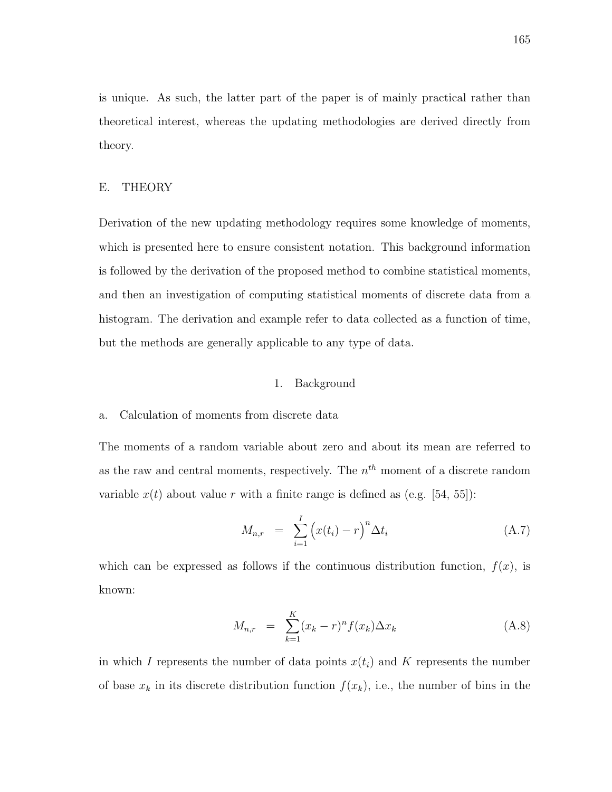is unique. As such, the latter part of the paper is of mainly practical rather than theoretical interest, whereas the updating methodologies are derived directly from theory.

### E. THEORY

Derivation of the new updating methodology requires some knowledge of moments, which is presented here to ensure consistent notation. This background information is followed by the derivation of the proposed method to combine statistical moments, and then an investigation of computing statistical moments of discrete data from a histogram. The derivation and example refer to data collected as a function of time, but the methods are generally applicable to any type of data.

#### 1. Background

### a. Calculation of moments from discrete data

The moments of a random variable about zero and about its mean are referred to as the raw and central moments, respectively. The  $n<sup>th</sup>$  moment of a discrete random variable  $x(t)$  about value r with a finite range is defined as (e.g. [54, 55]):

$$
M_{n,r} = \sum_{i=1}^{I} \left( x(t_i) - r \right)^n \Delta t_i \tag{A.7}
$$

which can be expressed as follows if the continuous distribution function,  $f(x)$ , is known:

$$
M_{n,r} = \sum_{k=1}^{K} (x_k - r)^n f(x_k) \Delta x_k
$$
 (A.8)

in which I represents the number of data points  $x(t_i)$  and K represents the number of base  $x_k$  in its discrete distribution function  $f(x_k)$ , i.e., the number of bins in the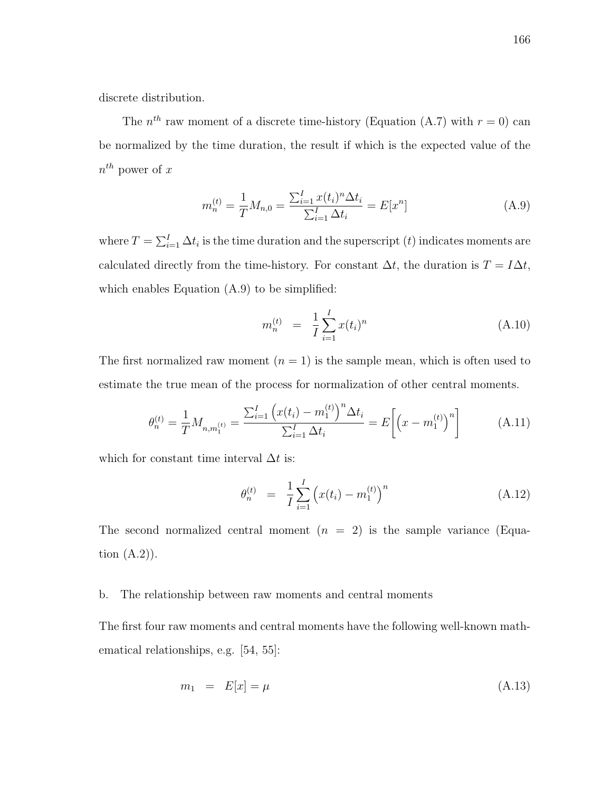discrete distribution.

The  $n^{th}$  raw moment of a discrete time-history (Equation (A.7) with  $r = 0$ ) can be normalized by the time duration, the result if which is the expected value of the  $n^{th}$  power of x

$$
m_n^{(t)} = \frac{1}{T} M_{n,0} = \frac{\sum_{i=1}^{I} x(t_i)^n \Delta t_i}{\sum_{i=1}^{I} \Delta t_i} = E[x^n]
$$
 (A.9)

where  $T = \sum_{i=1}^{I} \Delta t_i$  is the time duration and the superscript  $(t)$  indicates moments are calculated directly from the time-history. For constant  $\Delta t$ , the duration is  $T = I\Delta t$ , which enables Equation  $(A.9)$  to be simplified:

$$
m_n^{(t)} = \frac{1}{I} \sum_{i=1}^{I} x(t_i)^n
$$
 (A.10)

The first normalized raw moment  $(n = 1)$  is the sample mean, which is often used to estimate the true mean of the process for normalization of other central moments.

$$
\theta_n^{(t)} = \frac{1}{T} M_{n,m_1^{(t)}} = \frac{\sum_{i=1}^I \left( x(t_i) - m_1^{(t)} \right)^n \Delta t_i}{\sum_{i=1}^I \Delta t_i} = E \left[ \left( x - m_1^{(t)} \right)^n \right] \tag{A.11}
$$

which for constant time interval  $\Delta t$  is:

$$
\theta_n^{(t)} = \frac{1}{I} \sum_{i=1}^{I} \left( x(t_i) - m_1^{(t)} \right)^n \tag{A.12}
$$

The second normalized central moment  $(n = 2)$  is the sample variance (Equation  $(A.2)$ ).

## b. The relationship between raw moments and central moments

The first four raw moments and central moments have the following well-known mathematical relationships, e.g. [54, 55]:

$$
m_1 = E[x] = \mu \tag{A.13}
$$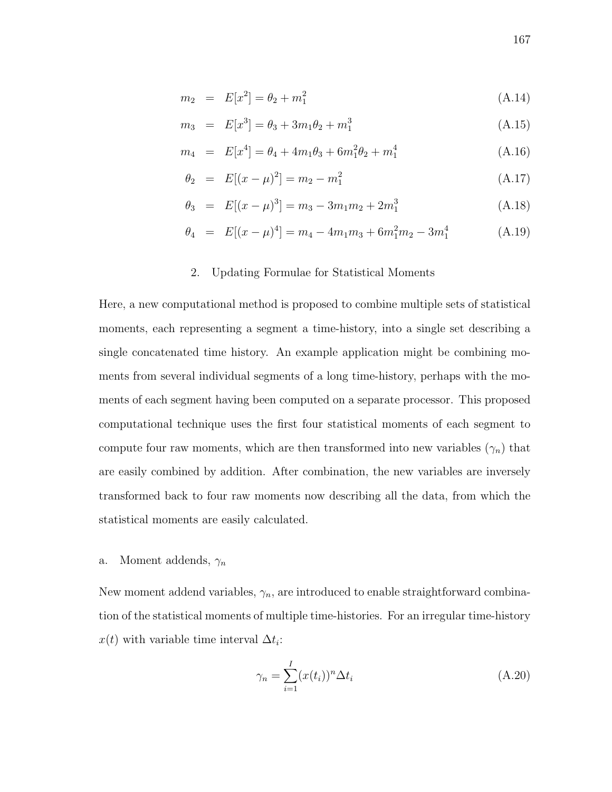$$
m_2 = E[x^2] = \theta_2 + m_1^2 \tag{A.14}
$$

$$
m_3 = E[x^3] = \theta_3 + 3m_1\theta_2 + m_1^3 \tag{A.15}
$$

$$
m_4 = E[x^4] = \theta_4 + 4m_1\theta_3 + 6m_1^2\theta_2 + m_1^4 \tag{A.16}
$$

$$
\theta_2 = E[(x - \mu)^2] = m_2 - m_1^2 \tag{A.17}
$$

$$
\theta_3 = E[(x - \mu)^3] = m_3 - 3m_1m_2 + 2m_1^3 \tag{A.18}
$$

$$
\theta_4 = E[(x - \mu)^4] = m_4 - 4m_1m_3 + 6m_1^2m_2 - 3m_1^4 \tag{A.19}
$$

#### 2. Updating Formulae for Statistical Moments

Here, a new computational method is proposed to combine multiple sets of statistical moments, each representing a segment a time-history, into a single set describing a single concatenated time history. An example application might be combining moments from several individual segments of a long time-history, perhaps with the moments of each segment having been computed on a separate processor. This proposed computational technique uses the first four statistical moments of each segment to compute four raw moments, which are then transformed into new variables  $(\gamma_n)$  that are easily combined by addition. After combination, the new variables are inversely transformed back to four raw moments now describing all the data, from which the statistical moments are easily calculated.

## a. Moment addends,  $\gamma_n$

New moment addend variables,  $\gamma_n$ , are introduced to enable straightforward combination of the statistical moments of multiple time-histories. For an irregular time-history  $x(t)$  with variable time interval  $\Delta t_i$ :

$$
\gamma_n = \sum_{i=1}^I (x(t_i))^n \Delta t_i
$$
\n(A.20)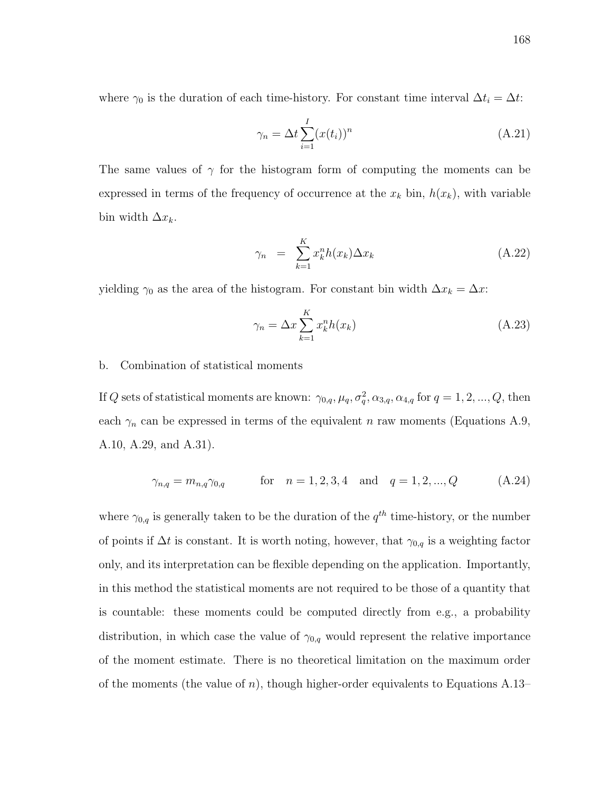where  $\gamma_0$  is the duration of each time-history. For constant time interval  $\Delta t_i = \Delta t$ :

$$
\gamma_n = \Delta t \sum_{i=1}^{I} (x(t_i))^n
$$
\n(A.21)

The same values of  $\gamma$  for the histogram form of computing the moments can be expressed in terms of the frequency of occurrence at the  $x_k$  bin,  $h(x_k)$ , with variable bin width  $\Delta x_k$ .

$$
\gamma_n = \sum_{k=1}^K x_k^n h(x_k) \Delta x_k \tag{A.22}
$$

yielding  $\gamma_0$  as the area of the histogram. For constant bin width  $\Delta x_k = \Delta x$ :

$$
\gamma_n = \Delta x \sum_{k=1}^{K} x_k^n h(x_k) \tag{A.23}
$$

## b. Combination of statistical moments

If Q sets of statistical moments are known:  $\gamma_{0,q}, \mu_q, \sigma_q^2, \alpha_{3,q}, \alpha_{4,q}$  for  $q = 1, 2, ..., Q$ , then each  $\gamma_n$  can be expressed in terms of the equivalent n raw moments (Equations A.9, A.10, A.29, and A.31).

$$
\gamma_{n,q} = m_{n,q} \gamma_{0,q} \qquad \text{for} \quad n = 1, 2, 3, 4 \quad \text{and} \quad q = 1, 2, ..., Q \qquad (A.24)
$$

where  $\gamma_{0,q}$  is generally taken to be the duration of the  $q^{th}$  time-history, or the number of points if  $\Delta t$  is constant. It is worth noting, however, that  $\gamma_{0,q}$  is a weighting factor only, and its interpretation can be flexible depending on the application. Importantly, in this method the statistical moments are not required to be those of a quantity that is countable: these moments could be computed directly from e.g., a probability distribution, in which case the value of  $\gamma_{0,q}$  would represent the relative importance of the moment estimate. There is no theoretical limitation on the maximum order of the moments (the value of n), though higher-order equivalents to Equations A.13–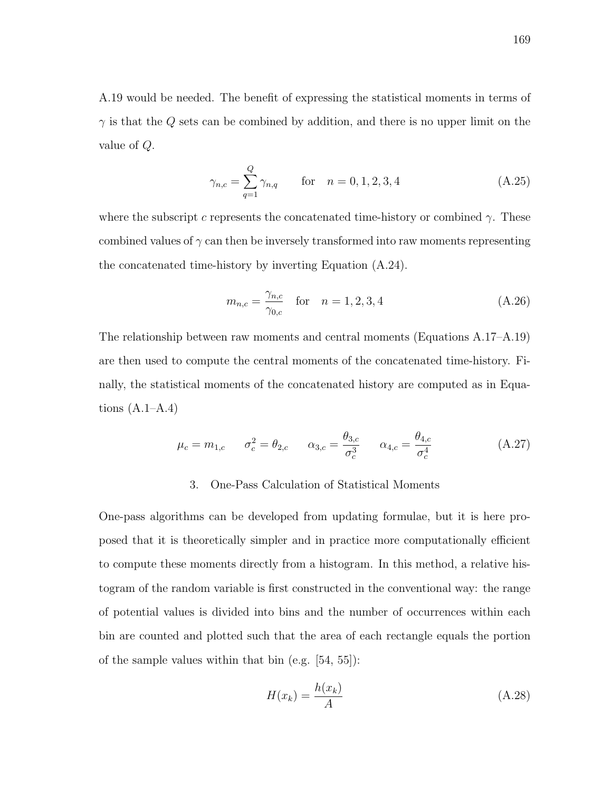A.19 would be needed. The benefit of expressing the statistical moments in terms of  $\gamma$  is that the Q sets can be combined by addition, and there is no upper limit on the value of Q.

$$
\gamma_{n,c} = \sum_{q=1}^{Q} \gamma_{n,q} \qquad \text{for} \quad n = 0, 1, 2, 3, 4 \tag{A.25}
$$

where the subscript c represents the concatenated time-history or combined  $\gamma$ . These combined values of  $\gamma$  can then be inversely transformed into raw moments representing the concatenated time-history by inverting Equation (A.24).

$$
m_{n,c} = \frac{\gamma_{n,c}}{\gamma_{0,c}} \quad \text{for} \quad n = 1, 2, 3, 4 \tag{A.26}
$$

The relationship between raw moments and central moments (Equations A.17–A.19) are then used to compute the central moments of the concatenated time-history. Finally, the statistical moments of the concatenated history are computed as in Equations  $(A.1-A.4)$ 

$$
\mu_c = m_{1,c}
$$
  $\sigma_c^2 = \theta_{2,c}$   $\alpha_{3,c} = \frac{\theta_{3,c}}{\sigma_c^3}$   $\alpha_{4,c} = \frac{\theta_{4,c}}{\sigma_c^4}$  (A.27)

## 3. One-Pass Calculation of Statistical Moments

One-pass algorithms can be developed from updating formulae, but it is here proposed that it is theoretically simpler and in practice more computationally efficient to compute these moments directly from a histogram. In this method, a relative histogram of the random variable is first constructed in the conventional way: the range of potential values is divided into bins and the number of occurrences within each bin are counted and plotted such that the area of each rectangle equals the portion of the sample values within that bin (e.g. [54, 55]):

$$
H(x_k) = \frac{h(x_k)}{A} \tag{A.28}
$$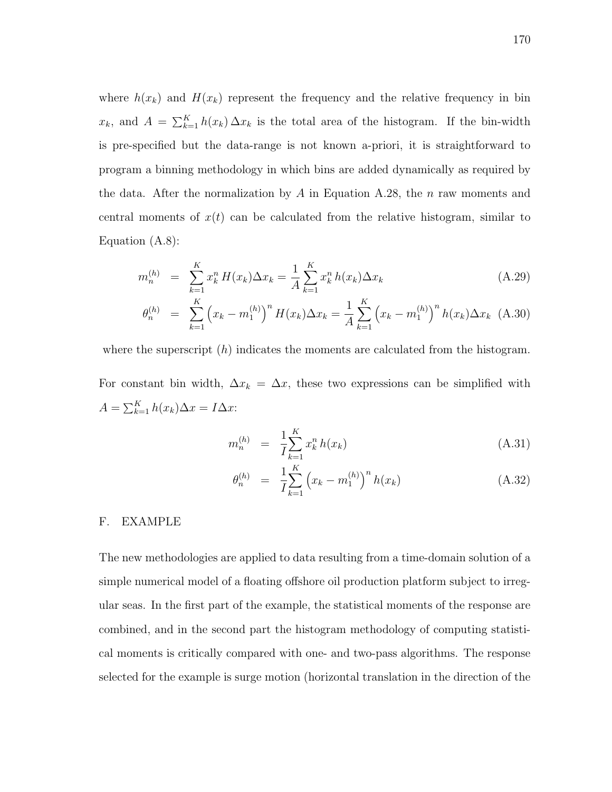where  $h(x_k)$  and  $H(x_k)$  represent the frequency and the relative frequency in bin  $x_k$ , and  $A = \sum_{k=1}^K h(x_k) \Delta x_k$  is the total area of the histogram. If the bin-width is pre-specified but the data-range is not known a-priori, it is straightforward to program a binning methodology in which bins are added dynamically as required by the data. After the normalization by A in Equation A.28, the n raw moments and central moments of  $x(t)$  can be calculated from the relative histogram, similar to Equation (A.8):

$$
m_n^{(h)} = \sum_{k=1}^K x_k^n H(x_k) \Delta x_k = \frac{1}{A} \sum_{k=1}^K x_k^n h(x_k) \Delta x_k
$$
 (A.29)

$$
\theta_n^{(h)} = \sum_{k=1}^K \left( x_k - m_1^{(h)} \right)^n H(x_k) \Delta x_k = \frac{1}{A} \sum_{k=1}^K \left( x_k - m_1^{(h)} \right)^n h(x_k) \Delta x_k \tag{A.30}
$$

where the superscript  $(h)$  indicates the moments are calculated from the histogram.

For constant bin width,  $\Delta x_k = \Delta x$ , these two expressions can be simplified with  $A = \sum_{k=1}^{K} h(x_k) \Delta x = I \Delta x$ :

$$
m_n^{(h)} = \frac{1}{I} \sum_{k=1}^{K} x_k^n h(x_k)
$$
 (A.31)

$$
\theta_n^{(h)} = \frac{1}{I} \sum_{k=1}^K \left( x_k - m_1^{(h)} \right)^n h(x_k) \tag{A.32}
$$

### F. EXAMPLE

The new methodologies are applied to data resulting from a time-domain solution of a simple numerical model of a floating offshore oil production platform subject to irregular seas. In the first part of the example, the statistical moments of the response are combined, and in the second part the histogram methodology of computing statistical moments is critically compared with one- and two-pass algorithms. The response selected for the example is surge motion (horizontal translation in the direction of the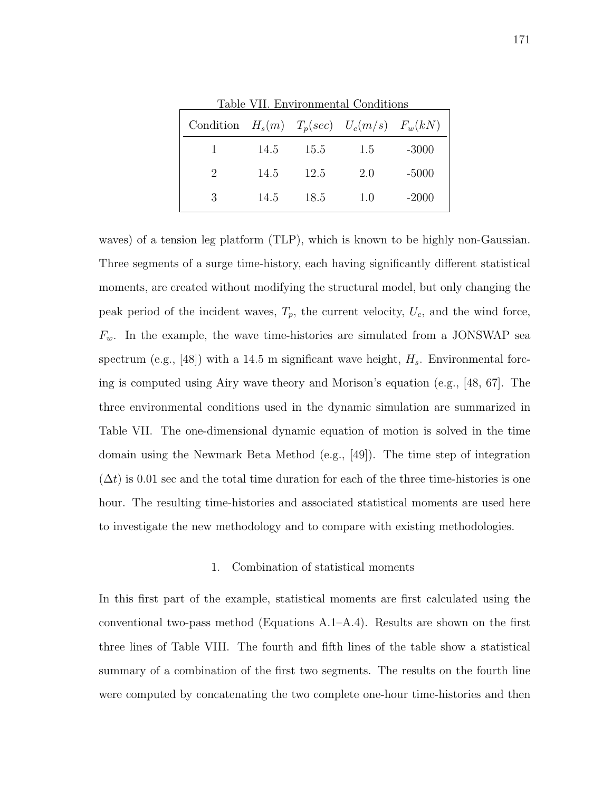| Condition $H_s(m)$ $T_p(sec)$ $U_c(m/s)$ $F_w(kN)$ |      |      |     |         |
|----------------------------------------------------|------|------|-----|---------|
|                                                    | 14.5 | 15.5 | 1.5 | $-3000$ |
| 2                                                  | 14.5 | 12.5 | 2.0 | $-5000$ |
| 3                                                  | 14.5 | 18.5 | 1.0 | $-2000$ |

Table VII. Environmental Conditions

waves) of a tension leg platform (TLP), which is known to be highly non-Gaussian. Three segments of a surge time-history, each having significantly different statistical moments, are created without modifying the structural model, but only changing the peak period of the incident waves,  $T_p$ , the current velocity,  $U_c$ , and the wind force,  $F_w$ . In the example, the wave time-histories are simulated from a JONSWAP sea spectrum (e.g., [48]) with a 14.5 m significant wave height,  $H_s$ . Environmental forcing is computed using Airy wave theory and Morison's equation (e.g., [48, 67]. The three environmental conditions used in the dynamic simulation are summarized in Table VII. The one-dimensional dynamic equation of motion is solved in the time domain using the Newmark Beta Method (e.g., [49]). The time step of integration  $(\Delta t)$  is 0.01 sec and the total time duration for each of the three time-histories is one hour. The resulting time-histories and associated statistical moments are used here to investigate the new methodology and to compare with existing methodologies.

#### 1. Combination of statistical moments

In this first part of the example, statistical moments are first calculated using the conventional two-pass method (Equations A.1–A.4). Results are shown on the first three lines of Table VIII. The fourth and fifth lines of the table show a statistical summary of a combination of the first two segments. The results on the fourth line were computed by concatenating the two complete one-hour time-histories and then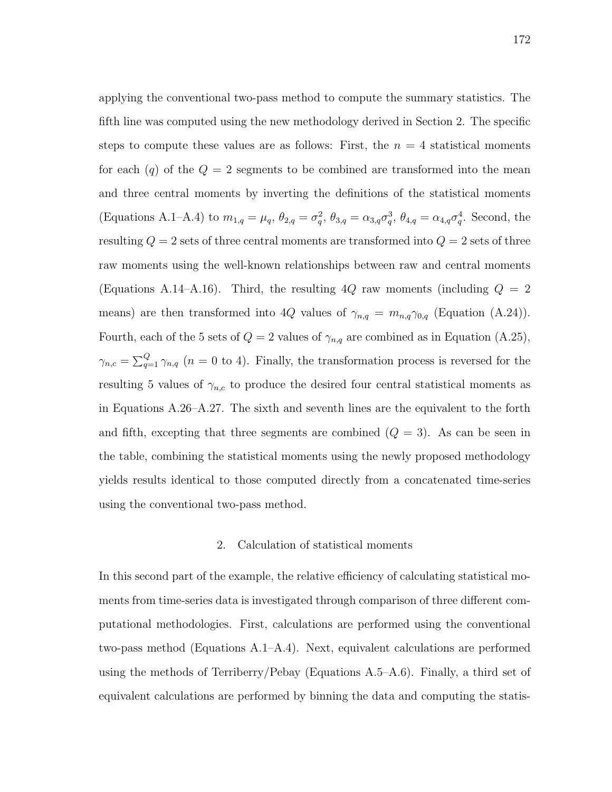applying the conventional two-pass method to compute the summary statistics. The fifth line was computed using the new methodology derived in Section 2. The specific steps to compute these values are as follows: First, the  $n = 4$  statistical moments for each  $(q)$  of the  $Q = 2$  segments to be combined are transformed into the mean and three central moments by inverting the definitions of the statistical moments (Equations A.1–A.4) to  $m_{1,q} = \mu_q$ ,  $\theta_{2,q} = \sigma_q^2$ ,  $\theta_{3,q} = \alpha_{3,q}\sigma_q^3$ ,  $\theta_{4,q} = \alpha_{4,q}\sigma_q^4$ . Second, the resulting  $Q = 2$  sets of three central moments are transformed into  $Q = 2$  sets of three raw moments using the well-known relationships between raw and central moments (Equations A.14–A.16). Third, the resulting  $4Q$  raw moments (including  $Q = 2$ means) are then transformed into 4Q values of  $\gamma_{n,q} = m_{n,q}\gamma_{0,q}$  (Equation (A.24)). Fourth, each of the 5 sets of  $Q = 2$  values of  $\gamma_{n,q}$  are combined as in Equation (A.25),  $\gamma_{n,c} = \sum_{q=1}^{Q} \gamma_{n,q}$  ( $n = 0$  to 4). Finally, the transformation process is reversed for the resulting 5 values of  $\gamma_{n,c}$  to produce the desired four central statistical moments as in Equations A.26–A.27. The sixth and seventh lines are the equivalent to the forth and fifth, excepting that three segments are combined  $(Q = 3)$ . As can be seen in the table, combining the statistical moments using the newly proposed methodology yields results identical to those computed directly from a concatenated time-series using the conventional two-pass method.

# 2. Calculation of statistical moments

In this second part of the example, the relative efficiency of calculating statistical moments from time-series data is investigated through comparison of three different computational methodologies. First, calculations are performed using the conventional two-pass method (Equations A.1–A.4). Next, equivalent calculations are performed using the methods of Terriberry/Pebay (Equations A.5–A.6). Finally, a third set of equivalent calculations are performed by binning the data and computing the statis-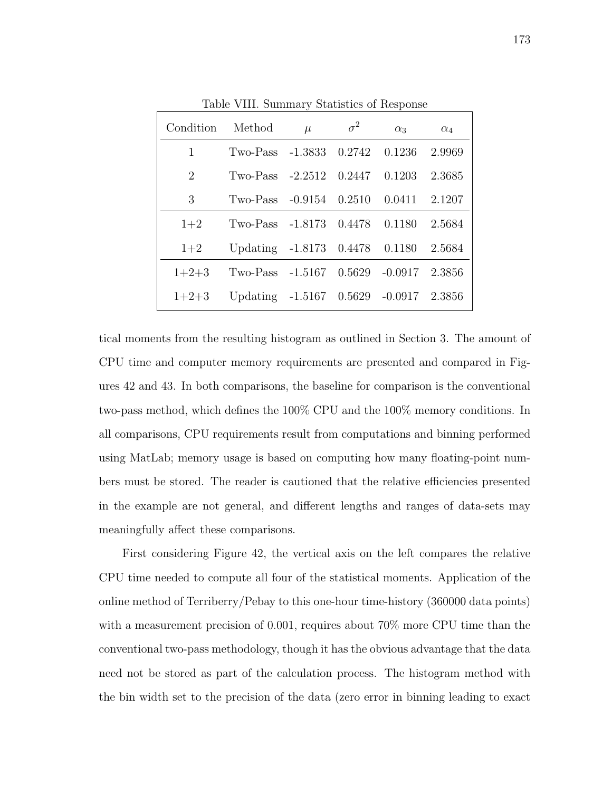| Condition | Method                                 | $\mu$ | $\sigma^2$ | $\alpha_3$ | $\alpha_4$ |
|-----------|----------------------------------------|-------|------------|------------|------------|
| 1         | Two-Pass -1.3833 0.2742                |       |            | 0.1236     | 2.9969     |
| 2         | Two-Pass $-2.2512$ 0.2447              |       |            | 0.1203     | 2.3685     |
| 3         | Two-Pass $-0.9154$ $0.2510$            |       |            | 0.0411     | 2.1207     |
| $1+2$     | $T_{\text{WO-Pass}}$ -1.8173           |       | 0.4478     | 0.1180     | 2.5684     |
| $1+2$     | Updating -1.8173 0.4478 0.1180         |       |            |            | 2.5684     |
| $1+2+3$   | Two-Pass $-1.5167$ 0.5629 $-0.0917$    |       |            |            | 2.3856     |
| $1+2+3$   | Updating -1.5167 0.5629 -0.0917 2.3856 |       |            |            |            |

Table VIII. Summary Statistics of Response

tical moments from the resulting histogram as outlined in Section 3. The amount of CPU time and computer memory requirements are presented and compared in Figures 42 and 43. In both comparisons, the baseline for comparison is the conventional two-pass method, which defines the 100% CPU and the 100% memory conditions. In all comparisons, CPU requirements result from computations and binning performed using MatLab; memory usage is based on computing how many floating-point numbers must be stored. The reader is cautioned that the relative efficiencies presented in the example are not general, and different lengths and ranges of data-sets may meaningfully affect these comparisons.

First considering Figure 42, the vertical axis on the left compares the relative CPU time needed to compute all four of the statistical moments. Application of the online method of Terriberry/Pebay to this one-hour time-history (360000 data points) with a measurement precision of 0.001, requires about 70% more CPU time than the conventional two-pass methodology, though it has the obvious advantage that the data need not be stored as part of the calculation process. The histogram method with the bin width set to the precision of the data (zero error in binning leading to exact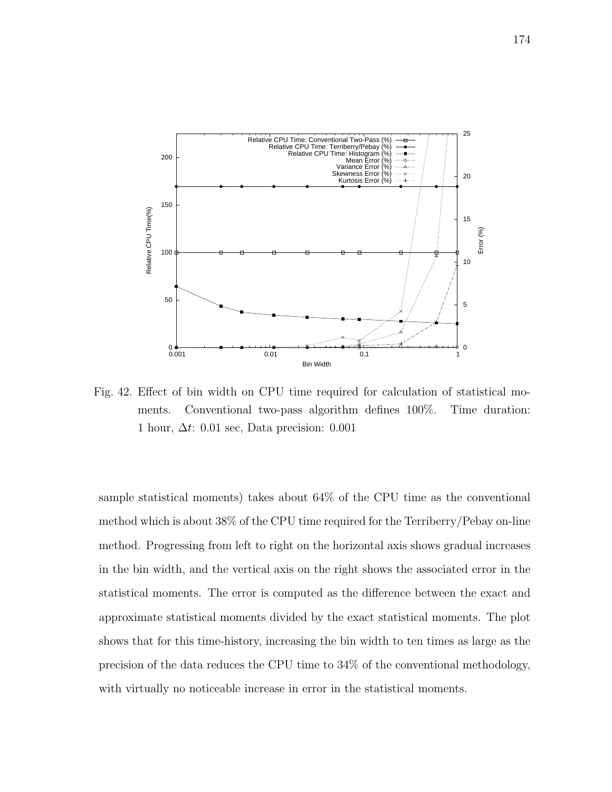

Fig. 42. Effect of bin width on CPU time required for calculation of statistical moments. Conventional two-pass algorithm defines 100%. Time duration: 1 hour,  $\Delta t$ : 0.01 sec, Data precision: 0.001

sample statistical moments) takes about 64% of the CPU time as the conventional method which is about 38% of the CPU time required for the Terriberry/Pebay on-line method. Progressing from left to right on the horizontal axis shows gradual increases in the bin width, and the vertical axis on the right shows the associated error in the statistical moments. The error is computed as the difference between the exact and approximate statistical moments divided by the exact statistical moments. The plot shows that for this time-history, increasing the bin width to ten times as large as the precision of the data reduces the CPU time to 34% of the conventional methodology, with virtually no noticeable increase in error in the statistical moments.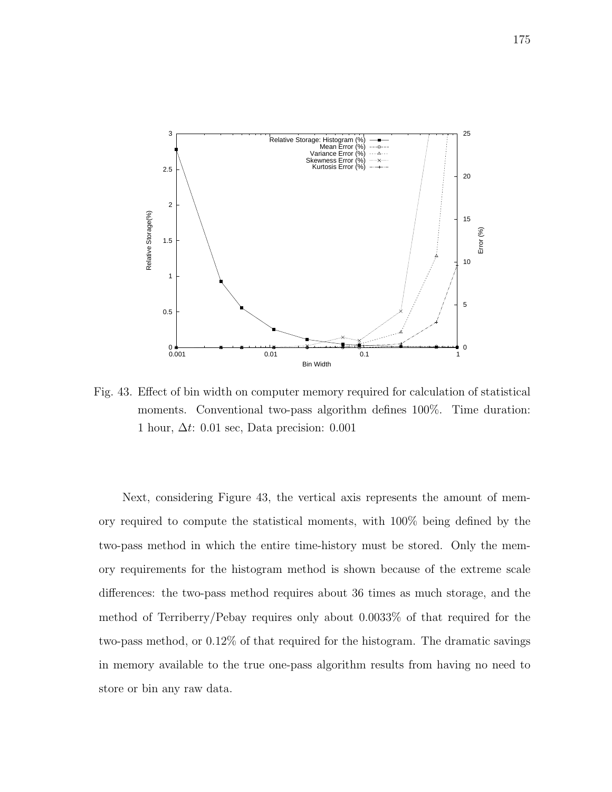

Fig. 43. Effect of bin width on computer memory required for calculation of statistical moments. Conventional two-pass algorithm defines 100%. Time duration: 1 hour,  $\Delta t$ : 0.01 sec, Data precision: 0.001

Next, considering Figure 43, the vertical axis represents the amount of memory required to compute the statistical moments, with 100% being defined by the two-pass method in which the entire time-history must be stored. Only the memory requirements for the histogram method is shown because of the extreme scale differences: the two-pass method requires about 36 times as much storage, and the method of Terriberry/Pebay requires only about 0.0033% of that required for the two-pass method, or 0.12% of that required for the histogram. The dramatic savings in memory available to the true one-pass algorithm results from having no need to store or bin any raw data.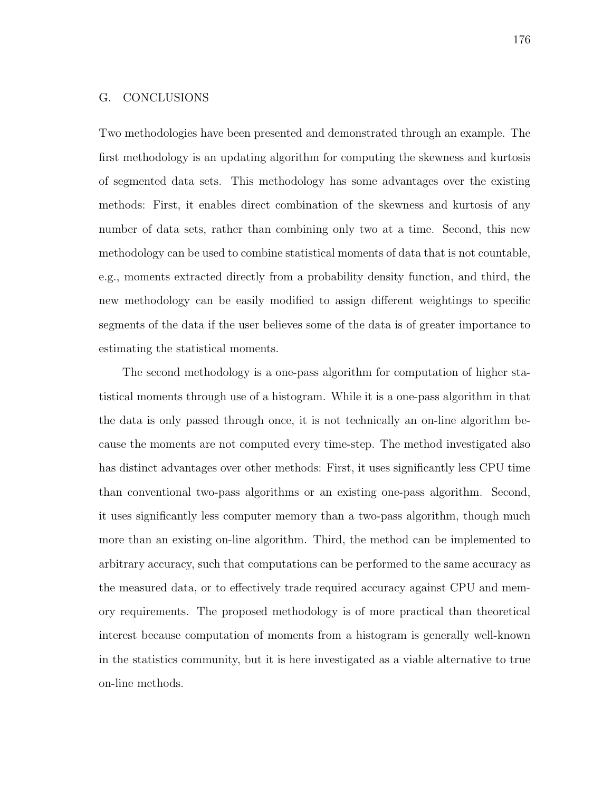### G. CONCLUSIONS

Two methodologies have been presented and demonstrated through an example. The first methodology is an updating algorithm for computing the skewness and kurtosis of segmented data sets. This methodology has some advantages over the existing methods: First, it enables direct combination of the skewness and kurtosis of any number of data sets, rather than combining only two at a time. Second, this new methodology can be used to combine statistical moments of data that is not countable, e.g., moments extracted directly from a probability density function, and third, the new methodology can be easily modified to assign different weightings to specific segments of the data if the user believes some of the data is of greater importance to estimating the statistical moments.

The second methodology is a one-pass algorithm for computation of higher statistical moments through use of a histogram. While it is a one-pass algorithm in that the data is only passed through once, it is not technically an on-line algorithm because the moments are not computed every time-step. The method investigated also has distinct advantages over other methods: First, it uses significantly less CPU time than conventional two-pass algorithms or an existing one-pass algorithm. Second, it uses significantly less computer memory than a two-pass algorithm, though much more than an existing on-line algorithm. Third, the method can be implemented to arbitrary accuracy, such that computations can be performed to the same accuracy as the measured data, or to effectively trade required accuracy against CPU and memory requirements. The proposed methodology is of more practical than theoretical interest because computation of moments from a histogram is generally well-known in the statistics community, but it is here investigated as a viable alternative to true on-line methods.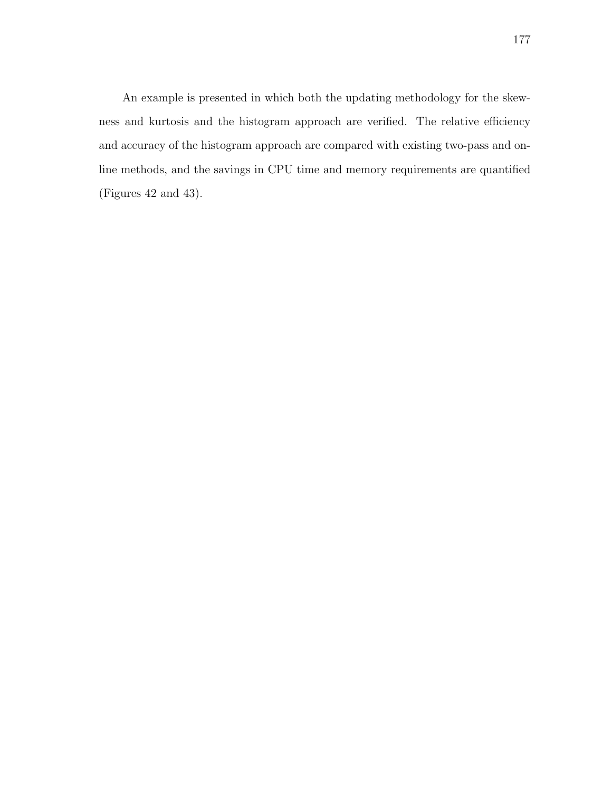An example is presented in which both the updating methodology for the skewness and kurtosis and the histogram approach are verified. The relative efficiency and accuracy of the histogram approach are compared with existing two-pass and online methods, and the savings in CPU time and memory requirements are quantified (Figures 42 and 43).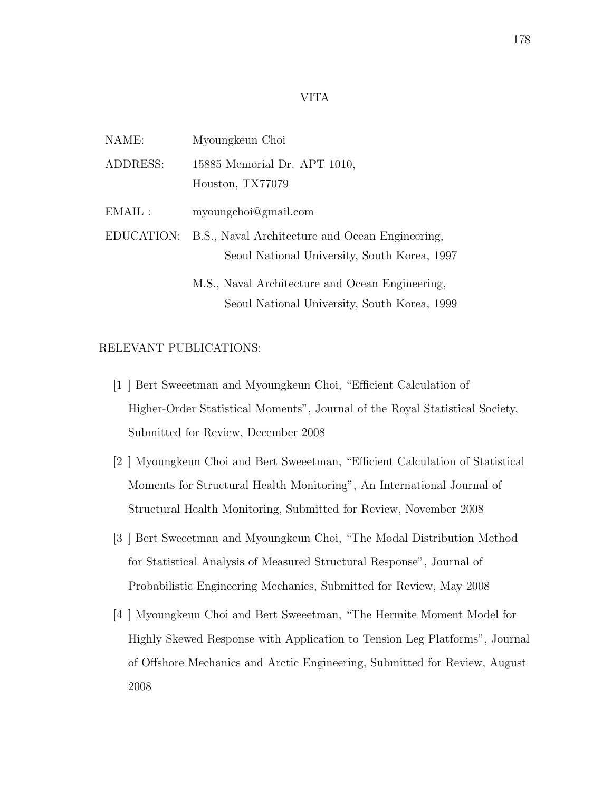### VITA

| NAME:           | Myoungkeun Choi                                                                                 |
|-----------------|-------------------------------------------------------------------------------------------------|
| ADDRESS:        | 15885 Memorial Dr. APT 1010,<br>Houston, TX77079                                                |
| $\text{EMAIL}:$ | myoungchoi@gmail.com                                                                            |
| EDUCATION:      | B.S., Naval Architecture and Ocean Engineering,<br>Seoul National University, South Korea, 1997 |
|                 | M.S., Naval Architecture and Ocean Engineering,                                                 |

# RELEVANT PUBLICATIONS:

[1 ] Bert Sweeetman and Myoungkeun Choi, "Efficient Calculation of Higher-Order Statistical Moments", Journal of the Royal Statistical Society, Submitted for Review, December 2008

Seoul National University, South Korea, 1999

- [2 ] Myoungkeun Choi and Bert Sweeetman, "Efficient Calculation of Statistical Moments for Structural Health Monitoring", An International Journal of Structural Health Monitoring, Submitted for Review, November 2008
- [3 ] Bert Sweeetman and Myoungkeun Choi, "The Modal Distribution Method for Statistical Analysis of Measured Structural Response", Journal of Probabilistic Engineering Mechanics, Submitted for Review, May 2008
- [4 ] Myoungkeun Choi and Bert Sweeetman, "The Hermite Moment Model for Highly Skewed Response with Application to Tension Leg Platforms", Journal of Offshore Mechanics and Arctic Engineering, Submitted for Review, August 2008